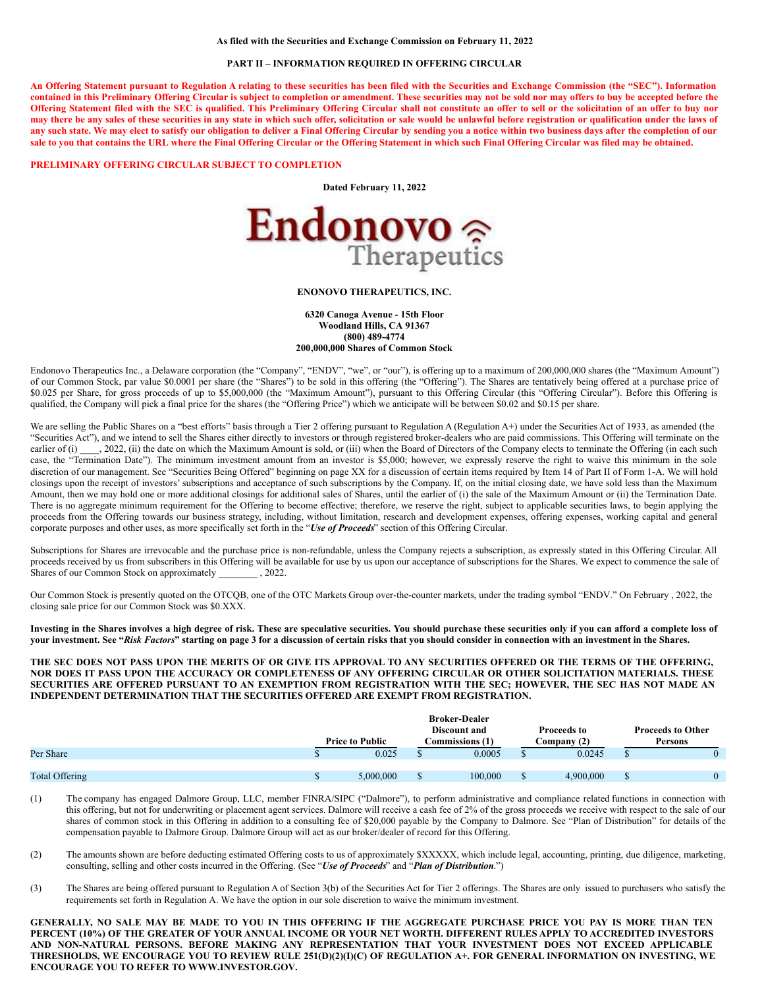#### **PART II – INFORMATION REQUIRED IN OFFERING CIRCULAR**

An Offering Statement pursuant to Regulation A relating to these securities has been filed with the Securities and Exchange Commission (the "SEC"). Information contained in this Preliminary Offering Circular is subject to completion or amendment. These securities may not be sold nor may offers to buy be accepted before the Offering Statement filed with the SEC is qualified. This Preliminary Offering Circular shall not constitute an offer to sell or the solicitation of an offer to buy nor may there be any sales of these securities in any state in which such offer, solicitation or sale would be unlawful before registration or qualification under the laws of any such state. We may elect to satisfy our obligation to deliver a Final Offering Circular by sending you a notice within two business days after the completion of our sale to you that contains the URL where the Final Offering Circular or the Offering Statement in which such Final Offering Circular was filed may be obtained.

#### **PRELIMINARY OFFERING CIRCULAR SUBJECT TO COMPLETION**

# **Dated February 11, 2022**

# Endonovo  $\widehat{\mathbb{F}}$ Therapeutics

# **ENONOVO THERAPEUTICS, INC.**

**6320 Canoga Avenue - 15th Floor Woodland Hills, CA 91367 (800) 489-4774 200,000,000 Shares of Common Stock**

Endonovo Therapeutics Inc., a Delaware corporation (the "Company", "ENDV", "we", or "our"), is offering up to a maximum of 200,000,000 shares (the "Maximum Amount") of our Common Stock, par value \$0.0001 per share (the "Shares") to be sold in this offering (the "Offering"). The Shares are tentatively being offered at a purchase price of \$0.025 per Share, for gross proceeds of up to \$5,000,000 (the "Maximum Amount"), pursuant to this Offering Circular (this "Offering Circular"). Before this Offering is qualified, the Company will pick a final price for the shares (the "Offering Price") which we anticipate will be between \$0.02 and \$0.15 per share.

We are selling the Public Shares on a "best efforts" basis through a Tier 2 offering pursuant to Regulation A (Regulation A+) under the Securities Act of 1933, as amended (the "Securities Act"), and we intend to sell the Shares either directly to investors or through registered broker-dealers who are paid commissions. This Offering will terminate on the earlier of (i) \_\_\_\_, 2022, (ii) the date on which the Maximum Amount is sold, or (iii) when the Board of Directors of the Company elects to terminate the Offering (in each such case, the "Termination Date"). The minimum investment amount from an investor is \$5,000; however, we expressly reserve the right to waive this minimum in the sole discretion of our management. See "Securities Being Offered" beginning on page XX for a discussion of certain items required by Item 14 of Part II of Form 1-A. We will hold closings upon the receipt of investors' subscriptions and acceptance of such subscriptions by the Company. If, on the initial closing date, we have sold less than the Maximum Amount, then we may hold one or more additional closings for additional sales of Shares, until the earlier of (i) the sale of the Maximum Amount or (ii) the Termination Date. There is no aggregate minimum requirement for the Offering to become effective; therefore, we reserve the right, subject to applicable securities laws, to begin applying the proceeds from the Offering towards our business strategy, including, without limitation, research and development expenses, offering expenses, working capital and general corporate purposes and other uses, as more specifically set forth in the "*Use of Proceeds*" section of this Offering Circular.

Subscriptions for Shares are irrevocable and the purchase price is non-refundable, unless the Company rejects a subscription, as expressly stated in this Offering Circular. All proceeds received by us from subscribers in this Offering will be available for use by us upon our acceptance of subscriptions for the Shares. We expect to commence the sale of Shares of our Common Stock on approximately  $\qquad \qquad$ , 2022.

Our Common Stock is presently quoted on the OTCQB, one of the OTC Markets Group over-the-counter markets, under the trading symbol "ENDV." On February , 2022, the closing sale price for our Common Stock was \$0.XXX.

Investing in the Shares involves a high degree of risk. These are speculative securities. You should purchase these securities only if you can afford a complete loss of your investment. See "Risk Factors" starting on page 3 for a discussion of certain risks that you should consider in connection with an investment in the Shares.

THE SEC DOES NOT PASS UPON THE MERITS OF OR GIVE ITS APPROVAL TO ANY SECURITIES OFFERED OR THE TERMS OF THE OFFERING, NOR DOES IT PASS UPON THE ACCURACY OR COMPLETENESS OF ANY OFFERING CIRCULAR OR OTHER SOLICITATION MATERIALS. THESE SECURITIES ARE OFFERED PURSUANT TO AN EXEMPTION FROM REGISTRATION WITH THE SEC; HOWEVER, THE SEC HAS NOT MADE AN **INDEPENDENT DETERMINATION THAT THE SECURITIES OFFERED ARE EXEMPT FROM REGISTRATION.**

| <b>Broker-Dealer</b><br>Discount and<br><b>Proceeds to</b><br><b>Price to Public</b><br>Commissions (1)<br>Company (2) | <b>Proceeds to Other</b><br>Persons |
|------------------------------------------------------------------------------------------------------------------------|-------------------------------------|
| 0.025<br>0.0005<br>0.0245<br>Per Share                                                                                 |                                     |
|                                                                                                                        |                                     |
| Total Offering<br>100,000<br>4.900,000<br>5,000,000                                                                    |                                     |

(1) The company has engaged Dalmore Group, LLC, member FINRA/SIPC ("Dalmore"), to perform administrative and compliance related functions in connection with this offering, but not for underwriting or placement agent services. Dalmore will receive a cash fee of 2% of the gross proceeds we receive with respect to the sale of our shares of common stock in this Offering in addition to a consulting fee of \$20,000 payable by the Company to Dalmore. See "Plan of Distribution" for details of the compensation payable to Dalmore Group. Dalmore Group will act as our broker/dealer of record for this Offering.

(2) The amounts shown are before deducting estimated Offering costs to us of approximately \$XXXXX, which include legal, accounting, printing, due diligence, marketing, consulting, selling and other costs incurred in the Offering. (See "*Use of Proceeds*" and "*Plan of Distribution*.")

(3) The Shares are being offered pursuant to Regulation A of Section 3(b) of the Securities Act for Tier 2 offerings. The Shares are only issued to purchasers who satisfy the requirements set forth in Regulation A. We have the option in our sole discretion to waive the minimum investment.

GENERALLY, NO SALE MAY BE MADE TO YOU IN THIS OFFERING IF THE AGGREGATE PURCHASE PRICE YOU PAY IS MORE THAN TEN PERCENT (10%) OF THE GREATER OF YOUR ANNUAL INCOME OR YOUR NET WORTH. DIFFERENT RULES APPLY TO ACCREDITED INVESTORS **AND NON-NATURAL PERSONS. BEFORE MAKING ANY REPRESENTATION THAT YOUR INVESTMENT DOES NOT EXCEED APPLICABLE** THRESHOLDS, WE ENCOURAGE YOU TO REVIEW RULE 251(D)(2)(I)(C) OF REGULATION A+. FOR GENERAL INFORMATION ON INVESTING, WE **ENCOURAGE YOU TO REFER TO WWW.INVESTOR.GOV.**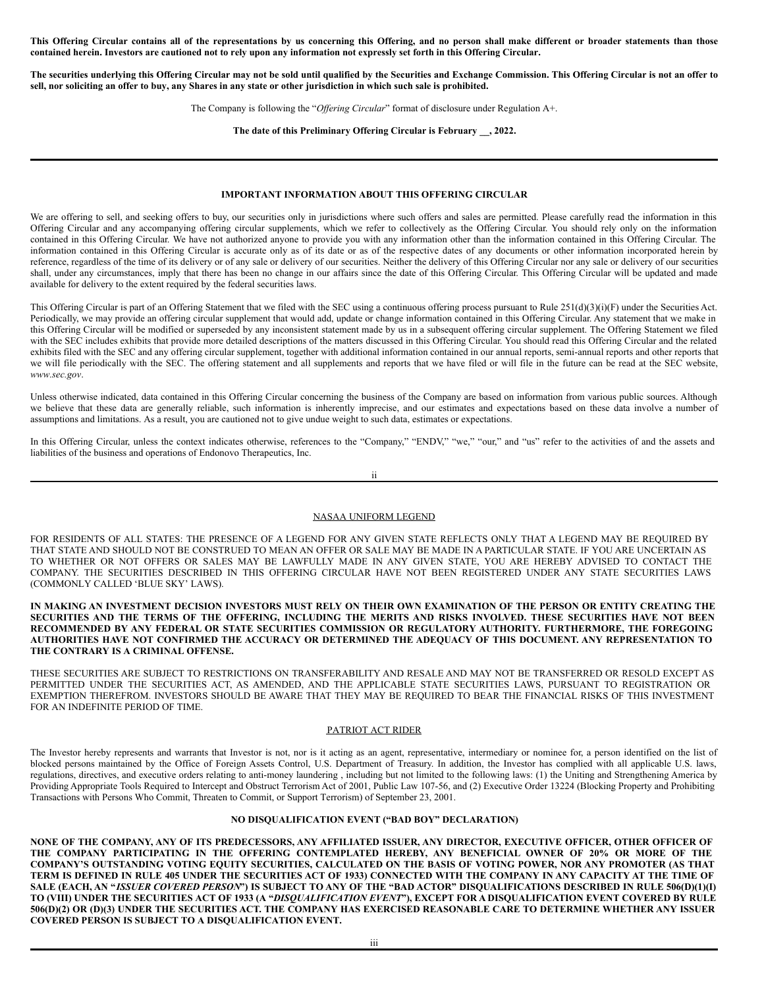This Offering Circular contains all of the representations by us concerning this Offering, and no person shall make different or broader statements than those contained herein. Investors are cautioned not to rely upon any information not expressly set forth in this Offering Circular.

The securities underlying this Offering Circular may not be sold until qualified by the Securities and Exchange Commission. This Offering Circular is not an offer to sell, nor soliciting an offer to buy, any Shares in any state or other jurisdiction in which such sale is prohibited.

The Company is following the "*Offering Circular*" format of disclosure under Regulation A+.

**The date of this Preliminary Offering Circular is February \_\_, 2022.**

# **IMPORTANT INFORMATION ABOUT THIS OFFERING CIRCULAR**

We are offering to sell, and seeking offers to buy, our securities only in jurisdictions where such offers and sales are permitted. Please carefully read the information in this Offering Circular and any accompanying offering circular supplements, which we refer to collectively as the Offering Circular. You should rely only on the information contained in this Offering Circular. We have not authorized anyone to provide you with any information other than the information contained in this Offering Circular. The information contained in this Offering Circular is accurate only as of its date or as of the respective dates of any documents or other information incorporated herein by reference, regardless of the time of its delivery or of any sale or delivery of our securities. Neither the delivery of this Offering Circular nor any sale or delivery of our securities shall, under any circumstances, imply that there has been no change in our affairs since the date of this Offering Circular. This Offering Circular will be updated and made available for delivery to the extent required by the federal securities laws.

This Offering Circular is part of an Offering Statement that we filed with the SEC using a continuous offering process pursuant to Rule 251(d)(3)(i)(F) under the Securities Act. Periodically, we may provide an offering circular supplement that would add, update or change information contained in this Offering Circular. Any statement that we make in this Offering Circular will be modified or superseded by any inconsistent statement made by us in a subsequent offering circular supplement. The Offering Statement we filed with the SEC includes exhibits that provide more detailed descriptions of the matters discussed in this Offering Circular. You should read this Offering Circular and the related exhibits filed with the SEC and any offering circular supplement, together with additional information contained in our annual reports, semi-annual reports and other reports that we will file periodically with the SEC. The offering statement and all supplements and reports that we have filed or will file in the future can be read at the SEC website, *www.sec.gov*.

Unless otherwise indicated, data contained in this Offering Circular concerning the business of the Company are based on information from various public sources. Although we believe that these data are generally reliable, such information is inherently imprecise, and our estimates and expectations based on these data involve a number of assumptions and limitations. As a result, you are cautioned not to give undue weight to such data, estimates or expectations.

In this Offering Circular, unless the context indicates otherwise, references to the "Company," "ENDV," "we," "our," and "us" refer to the activities of and the assets and liabilities of the business and operations of Endonovo Therapeutics, Inc.

ii

#### NASAA UNIFORM LEGEND

FOR RESIDENTS OF ALL STATES: THE PRESENCE OF A LEGEND FOR ANY GIVEN STATE REFLECTS ONLY THAT A LEGEND MAY BE REQUIRED BY THAT STATE AND SHOULD NOT BE CONSTRUED TO MEAN AN OFFER OR SALE MAY BE MADE IN A PARTICULAR STATE. IF YOU ARE UNCERTAIN AS TO WHETHER OR NOT OFFERS OR SALES MAY BE LAWFULLY MADE IN ANY GIVEN STATE, YOU ARE HEREBY ADVISED TO CONTACT THE COMPANY. THE SECURITIES DESCRIBED IN THIS OFFERING CIRCULAR HAVE NOT BEEN REGISTERED UNDER ANY STATE SECURITIES LAWS (COMMONLY CALLED 'BLUE SKY' LAWS).

#### IN MAKING AN INVESTMENT DECISION INVESTORS MUST RELY ON THEIR OWN EXAMINATION OF THE PERSON OR ENTITY CREATING THE SECURITIES AND THE TERMS OF THE OFFERING, INCLUDING THE MERITS AND RISKS INVOLVED. THESE SECURITIES HAVE NOT BEEN **RECOMMENDED BY ANY FEDERAL OR STATE SECURITIES COMMISSION OR REGULATORY AUTHORITY. FURTHERMORE, THE FOREGOING AUTHORITIES HAVE NOT CONFIRMED THE ACCURACY OR DETERMINED THE ADEQUACY OF THIS DOCUMENT. ANY REPRESENTATION TO THE CONTRARY IS A CRIMINAL OFFENSE.**

THESE SECURITIES ARE SUBJECT TO RESTRICTIONS ON TRANSFERABILITY AND RESALE AND MAY NOT BE TRANSFERRED OR RESOLD EXCEPT AS PERMITTED UNDER THE SECURITIES ACT, AS AMENDED, AND THE APPLICABLE STATE SECURITIES LAWS, PURSUANT TO REGISTRATION OR EXEMPTION THEREFROM. INVESTORS SHOULD BE AWARE THAT THEY MAY BE REQUIRED TO BEAR THE FINANCIAL RISKS OF THIS INVESTMENT FOR AN INDEFINITE PERIOD OF TIME.

#### PATRIOT ACT RIDER

The Investor hereby represents and warrants that Investor is not, nor is it acting as an agent, representative, intermediary or nominee for, a person identified on the list of blocked persons maintained by the Office of Foreign Assets Control, U.S. Department of Treasury. In addition, the Investor has complied with all applicable U.S. laws, regulations, directives, and executive orders relating to anti-money laundering , including but not limited to the following laws: (1) the Uniting and Strengthening America by Providing Appropriate Tools Required to Intercept and Obstruct Terrorism Act of 2001, Public Law 107-56, and (2) Executive Order 13224 (Blocking Property and Prohibiting Transactions with Persons Who Commit, Threaten to Commit, or Support Terrorism) of September 23, 2001.

# **NO DISQUALIFICATION EVENT ("BAD BOY" DECLARATION)**

NONE OF THE COMPANY, ANY OF ITS PREDECESSORS, ANY AFFILIATED ISSUER, ANY DIRECTOR, EXECUTIVE OFFICER, OTHER OFFICER OF **THE COMPANY PARTICIPATING IN THE OFFERING CONTEMPLATED HEREBY, ANY BENEFICIAL OWNER OF 20% OR MORE OF THE** COMPANY'S OUTSTANDING VOTING EQUITY SECURITIES, CALCULATED ON THE BASIS OF VOTING POWER, NOR ANY PROMOTER (AS THAT TERM IS DEFINED IN RULE 405 UNDER THE SECURITIES ACT OF 1933) CONNECTED WITH THE COMPANY IN ANY CAPACITY AT THE TIME OF SALE (EACH, AN "ISSUER COVERED PERSON") IS SUBJECT TO ANY OF THE "BAD ACTOR" DISQUALIFICATIONS DESCRIBED IN RULE 506(D)(1)(I) TO (VIII) UNDER THE SECURITIES ACT OF 1933 (A "DISQUALIFICATION EVENT"), EXCEPT FOR A DISQUALIFICATION EVENT COVERED BY RULE 506(D)(2) OR (D)(3) UNDER THE SECURITIES ACT. THE COMPANY HAS EXERCISED REASONABLE CARE TO DETERMINE WHETHER ANY ISSUER **COVERED PERSON IS SUBJECT TO A DISQUALIFICATION EVENT.**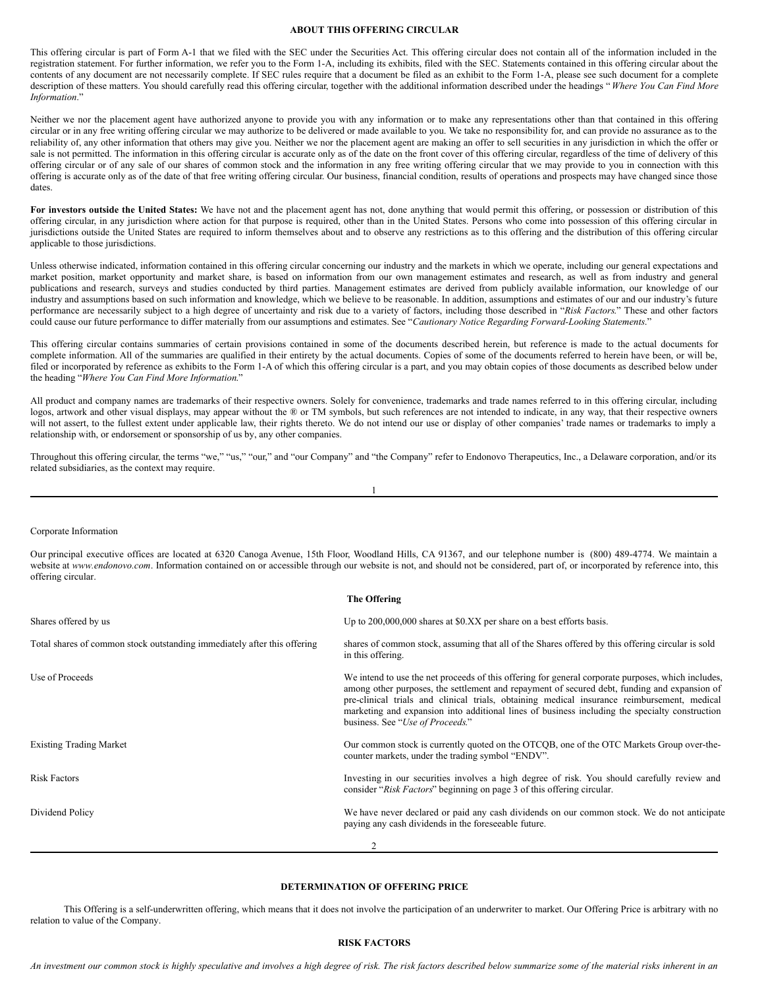#### **ABOUT THIS OFFERING CIRCULAR**

This offering circular is part of Form A-1 that we filed with the SEC under the Securities Act. This offering circular does not contain all of the information included in the registration statement. For further information, we refer you to the Form 1-A, including its exhibits, filed with the SEC. Statements contained in this offering circular about the contents of any document are not necessarily complete. If SEC rules require that a document be filed as an exhibit to the Form 1-A, please see such document for a complete description of these matters. You should carefully read this offering circular, together with the additional information described under the headings " *Where You Can Find More Information*."

Neither we nor the placement agent have authorized anyone to provide you with any information or to make any representations other than that contained in this offering circular or in any free writing offering circular we may authorize to be delivered or made available to you. We take no responsibility for, and can provide no assurance as to the reliability of, any other information that others may give you. Neither we nor the placement agent are making an offer to sell securities in any jurisdiction in which the offer or sale is not permitted. The information in this offering circular is accurate only as of the date on the front cover of this offering circular, regardless of the time of delivery of this offering circular or of any sale of our shares of common stock and the information in any free writing offering circular that we may provide to you in connection with this offering is accurate only as of the date of that free writing offering circular. Our business, financial condition, results of operations and prospects may have changed since those dates.

**For investors outside the United States:** We have not and the placement agent has not, done anything that would permit this offering, or possession or distribution of this offering circular, in any jurisdiction where action for that purpose is required, other than in the United States. Persons who come into possession of this offering circular in jurisdictions outside the United States are required to inform themselves about and to observe any restrictions as to this offering and the distribution of this offering circular applicable to those jurisdictions.

Unless otherwise indicated, information contained in this offering circular concerning our industry and the markets in which we operate, including our general expectations and market position, market opportunity and market share, is based on information from our own management estimates and research, as well as from industry and general publications and research, surveys and studies conducted by third parties. Management estimates are derived from publicly available information, our knowledge of our industry and assumptions based on such information and knowledge, which we believe to be reasonable. In addition, assumptions and estimates of our and our industry's future performance are necessarily subject to a high degree of uncertainty and risk due to a variety of factors, including those described in "*Risk Factors*." These and other factors could cause our future performance to differ materially from our assumptions and estimates. See "*Cautionary Notice Regarding Forward-Looking Statements*."

This offering circular contains summaries of certain provisions contained in some of the documents described herein, but reference is made to the actual documents for complete information. All of the summaries are qualified in their entirety by the actual documents. Copies of some of the documents referred to herein have been, or will be, filed or incorporated by reference as exhibits to the Form 1-A of which this offering circular is a part, and you may obtain copies of those documents as described below under the heading "*Where You Can Find More Information*."

All product and company names are trademarks of their respective owners. Solely for convenience, trademarks and trade names referred to in this offering circular, including logos, artwork and other visual displays, may appear without the ® or TM symbols, but such references are not intended to indicate, in any way, that their respective owners will not assert, to the fullest extent under applicable law, their rights thereto. We do not intend our use or display of other companies' trade names or trademarks to imply a relationship with, or endorsement or sponsorship of us by, any other companies.

Throughout this offering circular, the terms "we," "us," "our," and "our Company" and "the Company" refer to Endonovo Therapeutics, Inc., a Delaware corporation, and/or its related subsidiaries, as the context may require.

#### Corporate Information

Our principal executive offices are located at 6320 Canoga Avenue, 15th Floor, Woodland Hills, CA 91367, and our telephone number is (800) 489-4774. We maintain a website at www.endonovo.com. Information contained on or accessible through our website is not, and should not be considered, part of, or incorporated by reference into, this offering circular.

**The Offering**

|                                                                          | тие опение                                                                                                                                                                                                                                                                                                                                                                                                                              |
|--------------------------------------------------------------------------|-----------------------------------------------------------------------------------------------------------------------------------------------------------------------------------------------------------------------------------------------------------------------------------------------------------------------------------------------------------------------------------------------------------------------------------------|
| Shares offered by us                                                     | Up to 200,000,000 shares at \$0.XX per share on a best efforts basis.                                                                                                                                                                                                                                                                                                                                                                   |
| Total shares of common stock outstanding immediately after this offering | shares of common stock, assuming that all of the Shares offered by this offering circular is sold<br>in this offering.                                                                                                                                                                                                                                                                                                                  |
| Use of Proceeds                                                          | We intend to use the net proceeds of this offering for general corporate purposes, which includes,<br>among other purposes, the settlement and repayment of secured debt, funding and expansion of<br>pre-clinical trials and clinical trials, obtaining medical insurance reimbursement, medical<br>marketing and expansion into additional lines of business including the specialty construction<br>business. See "Use of Proceeds." |
| <b>Existing Trading Market</b>                                           | Our common stock is currently quoted on the OTCQB, one of the OTC Markets Group over-the-<br>counter markets, under the trading symbol "ENDV".                                                                                                                                                                                                                                                                                          |
| <b>Risk Factors</b>                                                      | Investing in our securities involves a high degree of risk. You should carefully review and<br>consider "Risk Factors" beginning on page 3 of this offering circular.                                                                                                                                                                                                                                                                   |
| Dividend Policy                                                          | We have never declared or paid any cash dividends on our common stock. We do not anticipate<br>paying any cash dividends in the foreseeable future.                                                                                                                                                                                                                                                                                     |
|                                                                          |                                                                                                                                                                                                                                                                                                                                                                                                                                         |

#### **DETERMINATION OF OFFERING PRICE**

This Offering is a self-underwritten offering, which means that it does not involve the participation of an underwriter to market. Our Offering Price is arbitrary with no relation to value of the Company.

#### **RISK FACTORS**

An investment our common stock is highly speculative and involves a high degree of risk. The risk factors described below summarize some of the material risks inherent in an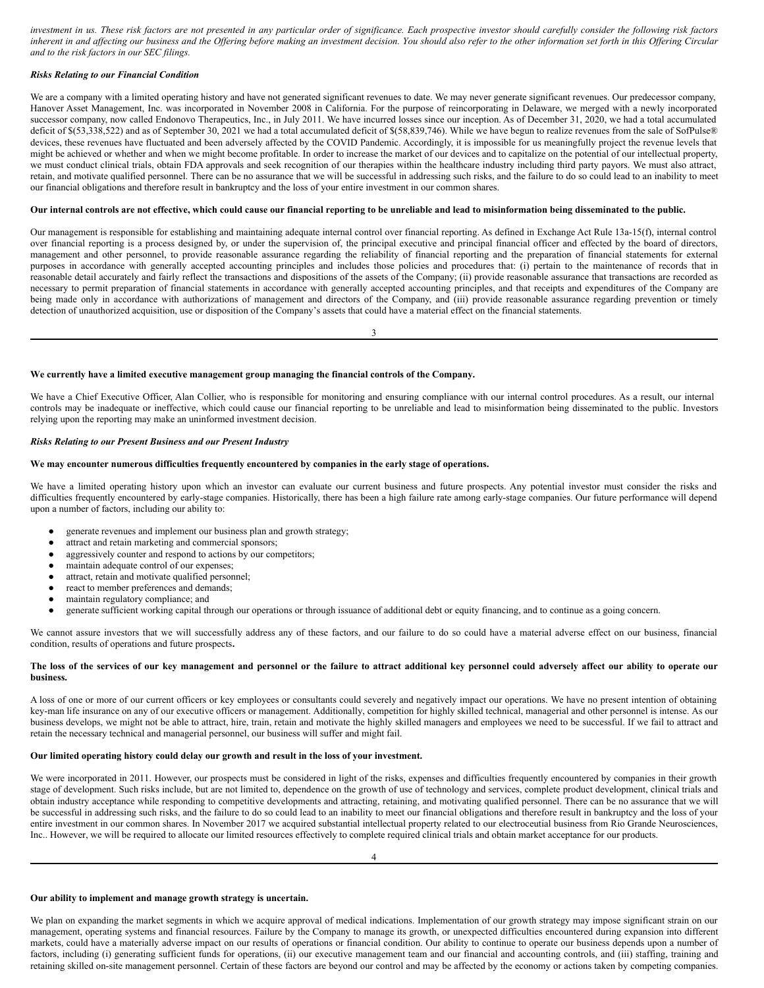investment in us. These risk factors are not presented in any particular order of significance. Each prospective investor should carefully consider the following risk factors inherent in and affecting our business and the Offering before making an investment decision. You should also refer to the other information set forth in this Offering Circular *and to the risk factors in our SEC filings.*

#### *Risks Relating to our Financial Condition*

We are a company with a limited operating history and have not generated significant revenues to date. We may never generate significant revenues. Our predecessor company, Hanover Asset Management, Inc. was incorporated in November 2008 in California. For the purpose of reincorporating in Delaware, we merged with a newly incorporated successor company, now called Endonovo Therapeutics, Inc., in July 2011. We have incurred losses since our inception. As of December 31, 2020, we had a total accumulated deficit of \$(53,338,522) and as of September 30, 2021 we had a total accumulated deficit of \$(58,839,746). While we have begun to realize revenues from the sale of SofPulse® devices, these revenues have fluctuated and been adversely affected by the COVID Pandemic. Accordingly, it is impossible for us meaningfully project the revenue levels that might be achieved or whether and when we might become profitable. In order to increase the market of our devices and to capitalize on the potential of our intellectual property, we must conduct clinical trials, obtain FDA approvals and seek recognition of our therapies within the healthcare industry including third party payors. We must also attract, retain, and motivate qualified personnel. There can be no assurance that we will be successful in addressing such risks, and the failure to do so could lead to an inability to meet our financial obligations and therefore result in bankruptcy and the loss of your entire investment in our common shares.

#### Our internal controls are not effective, which could cause our financial reporting to be unreliable and lead to misinformation being disseminated to the public.

Our management is responsible for establishing and maintaining adequate internal control over financial reporting. As defined in Exchange Act Rule 13a-15(f), internal control over financial reporting is a process designed by, or under the supervision of, the principal executive and principal financial officer and effected by the board of directors, management and other personnel, to provide reasonable assurance regarding the reliability of financial reporting and the preparation of financial statements for external purposes in accordance with generally accepted accounting principles and includes those policies and procedures that: (i) pertain to the maintenance of records that in reasonable detail accurately and fairly reflect the transactions and dispositions of the assets of the Company; (ii) provide reasonable assurance that transactions are recorded as necessary to permit preparation of financial statements in accordance with generally accepted accounting principles, and that receipts and expenditures of the Company are being made only in accordance with authorizations of management and directors of the Company, and (iii) provide reasonable assurance regarding prevention or timely detection of unauthorized acquisition, use or disposition of the Company's assets that could have a material effect on the financial statements.

3

#### **We currently have a limited executive management group managing the financial controls of the Company.**

We have a Chief Executive Officer, Alan Collier, who is responsible for monitoring and ensuring compliance with our internal control procedures. As a result, our internal controls may be inadequate or ineffective, which could cause our financial reporting to be unreliable and lead to misinformation being disseminated to the public. Investors relying upon the reporting may make an uninformed investment decision.

#### *Risks Relating to our Present Business and our Present Industry*

#### **We may encounter numerous difficulties frequently encountered by companies in the early stage of operations.**

We have a limited operating history upon which an investor can evaluate our current business and future prospects. Any potential investor must consider the risks and difficulties frequently encountered by early-stage companies. Historically, there has been a high failure rate among early-stage companies. Our future performance will depend upon a number of factors, including our ability to:

- generate revenues and implement our business plan and growth strategy;
- attract and retain marketing and commercial sponsors;
- aggressively counter and respond to actions by our competitors;
- maintain adequate control of our expenses;
- attract, retain and motivate qualified personnel;
- react to member preferences and demands;
- maintain regulatory compliance; and
- generate sufficient working capital through our operations or through issuance of additional debt or equity financing, and to continue as a going concern.

We cannot assure investors that we will successfully address any of these factors, and our failure to do so could have a material adverse effect on our business, financial condition, results of operations and future prospects**.**

#### The loss of the services of our key management and personnel or the failure to attract additional key personnel could adversely affect our ability to operate our **business.**

A loss of one or more of our current officers or key employees or consultants could severely and negatively impact our operations. We have no present intention of obtaining key-man life insurance on any of our executive officers or management. Additionally, competition for highly skilled technical, managerial and other personnel is intense. As our business develops, we might not be able to attract, hire, train, retain and motivate the highly skilled managers and employees we need to be successful. If we fail to attract and retain the necessary technical and managerial personnel, our business will suffer and might fail.

#### **Our limited operating history could delay our growth and result in the loss of your investment.**

We were incorporated in 2011. However, our prospects must be considered in light of the risks, expenses and difficulties frequently encountered by companies in their growth stage of development. Such risks include, but are not limited to, dependence on the growth of use of technology and services, complete product development, clinical trials and obtain industry acceptance while responding to competitive developments and attracting, retaining, and motivating qualified personnel. There can be no assurance that we will be successful in addressing such risks, and the failure to do so could lead to an inability to meet our financial obligations and therefore result in bankruptcy and the loss of your entire investment in our common shares. In November 2017 we acquired substantial intellectual property related to our electroceutial business from Rio Grande Neurosciences, Inc.. However, we will be required to allocate our limited resources effectively to complete required clinical trials and obtain market acceptance for our products.

4

#### **Our ability to implement and manage growth strategy is uncertain.**

We plan on expanding the market segments in which we acquire approval of medical indications. Implementation of our growth strategy may impose significant strain on our management, operating systems and financial resources. Failure by the Company to manage its growth, or unexpected difficulties encountered during expansion into different markets, could have a materially adverse impact on our results of operations or financial condition. Our ability to continue to operate our business depends upon a number of factors, including (i) generating sufficient funds for operations, (ii) our executive management team and our financial and accounting controls, and (iii) staffing, training and retaining skilled on-site management personnel. Certain of these factors are beyond our control and may be affected by the economy or actions taken by competing companies.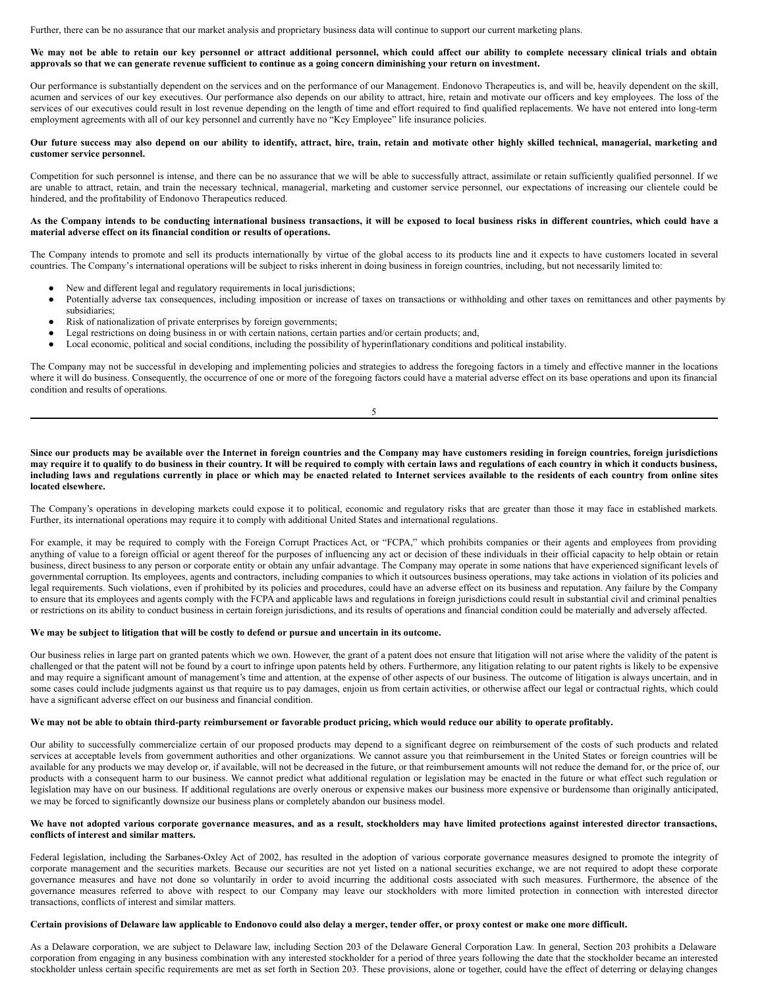Further, there can be no assurance that our market analysis and proprietary business data will continue to support our current marketing plans.

### We may not be able to retain our key personnel or attract additional personnel, which could affect our ability to complete necessary clinical trials and obtain approvals so that we can generate revenue sufficient to continue as a going concern diminishing your return on investment.

Our performance is substantially dependent on the services and on the performance of our Management. Endonovo Therapeutics is, and will be, heavily dependent on the skill, acumen and services of our key executives. Our performance also depends on our ability to attract, hire, retain and motivate our officers and key employees. The loss of the services of our executives could result in lost revenue depending on the length of time and effort required to find qualified replacements. We have not entered into long-term employment agreements with all of our key personnel and currently have no "Key Employee" life insurance policies.

#### Our future success may also depend on our ability to identify, attract, hire, train, retain and motivate other highly skilled technical, managerial, marketing and **customer service personnel.**

Competition for such personnel is intense, and there can be no assurance that we will be able to successfully attract, assimilate or retain sufficiently qualified personnel. If we are unable to attract, retain, and train the necessary technical, managerial, marketing and customer service personnel, our expectations of increasing our clientele could be hindered, and the profitability of Endonovo Therapeutics reduced.

#### As the Company intends to be conducting international business transactions, it will be exposed to local business risks in different countries, which could have a **material adverse effect on its financial condition or results of operations.**

The Company intends to promote and sell its products internationally by virtue of the global access to its products line and it expects to have customers located in several countries. The Company's international operations will be subject to risks inherent in doing business in foreign countries, including, but not necessarily limited to:

- New and different legal and regulatory requirements in local jurisdictions;
- Potentially adverse tax consequences, including imposition or increase of taxes on transactions or withholding and other taxes on remittances and other payments by subsidiaries;
- Risk of nationalization of private enterprises by foreign governments;
- Legal restrictions on doing business in or with certain nations, certain parties and/or certain products; and,
- Local economic, political and social conditions, including the possibility of hyperinflationary conditions and political instability.

The Company may not be successful in developing and implementing policies and strategies to address the foregoing factors in a timely and effective manner in the locations where it will do business. Consequently, the occurrence of one or more of the foregoing factors could have a material adverse effect on its base operations and upon its financial condition and results of operations.

5

| Since our products may be available over the Internet in foreign countries and the Company may have customers residing in foreign countries, foreign jurisdictions        |
|---------------------------------------------------------------------------------------------------------------------------------------------------------------------------|
| may require it to qualify to do business in their country. It will be required to comply with certain laws and regulations of each country in which it conducts business, |
| including laws and regulations currently in place or which may be enacted related to Internet services available to the residents of each country from online sites       |
| located elsewhere.                                                                                                                                                        |
|                                                                                                                                                                           |

The Company's operations in developing markets could expose it to political, economic and regulatory risks that are greater than those it may face in established markets. Further, its international operations may require it to comply with additional United States and international regulations.

For example, it may be required to comply with the Foreign Corrupt Practices Act, or "FCPA," which prohibits companies or their agents and employees from providing anything of value to a foreign official or agent thereof for the purposes of influencing any act or decision of these individuals in their official capacity to help obtain or retain business, direct business to any person or corporate entity or obtain any unfair advantage. The Company may operate in some nations that have experienced significant levels of governmental corruption. Its employees, agents and contractors, including companies to which it outsources business operations, may take actions in violation of its policies and legal requirements. Such violations, even if prohibited by its policies and procedures, could have an adverse effect on its business and reputation. Any failure by the Company to ensure that its employees and agents comply with the FCPA and applicable laws and regulations in foreign jurisdictions could result in substantial civil and criminal penalties or restrictions on its ability to conduct business in certain foreign jurisdictions, and its results of operations and financial condition could be materially and adversely affected.

#### We may be subject to litigation that will be costly to defend or pursue and uncertain in its outcome.

Our business relies in large part on granted patents which we own. However, the grant of a patent does not ensure that litigation will not arise where the validity of the patent is challenged or that the patent will not be found by a court to infringe upon patents held by others. Furthermore, any litigation relating to our patent rights is likely to be expensive and may require a significant amount of management's time and attention, at the expense of other aspects of our business. The outcome of litigation is always uncertain, and in some cases could include judgments against us that require us to pay damages, enjoin us from certain activities, or otherwise affect our legal or contractual rights, which could have a significant adverse effect on our business and financial condition.

#### We may not be able to obtain third-party reimbursement or favorable product pricing, which would reduce our ability to operate profitably.

Our ability to successfully commercialize certain of our proposed products may depend to a significant degree on reimbursement of the costs of such products and related services at acceptable levels from government authorities and other organizations. We cannot assure you that reimbursement in the United States or foreign countries will be available for any products we may develop or, if available, will not be decreased in the future, or that reimbursement amounts will not reduce the demand for, or the price of, our products with a consequent harm to our business. We cannot predict what additional regulation or legislation may be enacted in the future or what effect such regulation or legislation may have on our business. If additional regulations are overly onerous or expensive makes our business more expensive or burdensome than originally anticipated, we may be forced to significantly downsize our business plans or completely abandon our business model.

# We have not adopted various corporate governance measures, and as a result, stockholders may have limited protections against interested director transactions, **conflicts of interest and similar matters.**

Federal legislation, including the Sarbanes-Oxley Act of 2002, has resulted in the adoption of various corporate governance measures designed to promote the integrity of corporate management and the securities markets. Because our securities are not yet listed on a national securities exchange, we are not required to adopt these corporate governance measures and have not done so voluntarily in order to avoid incurring the additional costs associated with such measures. Furthermore, the absence of the governance measures referred to above with respect to our Company may leave our stockholders with more limited protection in connection with interested director transactions, conflicts of interest and similar matters.

# Certain provisions of Delaware law applicable to Endonovo could also delay a merger, tender offer, or proxy contest or make one more difficult.

As a Delaware corporation, we are subject to Delaware law, including Section 203 of the Delaware General Corporation Law. In general, Section 203 prohibits a Delaware corporation from engaging in any business combination with any interested stockholder for a period of three years following the date that the stockholder became an interested stockholder unless certain specific requirements are met as set forth in Section 203. These provisions, alone or together, could have the effect of deterring or delaying changes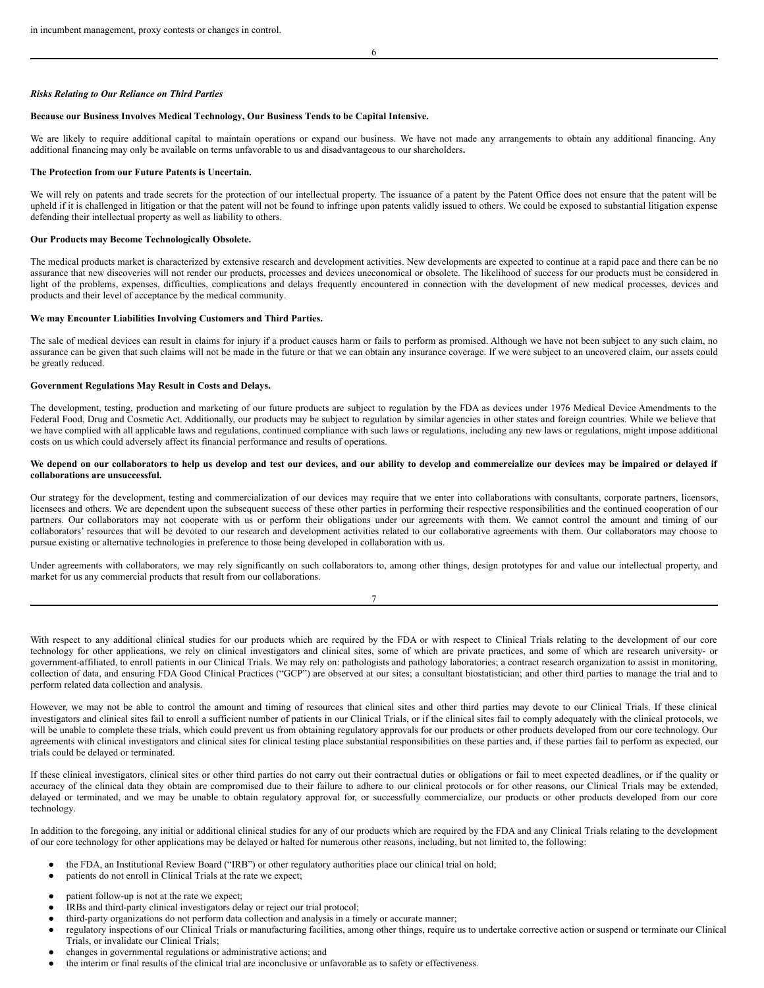#### *Risks Relating to Our Reliance on Third Parties*

#### **Because our Business Involves Medical Technology, Our Business Tends to be Capital Intensive.**

We are likely to require additional capital to maintain operations or expand our business. We have not made any arrangements to obtain any additional financing. Any additional financing may only be available on terms unfavorable to us and disadvantageous to our shareholders**.**

#### **The Protection from our Future Patents is Uncertain.**

We will rely on patents and trade secrets for the protection of our intellectual property. The issuance of a patent by the Patent Office does not ensure that the patent will be upheld if it is challenged in litigation or that the patent will not be found to infringe upon patents validly issued to others. We could be exposed to substantial litigation expense defending their intellectual property as well as liability to others.

#### **Our Products may Become Technologically Obsolete.**

The medical products market is characterized by extensive research and development activities. New developments are expected to continue at a rapid pace and there can be no assurance that new discoveries will not render our products, processes and devices uneconomical or obsolete. The likelihood of success for our products must be considered in light of the problems, expenses, difficulties, complications and delays frequently encountered in connection with the development of new medical processes, devices and products and their level of acceptance by the medical community.

#### **We may Encounter Liabilities Involving Customers and Third Parties.**

The sale of medical devices can result in claims for injury if a product causes harm or fails to perform as promised. Although we have not been subject to any such claim, no assurance can be given that such claims will not be made in the future or that we can obtain any insurance coverage. If we were subject to an uncovered claim, our assets could be greatly reduced.

## **Government Regulations May Result in Costs and Delays.**

The development, testing, production and marketing of our future products are subject to regulation by the FDA as devices under 1976 Medical Device Amendments to the Federal Food, Drug and Cosmetic Act. Additionally, our products may be subject to regulation by similar agencies in other states and foreign countries. While we believe that we have complied with all applicable laws and regulations, continued compliance with such laws or regulations, including any new laws or regulations, might impose additional costs on us which could adversely affect its financial performance and results of operations.

#### We depend on our collaborators to help us develop and test our devices, and our ability to develop and commercialize our devices may be impaired or delayed if **collaborations are unsuccessful.**

Our strategy for the development, testing and commercialization of our devices may require that we enter into collaborations with consultants, corporate partners, licensors, licensees and others. We are dependent upon the subsequent success of these other parties in performing their respective responsibilities and the continued cooperation of our partners. Our collaborators may not cooperate with us or perform their obligations under our agreements with them. We cannot control the amount and timing of our collaborators' resources that will be devoted to our research and development activities related to our collaborative agreements with them. Our collaborators may choose to pursue existing or alternative technologies in preference to those being developed in collaboration with us.

Under agreements with collaborators, we may rely significantly on such collaborators to, among other things, design prototypes for and value our intellectual property, and market for us any commercial products that result from our collaborations.

|--|

With respect to any additional clinical studies for our products which are required by the FDA or with respect to Clinical Trials relating to the development of our core technology for other applications, we rely on clinical investigators and clinical sites, some of which are private practices, and some of which are research university- or government-affiliated, to enroll patients in our Clinical Trials. We may rely on: pathologists and pathology laboratories; a contract research organization to assist in monitoring, collection of data, and ensuring FDA Good Clinical Practices ("GCP") are observed at our sites; a consultant biostatistician; and other third parties to manage the trial and to perform related data collection and analysis.

However, we may not be able to control the amount and timing of resources that clinical sites and other third parties may devote to our Clinical Trials. If these clinical investigators and clinical sites fail to enroll a sufficient number of patients in our Clinical Trials, or if the clinical sites fail to comply adequately with the clinical protocols, we will be unable to complete these trials, which could prevent us from obtaining regulatory approvals for our products or other products developed from our core technology. Our agreements with clinical investigators and clinical sites for clinical testing place substantial responsibilities on these parties and, if these parties fail to perform as expected, our trials could be delayed or terminated.

If these clinical investigators, clinical sites or other third parties do not carry out their contractual duties or obligations or fail to meet expected deadlines, or if the quality or accuracy of the clinical data they obtain are compromised due to their failure to adhere to our clinical protocols or for other reasons, our Clinical Trials may be extended, delayed or terminated, and we may be unable to obtain regulatory approval for, or successfully commercialize, our products or other products developed from our core technology.

In addition to the foregoing, any initial or additional clinical studies for any of our products which are required by the FDA and any Clinical Trials relating to the development of our core technology for other applications may be delayed or halted for numerous other reasons, including, but not limited to, the following:

- the FDA, an Institutional Review Board ("IRB") or other regulatory authorities place our clinical trial on hold;
- patients do not enroll in Clinical Trials at the rate we expect;
- patient follow-up is not at the rate we expect;
- IRBs and third-party clinical investigators delay or reject our trial protocol;
- third-party organizations do not perform data collection and analysis in a timely or accurate manner;
- regulatory inspections of our Clinical Trials or manufacturing facilities, among other things, require us to undertake corrective action or suspend or terminate our Clinical Trials, or invalidate our Clinical Trials;
- changes in governmental regulations or administrative actions; and
- the interim or final results of the clinical trial are inconclusive or unfavorable as to safety or effectiveness.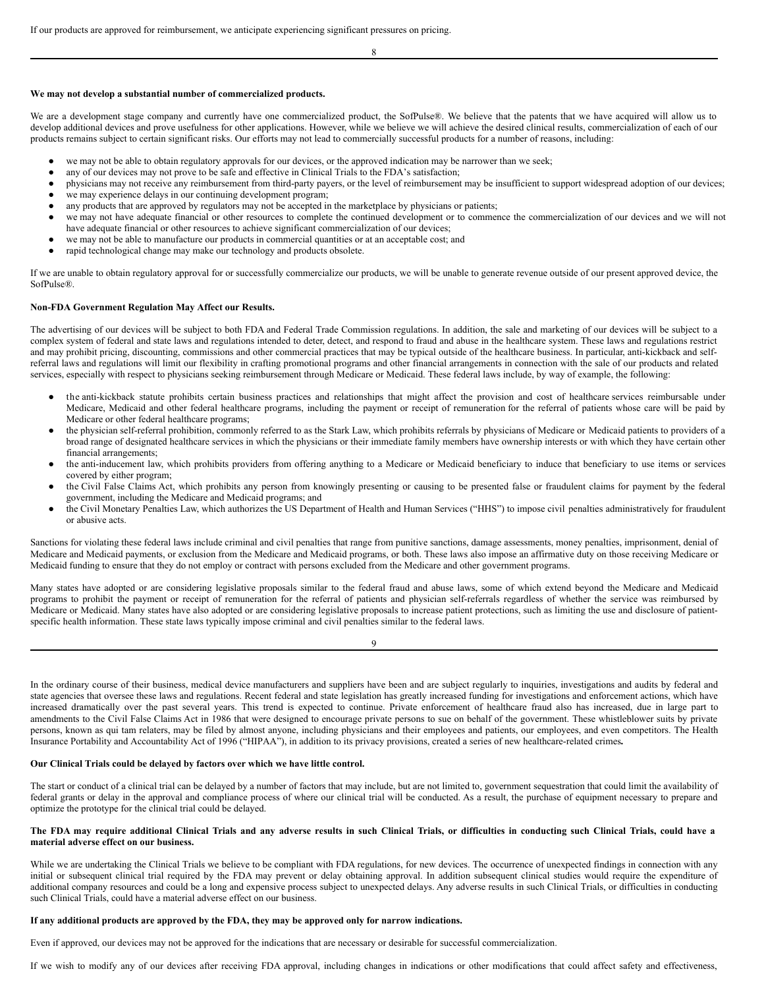# **We may not develop a substantial number of commercialized products.**

We are a development stage company and currently have one commercialized product, the SofPulse®. We believe that the patents that we have acquired will allow us to develop additional devices and prove usefulness for other applications. However, while we believe we will achieve the desired clinical results, commercialization of each of our products remains subject to certain significant risks. Our efforts may not lead to commercially successful products for a number of reasons, including:

- we may not be able to obtain regulatory approvals for our devices, or the approved indication may be narrower than we seek;
- any of our devices may not prove to be safe and effective in Clinical Trials to the FDA's satisfaction;
- physicians may not receive any reimbursement from third-party payers, or the level of reimbursement may be insufficient to support widespread adoption of our devices;
- we may experience delays in our continuing development program;
- any products that are approved by regulators may not be accepted in the marketplace by physicians or patients;
- we may not have adequate financial or other resources to complete the continued development or to commence the commercialization of our devices and we will not have adequate financial or other resources to achieve significant commercialization of our devices;
- we may not be able to manufacture our products in commercial quantities or at an acceptable cost; and
- rapid technological change may make our technology and products obsolete.

If we are unable to obtain regulatory approval for or successfully commercialize our products, we will be unable to generate revenue outside of our present approved device, the SofPulse®.

# **Non-FDA Government Regulation May Affect our Results.**

The advertising of our devices will be subject to both FDA and Federal Trade Commission regulations. In addition, the sale and marketing of our devices will be subject to a complex system of federal and state laws and regulations intended to deter, detect, and respond to fraud and abuse in the healthcare system. These laws and regulations restrict and may prohibit pricing, discounting, commissions and other commercial practices that may be typical outside of the healthcare business. In particular, anti-kickback and selfreferral laws and regulations will limit our flexibility in crafting promotional programs and other financial arrangements in connection with the sale of our products and related services, especially with respect to physicians seeking reimbursement through Medicare or Medicaid. These federal laws include, by way of example, the following:

- the anti-kickback statute prohibits certain business practices and relationships that might affect the provision and cost of healthcare services reimbursable under Medicare, Medicaid and other federal healthcare programs, including the payment or receipt of remuneration for the referral of patients whose care will be paid by Medicare or other federal healthcare programs;
- the physician self-referral prohibition, commonly referred to as the Stark Law, which prohibits referrals by physicians of Medicare or Medicaid patients to providers of a broad range of designated healthcare services in which the physicians or their immediate family members have ownership interests or with which they have certain other financial arrangements;
- the anti-inducement law, which prohibits providers from offering anything to a Medicare or Medicaid beneficiary to induce that beneficiary to use items or services covered by either program;
- the Civil False Claims Act, which prohibits any person from knowingly presenting or causing to be presented false or fraudulent claims for payment by the federal government, including the Medicare and Medicaid programs; and
- the Civil Monetary Penalties Law, which authorizes the US Department of Health and Human Services ("HHS") to impose civil penalties administratively for fraudulent or abusive acts.

Sanctions for violating these federal laws include criminal and civil penalties that range from punitive sanctions, damage assessments, money penalties, imprisonment, denial of Medicare and Medicaid payments, or exclusion from the Medicare and Medicaid programs, or both. These laws also impose an affirmative duty on those receiving Medicare or Medicaid funding to ensure that they do not employ or contract with persons excluded from the Medicare and other government programs.

Many states have adopted or are considering legislative proposals similar to the federal fraud and abuse laws, some of which extend beyond the Medicare and Medicaid programs to prohibit the payment or receipt of remuneration for the referral of patients and physician self-referrals regardless of whether the service was reimbursed by Medicare or Medicaid. Many states have also adopted or are considering legislative proposals to increase patient protections, such as limiting the use and disclosure of patientspecific health information. These state laws typically impose criminal and civil penalties similar to the federal laws.

#### 9

In the ordinary course of their business, medical device manufacturers and suppliers have been and are subject regularly to inquiries, investigations and audits by federal and state agencies that oversee these laws and regulations. Recent federal and state legislation has greatly increased funding for investigations and enforcement actions, which have increased dramatically over the past several years. This trend is expected to continue. Private enforcement of healthcare fraud also has increased, due in large part to amendments to the Civil False Claims Act in 1986 that were designed to encourage private persons to sue on behalf of the government. These whistleblower suits by private persons, known as qui tam relaters, may be filed by almost anyone, including physicians and their employees and patients, our employees, and even competitors. The Health Insurance Portability and Accountability Act of 1996 ("HIPAA"), in addition to its privacy provisions, created a series of new healthcare-related crimes**.**

# **Our Clinical Trials could be delayed by factors over which we have little control.**

The start or conduct of a clinical trial can be delayed by a number of factors that may include, but are not limited to, government sequestration that could limit the availability of federal grants or delay in the approval and compliance process of where our clinical trial will be conducted. As a result, the purchase of equipment necessary to prepare and optimize the prototype for the clinical trial could be delayed.

# The FDA may require additional Clinical Trials and any adverse results in such Clinical Trials, or difficulties in conducting such Clinical Trials, could have a **material adverse effect on our business.**

While we are undertaking the Clinical Trials we believe to be compliant with FDA regulations, for new devices. The occurrence of unexpected findings in connection with any initial or subsequent clinical trial required by the FDA may prevent or delay obtaining approval. In addition subsequent clinical studies would require the expenditure of additional company resources and could be a long and expensive process subject to unexpected delays. Any adverse results in such Clinical Trials, or difficulties in conducting such Clinical Trials, could have a material adverse effect on our business.

# **If any additional products are approved by the FDA, they may be approved only for narrow indications.**

Even if approved, our devices may not be approved for the indications that are necessary or desirable for successful commercialization.

If we wish to modify any of our devices after receiving FDA approval, including changes in indications or other modifications that could affect safety and effectiveness,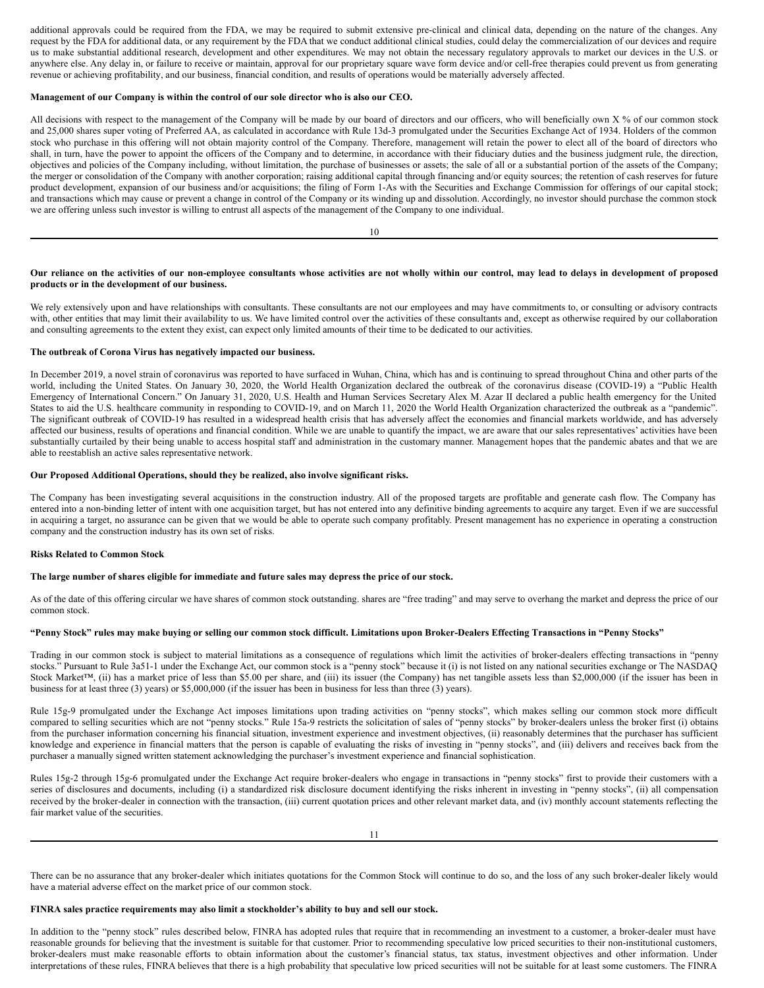additional approvals could be required from the FDA, we may be required to submit extensive pre-clinical and clinical data, depending on the nature of the changes. Any request by the FDA for additional data, or any requirement by the FDA that we conduct additional clinical studies, could delay the commercialization of our devices and require us to make substantial additional research, development and other expenditures. We may not obtain the necessary regulatory approvals to market our devices in the U.S. or anywhere else. Any delay in, or failure to receive or maintain, approval for our proprietary square wave form device and/or cell-free therapies could prevent us from generating revenue or achieving profitability, and our business, financial condition, and results of operations would be materially adversely affected.

#### **Management of our Company is within the control of our sole director who is also our CEO.**

All decisions with respect to the management of the Company will be made by our board of directors and our officers, who will beneficially own X % of our common stock and 25,000 shares super voting of Preferred AA, as calculated in accordance with Rule 13d-3 promulgated under the Securities Exchange Act of 1934. Holders of the common stock who purchase in this offering will not obtain majority control of the Company. Therefore, management will retain the power to elect all of the board of directors who shall, in turn, have the power to appoint the officers of the Company and to determine, in accordance with their fiduciary duties and the business judgment rule, the direction, objectives and policies of the Company including, without limitation, the purchase of businesses or assets; the sale of all or a substantial portion of the assets of the Company; the merger or consolidation of the Company with another corporation; raising additional capital through financing and/or equity sources; the retention of cash reserves for future product development, expansion of our business and/or acquisitions; the filing of Form 1-As with the Securities and Exchange Commission for offerings of our capital stock; and transactions which may cause or prevent a change in control of the Company or its winding up and dissolution. Accordingly, no investor should purchase the common stock we are offering unless such investor is willing to entrust all aspects of the management of the Company to one individual.

10

# Our reliance on the activities of our non-employee consultants whose activities are not wholly within our control, may lead to delays in development of proposed **products or in the development of our business.**

We rely extensively upon and have relationships with consultants. These consultants are not our employees and may have commitments to, or consulting or advisory contracts with, other entities that may limit their availability to us. We have limited control over the activities of these consultants and, except as otherwise required by our collaboration and consulting agreements to the extent they exist, can expect only limited amounts of their time to be dedicated to our activities.

#### **The outbreak of Corona Virus has negatively impacted our business.**

In December 2019, a novel strain of coronavirus was reported to have surfaced in Wuhan, China, which has and is continuing to spread throughout China and other parts of the world, including the United States. On January 30, 2020, the World Health Organization declared the outbreak of the coronavirus disease (COVID-19) a "Public Health Emergency of International Concern." On January 31, 2020, U.S. Health and Human Services Secretary Alex M. Azar II declared a public health emergency for the United States to aid the U.S. healthcare community in responding to COVID-19, and on March 11, 2020 the World Health Organization characterized the outbreak as a "pandemic". The significant outbreak of COVID-19 has resulted in a widespread health crisis that has adversely affect the economies and financial markets worldwide, and has adversely affected our business, results of operations and financial condition. While we are unable to quantify the impact, we are aware that our sales representatives' activities have been substantially curtailed by their being unable to access hospital staff and administration in the customary manner. Management hopes that the pandemic abates and that we are able to reestablish an active sales representative network.

#### **Our Proposed Additional Operations, should they be realized, also involve significant risks.**

The Company has been investigating several acquisitions in the construction industry. All of the proposed targets are profitable and generate cash flow. The Company has entered into a non-binding letter of intent with one acquisition target, but has not entered into any definitive binding agreements to acquire any target. Even if we are successful in acquiring a target, no assurance can be given that we would be able to operate such company profitably. Present management has no experience in operating a construction company and the construction industry has its own set of risks.

#### **Risks Related to Common Stock**

# The large number of shares eligible for immediate and future sales may depress the price of our stock.

As of the date of this offering circular we have shares of common stock outstanding. shares are "free trading" and may serve to overhang the market and depress the price of our common stock.

# "Penny Stock" rules may make buying or selling our common stock difficult. Limitations upon Broker-Dealers Effecting Transactions in "Penny Stocks"

Trading in our common stock is subject to material limitations as a consequence of regulations which limit the activities of broker-dealers effecting transactions in "penny stocks." Pursuant to Rule 3a51-1 under the Exchange Act, our common stock is a "penny stock" because it (i) is not listed on any national securities exchange or The NASDAQ Stock Market™, (ii) has a market price of less than \$5.00 per share, and (iii) its issuer (the Company) has net tangible assets less than \$2,000,000 (if the issuer has been in business for at least three (3) years) or \$5,000,000 (if the issuer has been in business for less than three (3) years).

Rule 15g-9 promulgated under the Exchange Act imposes limitations upon trading activities on "penny stocks", which makes selling our common stock more difficult compared to selling securities which are not "penny stocks." Rule 15a-9 restricts the solicitation of sales of "penny stocks" by broker-dealers unless the broker first (i) obtains from the purchaser information concerning his financial situation, investment experience and investment objectives, (ii) reasonably determines that the purchaser has sufficient knowledge and experience in financial matters that the person is capable of evaluating the risks of investing in "penny stocks", and (iii) delivers and receives back from the purchaser a manually signed written statement acknowledging the purchaser's investment experience and financial sophistication.

Rules 15g-2 through 15g-6 promulgated under the Exchange Act require broker-dealers who engage in transactions in "penny stocks" first to provide their customers with a series of disclosures and documents, including (i) a standardized risk disclosure document identifying the risks inherent in investing in "penny stocks", (ii) all compensation received by the broker-dealer in connection with the transaction, (iii) current quotation prices and other relevant market data, and (iv) monthly account statements reflecting the fair market value of the securities.

11

There can be no assurance that any broker-dealer which initiates quotations for the Common Stock will continue to do so, and the loss of any such broker-dealer likely would have a material adverse effect on the market price of our common stock.

#### **FINRA sales practice requirements may also limit a stockholder's ability to buy and sell our stock.**

In addition to the "penny stock" rules described below, FINRA has adopted rules that require that in recommending an investment to a customer, a broker-dealer must have reasonable grounds for believing that the investment is suitable for that customer. Prior to recommending speculative low priced securities to their non-institutional customers, broker-dealers must make reasonable efforts to obtain information about the customer's financial status, tax status, investment objectives and other information. Under interpretations of these rules, FINRA believes that there is a high probability that speculative low priced securities will not be suitable for at least some customers. The FINRA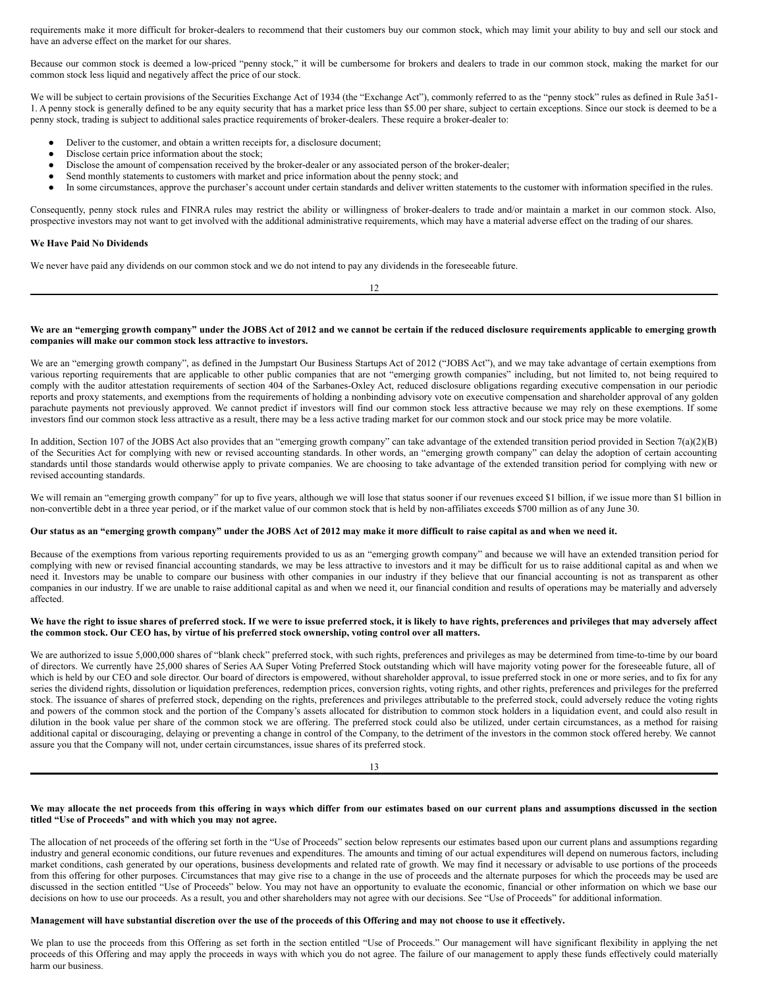requirements make it more difficult for broker-dealers to recommend that their customers buy our common stock, which may limit your ability to buy and sell our stock and have an adverse effect on the market for our shares.

Because our common stock is deemed a low-priced "penny stock," it will be cumbersome for brokers and dealers to trade in our common stock, making the market for our common stock less liquid and negatively affect the price of our stock.

We will be subject to certain provisions of the Securities Exchange Act of 1934 (the "Exchange Act"), commonly referred to as the "penny stock" rules as defined in Rule 3a51-1. A penny stock is generally defined to be any equity security that has a market price less than \$5.00 per share, subject to certain exceptions. Since our stock is deemed to be a penny stock, trading is subject to additional sales practice requirements of broker-dealers. These require a broker-dealer to:

- Deliver to the customer, and obtain a written receipts for, a disclosure document;
- Disclose certain price information about the stock;
- Disclose the amount of compensation received by the broker-dealer or any associated person of the broker-dealer;
- Send monthly statements to customers with market and price information about the penny stock; and
- In some circumstances, approve the purchaser's account under certain standards and deliver written statements to the customer with information specified in the rules.

Consequently, penny stock rules and FINRA rules may restrict the ability or willingness of broker-dealers to trade and/or maintain a market in our common stock. Also, prospective investors may not want to get involved with the additional administrative requirements, which may have a material adverse effect on the trading of our shares.

#### **We Have Paid No Dividends**

We never have paid any dividends on our common stock and we do not intend to pay any dividends in the foreseeable future.

#### We are an "emerging growth company" under the JOBS Act of 2012 and we cannot be certain if the reduced disclosure requirements applicable to emerging growth **companies will make our common stock less attractive to investors.**

We are an "emerging growth company", as defined in the Jumpstart Our Business Startups Act of 2012 ("JOBS Act"), and we may take advantage of certain exemptions from various reporting requirements that are applicable to other public companies that are not "emerging growth companies" including, but not limited to, not being required to comply with the auditor attestation requirements of section 404 of the Sarbanes-Oxley Act, reduced disclosure obligations regarding executive compensation in our periodic reports and proxy statements, and exemptions from the requirements of holding a nonbinding advisory vote on executive compensation and shareholder approval of any golden parachute payments not previously approved. We cannot predict if investors will find our common stock less attractive because we may rely on these exemptions. If some investors find our common stock less attractive as a result, there may be a less active trading market for our common stock and our stock price may be more volatile.

In addition, Section 107 of the JOBS Act also provides that an "emerging growth company" can take advantage of the extended transition period provided in Section 7(a)(2)(B) of the Securities Act for complying with new or revised accounting standards. In other words, an "emerging growth company" can delay the adoption of certain accounting standards until those standards would otherwise apply to private companies. We are choosing to take advantage of the extended transition period for complying with new or revised accounting standards.

We will remain an "emerging growth company" for up to five years, although we will lose that status sooner if our revenues exceed \$1 billion, if we issue more than \$1 billion in non-convertible debt in a three year period, or if the market value of our common stock that is held by non-affiliates exceeds \$700 million as of any June 30.

#### Our status as an "emerging growth company" under the JOBS Act of 2012 may make it more difficult to raise capital as and when we need it.

Because of the exemptions from various reporting requirements provided to us as an "emerging growth company" and because we will have an extended transition period for complying with new or revised financial accounting standards, we may be less attractive to investors and it may be difficult for us to raise additional capital as and when we need it. Investors may be unable to compare our business with other companies in our industry if they believe that our financial accounting is not as transparent as other companies in our industry. If we are unable to raise additional capital as and when we need it, our financial condition and results of operations may be materially and adversely affected.

#### We have the right to issue shares of preferred stock. If we were to issue preferred stock, it is likely to have rights, preferences and privileges that may adversely affect the common stock. Our CEO has, by virtue of his preferred stock ownership, voting control over all matters.

We are authorized to issue 5,000,000 shares of "blank check" preferred stock, with such rights, preferences and privileges as may be determined from time-to-time by our board of directors. We currently have 25,000 shares of Series AA Super Voting Preferred Stock outstanding which will have majority voting power for the foreseeable future, all of which is held by our CEO and sole director. Our board of directors is empowered, without shareholder approval, to issue preferred stock in one or more series, and to fix for any series the dividend rights, dissolution or liquidation preferences, redemption prices, conversion rights, voting rights, and other rights, preferences and privileges for the preferred stock. The issuance of shares of preferred stock, depending on the rights, preferences and privileges attributable to the preferred stock, could adversely reduce the voting rights and powers of the common stock and the portion of the Company's assets allocated for distribution to common stock holders in a liquidation event, and could also result in dilution in the book value per share of the common stock we are offering. The preferred stock could also be utilized, under certain circumstances, as a method for raising additional capital or discouraging, delaying or preventing a change in control of the Company, to the detriment of the investors in the common stock offered hereby. We cannot assure you that the Company will not, under certain circumstances, issue shares of its preferred stock.

13

### We may allocate the net proceeds from this offering in ways which differ from our estimates based on our current plans and assumptions discussed in the section **titled "Use of Proceeds" and with which you may not agree.**

The allocation of net proceeds of the offering set forth in the "Use of Proceeds" section below represents our estimates based upon our current plans and assumptions regarding industry and general economic conditions, our future revenues and expenditures. The amounts and timing of our actual expenditures will depend on numerous factors, including market conditions, cash generated by our operations, business developments and related rate of growth. We may find it necessary or advisable to use portions of the proceeds from this offering for other purposes. Circumstances that may give rise to a change in the use of proceeds and the alternate purposes for which the proceeds may be used are discussed in the section entitled "Use of Proceeds" below. You may not have an opportunity to evaluate the economic, financial or other information on which we base our decisions on how to use our proceeds. As a result, you and other shareholders may not agree with our decisions. See "Use of Proceeds" for additional information.

#### Management will have substantial discretion over the use of the proceeds of this Offering and may not choose to use it effectively.

We plan to use the proceeds from this Offering as set forth in the section entitled "Use of Proceeds." Our management will have significant flexibility in applying the net proceeds of this Offering and may apply the proceeds in ways with which you do not agree. The failure of our management to apply these funds effectively could materially harm our business.

<sup>12</sup>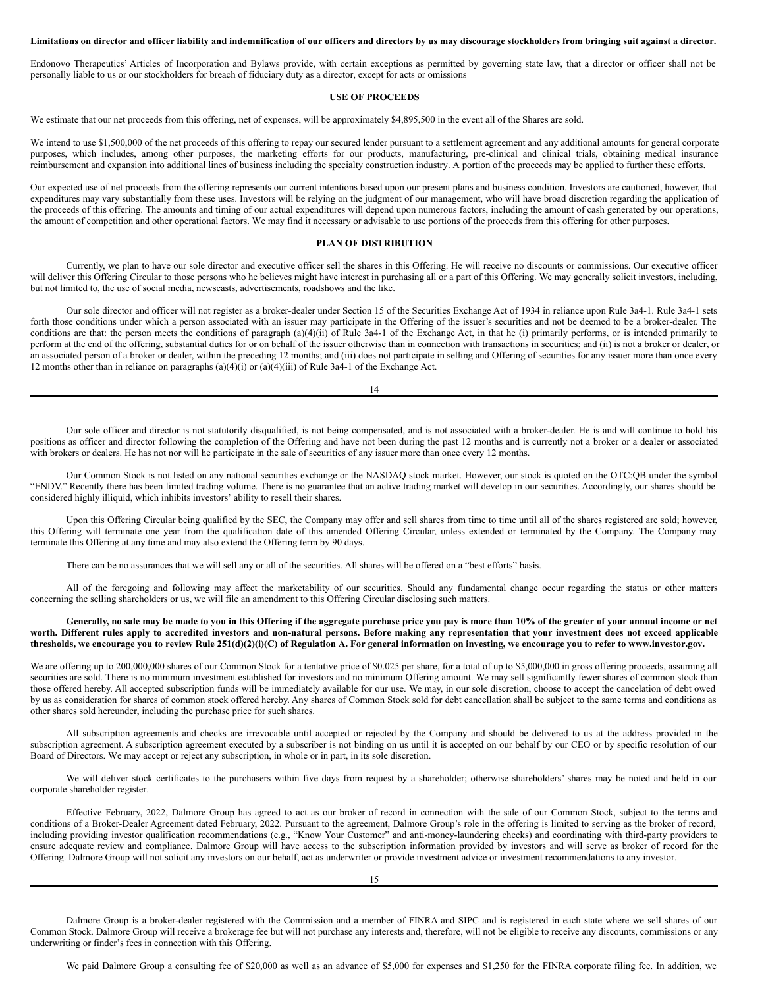#### Limitations on director and officer liability and indemnification of our officers and directors by us may discourage stockholders from bringing suit against a director.

Endonovo Therapeutics' Articles of Incorporation and Bylaws provide, with certain exceptions as permitted by governing state law, that a director or officer shall not be personally liable to us or our stockholders for breach of fiduciary duty as a director, except for acts or omissions

#### **USE OF PROCEEDS**

We estimate that our net proceeds from this offering, net of expenses, will be approximately \$4,895,500 in the event all of the Shares are sold.

We intend to use \$1,500,000 of the net proceeds of this offering to repay our secured lender pursuant to a settlement agreement and any additional amounts for general corporate purposes, which includes, among other purposes, the marketing efforts for our products, manufacturing, pre-clinical and clinical trials, obtaining medical insurance reimbursement and expansion into additional lines of business including the specialty construction industry. A portion of the proceeds may be applied to further these efforts.

Our expected use of net proceeds from the offering represents our current intentions based upon our present plans and business condition. Investors are cautioned, however, that expenditures may vary substantially from these uses. Investors will be relying on the judgment of our management, who will have broad discretion regarding the application of the proceeds of this offering. The amounts and timing of our actual expenditures will depend upon numerous factors, including the amount of cash generated by our operations, the amount of competition and other operational factors. We may find it necessary or advisable to use portions of the proceeds from this offering for other purposes.

#### **PLAN OF DISTRIBUTION**

Currently, we plan to have our sole director and executive officer sell the shares in this Offering. He will receive no discounts or commissions. Our executive officer will deliver this Offering Circular to those persons who he believes might have interest in purchasing all or a part of this Offering. We may generally solicit investors, including, but not limited to, the use of social media, newscasts, advertisements, roadshows and the like.

Our sole director and officer will not register as a broker-dealer under Section 15 of the Securities Exchange Act of 1934 in reliance upon Rule 3a4-1. Rule 3a4-1 sets forth those conditions under which a person associated with an issuer may participate in the Offering of the issuer's securities and not be deemed to be a broker-dealer. The conditions are that: the person meets the conditions of paragraph  $(a)(4)(ii)$  of Rule 3a4-1 of the Exchange Act, in that he (i) primarily performs, or is intended primarily to perform at the end of the offering, substantial duties for or on behalf of the issuer otherwise than in connection with transactions in securities; and (ii) is not a broker or dealer, or an associated person of a broker or dealer, within the preceding 12 months; and (iii) does not participate in selling and Offering of securities for any issuer more than once every 12 months other than in reliance on paragraphs (a)(4)(i) or (a)(4)(iii) of Rule 3a4-1 of the Exchange Act.

14

Our sole officer and director is not statutorily disqualified, is not being compensated, and is not associated with a broker-dealer. He is and will continue to hold his positions as officer and director following the completion of the Offering and have not been during the past 12 months and is currently not a broker or a dealer or associated with brokers or dealers. He has not nor will he participate in the sale of securities of any issuer more than once every 12 months.

Our Common Stock is not listed on any national securities exchange or the NASDAQ stock market. However, our stock is quoted on the OTC:QB under the symbol "ENDV." Recently there has been limited trading volume. There is no guarantee that an active trading market will develop in our securities. Accordingly, our shares should be considered highly illiquid, which inhibits investors' ability to resell their shares.

Upon this Offering Circular being qualified by the SEC, the Company may offer and sell shares from time to time until all of the shares registered are sold; however, this Offering will terminate one year from the qualification date of this amended Offering Circular, unless extended or terminated by the Company. The Company may terminate this Offering at any time and may also extend the Offering term by 90 days.

There can be no assurances that we will sell any or all of the securities. All shares will be offered on a "best efforts" basis.

All of the foregoing and following may affect the marketability of our securities. Should any fundamental change occur regarding the status or other matters concerning the selling shareholders or us, we will file an amendment to this Offering Circular disclosing such matters.

#### Generally, no sale may be made to you in this Offering if the aggregate purchase price you pay is more than 10% of the greater of your annual income or net worth. Different rules apply to accredited investors and non-natural persons. Before making any representation that your investment does not exceed applicable thresholds, we encourage you to review Rule 251(d)(2)(i)(C) of Regulation A. For general information on investing, we encourage you to refer to www.investor.gov.

We are offering up to 200,000,000 shares of our Common Stock for a tentative price of \$0.025 per share, for a total of up to \$5,000,000 in gross offering proceeds, assuming all securities are sold. There is no minimum investment established for investors and no minimum Offering amount. We may sell significantly fewer shares of common stock than those offered hereby. All accepted subscription funds will be immediately available for our use. We may, in our sole discretion, choose to accept the cancelation of debt owed by us as consideration for shares of common stock offered hereby. Any shares of Common Stock sold for debt cancellation shall be subject to the same terms and conditions as other shares sold hereunder, including the purchase price for such shares.

All subscription agreements and checks are irrevocable until accepted or rejected by the Company and should be delivered to us at the address provided in the subscription agreement. A subscription agreement executed by a subscriber is not binding on us until it is accepted on our behalf by our CEO or by specific resolution of our Board of Directors. We may accept or reject any subscription, in whole or in part, in its sole discretion.

We will deliver stock certificates to the purchasers within five days from request by a shareholder; otherwise shareholders' shares may be noted and held in our corporate shareholder register.

Effective February, 2022, Dalmore Group has agreed to act as our broker of record in connection with the sale of our Common Stock, subject to the terms and conditions of a Broker-Dealer Agreement dated February, 2022. Pursuant to the agreement, Dalmore Group's role in the offering is limited to serving as the broker of record, including providing investor qualification recommendations (e.g., "Know Your Customer" and anti-money-laundering checks) and coordinating with third-party providers to ensure adequate review and compliance. Dalmore Group will have access to the subscription information provided by investors and will serve as broker of record for the Offering. Dalmore Group will not solicit any investors on our behalf, act as underwriter or provide investment advice or investment recommendations to any investor.

Dalmore Group is a broker-dealer registered with the Commission and a member of FINRA and SIPC and is registered in each state where we sell shares of our Common Stock. Dalmore Group will receive a brokerage fee but will not purchase any interests and, therefore, will not be eligible to receive any discounts, commissions or any underwriting or finder's fees in connection with this Offering.

We paid Dalmore Group a consulting fee of \$20,000 as well as an advance of \$5,000 for expenses and \$1,250 for the FINRA corporate filing fee. In addition, we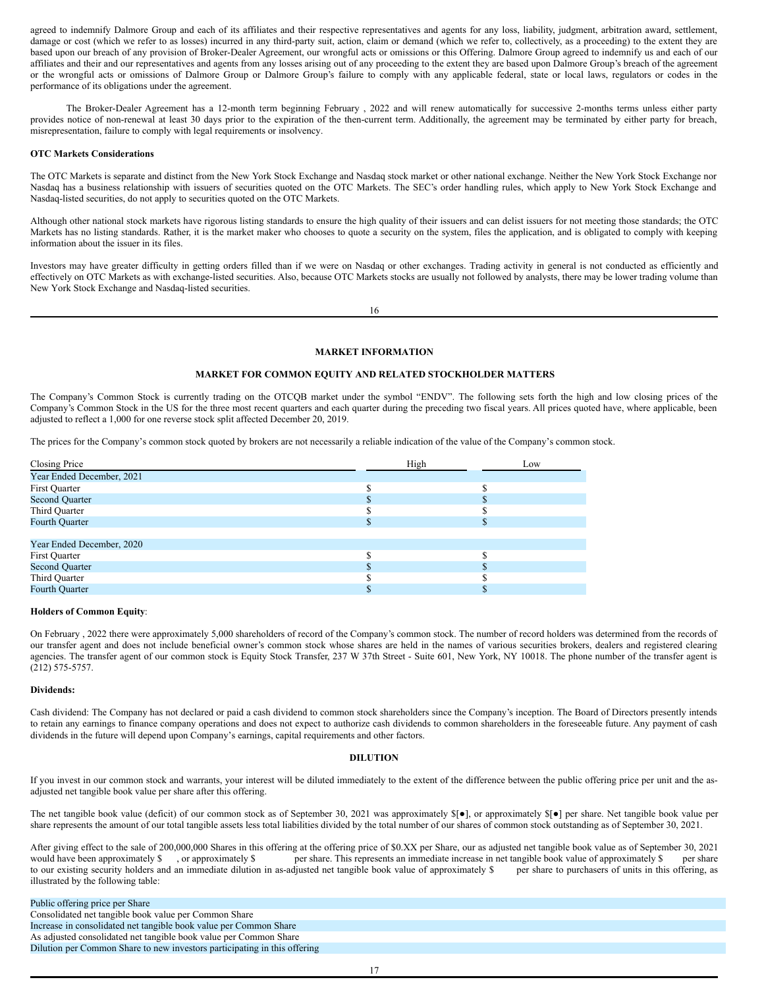agreed to indemnify Dalmore Group and each of its affiliates and their respective representatives and agents for any loss, liability, judgment, arbitration award, settlement, damage or cost (which we refer to as losses) incurred in any third-party suit, action, claim or demand (which we refer to, collectively, as a proceeding) to the extent they are based upon our breach of any provision of Broker-Dealer Agreement, our wrongful acts or omissions or this Offering. Dalmore Group agreed to indemnify us and each of our affiliates and their and our representatives and agents from any losses arising out of any proceeding to the extent they are based upon Dalmore Group's breach of the agreement or the wrongful acts or omissions of Dalmore Group or Dalmore Group's failure to comply with any applicable federal, state or local laws, regulators or codes in the performance of its obligations under the agreement.

The Broker-Dealer Agreement has a 12-month term beginning February , 2022 and will renew automatically for successive 2-months terms unless either party provides notice of non-renewal at least 30 days prior to the expiration of the then-current term. Additionally, the agreement may be terminated by either party for breach, misrepresentation, failure to comply with legal requirements or insolvency.

#### **OTC Markets Considerations**

The OTC Markets is separate and distinct from the New York Stock Exchange and Nasdaq stock market or other national exchange. Neither the New York Stock Exchange nor Nasdaq has a business relationship with issuers of securities quoted on the OTC Markets. The SEC's order handling rules, which apply to New York Stock Exchange and Nasdaq-listed securities, do not apply to securities quoted on the OTC Markets.

Although other national stock markets have rigorous listing standards to ensure the high quality of their issuers and can delist issuers for not meeting those standards; the OTC Markets has no listing standards. Rather, it is the market maker who chooses to quote a security on the system, files the application, and is obligated to comply with keeping information about the issuer in its files.

Investors may have greater difficulty in getting orders filled than if we were on Nasdaq or other exchanges. Trading activity in general is not conducted as efficiently and effectively on OTC Markets as with exchange-listed securities. Also, because OTC Markets stocks are usually not followed by analysts, there may be lower trading volume than New York Stock Exchange and Nasdaq-listed securities.

16

#### **MARKET INFORMATION**

#### **MARKET FOR COMMON EQUITY AND RELATED STOCKHOLDER MATTERS**

The Company's Common Stock is currently trading on the OTCQB market under the symbol "ENDV". The following sets forth the high and low closing prices of the Company's Common Stock in the US for the three most recent quarters and each quarter during the preceding two fiscal years. All prices quoted have, where applicable, been adjusted to reflect a 1,000 for one reverse stock split affected December 20, 2019.

The prices for the Company's common stock quoted by brokers are not necessarily a reliable indication of the value of the Company's common stock.

| Closing Price             | High<br>Low |
|---------------------------|-------------|
| Year Ended December, 2021 |             |
| First Quarter             |             |
| <b>Second Quarter</b>     |             |
| Third Quarter             |             |
| Fourth Quarter            |             |
|                           |             |
| Year Ended December, 2020 |             |
| First Quarter             |             |
| <b>Second Quarter</b>     |             |
| Third Quarter             |             |
| Fourth Quarter            |             |

#### **Holders of Common Equity**:

On February , 2022 there were approximately 5,000 shareholders of record of the Company's common stock. The number of record holders was determined from the records of our transfer agent and does not include beneficial owner's common stock whose shares are held in the names of various securities brokers, dealers and registered clearing agencies. The transfer agent of our common stock is Equity Stock Transfer, 237 W 37th Street - Suite 601, New York, NY 10018. The phone number of the transfer agent is (212) 575-5757.

#### **Dividends:**

Cash dividend: The Company has not declared or paid a cash dividend to common stock shareholders since the Company's inception. The Board of Directors presently intends to retain any earnings to finance company operations and does not expect to authorize cash dividends to common shareholders in the foreseeable future. Any payment of cash dividends in the future will depend upon Company's earnings, capital requirements and other factors.

#### **DILUTION**

If you invest in our common stock and warrants, your interest will be diluted immediately to the extent of the difference between the public offering price per unit and the asadjusted net tangible book value per share after this offering.

The net tangible book value (deficit) of our common stock as of September 30, 2021 was approximately \$[●], or approximately \$[●] per share. Net tangible book value per share represents the amount of our total tangible assets less total liabilities divided by the total number of our shares of common stock outstanding as of September 30, 2021.

After giving effect to the sale of 200,000,000 Shares in this offering at the offering price of \$0.XX per Share, our as adjusted net tangible book value as of September 30, 2021 vould have been approximately \$, or approxim would have been approximately \$, or approximately \$ per share. This represents an immediate increase in net tangible book value of approximately \$ per share to purchasers of units in this offering, as to our existing secur to our existing security holders and an immediate dilution in as-adjusted net tangible book value of approximately \$ illustrated by the following table:

| Public offering price per Share                                           |
|---------------------------------------------------------------------------|
| Consolidated net tangible book value per Common Share                     |
| Increase in consolidated net tangible book value per Common Share         |
| As adjusted consolidated net tangible book value per Common Share         |
| Dilution per Common Share to new investors participating in this offering |
|                                                                           |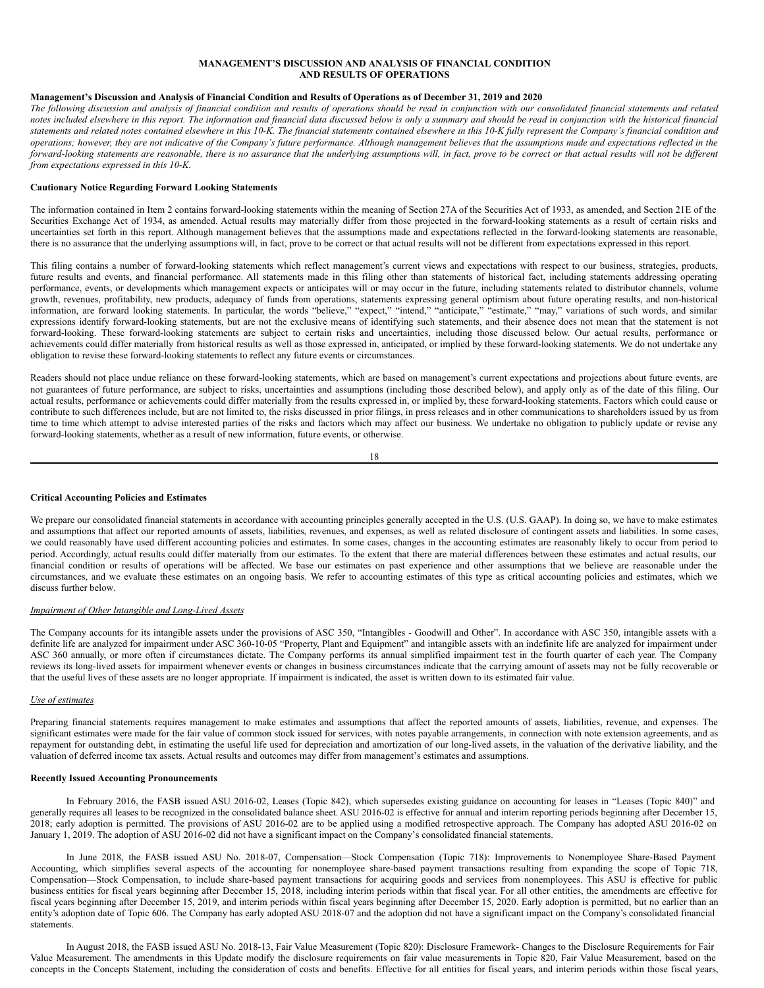# **MANAGEMENT'S DISCUSSION AND ANALYSIS OF FINANCIAL CONDITION AND RESULTS OF OPERATIONS**

# Management's Discussion and Analysis of Financial Condition and Results of Operations as of December 31, 2019 and 2020

The following discussion and analysis of financial condition and results of operations should be read in conjunction with our consolidated financial statements and related notes included elsewhere in this report. The information and financial data discussed below is only a summary and should be read in conjunction with the historical financial statements and related notes contained elsewhere in this 10-K. The financial statements contained elsewhere in this 10-K fully represent the Company's financial condition and operations; however, they are not indicative of the Company's future performance. Although management believes that the assumptions made and expectations reflected in the forward-looking statements are reasonable, there is no assurance that the underlying assumptions will, in fact, prove to be correct or that actual results will not be different *from expectations expressed in this 10-K.*

# **Cautionary Notice Regarding Forward Looking Statements**

The information contained in Item 2 contains forward-looking statements within the meaning of Section 27A of the Securities Act of 1933, as amended, and Section 21E of the Securities Exchange Act of 1934, as amended. Actual results may materially differ from those projected in the forward-looking statements as a result of certain risks and uncertainties set forth in this report. Although management believes that the assumptions made and expectations reflected in the forward-looking statements are reasonable, there is no assurance that the underlying assumptions will, in fact, prove to be correct or that actual results will not be different from expectations expressed in this report.

This filing contains a number of forward-looking statements which reflect management's current views and expectations with respect to our business, strategies, products, future results and events, and financial performance. All statements made in this filing other than statements of historical fact, including statements addressing operating performance, events, or developments which management expects or anticipates will or may occur in the future, including statements related to distributor channels, volume growth, revenues, profitability, new products, adequacy of funds from operations, statements expressing general optimism about future operating results, and non-historical information, are forward looking statements. In particular, the words "believe," "expect," "intend," "anticipate," "estimate," "may," variations of such words, and similar expressions identify forward-looking statements, but are not the exclusive means of identifying such statements, and their absence does not mean that the statement is not forward-looking. These forward-looking statements are subject to certain risks and uncertainties, including those discussed below. Our actual results, performance or achievements could differ materially from historical results as well as those expressed in, anticipated, or implied by these forward-looking statements. We do not undertake any obligation to revise these forward-looking statements to reflect any future events or circumstances.

Readers should not place undue reliance on these forward-looking statements, which are based on management's current expectations and projections about future events, are not guarantees of future performance, are subject to risks, uncertainties and assumptions (including those described below), and apply only as of the date of this filing. Our actual results, performance or achievements could differ materially from the results expressed in, or implied by, these forward-looking statements. Factors which could cause or contribute to such differences include, but are not limited to, the risks discussed in prior filings, in press releases and in other communications to shareholders issued by us from time to time which attempt to advise interested parties of the risks and factors which may affect our business. We undertake no obligation to publicly update or revise any forward-looking statements, whether as a result of new information, future events, or otherwise.

18

#### **Critical Accounting Policies and Estimates**

We prepare our consolidated financial statements in accordance with accounting principles generally accepted in the U.S. (U.S. GAAP). In doing so, we have to make estimates and assumptions that affect our reported amounts of assets, liabilities, revenues, and expenses, as well as related disclosure of contingent assets and liabilities. In some cases, we could reasonably have used different accounting policies and estimates. In some cases, changes in the accounting estimates are reasonably likely to occur from period to period. Accordingly, actual results could differ materially from our estimates. To the extent that there are material differences between these estimates and actual results, our financial condition or results of operations will be affected. We base our estimates on past experience and other assumptions that we believe are reasonable under the circumstances, and we evaluate these estimates on an ongoing basis. We refer to accounting estimates of this type as critical accounting policies and estimates, which we discuss further below.

# *Impairment of Other Intangible and Long-Lived Assets*

The Company accounts for its intangible assets under the provisions of ASC 350, "Intangibles - Goodwill and Other". In accordance with ASC 350, intangible assets with a definite life are analyzed for impairment under ASC 360-10-05 "Property, Plant and Equipment" and intangible assets with an indefinite life are analyzed for impairment under ASC 360 annually, or more often if circumstances dictate. The Company performs its annual simplified impairment test in the fourth quarter of each year. The Company reviews its long-lived assets for impairment whenever events or changes in business circumstances indicate that the carrying amount of assets may not be fully recoverable or that the useful lives of these assets are no longer appropriate. If impairment is indicated, the asset is written down to its estimated fair value.

#### *Use of estimates*

Preparing financial statements requires management to make estimates and assumptions that affect the reported amounts of assets, liabilities, revenue, and expenses. The significant estimates were made for the fair value of common stock issued for services, with notes payable arrangements, in connection with note extension agreements, and as repayment for outstanding debt, in estimating the useful life used for depreciation and amortization of our long-lived assets, in the valuation of the derivative liability, and the valuation of deferred income tax assets. Actual results and outcomes may differ from management's estimates and assumptions.

#### **Recently Issued Accounting Pronouncements**

In February 2016, the FASB issued ASU 2016-02, Leases (Topic 842), which supersedes existing guidance on accounting for leases in "Leases (Topic 840)" and generally requires all leases to be recognized in the consolidated balance sheet. ASU 2016-02 is effective for annual and interim reporting periods beginning after December 15, 2018; early adoption is permitted. The provisions of ASU 2016-02 are to be applied using a modified retrospective approach. The Company has adopted ASU 2016-02 on January 1, 2019. The adoption of ASU 2016-02 did not have a significant impact on the Company's consolidated financial statements.

In June 2018, the FASB issued ASU No. 2018-07, Compensation—Stock Compensation (Topic 718): Improvements to Nonemployee Share-Based Payment Accounting, which simplifies several aspects of the accounting for nonemployee share-based payment transactions resulting from expanding the scope of Topic 718, Compensation—Stock Compensation, to include share-based payment transactions for acquiring goods and services from nonemployees. This ASU is effective for public business entities for fiscal years beginning after December 15, 2018, including interim periods within that fiscal year. For all other entities, the amendments are effective for fiscal years beginning after December 15, 2019, and interim periods within fiscal years beginning after December 15, 2020. Early adoption is permitted, but no earlier than an entity's adoption date of Topic 606. The Company has early adopted ASU 2018-07 and the adoption did not have a significant impact on the Company's consolidated financial statements.

In August 2018, the FASB issued ASU No. 2018-13, Fair Value Measurement (Topic 820): Disclosure Framework- Changes to the Disclosure Requirements for Fair Value Measurement. The amendments in this Update modify the disclosure requirements on fair value measurements in Topic 820, Fair Value Measurement, based on the concepts in the Concepts Statement, including the consideration of costs and benefits. Effective for all entities for fiscal years, and interim periods within those fiscal years,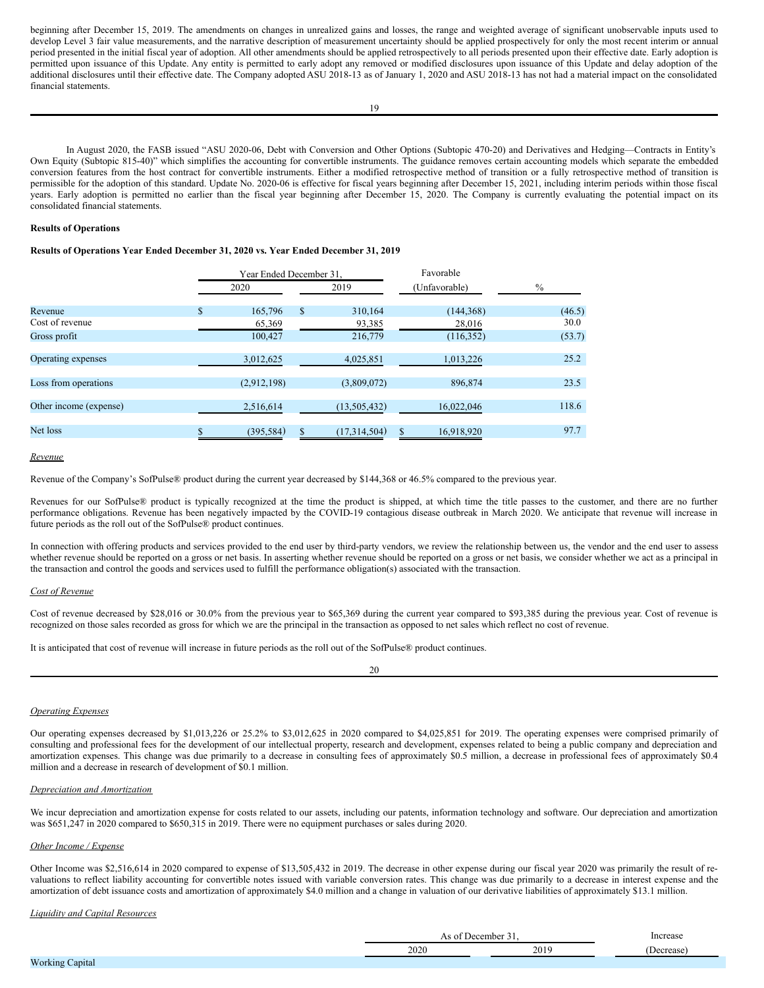beginning after December 15, 2019. The amendments on changes in unrealized gains and losses, the range and weighted average of significant unobservable inputs used to develop Level 3 fair value measurements, and the narrative description of measurement uncertainty should be applied prospectively for only the most recent interim or annual period presented in the initial fiscal year of adoption. All other amendments should be applied retrospectively to all periods presented upon their effective date. Early adoption is permitted upon issuance of this Update. Any entity is permitted to early adopt any removed or modified disclosures upon issuance of this Update and delay adoption of the additional disclosures until their effective date. The Company adopted ASU 2018-13 as of January 1, 2020 and ASU 2018-13 has not had a material impact on the consolidated financial statements.

In August 2020, the FASB issued "ASU 2020-06, Debt with Conversion and Other Options (Subtopic 470-20) and Derivatives and Hedging—Contracts in Entity's Own Equity (Subtopic 815-40)" which simplifies the accounting for convertible instruments. The guidance removes certain accounting models which separate the embedded conversion features from the host contract for convertible instruments. Either a modified retrospective method of transition or a fully retrospective method of transition is permissible for the adoption of this standard. Update No. 2020-06 is effective for fiscal years beginning after December 15, 2021, including interim periods within those fiscal years. Early adoption is permitted no earlier than the fiscal year beginning after December 15, 2020. The Company is currently evaluating the potential impact on its consolidated financial statements.

#### **Results of Operations**

#### **Results of Operations Year Ended December 31, 2020 vs. Year Ended December 31, 2019**

|                        | Year Ended December 31, |             |              |                | Favorable        |        |
|------------------------|-------------------------|-------------|--------------|----------------|------------------|--------|
|                        |                         | 2020        |              | 2019           | (Unfavorable)    | $\%$   |
| Revenue                | \$                      | 165,796     | $\mathbb{S}$ | 310,164        | (144, 368)       | (46.5) |
| Cost of revenue        |                         | 65,369      |              | 93,385         | 28,016           | 30.0   |
| Gross profit           |                         | 100,427     |              | 216,779        | (116,352)        | (53.7) |
| Operating expenses     |                         | 3,012,625   |              | 4,025,851      | 1,013,226        | 25.2   |
| Loss from operations   |                         | (2,912,198) |              | (3,809,072)    | 896,874          | 23.5   |
| Other income (expense) |                         | 2,516,614   |              | (13, 505, 432) | 16,022,046       | 118.6  |
| Net loss               |                         | (395, 584)  | \$           | (17,314,504)   | \$<br>16,918,920 | 97.7   |

#### *Revenue*

Revenue of the Company's SofPulse® product during the current year decreased by \$144,368 or 46.5% compared to the previous year.

Revenues for our SofPulse® product is typically recognized at the time the product is shipped, at which time the title passes to the customer, and there are no further performance obligations. Revenue has been negatively impacted by the COVID-19 contagious disease outbreak in March 2020. We anticipate that revenue will increase in future periods as the roll out of the SofPulse® product continues.

In connection with offering products and services provided to the end user by third-party vendors, we review the relationship between us, the vendor and the end user to assess whether revenue should be reported on a gross or net basis. In asserting whether revenue should be reported on a gross or net basis, we consider whether we act as a principal in the transaction and control the goods and services used to fulfill the performance obligation(s) associated with the transaction.

#### *Cost of Revenue*

Cost of revenue decreased by \$28,016 or 30.0% from the previous year to \$65,369 during the current year compared to \$93,385 during the previous year. Cost of revenue is recognized on those sales recorded as gross for which we are the principal in the transaction as opposed to net sales which reflect no cost of revenue.

It is anticipated that cost of revenue will increase in future periods as the roll out of the SofPulse® product continues.

20

# *Operating Expenses*

Our operating expenses decreased by \$1,013,226 or 25.2% to \$3,012,625 in 2020 compared to \$4,025,851 for 2019. The operating expenses were comprised primarily of consulting and professional fees for the development of our intellectual property, research and development, expenses related to being a public company and depreciation and amortization expenses. This change was due primarily to a decrease in consulting fees of approximately \$0.5 million, a decrease in professional fees of approximately \$0.4 million and a decrease in research of development of \$0.1 million.

# *Depreciation and Amortization*

We incur depreciation and amortization expense for costs related to our assets, including our patents, information technology and software. Our depreciation and amortization was \$651,247 in 2020 compared to \$650,315 in 2019. There were no equipment purchases or sales during 2020.

# *Other Income / Expense*

Other Income was \$2,516,614 in 2020 compared to expense of \$13,505,432 in 2019. The decrease in other expense during our fiscal year 2020 was primarily the result of revaluations to reflect liability accounting for convertible notes issued with variable conversion rates. This change was due primarily to a decrease in interest expense and the amortization of debt issuance costs and amortization of approximately \$4.0 million and a change in valuation of our derivative liabilities of approximately \$13.1 million.

# *Liquidity and Capital Resources*

|                    | $^{\circ}$ | ecember |                          |
|--------------------|------------|---------|--------------------------|
|                    | 2020       | 2019    | <b>Norgoca</b><br>Dunasi |
| Working<br>Capital |            |         |                          |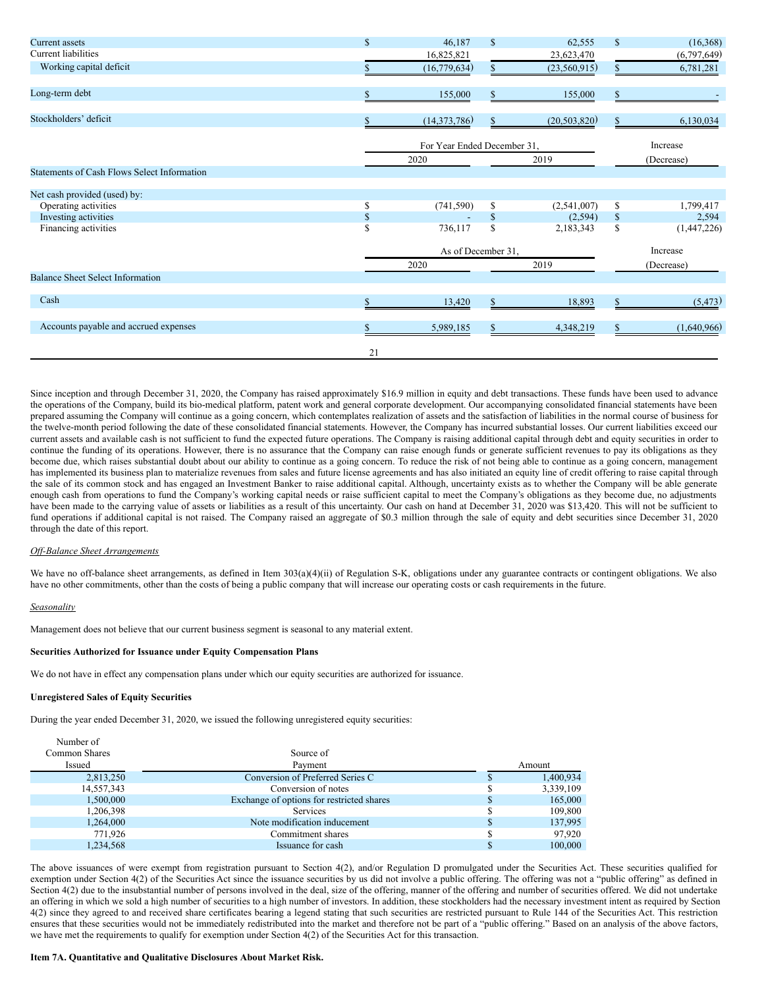| <b>Current</b> assets                       | $\mathbf S$ | 46,187                      | $\mathbb{S}$  | 62,555         | $\mathbf{s}$  | (16,368)    |
|---------------------------------------------|-------------|-----------------------------|---------------|----------------|---------------|-------------|
| <b>Current liabilities</b>                  |             | 16,825,821                  |               | 23,623,470     |               | (6,797,649) |
| Working capital deficit                     |             | (16,779,634)                |               | (23,560,915)   |               | 6,781,281   |
| Long-term debt                              |             | 155,000                     | $\mathbb{S}$  | 155,000        | \$            |             |
|                                             |             |                             |               |                |               |             |
| Stockholders' deficit                       |             | (14,373,786)                |               | (20, 503, 820) | \$            | 6,130,034   |
|                                             |             | For Year Ended December 31, |               |                |               | Increase    |
|                                             |             | 2020                        |               | 2019           |               | (Decrease)  |
| Statements of Cash Flows Select Information |             |                             |               |                |               |             |
| Net cash provided (used) by:                |             |                             |               |                |               |             |
| Operating activities                        | \$          | (741, 590)                  | \$            | (2,541,007)    | \$            | 1,799,417   |
| Investing activities                        | \$          |                             | $\mathcal{S}$ | (2,594)        | $\mathbb{S}$  | 2,594       |
| Financing activities                        | S           | 736,117                     | \$            | 2,183,343      | <sup>\$</sup> | (1,447,226) |
|                                             |             | As of December 31,          |               |                |               | Increase    |
|                                             |             | 2020                        |               | 2019           |               | (Decrease)  |
| <b>Balance Sheet Select Information</b>     |             |                             |               |                |               |             |
| Cash                                        | \$          | 13,420                      | \$            | 18,893         | $\mathbb{S}$  | (5, 473)    |
| Accounts payable and accrued expenses       |             |                             |               |                |               |             |
|                                             | S           | 5,989,185                   | \$            | 4,348,219      | \$            | (1,640,966) |
|                                             | 21          |                             |               |                |               |             |

Since inception and through December 31, 2020, the Company has raised approximately \$16.9 million in equity and debt transactions. These funds have been used to advance the operations of the Company, build its bio-medical platform, patent work and general corporate development. Our accompanying consolidated financial statements have been prepared assuming the Company will continue as a going concern, which contemplates realization of assets and the satisfaction of liabilities in the normal course of business for the twelve-month period following the date of these consolidated financial statements. However, the Company has incurred substantial losses. Our current liabilities exceed our current assets and available cash is not sufficient to fund the expected future operations. The Company is raising additional capital through debt and equity securities in order to continue the funding of its operations. However, there is no assurance that the Company can raise enough funds or generate sufficient revenues to pay its obligations as they become due, which raises substantial doubt about our ability to continue as a going concern. To reduce the risk of not being able to continue as a going concern, management has implemented its business plan to materialize revenues from sales and future license agreements and has also initiated an equity line of credit offering to raise capital through the sale of its common stock and has engaged an Investment Banker to raise additional capital. Although, uncertainty exists as to whether the Company will be able generate enough cash from operations to fund the Company's working capital needs or raise sufficient capital to meet the Company's obligations as they become due, no adjustments have been made to the carrying value of assets or liabilities as a result of this uncertainty. Our cash on hand at December 31, 2020 was \$13,420. This will not be sufficient to fund operations if additional capital is not raised. The Company raised an aggregate of \$0.3 million through the sale of equity and debt securities since December 31, 2020 through the date of this report.

#### *Of -Balance Sheet Arrangements*

We have no off-balance sheet arrangements, as defined in Item 303(a)(4)(ii) of Regulation S-K, obligations under any guarantee contracts or contingent obligations. We also have no other commitments, other than the costs of being a public company that will increase our operating costs or cash requirements in the future.

#### *Seasonality*

Management does not believe that our current business segment is seasonal to any material extent.

#### **Securities Authorized for Issuance under Equity Compensation Plans**

We do not have in effect any compensation plans under which our equity securities are authorized for issuance.

#### **Unregistered Sales of Equity Securities**

Number of

During the year ended December 31, 2020, we issued the following unregistered equity securities:

| Number of     |                                           |           |
|---------------|-------------------------------------------|-----------|
| Common Shares | Source of                                 |           |
| Issued        | Payment                                   | Amount    |
| 2,813,250     | Conversion of Preferred Series C          | 1,400,934 |
| 14,557,343    | Conversion of notes                       | 3,339,109 |
| 1,500,000     | Exchange of options for restricted shares | 165,000   |
| 1,206,398     | Services                                  | 109,800   |
| 1,264,000     | Note modification inducement              | 137,995   |
| 771.926       | Commitment shares                         | 97.920    |
| 1,234,568     | Issuance for cash                         | 100,000   |
|               |                                           |           |

The above issuances of were exempt from registration pursuant to Section 4(2), and/or Regulation D promulgated under the Securities Act. These securities qualified for exemption under Section 4(2) of the Securities Act since the issuance securities by us did not involve a public offering. The offering was not a "public offering" as defined in Section 4(2) due to the insubstantial number of persons involved in the deal, size of the offering, manner of the offering and number of securities offered. We did not undertake an offering in which we sold a high number of securities to a high number of investors. In addition, these stockholders had the necessary investment intent as required by Section 4(2) since they agreed to and received share certificates bearing a legend stating that such securities are restricted pursuant to Rule 144 of the Securities Act. This restriction ensures that these securities would not be immediately redistributed into the market and therefore not be part of a "public offering." Based on an analysis of the above factors, we have met the requirements to qualify for exemption under Section 4(2) of the Securities Act for this transaction.

#### **Item 7A. Quantitative and Qualitative Disclosures About Market Risk.**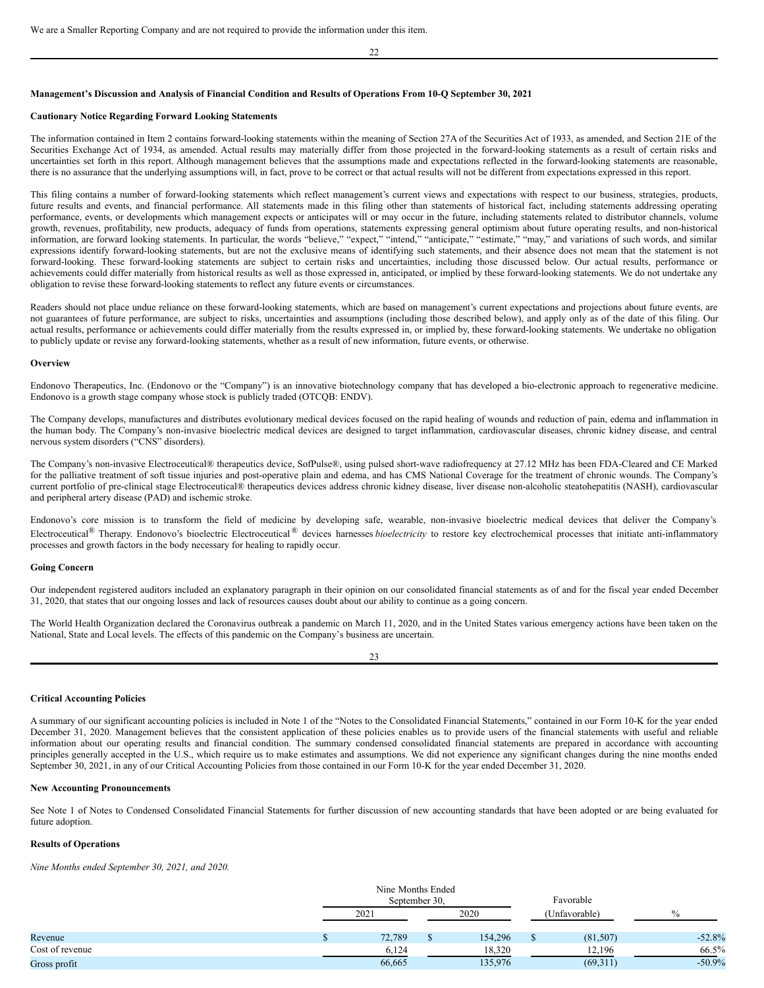# Management's Discussion and Analysis of Financial Condition and Results of Operations From 10-Q September 30, 2021

# **Cautionary Notice Regarding Forward Looking Statements**

The information contained in Item 2 contains forward-looking statements within the meaning of Section 27A of the Securities Act of 1933, as amended, and Section 21E of the Securities Exchange Act of 1934, as amended. Actual results may materially differ from those projected in the forward-looking statements as a result of certain risks and uncertainties set forth in this report. Although management believes that the assumptions made and expectations reflected in the forward-looking statements are reasonable, there is no assurance that the underlying assumptions will, in fact, prove to be correct or that actual results will not be different from expectations expressed in this report.

This filing contains a number of forward-looking statements which reflect management's current views and expectations with respect to our business, strategies, products, future results and events, and financial performance. All statements made in this filing other than statements of historical fact, including statements addressing operating performance, events, or developments which management expects or anticipates will or may occur in the future, including statements related to distributor channels, volume growth, revenues, profitability, new products, adequacy of funds from operations, statements expressing general optimism about future operating results, and non-historical information, are forward looking statements. In particular, the words "believe," "expect," "intend," "anticipate," "estimate," "may," and variations of such words, and similar expressions identify forward-looking statements, but are not the exclusive means of identifying such statements, and their absence does not mean that the statement is not forward-looking. These forward-looking statements are subject to certain risks and uncertainties, including those discussed below. Our actual results, performance or achievements could differ materially from historical results as well as those expressed in, anticipated, or implied by these forward-looking statements. We do not undertake any obligation to revise these forward-looking statements to reflect any future events or circumstances.

Readers should not place undue reliance on these forward-looking statements, which are based on management's current expectations and projections about future events, are not guarantees of future performance, are subject to risks, uncertainties and assumptions (including those described below), and apply only as of the date of this filing. Our actual results, performance or achievements could differ materially from the results expressed in, or implied by, these forward-looking statements. We undertake no obligation to publicly update or revise any forward-looking statements, whether as a result of new information, future events, or otherwise.

#### **Overview**

Endonovo Therapeutics, Inc. (Endonovo or the "Company") is an innovative biotechnology company that has developed a bio-electronic approach to regenerative medicine. Endonovo is a growth stage company whose stock is publicly traded (OTCQB: ENDV).

The Company develops, manufactures and distributes evolutionary medical devices focused on the rapid healing of wounds and reduction of pain, edema and inflammation in the human body. The Company's non-invasive bioelectric medical devices are designed to target inflammation, cardiovascular diseases, chronic kidney disease, and central nervous system disorders ("CNS" disorders).

The Company's non-invasive Electroceutical® therapeutics device, SofPulse®, using pulsed short-wave radiofrequency at 27.12 MHz has been FDA-Cleared and CE Marked for the palliative treatment of soft tissue injuries and post-operative plain and edema, and has CMS National Coverage for the treatment of chronic wounds. The Company's current portfolio of pre-clinical stage Electroceutical® therapeutics devices address chronic kidney disease, liver disease non-alcoholic steatohepatitis (NASH), cardiovascular and peripheral artery disease (PAD) and ischemic stroke.

Endonovo's core mission is to transform the field of medicine by developing safe, wearable, non-invasive bioelectric medical devices that deliver the Company's Electroceutical<sup>®</sup> Therapy. Endonovo's bioelectric Electroceutical® devices harnesses *bioelectricity* to restore key electrochemical processes that initiate anti-inflammatory processes and growth factors in the body necessary for healing to rapidly occur.

#### **Going Concern**

Our independent registered auditors included an explanatory paragraph in their opinion on our consolidated financial statements as of and for the fiscal year ended December 31, 2020, that states that our ongoing losses and lack of resources causes doubt about our ability to continue as a going concern.

The World Health Organization declared the Coronavirus outbreak a pandemic on March 11, 2020, and in the United States various emergency actions have been taken on the National, State and Local levels. The effects of this pandemic on the Company's business are uncertain.

| I |             |  |
|---|-------------|--|
|   | I<br>v<br>× |  |

# **Critical Accounting Policies**

A summary of our significant accounting policies is included in Note 1 of the "Notes to the Consolidated Financial Statements," contained in our Form 10-K for the year ended December 31, 2020. Management believes that the consistent application of these policies enables us to provide users of the financial statements with useful and reliable information about our operating results and financial condition. The summary condensed consolidated financial statements are prepared in accordance with accounting principles generally accepted in the U.S., which require us to make estimates and assumptions. We did not experience any significant changes during the nine months ended September 30, 2021, in any of our Critical Accounting Policies from those contained in our Form 10-K for the year ended December 31, 2020.

#### **New Accounting Pronouncements**

See Note 1 of Notes to Condensed Consolidated Financial Statements for further discussion of new accounting standards that have been adopted or are being evaluated for future adoption.

# **Results of Operations**

*Nine Months ended September 30, 2021, and 2020.*

|                 | Nine Months Ended<br>September 30, |  |         |  | Favorable     |          |
|-----------------|------------------------------------|--|---------|--|---------------|----------|
|                 | 2021                               |  | 2020    |  | (Unfavorable) |          |
| Revenue         | 72,789                             |  | 154,296 |  | (81, 507)     | $-52.8%$ |
| Cost of revenue | 6.124                              |  | 18,320  |  | 12.196        | 66.5%    |
| Gross profit    | 66,665                             |  | 135,976 |  | (69,311)      | $-50.9%$ |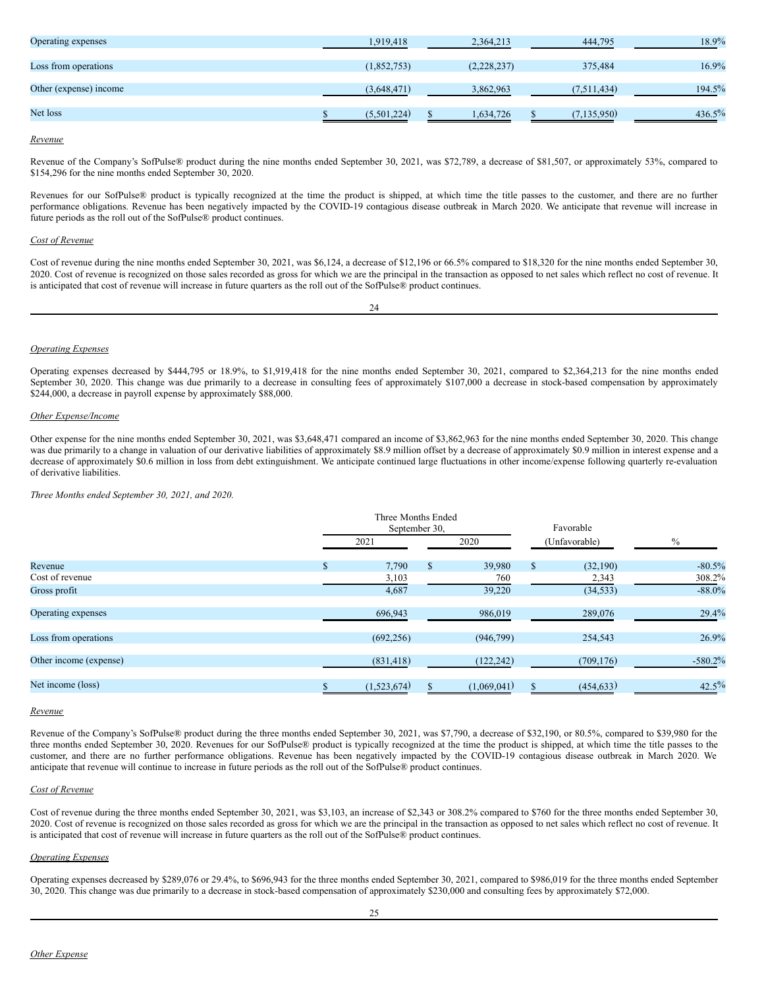| Operating expenses     | 1.919.418   | 2,364,213   |            | 444,795       | 18.9%  |
|------------------------|-------------|-------------|------------|---------------|--------|
| Loss from operations   | (1,852,753) | (2,228,237) |            | 375,484       | 16.9%  |
| Other (expense) income | (3,648,471) | 3,862,963   |            | (7,511,434)   | 194.5% |
| Net loss               | (5,501,224) | 1.634.726   | $\sqrt{2}$ | (7, 135, 950) | 436.5% |

#### *Revenue*

Revenue of the Company's SofPulse® product during the nine months ended September 30, 2021, was \$72,789, a decrease of \$81,507, or approximately 53%, compared to \$154,296 for the nine months ended September 30, 2020.

Revenues for our SofPulse® product is typically recognized at the time the product is shipped, at which time the title passes to the customer, and there are no further performance obligations. Revenue has been negatively impacted by the COVID-19 contagious disease outbreak in March 2020. We anticipate that revenue will increase in future periods as the roll out of the SofPulse® product continues.

# *Cost of Revenue*

Cost of revenue during the nine months ended September 30, 2021, was \$6,124, a decrease of \$12,196 or 66.5% compared to \$18,320 for the nine months ended September 30, 2020. Cost of revenue is recognized on those sales recorded as gross for which we are the principal in the transaction as opposed to net sales which reflect no cost of revenue. It is anticipated that cost of revenue will increase in future quarters as the roll out of the SofPulse® product continues.

24

# *Operating Expenses*

Operating expenses decreased by \$444,795 or 18.9%, to \$1,919,418 for the nine months ended September 30, 2021, compared to \$2,364,213 for the nine months ended September 30, 2020. This change was due primarily to a decrease in consulting fees of approximately \$107,000 a decrease in stock-based compensation by approximately \$244,000, a decrease in payroll expense by approximately \$88,000.

# *Other Expense/Income*

Other expense for the nine months ended September 30, 2021, was \$3,648,471 compared an income of \$3,862,963 for the nine months ended September 30, 2020. This change was due primarily to a change in valuation of our derivative liabilities of approximately \$8.9 million offset by a decrease of approximately \$0.9 million in interest expense and a decrease of approximately \$0.6 million in loss from debt extinguishment. We anticipate continued large fluctuations in other income/expense following quarterly re-evaluation of derivative liabilities.

*Three Months ended September 30, 2021, and 2020.*

|                        | Three Months Ended<br>September 30, |               |             |               | Favorable     |               |  |
|------------------------|-------------------------------------|---------------|-------------|---------------|---------------|---------------|--|
|                        | 2021                                |               | 2020        |               | (Unfavorable) | $\frac{0}{0}$ |  |
| Revenue                | 7,790                               | $\mathcal{S}$ | 39,980      | <sup>\$</sup> | (32,190)      | $-80.5%$      |  |
| Cost of revenue        | 3,103                               |               | 760         |               | 2,343         | 308.2%        |  |
| Gross profit           | 4,687                               |               | 39,220      |               | (34, 533)     | $-88.0\%$     |  |
| Operating expenses     | 696,943                             |               | 986,019     |               | 289,076       | 29.4%         |  |
| Loss from operations   | (692, 256)                          |               | (946, 799)  |               | 254,543       | 26.9%         |  |
| Other income (expense) | (831, 418)                          |               | (122, 242)  |               | (709, 176)    | $-580.2%$     |  |
| Net income (loss)      | (1,523,674)                         |               | (1,069,041) |               | (454, 633)    | 42.5%         |  |

*Revenue*

Revenue of the Company's SofPulse® product during the three months ended September 30, 2021, was \$7,790, a decrease of \$32,190, or 80.5%, compared to \$39,980 for the three months ended September 30, 2020. Revenues for our SofPulse® product is typically recognized at the time the product is shipped, at which time the title passes to the customer, and there are no further performance obligations. Revenue has been negatively impacted by the COVID-19 contagious disease outbreak in March 2020. We anticipate that revenue will continue to increase in future periods as the roll out of the SofPulse® product continues.

#### *Cost of Revenue*

Cost of revenue during the three months ended September 30, 2021, was \$3,103, an increase of \$2,343 or 308.2% compared to \$760 for the three months ended September 30, 2020. Cost of revenue is recognized on those sales recorded as gross for which we are the principal in the transaction as opposed to net sales which reflect no cost of revenue. It is anticipated that cost of revenue will increase in future quarters as the roll out of the SofPulse® product continues.

# *Operating Expenses*

Operating expenses decreased by \$289,076 or 29.4%, to \$696,943 for the three months ended September 30, 2021, compared to \$986,019 for the three months ended September 30, 2020. This change was due primarily to a decrease in stock-based compensation of approximately \$230,000 and consulting fees by approximately \$72,000.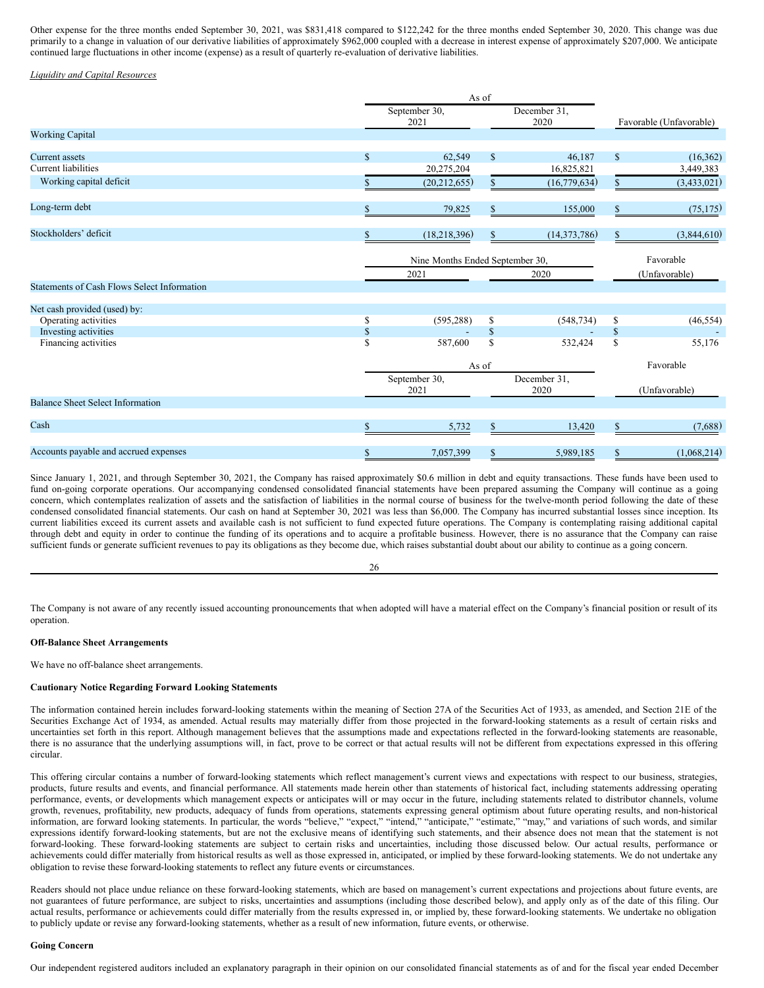Other expense for the three months ended September 30, 2021, was \$831,418 compared to \$122,242 for the three months ended September 30, 2020. This change was due primarily to a change in valuation of our derivative liabilities of approximately \$962,000 coupled with a decrease in interest expense of approximately \$207,000. We anticipate continued large fluctuations in other income (expense) as a result of quarterly re-evaluation of derivative liabilities.

#### *Liquidity and Capital Resources*

|                                             |                                 | As of                 |              |                      |              |                         |  |
|---------------------------------------------|---------------------------------|-----------------------|--------------|----------------------|--------------|-------------------------|--|
|                                             |                                 | September 30,<br>2021 |              | December 31,<br>2020 |              | Favorable (Unfavorable) |  |
| <b>Working Capital</b>                      |                                 |                       |              |                      |              |                         |  |
| <b>Current</b> assets                       | $\mathbb{S}$                    | 62,549                | $\mathbb{S}$ | 46,187               | \$           |                         |  |
| <b>Current liabilities</b>                  |                                 | 20,275,204            |              | 16,825,821           |              | (16, 362)<br>3,449,383  |  |
| Working capital deficit                     |                                 |                       |              |                      |              |                         |  |
|                                             |                                 | (20, 212, 655)        | $\mathbb{S}$ | (16,779,634)         | \$           | (3,433,021)             |  |
| Long-term debt                              | \$                              | 79,825                | \$           | 155,000              | \$           | (75, 175)               |  |
| Stockholders' deficit                       | \$.                             | (18,218,396)          | $\mathbf S$  | (14,373,786)         | \$           | (3,844,610)             |  |
|                                             | Nine Months Ended September 30, |                       |              |                      | Favorable    |                         |  |
|                                             |                                 | 2021                  |              | 2020                 |              | (Unfavorable)           |  |
| Statements of Cash Flows Select Information |                                 |                       |              |                      |              |                         |  |
| Net cash provided (used) by:                |                                 |                       |              |                      |              |                         |  |
| Operating activities                        | \$                              | (595, 288)            | \$           | (548, 734)           | \$           | (46, 554)               |  |
| Investing activities                        | $\$$                            |                       | \$           |                      | $\$$         |                         |  |
| Financing activities                        | \$                              | 587,600               | \$           | 532,424              | S            | 55,176                  |  |
|                                             |                                 | As of                 |              |                      |              | Favorable               |  |
|                                             |                                 | September 30,         |              | December 31,         |              |                         |  |
|                                             |                                 | 2021                  |              | 2020                 |              | (Unfavorable)           |  |
| <b>Balance Sheet Select Information</b>     |                                 |                       |              |                      |              |                         |  |
| Cash                                        | $\mathbb{S}$                    | 5,732                 | $\mathbb{S}$ | 13,420               | $\mathbb{S}$ | (7,688)                 |  |
| Accounts payable and accrued expenses       | \$                              | 7,057,399             | \$           | 5,989,185            | \$           | (1,068,214)             |  |

Since January 1, 2021, and through September 30, 2021, the Company has raised approximately \$0.6 million in debt and equity transactions. These funds have been used to fund on-going corporate operations. Our accompanying condensed consolidated financial statements have been prepared assuming the Company will continue as a going concern, which contemplates realization of assets and the satisfaction of liabilities in the normal course of business for the twelve-month period following the date of these condensed consolidated financial statements. Our cash on hand at September 30, 2021 was less than \$6,000. The Company has incurred substantial losses since inception. Its current liabilities exceed its current assets and available cash is not sufficient to fund expected future operations. The Company is contemplating raising additional capital through debt and equity in order to continue the funding of its operations and to acquire a profitable business. However, there is no assurance that the Company can raise sufficient funds or generate sufficient revenues to pay its obligations as they become due, which raises substantial doubt about our ability to continue as a going concern.

26

The Company is not aware of any recently issued accounting pronouncements that when adopted will have a material effect on the Company's financial position or result of its operation.

# **Off-Balance Sheet Arrangements**

We have no off-balance sheet arrangements.

# **Cautionary Notice Regarding Forward Looking Statements**

The information contained herein includes forward-looking statements within the meaning of Section 27A of the Securities Act of 1933, as amended, and Section 21E of the Securities Exchange Act of 1934, as amended. Actual results may materially differ from those projected in the forward-looking statements as a result of certain risks and uncertainties set forth in this report. Although management believes that the assumptions made and expectations reflected in the forward-looking statements are reasonable, there is no assurance that the underlying assumptions will, in fact, prove to be correct or that actual results will not be different from expectations expressed in this offering circular.

This offering circular contains a number of forward-looking statements which reflect management's current views and expectations with respect to our business, strategies, products, future results and events, and financial performance. All statements made herein other than statements of historical fact, including statements addressing operating performance, events, or developments which management expects or anticipates will or may occur in the future, including statements related to distributor channels, volume growth, revenues, profitability, new products, adequacy of funds from operations, statements expressing general optimism about future operating results, and non-historical information, are forward looking statements. In particular, the words "believe," "expect," "intend," "anticipate," "estimate," "may," and variations of such words, and similar expressions identify forward-looking statements, but are not the exclusive means of identifying such statements, and their absence does not mean that the statement is not forward-looking. These forward-looking statements are subject to certain risks and uncertainties, including those discussed below. Our actual results, performance or achievements could differ materially from historical results as well as those expressed in, anticipated, or implied by these forward-looking statements. We do not undertake any obligation to revise these forward-looking statements to reflect any future events or circumstances.

Readers should not place undue reliance on these forward-looking statements, which are based on management's current expectations and projections about future events, are not guarantees of future performance, are subject to risks, uncertainties and assumptions (including those described below), and apply only as of the date of this filing. Our actual results, performance or achievements could differ materially from the results expressed in, or implied by, these forward-looking statements. We undertake no obligation to publicly update or revise any forward-looking statements, whether as a result of new information, future events, or otherwise.

# **Going Concern**

Our independent registered auditors included an explanatory paragraph in their opinion on our consolidated financial statements as of and for the fiscal year ended December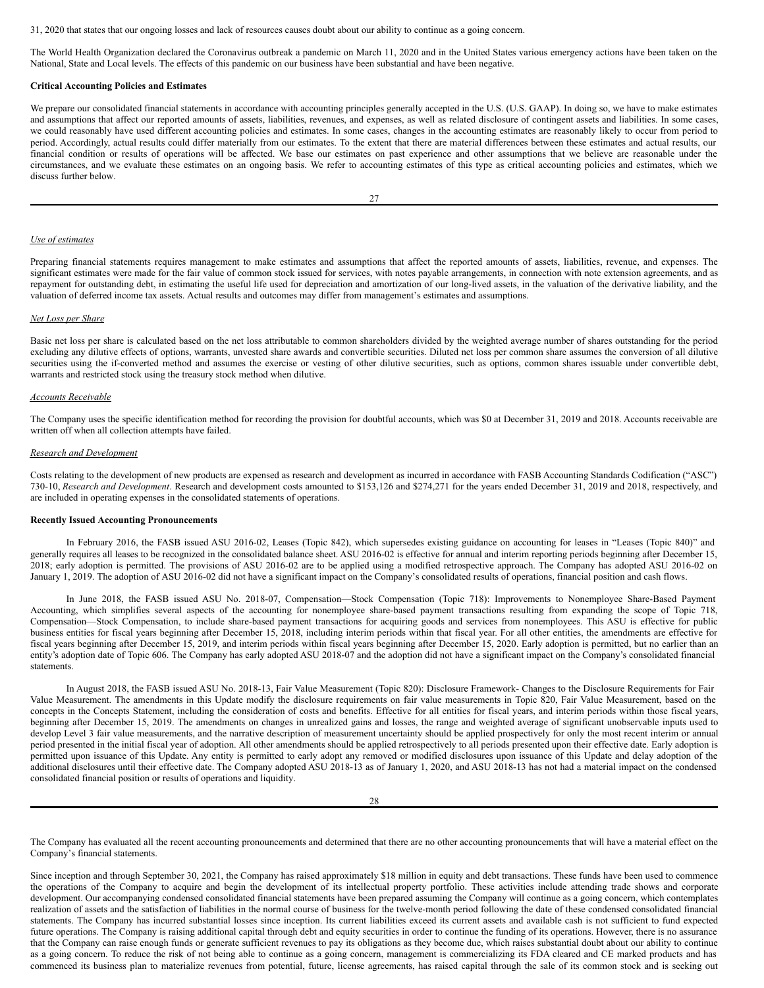31, 2020 that states that our ongoing losses and lack of resources causes doubt about our ability to continue as a going concern.

The World Health Organization declared the Coronavirus outbreak a pandemic on March 11, 2020 and in the United States various emergency actions have been taken on the National, State and Local levels. The effects of this pandemic on our business have been substantial and have been negative.

#### **Critical Accounting Policies and Estimates**

We prepare our consolidated financial statements in accordance with accounting principles generally accepted in the U.S. (U.S. GAAP). In doing so, we have to make estimates and assumptions that affect our reported amounts of assets, liabilities, revenues, and expenses, as well as related disclosure of contingent assets and liabilities. In some cases, we could reasonably have used different accounting policies and estimates. In some cases, changes in the accounting estimates are reasonably likely to occur from period to period. Accordingly, actual results could differ materially from our estimates. To the extent that there are material differences between these estimates and actual results, our financial condition or results of operations will be affected. We base our estimates on past experience and other assumptions that we believe are reasonable under the circumstances, and we evaluate these estimates on an ongoing basis. We refer to accounting estimates of this type as critical accounting policies and estimates, which we discuss further below.

#### *Use of estimates*

Preparing financial statements requires management to make estimates and assumptions that affect the reported amounts of assets, liabilities, revenue, and expenses. The significant estimates were made for the fair value of common stock issued for services, with notes payable arrangements, in connection with note extension agreements, and as repayment for outstanding debt, in estimating the useful life used for depreciation and amortization of our long-lived assets, in the valuation of the derivative liability, and the valuation of deferred income tax assets. Actual results and outcomes may differ from management's estimates and assumptions.

#### *Net Loss per Share*

Basic net loss per share is calculated based on the net loss attributable to common shareholders divided by the weighted average number of shares outstanding for the period excluding any dilutive effects of options, warrants, unvested share awards and convertible securities. Diluted net loss per common share assumes the conversion of all dilutive securities using the if-converted method and assumes the exercise or vesting of other dilutive securities, such as options, common shares issuable under convertible debt, warrants and restricted stock using the treasury stock method when dilutive.

#### *Accounts Receivable*

The Company uses the specific identification method for recording the provision for doubtful accounts, which was \$0 at December 31, 2019 and 2018. Accounts receivable are written off when all collection attempts have failed.

#### *Research and Development*

Costs relating to the development of new products are expensed as research and development as incurred in accordance with FASB Accounting Standards Codification ("ASC") 730-10, *Research and Development*. Research and development costs amounted to \$153,126 and \$274,271 for the years ended December 31, 2019 and 2018, respectively, and are included in operating expenses in the consolidated statements of operations.

#### **Recently Issued Accounting Pronouncements**

In February 2016, the FASB issued ASU 2016-02, Leases (Topic 842), which supersedes existing guidance on accounting for leases in "Leases (Topic 840)" and generally requires all leases to be recognized in the consolidated balance sheet. ASU 2016-02 is effective for annual and interim reporting periods beginning after December 15, 2018; early adoption is permitted. The provisions of ASU 2016-02 are to be applied using a modified retrospective approach. The Company has adopted ASU 2016-02 on January 1, 2019. The adoption of ASU 2016-02 did not have a significant impact on the Company's consolidated results of operations, financial position and cash flows.

In June 2018, the FASB issued ASU No. 2018-07, Compensation—Stock Compensation (Topic 718): Improvements to Nonemployee Share-Based Payment Accounting, which simplifies several aspects of the accounting for nonemployee share-based payment transactions resulting from expanding the scope of Topic 718, Compensation—Stock Compensation, to include share-based payment transactions for acquiring goods and services from nonemployees. This ASU is effective for public business entities for fiscal years beginning after December 15, 2018, including interim periods within that fiscal year. For all other entities, the amendments are effective for fiscal years beginning after December 15, 2019, and interim periods within fiscal years beginning after December 15, 2020. Early adoption is permitted, but no earlier than an entity's adoption date of Topic 606. The Company has early adopted ASU 2018-07 and the adoption did not have a significant impact on the Company's consolidated financial statements.

In August 2018, the FASB issued ASU No. 2018-13, Fair Value Measurement (Topic 820): Disclosure Framework- Changes to the Disclosure Requirements for Fair Value Measurement. The amendments in this Update modify the disclosure requirements on fair value measurements in Topic 820, Fair Value Measurement, based on the concepts in the Concepts Statement, including the consideration of costs and benefits. Effective for all entities for fiscal years, and interim periods within those fiscal years, beginning after December 15, 2019. The amendments on changes in unrealized gains and losses, the range and weighted average of significant unobservable inputs used to develop Level 3 fair value measurements, and the narrative description of measurement uncertainty should be applied prospectively for only the most recent interim or annual period presented in the initial fiscal year of adoption. All other amendments should be applied retrospectively to all periods presented upon their effective date. Early adoption is permitted upon issuance of this Update. Any entity is permitted to early adopt any removed or modified disclosures upon issuance of this Update and delay adoption of the additional disclosures until their effective date. The Company adopted ASU 2018-13 as of January 1, 2020, and ASU 2018-13 has not had a material impact on the condensed consolidated financial position or results of operations and liquidity.

The Company has evaluated all the recent accounting pronouncements and determined that there are no other accounting pronouncements that will have a material effect on the Company's financial statements.

Since inception and through September 30, 2021, the Company has raised approximately \$18 million in equity and debt transactions. These funds have been used to commence the operations of the Company to acquire and begin the development of its intellectual property portfolio. These activities include attending trade shows and corporate development. Our accompanying condensed consolidated financial statements have been prepared assuming the Company will continue as a going concern, which contemplates realization of assets and the satisfaction of liabilities in the normal course of business for the twelve-month period following the date of these condensed consolidated financial statements. The Company has incurred substantial losses since inception. Its current liabilities exceed its current assets and available cash is not sufficient to fund expected future operations. The Company is raising additional capital through debt and equity securities in order to continue the funding of its operations. However, there is no assurance that the Company can raise enough funds or generate sufficient revenues to pay its obligations as they become due, which raises substantial doubt about our ability to continue as a going concern. To reduce the risk of not being able to continue as a going concern, management is commercializing its FDA cleared and CE marked products and has commenced its business plan to materialize revenues from potential, future, license agreements, has raised capital through the sale of its common stock and is seeking out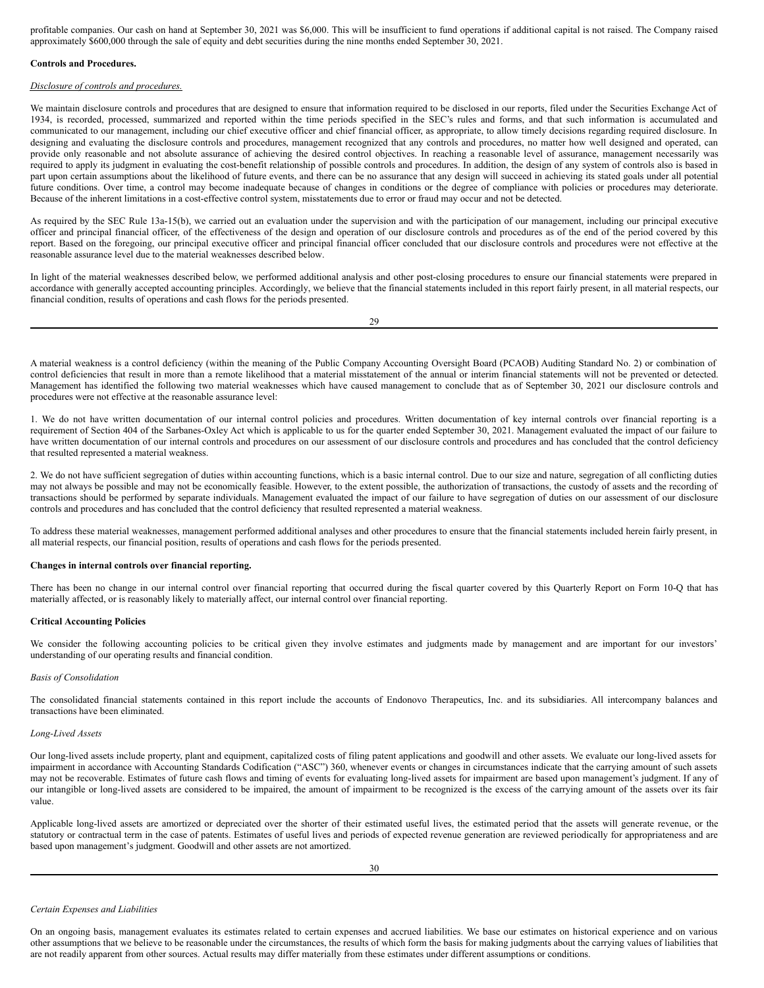profitable companies. Our cash on hand at September 30, 2021 was \$6,000. This will be insufficient to fund operations if additional capital is not raised. The Company raised approximately \$600,000 through the sale of equity and debt securities during the nine months ended September 30, 2021.

#### **Controls and Procedures.**

#### *Disclosure of controls and procedures.*

We maintain disclosure controls and procedures that are designed to ensure that information required to be disclosed in our reports, filed under the Securities Exchange Act of 1934, is recorded, processed, summarized and reported within the time periods specified in the SEC's rules and forms, and that such information is accumulated and communicated to our management, including our chief executive officer and chief financial officer, as appropriate, to allow timely decisions regarding required disclosure. In designing and evaluating the disclosure controls and procedures, management recognized that any controls and procedures, no matter how well designed and operated, can provide only reasonable and not absolute assurance of achieving the desired control objectives. In reaching a reasonable level of assurance, management necessarily was required to apply its judgment in evaluating the cost-benefit relationship of possible controls and procedures. In addition, the design of any system of controls also is based in part upon certain assumptions about the likelihood of future events, and there can be no assurance that any design will succeed in achieving its stated goals under all potential future conditions. Over time, a control may become inadequate because of changes in conditions or the degree of compliance with policies or procedures may deteriorate. Because of the inherent limitations in a cost-effective control system, misstatements due to error or fraud may occur and not be detected.

As required by the SEC Rule 13a-15(b), we carried out an evaluation under the supervision and with the participation of our management, including our principal executive officer and principal financial officer, of the effectiveness of the design and operation of our disclosure controls and procedures as of the end of the period covered by this report. Based on the foregoing, our principal executive officer and principal financial officer concluded that our disclosure controls and procedures were not effective at the reasonable assurance level due to the material weaknesses described below.

In light of the material weaknesses described below, we performed additional analysis and other post-closing procedures to ensure our financial statements were prepared in accordance with generally accepted accounting principles. Accordingly, we believe that the financial statements included in this report fairly present, in all material respects, our financial condition, results of operations and cash flows for the periods presented.

29

A material weakness is a control deficiency (within the meaning of the Public Company Accounting Oversight Board (PCAOB) Auditing Standard No. 2) or combination of control deficiencies that result in more than a remote likelihood that a material misstatement of the annual or interim financial statements will not be prevented or detected. Management has identified the following two material weaknesses which have caused management to conclude that as of September 30, 2021 our disclosure controls and procedures were not effective at the reasonable assurance level:

1. We do not have written documentation of our internal control policies and procedures. Written documentation of key internal controls over financial reporting is a requirement of Section 404 of the Sarbanes-Oxley Act which is applicable to us for the quarter ended September 30, 2021. Management evaluated the impact of our failure to have written documentation of our internal controls and procedures on our assessment of our disclosure controls and procedures and has concluded that the control deficiency that resulted represented a material weakness.

2. We do not have sufficient segregation of duties within accounting functions, which is a basic internal control. Due to our size and nature, segregation of all conflicting duties may not always be possible and may not be economically feasible. However, to the extent possible, the authorization of transactions, the custody of assets and the recording of transactions should be performed by separate individuals. Management evaluated the impact of our failure to have segregation of duties on our assessment of our disclosure controls and procedures and has concluded that the control deficiency that resulted represented a material weakness.

To address these material weaknesses, management performed additional analyses and other procedures to ensure that the financial statements included herein fairly present, in all material respects, our financial position, results of operations and cash flows for the periods presented.

#### **Changes in internal controls over financial reporting.**

There has been no change in our internal control over financial reporting that occurred during the fiscal quarter covered by this Quarterly Report on Form 10-Q that has materially affected, or is reasonably likely to materially affect, our internal control over financial reporting.

#### **Critical Accounting Policies**

We consider the following accounting policies to be critical given they involve estimates and judgments made by management and are important for our investors' understanding of our operating results and financial condition.

#### *Basis of Consolidation*

The consolidated financial statements contained in this report include the accounts of Endonovo Therapeutics, Inc. and its subsidiaries. All intercompany balances and transactions have been eliminated.

#### *Long-Lived Assets*

Our long-lived assets include property, plant and equipment, capitalized costs of filing patent applications and goodwill and other assets. We evaluate our long-lived assets for impairment in accordance with Accounting Standards Codification ("ASC") 360, whenever events or changes in circumstances indicate that the carrying amount of such assets may not be recoverable. Estimates of future cash flows and timing of events for evaluating long-lived assets for impairment are based upon management's judgment. If any of our intangible or long-lived assets are considered to be impaired, the amount of impairment to be recognized is the excess of the carrying amount of the assets over its fair value.

Applicable long-lived assets are amortized or depreciated over the shorter of their estimated useful lives, the estimated period that the assets will generate revenue, or the statutory or contractual term in the case of patents. Estimates of useful lives and periods of expected revenue generation are reviewed periodically for appropriateness and are based upon management's judgment. Goodwill and other assets are not amortized.

#### *Certain Expenses and Liabilities*

On an ongoing basis, management evaluates its estimates related to certain expenses and accrued liabilities. We base our estimates on historical experience and on various other assumptions that we believe to be reasonable under the circumstances, the results of which form the basis for making judgments about the carrying values of liabilities that are not readily apparent from other sources. Actual results may differ materially from these estimates under different assumptions or conditions.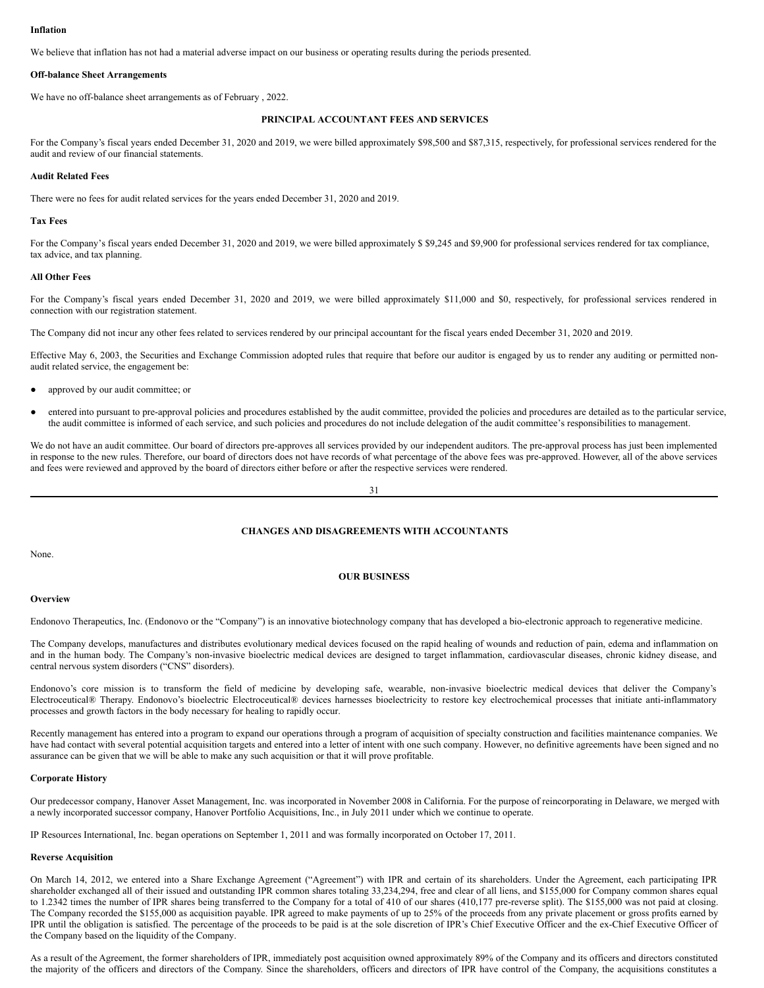#### **Inflation**

We believe that inflation has not had a material adverse impact on our business or operating results during the periods presented.

### **Off-balance Sheet Arrangements**

We have no off-balance sheet arrangements as of February , 2022.

# **PRINCIPAL ACCOUNTANT FEES AND SERVICES**

For the Company's fiscal years ended December 31, 2020 and 2019, we were billed approximately \$98,500 and \$87,315, respectively, for professional services rendered for the audit and review of our financial statements.

#### **Audit Related Fees**

There were no fees for audit related services for the years ended December 31, 2020 and 2019.

#### **Tax Fees**

For the Company's fiscal years ended December 31, 2020 and 2019, we were billed approximately \$ \$9,245 and \$9,900 for professional services rendered for tax compliance, tax advice, and tax planning.

#### **All Other Fees**

For the Company's fiscal years ended December 31, 2020 and 2019, we were billed approximately \$11,000 and \$0, respectively, for professional services rendered in connection with our registration statement.

The Company did not incur any other fees related to services rendered by our principal accountant for the fiscal years ended December 31, 2020 and 2019.

Effective May 6, 2003, the Securities and Exchange Commission adopted rules that require that before our auditor is engaged by us to render any auditing or permitted nonaudit related service, the engagement be:

- approved by our audit committee; or
- entered into pursuant to pre-approval policies and procedures established by the audit committee, provided the policies and procedures are detailed as to the particular service, the audit committee is informed of each service, and such policies and procedures do not include delegation of the audit committee's responsibilities to management.

We do not have an audit committee. Our board of directors pre-approves all services provided by our independent auditors. The pre-approval process has just been implemented in response to the new rules. Therefore, our board of directors does not have records of what percentage of the above fees was pre-approved. However, all of the above services and fees were reviewed and approved by the board of directors either before or after the respective services were rendered.

#### 31

#### **CHANGES AND DISAGREEMENTS WITH ACCOUNTANTS**

None.

# **OUR BUSINESS**

#### **Overview**

Endonovo Therapeutics, Inc. (Endonovo or the "Company") is an innovative biotechnology company that has developed a bio-electronic approach to regenerative medicine.

The Company develops, manufactures and distributes evolutionary medical devices focused on the rapid healing of wounds and reduction of pain, edema and inflammation on and in the human body. The Company's non-invasive bioelectric medical devices are designed to target inflammation, cardiovascular diseases, chronic kidney disease, and central nervous system disorders ("CNS" disorders).

Endonovo's core mission is to transform the field of medicine by developing safe, wearable, non-invasive bioelectric medical devices that deliver the Company's Electroceutical® Therapy. Endonovo's bioelectric Electroceutical® devices harnesses bioelectricity to restore key electrochemical processes that initiate anti-inflammatory processes and growth factors in the body necessary for healing to rapidly occur.

Recently management has entered into a program to expand our operations through a program of acquisition of specialty construction and facilities maintenance companies. We have had contact with several potential acquisition targets and entered into a letter of intent with one such company. However, no definitive agreements have been signed and no assurance can be given that we will be able to make any such acquisition or that it will prove profitable.

#### **Corporate History**

Our predecessor company, Hanover Asset Management, Inc. was incorporated in November 2008 in California. For the purpose of reincorporating in Delaware, we merged with a newly incorporated successor company, Hanover Portfolio Acquisitions, Inc., in July 2011 under which we continue to operate.

IP Resources International, Inc. began operations on September 1, 2011 and was formally incorporated on October 17, 2011.

#### **Reverse Acquisition**

On March 14, 2012, we entered into a Share Exchange Agreement ("Agreement") with IPR and certain of its shareholders. Under the Agreement, each participating IPR shareholder exchanged all of their issued and outstanding IPR common shares totaling 33,234,294, free and clear of all liens, and \$155,000 for Company common shares equal to 1.2342 times the number of IPR shares being transferred to the Company for a total of 410 of our shares (410,177 pre-reverse split). The \$155,000 was not paid at closing. The Company recorded the \$155,000 as acquisition payable. IPR agreed to make payments of up to 25% of the proceeds from any private placement or gross profits earned by IPR until the obligation is satisfied. The percentage of the proceeds to be paid is at the sole discretion of IPR's Chief Executive Officer and the ex-Chief Executive Officer of the Company based on the liquidity of the Company.

As a result of the Agreement, the former shareholders of IPR, immediately post acquisition owned approximately 89% of the Company and its officers and directors constituted the majority of the officers and directors of the Company. Since the shareholders, officers and directors of IPR have control of the Company, the acquisitions constitutes a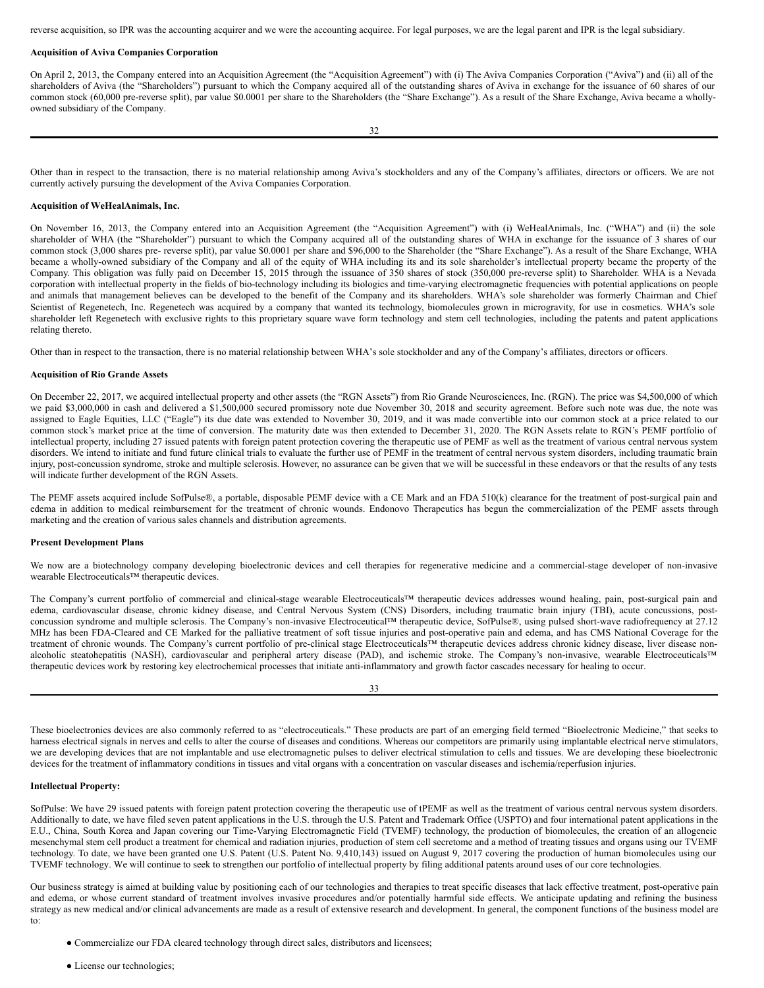reverse acquisition, so IPR was the accounting acquirer and we were the accounting acquiree. For legal purposes, we are the legal parent and IPR is the legal subsidiary.

#### **Acquisition of Aviva Companies Corporation**

On April 2, 2013, the Company entered into an Acquisition Agreement (the "Acquisition Agreement") with (i) The Aviva Companies Corporation ("Aviva") and (ii) all of the shareholders of Aviva (the "Shareholders") pursuant to which the Company acquired all of the outstanding shares of Aviva in exchange for the issuance of 60 shares of our common stock (60,000 pre-reverse split), par value \$0.0001 per share to the Shareholders (the "Share Exchange"). As a result of the Share Exchange, Aviva became a whollyowned subsidiary of the Company.

32

Other than in respect to the transaction, there is no material relationship among Aviva's stockholders and any of the Company's affiliates, directors or officers. We are not currently actively pursuing the development of the Aviva Companies Corporation.

#### **Acquisition of WeHealAnimals, Inc.**

On November 16, 2013, the Company entered into an Acquisition Agreement (the "Acquisition Agreement") with (i) WeHealAnimals, Inc. ("WHA") and (ii) the sole shareholder of WHA (the "Shareholder") pursuant to which the Company acquired all of the outstanding shares of WHA in exchange for the issuance of 3 shares of our common stock (3,000 shares pre- reverse split), par value \$0.0001 per share and \$96,000 to the Shareholder (the "Share Exchange"). As a result of the Share Exchange, WHA became a wholly-owned subsidiary of the Company and all of the equity of WHA including its and its sole shareholder's intellectual property became the property of the Company. This obligation was fully paid on December 15, 2015 through the issuance of 350 shares of stock (350,000 pre-reverse split) to Shareholder. WHA is a Nevada corporation with intellectual property in the fields of bio-technology including its biologics and time-varying electromagnetic frequencies with potential applications on people and animals that management believes can be developed to the benefit of the Company and its shareholders. WHA's sole shareholder was formerly Chairman and Chief Scientist of Regenetech, Inc. Regenetech was acquired by a company that wanted its technology, biomolecules grown in microgravity, for use in cosmetics. WHA's sole shareholder left Regenetech with exclusive rights to this proprietary square wave form technology and stem cell technologies, including the patents and patent applications relating thereto.

Other than in respect to the transaction, there is no material relationship between WHA's sole stockholder and any of the Company's affiliates, directors or officers.

#### **Acquisition of Rio Grande Assets**

On December 22, 2017, we acquired intellectual property and other assets (the "RGN Assets") from Rio Grande Neurosciences, Inc. (RGN). The price was \$4,500,000 of which we paid \$3,000,000 in cash and delivered a \$1,500,000 secured promissory note due November 30, 2018 and security agreement. Before such note was due, the note was assigned to Eagle Equities, LLC ("Eagle") its due date was extended to November 30, 2019, and it was made convertible into our common stock at a price related to our common stock's market price at the time of conversion. The maturity date was then extended to December 31, 2020. The RGN Assets relate to RGN's PEMF portfolio of intellectual property, including 27 issued patents with foreign patent protection covering the therapeutic use of PEMF as well as the treatment of various central nervous system disorders. We intend to initiate and fund future clinical trials to evaluate the further use of PEMF in the treatment of central nervous system disorders, including traumatic brain injury, post-concussion syndrome, stroke and multiple sclerosis. However, no assurance can be given that we will be successful in these endeavors or that the results of any tests will indicate further development of the RGN Assets.

The PEMF assets acquired include SofPulse®, a portable, disposable PEMF device with a CE Mark and an FDA 510(k) clearance for the treatment of post-surgical pain and edema in addition to medical reimbursement for the treatment of chronic wounds. Endonovo Therapeutics has begun the commercialization of the PEMF assets through marketing and the creation of various sales channels and distribution agreements.

#### **Present Development Plans**

We now are a biotechnology company developing bioelectronic devices and cell therapies for regenerative medicine and a commercial-stage developer of non-invasive wearable Electroceuticals™ therapeutic devices.

The Company's current portfolio of commercial and clinical-stage wearable Electroceuticals™ therapeutic devices addresses wound healing, pain, post-surgical pain and edema, cardiovascular disease, chronic kidney disease, and Central Nervous System (CNS) Disorders, including traumatic brain injury (TBI), acute concussions, postconcussion syndrome and multiple sclerosis. The Company's non-invasive Electroceutical™ therapeutic device, SofPulse®, using pulsed short-wave radiofrequency at 27.12 MHz has been FDA-Cleared and CE Marked for the palliative treatment of soft tissue injuries and post-operative pain and edema, and has CMS National Coverage for the treatment of chronic wounds. The Company's current portfolio of pre-clinical stage Electroceuticals™ therapeutic devices address chronic kidney disease, liver disease nonalcoholic steatohepatitis (NASH), cardiovascular and peripheral artery disease (PAD), and ischemic stroke. The Company's non-invasive, wearable Electroceuticals™ therapeutic devices work by restoring key electrochemical processes that initiate anti-inflammatory and growth factor cascades necessary for healing to occur.

| I  | I |
|----|---|
| I  | I |
| ×  | × |
| ۰. | v |
|    |   |

These bioelectronics devices are also commonly referred to as "electroceuticals." These products are part of an emerging field termed "Bioelectronic Medicine," that seeks to harness electrical signals in nerves and cells to alter the course of diseases and conditions. Whereas our competitors are primarily using implantable electrical nerve stimulators, we are developing devices that are not implantable and use electromagnetic pulses to deliver electrical stimulation to cells and tissues. We are developing these bioelectronic devices for the treatment of inflammatory conditions in tissues and vital organs with a concentration on vascular diseases and ischemia/reperfusion injuries.

# **Intellectual Property:**

SofPulse: We have 29 issued patents with foreign patent protection covering the therapeutic use of tPEMF as well as the treatment of various central nervous system disorders. Additionally to date, we have filed seven patent applications in the U.S. through the U.S. Patent and Trademark Office (USPTO) and four international patent applications in the E.U., China, South Korea and Japan covering our Time-Varying Electromagnetic Field (TVEMF) technology, the production of biomolecules, the creation of an allogeneic mesenchymal stem cell product a treatment for chemical and radiation injuries, production of stem cell secretome and a method of treating tissues and organs using our TVEMF technology. To date, we have been granted one U.S. Patent (U.S. Patent No. 9,410,143) issued on August 9, 2017 covering the production of human biomolecules using our TVEMF technology. We will continue to seek to strengthen our portfolio of intellectual property by filing additional patents around uses of our core technologies.

Our business strategy is aimed at building value by positioning each of our technologies and therapies to treat specific diseases that lack effective treatment, post-operative pain and edema, or whose current standard of treatment involves invasive procedures and/or potentially harmful side effects. We anticipate updating and refining the business strategy as new medical and/or clinical advancements are made as a result of extensive research and development. In general, the component functions of the business model are to:

- Commercialize our FDA cleared technology through direct sales, distributors and licensees;
- License our technologies;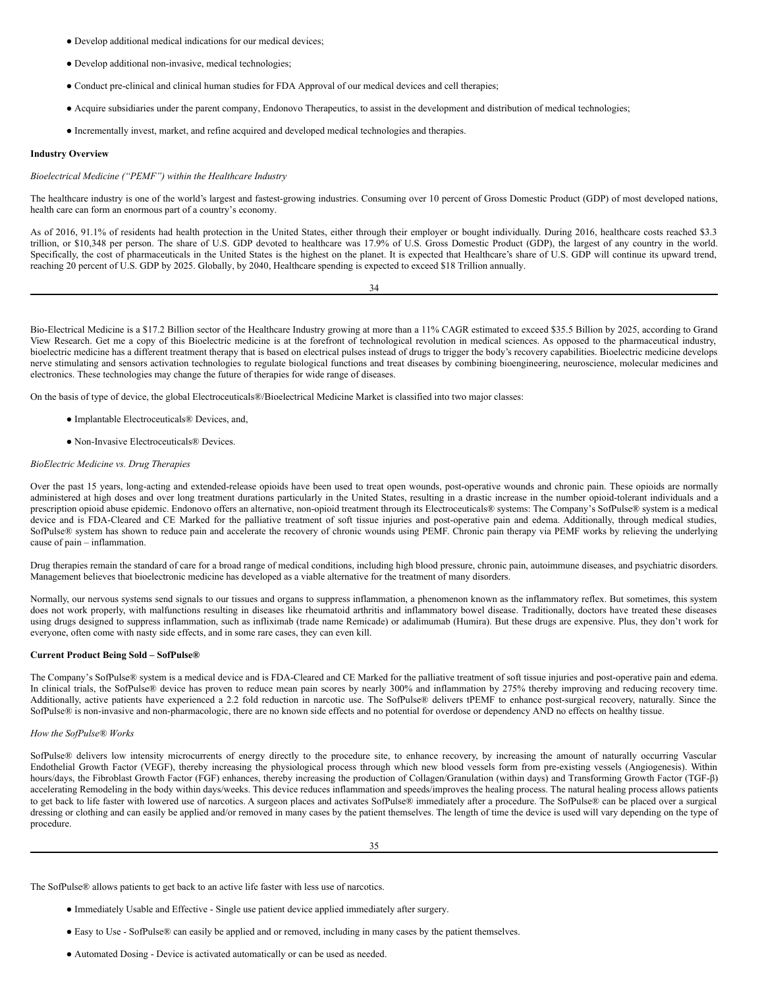- Develop additional medical indications for our medical devices;
- Develop additional non-invasive, medical technologies;
- Conduct pre-clinical and clinical human studies for FDA Approval of our medical devices and cell therapies;
- Acquire subsidiaries under the parent company, Endonovo Therapeutics, to assist in the development and distribution of medical technologies;
- Incrementally invest, market, and refine acquired and developed medical technologies and therapies.

#### **Industry Overview**

#### *Bioelectrical Medicine ("PEMF") within the Healthcare Industry*

The healthcare industry is one of the world's largest and fastest-growing industries. Consuming over 10 percent of Gross Domestic Product (GDP) of most developed nations, health care can form an enormous part of a country's economy.

As of 2016, 91.1% of residents had health protection in the United States, either through their employer or bought individually. During 2016, healthcare costs reached \$3.3 trillion, or \$10,348 per person. The share of U.S. GDP devoted to healthcare was 17.9% of U.S. Gross Domestic Product (GDP), the largest of any country in the world. Specifically, the cost of pharmaceuticals in the United States is the highest on the planet. It is expected that Healthcare's share of U.S. GDP will continue its upward trend, reaching 20 percent of U.S. GDP by 2025. Globally, by 2040, Healthcare spending is expected to exceed \$18 Trillion annually.

34

Bio-Electrical Medicine is a \$17.2 Billion sector of the Healthcare Industry growing at more than a 11% CAGR estimated to exceed \$35.5 Billion by 2025, according to Grand View Research. Get me a copy of this Bioelectric medicine is at the forefront of technological revolution in medical sciences. As opposed to the pharmaceutical industry, bioelectric medicine has a different treatment therapy that is based on electrical pulses instead of drugs to trigger the body's recovery capabilities. Bioelectric medicine develops nerve stimulating and sensors activation technologies to regulate biological functions and treat diseases by combining bioengineering, neuroscience, molecular medicines and electronics. These technologies may change the future of therapies for wide range of diseases.

On the basis of type of device, the global Electroceuticals®/Bioelectrical Medicine Market is classified into two major classes:

- Implantable Electroceuticals® Devices, and,
- Non-Invasive Electroceuticals® Devices.

# *BioElectric Medicine vs. Drug Therapies*

Over the past 15 years, long-acting and extended-release opioids have been used to treat open wounds, post-operative wounds and chronic pain. These opioids are normally administered at high doses and over long treatment durations particularly in the United States, resulting in a drastic increase in the number opioid-tolerant individuals and a prescription opioid abuse epidemic. Endonovo offers an alternative, non-opioid treatment through its Electroceuticals® systems: The Company's SofPulse® system is a medical device and is FDA-Cleared and CE Marked for the palliative treatment of soft tissue injuries and post-operative pain and edema. Additionally, through medical studies, SofPulse® system has shown to reduce pain and accelerate the recovery of chronic wounds using PEMF. Chronic pain therapy via PEMF works by relieving the underlying cause of pain – inflammation.

Drug therapies remain the standard of care for a broad range of medical conditions, including high blood pressure, chronic pain, autoimmune diseases, and psychiatric disorders. Management believes that bioelectronic medicine has developed as a viable alternative for the treatment of many disorders.

Normally, our nervous systems send signals to our tissues and organs to suppress inflammation, a phenomenon known as the inflammatory reflex. But sometimes, this system does not work properly, with malfunctions resulting in diseases like rheumatoid arthritis and inflammatory bowel disease. Traditionally, doctors have treated these diseases using drugs designed to suppress inflammation, such as infliximab (trade name Remicade) or adalimumab (Humira). But these drugs are expensive. Plus, they don't work for everyone, often come with nasty side effects, and in some rare cases, they can even kill.

#### **Current Product Being Sold – SofPulse®**

The Company's SofPulse® system is a medical device and is FDA-Cleared and CE Marked for the palliative treatment of soft tissue injuries and post-operative pain and edema. In clinical trials, the SofPulse® device has proven to reduce mean pain scores by nearly 300% and inflammation by 275% thereby improving and reducing recovery time. Additionally, active patients have experienced a 2.2 fold reduction in narcotic use. The SofPulse® delivers tPEMF to enhance post-surgical recovery, naturally. Since the SofPulse® is non-invasive and non-pharmacologic, there are no known side effects and no potential for overdose or dependency AND no effects on healthy tissue.

# *How the SofPulse® Works*

SofPulse® delivers low intensity microcurrents of energy directly to the procedure site, to enhance recovery, by increasing the amount of naturally occurring Vascular Endothelial Growth Factor (VEGF), thereby increasing the physiological process through which new blood vessels form from pre-existing vessels (Angiogenesis). Within hours/days, the Fibroblast Growth Factor (FGF) enhances, thereby increasing the production of Collagen/Granulation (within days) and Transforming Growth Factor (TGF-β) accelerating Remodeling in the body within days/weeks. This device reduces inflammation and speeds/improves the healing process. The natural healing process allows patients to get back to life faster with lowered use of narcotics. A surgeon places and activates SofPulse® immediately after a procedure. The SofPulse® can be placed over a surgical dressing or clothing and can easily be applied and/or removed in many cases by the patient themselves. The length of time the device is used will vary depending on the type of procedure.

The SofPulse® allows patients to get back to an active life faster with less use of narcotics.

- Immediately Usable and Effective Single use patient device applied immediately after surgery.
- Easy to Use SofPulse® can easily be applied and or removed, including in many cases by the patient themselves.
- Automated Dosing Device is activated automatically or can be used as needed.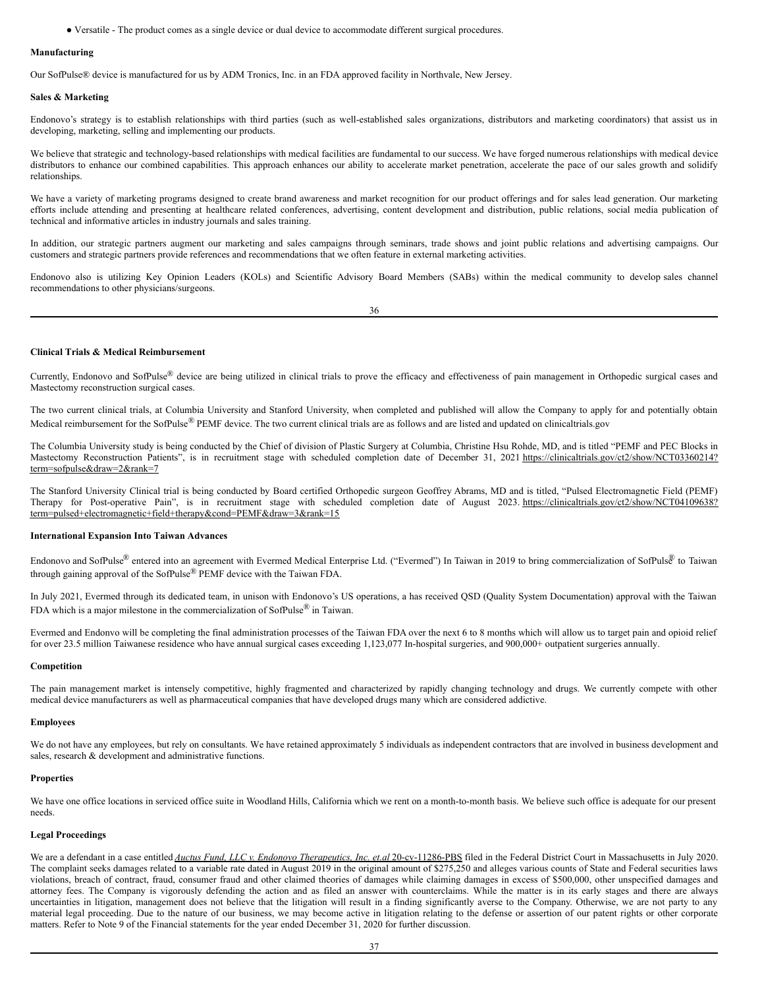● Versatile - The product comes as a single device or dual device to accommodate different surgical procedures.

# **Manufacturing**

Our SofPulse® device is manufactured for us by ADM Tronics, Inc. in an FDA approved facility in Northvale, New Jersey.

# **Sales & Marketing**

Endonovo's strategy is to establish relationships with third parties (such as well-established sales organizations, distributors and marketing coordinators) that assist us in developing, marketing, selling and implementing our products.

We believe that strategic and technology-based relationships with medical facilities are fundamental to our success. We have forged numerous relationships with medical device distributors to enhance our combined capabilities. This approach enhances our ability to accelerate market penetration, accelerate the pace of our sales growth and solidify relationships.

We have a variety of marketing programs designed to create brand awareness and market recognition for our product offerings and for sales lead generation. Our marketing efforts include attending and presenting at healthcare related conferences, advertising, content development and distribution, public relations, social media publication of technical and informative articles in industry journals and sales training.

In addition, our strategic partners augment our marketing and sales campaigns through seminars, trade shows and joint public relations and advertising campaigns. Our customers and strategic partners provide references and recommendations that we often feature in external marketing activities.

Endonovo also is utilizing Key Opinion Leaders (KOLs) and Scientific Advisory Board Members (SABs) within the medical community to develop sales channel recommendations to other physicians/surgeons.

| i<br>۰,<br>I<br>۹<br>×<br>٧<br>×<br>۰. |
|----------------------------------------|
|----------------------------------------|

# **Clinical Trials & Medical Reimbursement**

Currently, Endonovo and SofPulse® device are being utilized in clinical trials to prove the efficacy and effectiveness of pain management in Orthopedic surgical cases and Mastectomy reconstruction surgical cases.

The two current clinical trials, at Columbia University and Stanford University, when completed and published will allow the Company to apply for and potentially obtain Medical reimbursement for the SofPulse® PEMF device. The two current clinical trials are as follows and are listed and updated on clinicaltrials.gov

The Columbia University study is being conducted by the Chief of division of Plastic Surgery at Columbia, Christine Hsu Rohde, MD, and is titled "PEMF and PEC Blocks in Mastectomy Reconstruction Patients", is in recruitment stage with scheduled completion date of December 31, 2021 https://clinicaltrials.gov/ct2/show/NCT03360214? term=sofpulse&draw=2&rank=7

The Stanford University Clinical trial is being conducted by Board certified Orthopedic surgeon Geoffrey Abrams, MD and is titled, "Pulsed Electromagnetic Field (PEMF) Therapy for Post-operative Pain", is in recruitment stage with scheduled completion date of August 2023. https://clinicaltrials.gov/ct2/show/NCT04109638? term=pulsed+electromagnetic+field+therapy&cond=PEMF&draw=3&rank=15

#### **International Expansion Into Taiwan Advances**

Endonovo and SofPulse<sup>®</sup> entered into an agreement with Evermed Medical Enterprise Ltd. ("Evermed") In Taiwan in 2019 to bring commercialization of SofPuls<sup>®</sup> to Taiwan through gaining approval of the SofPulse® PEMF device with the Taiwan FDA.

In July 2021, Evermed through its dedicated team, in unison with Endonovo's US operations, a has received QSD (Quality System Documentation) approval with the Taiwan FDA which is a major milestone in the commercialization of SofPulse<sup>®</sup> in Taiwan.

Evermed and Endonvo will be completing the final administration processes of the Taiwan FDA over the next 6 to 8 months which will allow us to target pain and opioid relief for over 23.5 million Taiwanese residence who have annual surgical cases exceeding 1,123,077 In-hospital surgeries, and 900,000+ outpatient surgeries annually.

#### **Competition**

The pain management market is intensely competitive, highly fragmented and characterized by rapidly changing technology and drugs. We currently compete with other medical device manufacturers as well as pharmaceutical companies that have developed drugs many which are considered addictive.

#### **Employees**

We do not have any employees, but rely on consultants. We have retained approximately 5 individuals as independent contractors that are involved in business development and sales, research & development and administrative functions.

#### **Properties**

We have one office locations in serviced office suite in Woodland Hills, California which we rent on a month-to-month basis. We believe such office is adequate for our present needs.

#### **Legal Proceedings**

We are a defendant in a case entitled Auctus Fund, LLC v. Endonovo Therapeutics, Inc. et.al 20-cv-11286-PBS filed in the Federal District Court in Massachusetts in July 2020. The complaint seeks damages related to a variable rate dated in August 2019 in the original amount of \$275,250 and alleges various counts of State and Federal securities laws violations, breach of contract, fraud, consumer fraud and other claimed theories of damages while claiming damages in excess of \$500,000, other unspecified damages and attorney fees. The Company is vigorously defending the action and as filed an answer with counterclaims. While the matter is in its early stages and there are always uncertainties in litigation, management does not believe that the litigation will result in a finding significantly averse to the Company. Otherwise, we are not party to any material legal proceeding. Due to the nature of our business, we may become active in litigation relating to the defense or assertion of our patent rights or other corporate matters. Refer to Note 9 of the Financial statements for the year ended December 31, 2020 for further discussion.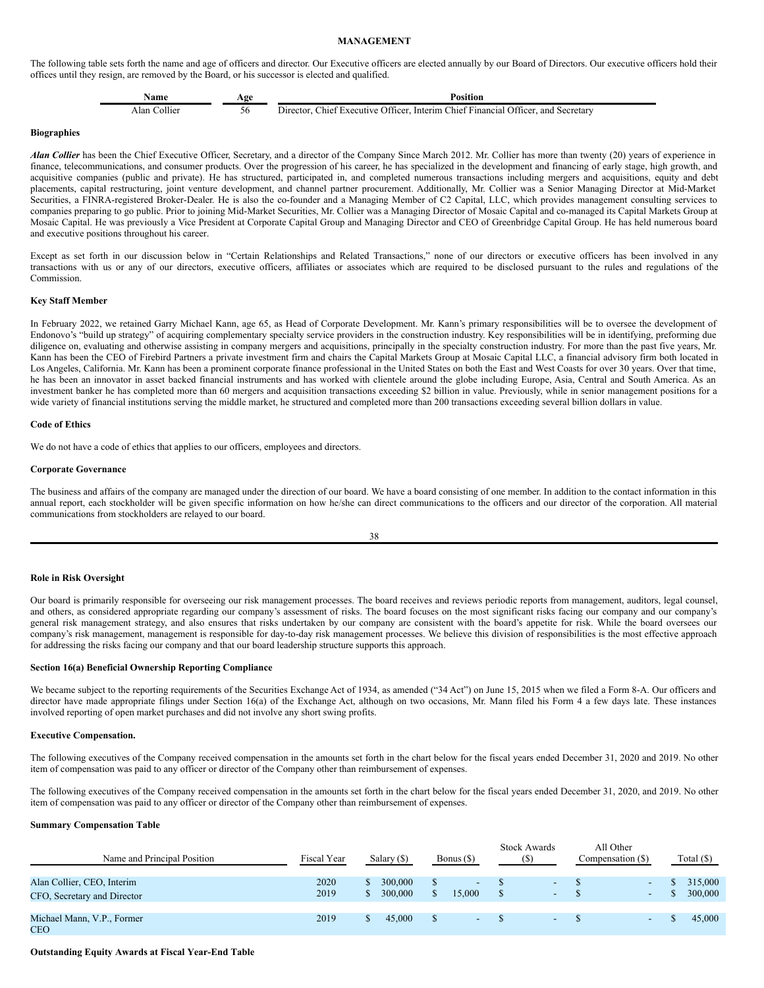#### **MANAGEMENT**

The following table sets forth the name and age of officers and director. Our Executive officers are elected annually by our Board of Directors. Our executive officers hold their offices until they resign, are removed by the Board, or his successor is elected and qualified.

| Name         | Age | <b>Position</b>                                                                   |
|--------------|-----|-----------------------------------------------------------------------------------|
| Alan Collier |     | Director. Chief Executive Officer. Interim Chief Financial Officer, and Secretary |

#### **Biographies**

*Alan Collier* has been the Chief Executive Officer, Secretary, and a director of the Company Since March 2012. Mr. Collier has more than twenty (20) years of experience in finance, telecommunications, and consumer products. Over the progression of his career, he has specialized in the development and financing of early stage, high growth, and acquisitive companies (public and private). He has structured, participated in, and completed numerous transactions including mergers and acquisitions, equity and debt placements, capital restructuring, joint venture development, and channel partner procurement. Additionally, Mr. Collier was a Senior Managing Director at Mid-Market Securities, a FINRA-registered Broker-Dealer. He is also the co-founder and a Managing Member of C2 Capital, LLC, which provides management consulting services to companies preparing to go public. Prior to joining Mid-Market Securities, Mr. Collier was a Managing Director of Mosaic Capital and co-managed its Capital Markets Group at Mosaic Capital. He was previously a Vice President at Corporate Capital Group and Managing Director and CEO of Greenbridge Capital Group. He has held numerous board and executive positions throughout his career.

Except as set forth in our discussion below in "Certain Relationships and Related Transactions," none of our directors or executive officers has been involved in any transactions with us or any of our directors, executive officers, affiliates or associates which are required to be disclosed pursuant to the rules and regulations of the Commission.

# **Key Staff Member**

In February 2022, we retained Garry Michael Kann, age 65, as Head of Corporate Development. Mr. Kann's primary responsibilities will be to oversee the development of Endonovo's "build up strategy" of acquiring complementary specialty service providers in the construction industry. Key responsibilities will be in identifying, preforming due diligence on, evaluating and otherwise assisting in company mergers and acquisitions, principally in the specialty construction industry. For more than the past five years, Mr. Kann has been the CEO of Firebird Partners a private investment firm and chairs the Capital Markets Group at Mosaic Capital LLC, a financial advisory firm both located in Los Angeles, California. Mr. Kann has been a prominent corporate finance professional in the United States on both the East and West Coasts for over 30 years. Over that time, he has been an innovator in asset backed financial instruments and has worked with clientele around the globe including Europe, Asia, Central and South America. As an investment banker he has completed more than 60 mergers and acquisition transactions exceeding \$2 billion in value. Previously, while in senior management positions for a wide variety of financial institutions serving the middle market, he structured and completed more than 200 transactions exceeding several billion dollars in value.

# **Code of Ethics**

We do not have a code of ethics that applies to our officers, employees and directors.

#### **Corporate Governance**

The business and affairs of the company are managed under the direction of our board. We have a board consisting of one member. In addition to the contact information in this annual report, each stockholder will be given specific information on how he/she can direct communications to the officers and our director of the corporation. All material communications from stockholders are relayed to our board.

| I<br>I<br>w<br>۹<br>۰.<br>× |
|-----------------------------|
|-----------------------------|

#### **Role in Risk Oversight**

Our board is primarily responsible for overseeing our risk management processes. The board receives and reviews periodic reports from management, auditors, legal counsel, and others, as considered appropriate regarding our company's assessment of risks. The board focuses on the most significant risks facing our company and our company's general risk management strategy, and also ensures that risks undertaken by our company are consistent with the board's appetite for risk. While the board oversees our company's risk management, management is responsible for day-to-day risk management processes. We believe this division of responsibilities is the most effective approach for addressing the risks facing our company and that our board leadership structure supports this approach.

#### **Section 16(a) Beneficial Ownership Reporting Compliance**

We became subject to the reporting requirements of the Securities Exchange Act of 1934, as amended ("34 Act") on June 15, 2015 when we filed a Form 8-A. Our officers and director have made appropriate filings under Section 16(a) of the Exchange Act, although on two occasions, Mr. Mann filed his Form 4 a few days late. These instances involved reporting of open market purchases and did not involve any short swing profits.

#### **Executive Compensation.**

The following executives of the Company received compensation in the amounts set forth in the chart below for the fiscal years ended December 31, 2020 and 2019. No other item of compensation was paid to any officer or director of the Company other than reimbursement of expenses.

The following executives of the Company received compensation in the amounts set forth in the chart below for the fiscal years ended December 31, 2020, and 2019. No other item of compensation was paid to any officer or director of the Company other than reimbursement of expenses.

#### **Summary Compensation Table**

| Name and Principal Position                               | <b>Fiscal Year</b> | Salary (\$)        | Bonus $(S)$                        | <b>Stock Awards</b>                | All Other<br>Compensation (\$) | Total (\$)         |
|-----------------------------------------------------------|--------------------|--------------------|------------------------------------|------------------------------------|--------------------------------|--------------------|
| Alan Collier, CEO, Interim<br>CFO, Secretary and Director | 2020<br>2019       | 300,000<br>300,000 | $\overline{\phantom{0}}$<br>15.000 | $\sim$<br>$\overline{\phantom{0}}$ |                                | 315,000<br>300,000 |
| Michael Mann, V.P., Former<br><b>CEO</b>                  | 2019               | 45,000             | $\overline{\phantom{0}}$           | $\sim$                             |                                | 45,000             |

#### **Outstanding Equity Awards at Fiscal Year-End Table**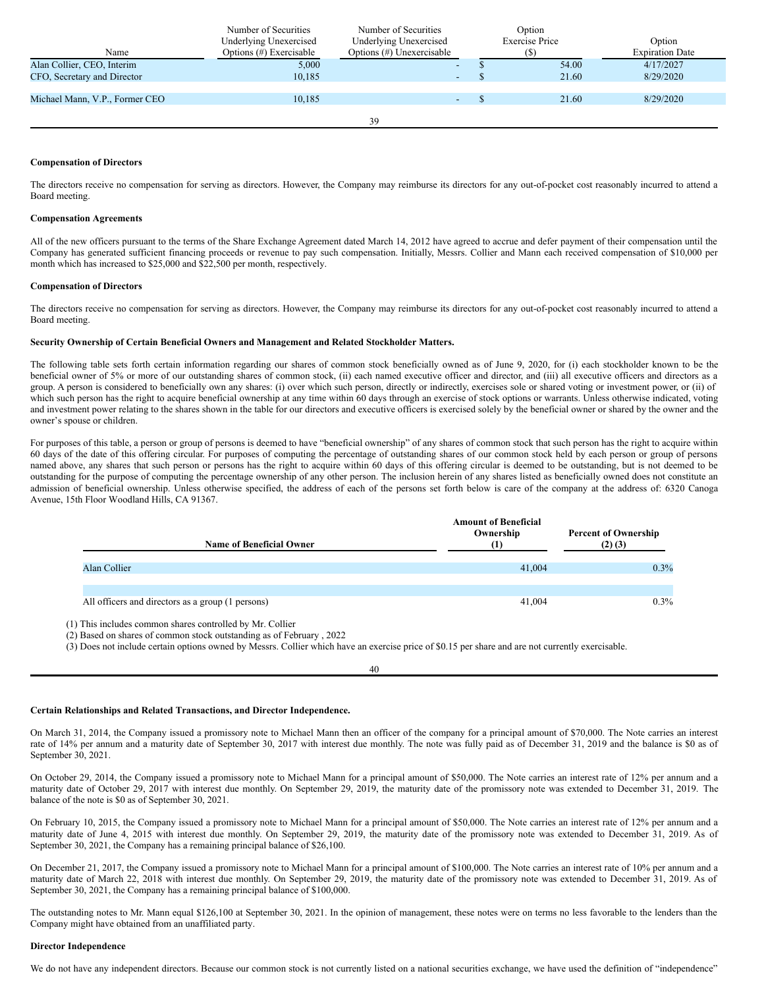|                                | Number of Securities<br>Underlying Unexercised | Number of Securities<br>Underlying Unexercised | Option<br><b>Exercise Price</b> | Option                 |
|--------------------------------|------------------------------------------------|------------------------------------------------|---------------------------------|------------------------|
| Name                           | Options $(\#)$ Exercisable                     | Options (#) Unexercisable                      |                                 | <b>Expiration Date</b> |
| Alan Collier, CEO, Interim     | 5,000                                          | $\overline{\phantom{0}}$                       | 54.00                           | 4/17/2027              |
| CFO, Secretary and Director    | 10.185                                         | $\overline{\phantom{0}}$                       | 21.60                           | 8/29/2020              |
|                                |                                                |                                                |                                 |                        |
| Michael Mann, V.P., Former CEO | 10,185                                         |                                                | 21.60                           | 8/29/2020              |
|                                |                                                |                                                |                                 |                        |
|                                |                                                | 39                                             |                                 |                        |

# **Compensation of Directors**

The directors receive no compensation for serving as directors. However, the Company may reimburse its directors for any out-of-pocket cost reasonably incurred to attend a Board meeting.

# **Compensation Agreements**

All of the new officers pursuant to the terms of the Share Exchange Agreement dated March 14, 2012 have agreed to accrue and defer payment of their compensation until the Company has generated sufficient financing proceeds or revenue to pay such compensation. Initially, Messrs. Collier and Mann each received compensation of \$10,000 per month which has increased to \$25,000 and \$22,500 per month, respectively.

# **Compensation of Directors**

The directors receive no compensation for serving as directors. However, the Company may reimburse its directors for any out-of-pocket cost reasonably incurred to attend a Board meeting.

# **Security Ownership of Certain Beneficial Owners and Management and Related Stockholder Matters.**

The following table sets forth certain information regarding our shares of common stock beneficially owned as of June 9, 2020, for (i) each stockholder known to be the beneficial owner of 5% or more of our outstanding shares of common stock, (ii) each named executive officer and director, and (iii) all executive officers and directors as a group. A person is considered to beneficially own any shares: (i) over which such person, directly or indirectly, exercises sole or shared voting or investment power, or (ii) of which such person has the right to acquire beneficial ownership at any time within 60 days through an exercise of stock options or warrants. Unless otherwise indicated, voting and investment power relating to the shares shown in the table for our directors and executive officers is exercised solely by the beneficial owner or shared by the owner and the owner's spouse or children.

For purposes of this table, a person or group of persons is deemed to have "beneficial ownership" of any shares of common stock that such person has the right to acquire within 60 days of the date of this offering circular. For purposes of computing the percentage of outstanding shares of our common stock held by each person or group of persons named above, any shares that such person or persons has the right to acquire within 60 days of this offering circular is deemed to be outstanding, but is not deemed to be outstanding for the purpose of computing the percentage ownership of any other person. The inclusion herein of any shares listed as beneficially owned does not constitute an admission of beneficial ownership. Unless otherwise specified, the address of each of the persons set forth below is care of the company at the address of: 6320 Canoga Avenue, 15th Floor Woodland Hills, CA 91367.

| <b>Name of Beneficial Owner</b>                   | <b>Amount of Beneficial</b><br>Ownership<br>(1) | <b>Percent of Ownership</b><br>$(2)$ $(3)$ |
|---------------------------------------------------|-------------------------------------------------|--------------------------------------------|
| Alan Collier                                      | 41,004                                          | 0.3%                                       |
| All officers and directors as a group (1 persons) | 41,004                                          | $0.3\%$                                    |

(1) This includes common shares controlled by Mr. Collier

(2) Based on shares of common stock outstanding as of February , 2022

(3) Does not include certain options owned by Messrs. Collier which have an exercise price of \$0.15 per share and are not currently exercisable.

40

#### **Certain Relationships and Related Transactions, and Director Independence.**

On March 31, 2014, the Company issued a promissory note to Michael Mann then an officer of the company for a principal amount of \$70,000. The Note carries an interest rate of 14% per annum and a maturity date of September 30, 2017 with interest due monthly. The note was fully paid as of December 31, 2019 and the balance is \$0 as of September 30, 2021.

On October 29, 2014, the Company issued a promissory note to Michael Mann for a principal amount of \$50,000. The Note carries an interest rate of 12% per annum and a maturity date of October 29, 2017 with interest due monthly. On September 29, 2019, the maturity date of the promissory note was extended to December 31, 2019. The balance of the note is \$0 as of September 30, 2021.

On February 10, 2015, the Company issued a promissory note to Michael Mann for a principal amount of \$50,000. The Note carries an interest rate of 12% per annum and a maturity date of June 4, 2015 with interest due monthly. On September 29, 2019, the maturity date of the promissory note was extended to December 31, 2019. As of September 30, 2021, the Company has a remaining principal balance of \$26,100.

On December 21, 2017, the Company issued a promissory note to Michael Mann for a principal amount of \$100,000. The Note carries an interest rate of 10% per annum and a maturity date of March 22, 2018 with interest due monthly. On September 29, 2019, the maturity date of the promissory note was extended to December 31, 2019. As of September 30, 2021, the Company has a remaining principal balance of \$100,000.

The outstanding notes to Mr. Mann equal \$126,100 at September 30, 2021. In the opinion of management, these notes were on terms no less favorable to the lenders than the Company might have obtained from an unaffiliated party.

# **Director Independence**

We do not have any independent directors. Because our common stock is not currently listed on a national securities exchange, we have used the definition of "independence"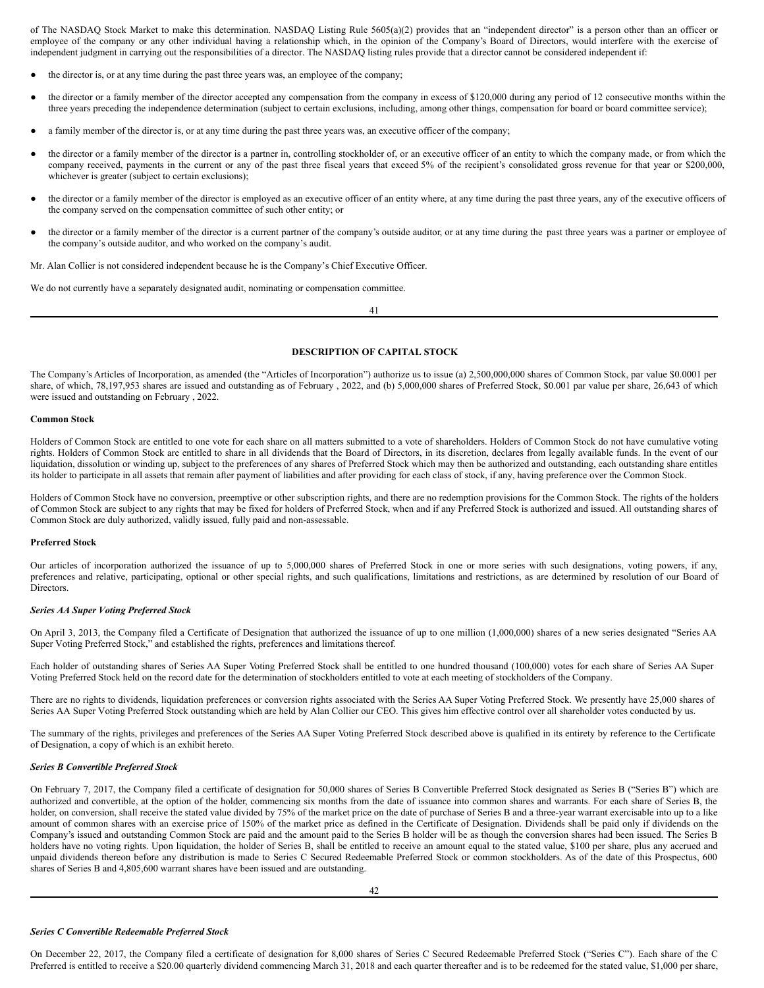of The NASDAQ Stock Market to make this determination. NASDAQ Listing Rule 5605(a)(2) provides that an "independent director" is a person other than an officer or employee of the company or any other individual having a relationship which, in the opinion of the Company's Board of Directors, would interfere with the exercise of independent judgment in carrying out the responsibilities of a director. The NASDAQ listing rules provide that a director cannot be considered independent if:

- the director is, or at any time during the past three years was, an employee of the company;
- the director or a family member of the director accepted any compensation from the company in excess of \$120,000 during any period of 12 consecutive months within the three years preceding the independence determination (subject to certain exclusions, including, among other things, compensation for board or board committee service);
- a family member of the director is, or at any time during the past three years was, an executive officer of the company;
- the director or a family member of the director is a partner in, controlling stockholder of, or an executive officer of an entity to which the company made, or from which the company received, payments in the current or any of the past three fiscal years that exceed 5% of the recipient's consolidated gross revenue for that year or \$200,000, whichever is greater (subject to certain exclusions);
- the director or a family member of the director is employed as an executive officer of an entity where, at any time during the past three years, any of the executive officers of the company served on the compensation committee of such other entity; or
- the director or a family member of the director is a current partner of the company's outside auditor, or at any time during the past three years was a partner or employee of the company's outside auditor, and who worked on the company's audit.

Mr. Alan Collier is not considered independent because he is the Company's Chief Executive Officer.

We do not currently have a separately designated audit, nominating or compensation committee.

41

#### **DESCRIPTION OF CAPITAL STOCK**

The Company's Articles of Incorporation, as amended (the "Articles of Incorporation") authorize us to issue (a) 2,500,000,000 shares of Common Stock, par value \$0.0001 per share, of which, 78,197,953 shares are issued and outstanding as of February , 2022, and (b) 5,000,000 shares of Preferred Stock, \$0.001 par value per share, 26,643 of which were issued and outstanding on February , 2022.

#### **Common Stock**

Holders of Common Stock are entitled to one vote for each share on all matters submitted to a vote of shareholders. Holders of Common Stock do not have cumulative voting rights. Holders of Common Stock are entitled to share in all dividends that the Board of Directors, in its discretion, declares from legally available funds. In the event of our liquidation, dissolution or winding up, subject to the preferences of any shares of Preferred Stock which may then be authorized and outstanding, each outstanding share entitles its holder to participate in all assets that remain after payment of liabilities and after providing for each class of stock, if any, having preference over the Common Stock.

Holders of Common Stock have no conversion, preemptive or other subscription rights, and there are no redemption provisions for the Common Stock. The rights of the holders of Common Stock are subject to any rights that may be fixed for holders of Preferred Stock, when and if any Preferred Stock is authorized and issued. All outstanding shares of Common Stock are duly authorized, validly issued, fully paid and non-assessable.

#### **Preferred Stock**

Our articles of incorporation authorized the issuance of up to 5,000,000 shares of Preferred Stock in one or more series with such designations, voting powers, if any, preferences and relative, participating, optional or other special rights, and such qualifications, limitations and restrictions, as are determined by resolution of our Board of Directors.

#### *Series AA Super Voting Preferred Stock*

On April 3, 2013, the Company filed a Certificate of Designation that authorized the issuance of up to one million (1,000,000) shares of a new series designated "Series AA Super Voting Preferred Stock," and established the rights, preferences and limitations thereof.

Each holder of outstanding shares of Series AA Super Voting Preferred Stock shall be entitled to one hundred thousand (100,000) votes for each share of Series AA Super Voting Preferred Stock held on the record date for the determination of stockholders entitled to vote at each meeting of stockholders of the Company.

There are no rights to dividends, liquidation preferences or conversion rights associated with the Series AA Super Voting Preferred Stock. We presently have 25,000 shares of Series AA Super Voting Preferred Stock outstanding which are held by Alan Collier our CEO. This gives him effective control over all shareholder votes conducted by us.

The summary of the rights, privileges and preferences of the Series AA Super Voting Preferred Stock described above is qualified in its entirety by reference to the Certificate of Designation, a copy of which is an exhibit hereto.

# *Series B Convertible Preferred Stock*

On February 7, 2017, the Company filed a certificate of designation for 50,000 shares of Series B Convertible Preferred Stock designated as Series B ("Series B") which are authorized and convertible, at the option of the holder, commencing six months from the date of issuance into common shares and warrants. For each share of Series B, the holder, on conversion, shall receive the stated value divided by 75% of the market price on the date of purchase of Series B and a three-year warrant exercisable into up to a like amount of common shares with an exercise price of 150% of the market price as defined in the Certificate of Designation. Dividends shall be paid only if dividends on the Company's issued and outstanding Common Stock are paid and the amount paid to the Series B holder will be as though the conversion shares had been issued. The Series B holders have no voting rights. Upon liquidation, the holder of Series B, shall be entitled to receive an amount equal to the stated value, \$100 per share, plus any accrued and unpaid dividends thereon before any distribution is made to Series C Secured Redeemable Preferred Stock or common stockholders. As of the date of this Prospectus, 600 shares of Series B and 4,805,600 warrant shares have been issued and are outstanding.

#### *Series C Convertible Redeemable Preferred Stock*

On December 22, 2017, the Company filed a certificate of designation for 8,000 shares of Series C Secured Redeemable Preferred Stock ("Series C"). Each share of the C Preferred is entitled to receive a \$20.00 quarterly dividend commencing March 31, 2018 and each quarter thereafter and is to be redeemed for the stated value, \$1,000 per share,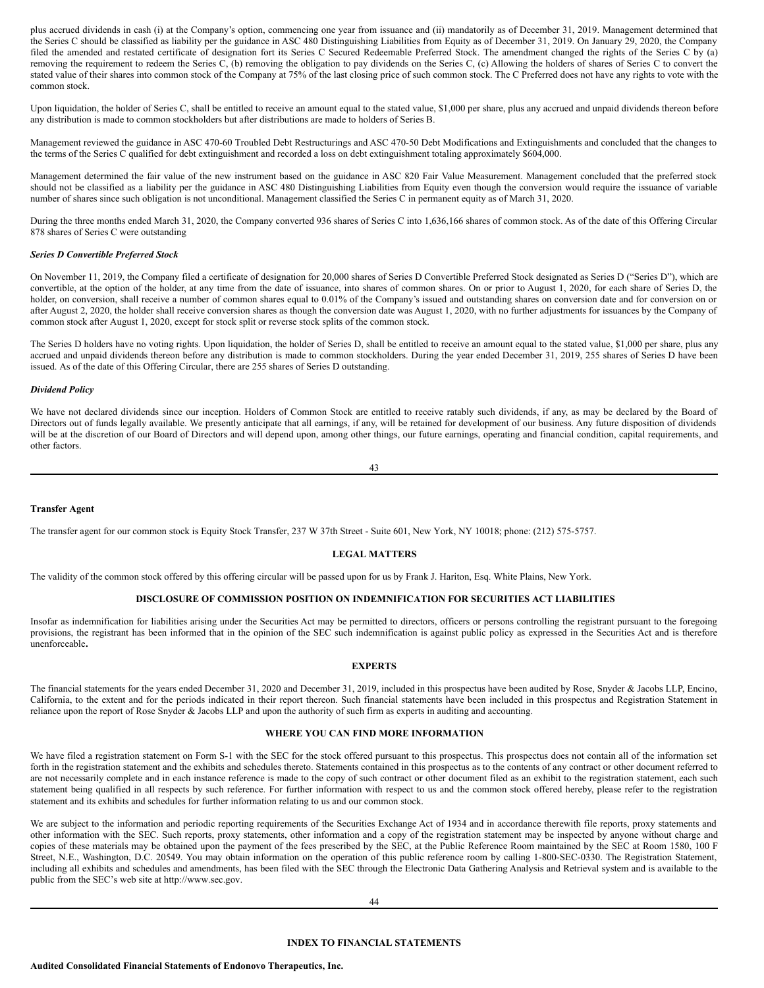plus accrued dividends in cash (i) at the Company's option, commencing one year from issuance and (ii) mandatorily as of December 31, 2019. Management determined that the Series C should be classified as liability per the guidance in ASC 480 Distinguishing Liabilities from Equity as of December 31, 2019. On January 29, 2020, the Company filed the amended and restated certificate of designation fort its Series C Secured Redeemable Preferred Stock. The amendment changed the rights of the Series C by (a) removing the requirement to redeem the Series C, (b) removing the obligation to pay dividends on the Series C, (c) Allowing the holders of shares of Series C to convert the stated value of their shares into common stock of the Company at 75% of the last closing price of such common stock. The C Preferred does not have any rights to vote with the common stock.

Upon liquidation, the holder of Series C, shall be entitled to receive an amount equal to the stated value, \$1,000 per share, plus any accrued and unpaid dividends thereon before any distribution is made to common stockholders but after distributions are made to holders of Series B.

Management reviewed the guidance in ASC 470-60 Troubled Debt Restructurings and ASC 470-50 Debt Modifications and Extinguishments and concluded that the changes to the terms of the Series C qualified for debt extinguishment and recorded a loss on debt extinguishment totaling approximately \$604,000.

Management determined the fair value of the new instrument based on the guidance in ASC 820 Fair Value Measurement. Management concluded that the preferred stock should not be classified as a liability per the guidance in ASC 480 Distinguishing Liabilities from Equity even though the conversion would require the issuance of variable number of shares since such obligation is not unconditional. Management classified the Series C in permanent equity as of March 31, 2020.

During the three months ended March 31, 2020, the Company converted 936 shares of Series C into 1,636,166 shares of common stock. As of the date of this Offering Circular 878 shares of Series C were outstanding

#### *Series D Convertible Preferred Stock*

On November 11, 2019, the Company filed a certificate of designation for 20,000 shares of Series D Convertible Preferred Stock designated as Series D ("Series D"), which are convertible, at the option of the holder, at any time from the date of issuance, into shares of common shares. On or prior to August 1, 2020, for each share of Series D, the holder, on conversion, shall receive a number of common shares equal to 0.01% of the Company's issued and outstanding shares on conversion date and for conversion on or after August 2, 2020, the holder shall receive conversion shares as though the conversion date was August 1, 2020, with no further adjustments for issuances by the Company of common stock after August 1, 2020, except for stock split or reverse stock splits of the common stock.

The Series D holders have no voting rights. Upon liquidation, the holder of Series D, shall be entitled to receive an amount equal to the stated value, \$1,000 per share, plus any accrued and unpaid dividends thereon before any distribution is made to common stockholders. During the year ended December 31, 2019, 255 shares of Series D have been issued. As of the date of this Offering Circular, there are 255 shares of Series D outstanding.

# *Dividend Policy*

We have not declared dividends since our inception. Holders of Common Stock are entitled to receive ratably such dividends, if any, as may be declared by the Board of Directors out of funds legally available. We presently anticipate that all earnings, if any, will be retained for development of our business. Any future disposition of dividends will be at the discretion of our Board of Directors and will depend upon, among other things, our future earnings, operating and financial condition, capital requirements, and other factors.

43

#### **Transfer Agent**

The transfer agent for our common stock is Equity Stock Transfer, 237 W 37th Street - Suite 601, New York, NY 10018; phone: (212) 575-5757.

#### **LEGAL MATTERS**

The validity of the common stock offered by this offering circular will be passed upon for us by Frank J. Hariton, Esq. White Plains, New York.

#### **DISCLOSURE OF COMMISSION POSITION ON INDEMNIFICATION FOR SECURITIES ACT LIABILITIES**

Insofar as indemnification for liabilities arising under the Securities Act may be permitted to directors, officers or persons controlling the registrant pursuant to the foregoing provisions, the registrant has been informed that in the opinion of the SEC such indemnification is against public policy as expressed in the Securities Act and is therefore unenforceable**.**

#### **EXPERTS**

The financial statements for the years ended December 31, 2020 and December 31, 2019, included in this prospectus have been audited by Rose, Snyder & Jacobs LLP, Encino, California, to the extent and for the periods indicated in their report thereon. Such financial statements have been included in this prospectus and Registration Statement in reliance upon the report of Rose Snyder & Jacobs LLP and upon the authority of such firm as experts in auditing and accounting.

#### **WHERE YOU CAN FIND MORE INFORMATION**

We have filed a registration statement on Form S-1 with the SEC for the stock offered pursuant to this prospectus. This prospectus does not contain all of the information set forth in the registration statement and the exhibits and schedules thereto. Statements contained in this prospectus as to the contents of any contract or other document referred to are not necessarily complete and in each instance reference is made to the copy of such contract or other document filed as an exhibit to the registration statement, each such statement being qualified in all respects by such reference. For further information with respect to us and the common stock offered hereby, please refer to the registration statement and its exhibits and schedules for further information relating to us and our common stock.

We are subject to the information and periodic reporting requirements of the Securities Exchange Act of 1934 and in accordance therewith file reports, proxy statements and other information with the SEC. Such reports, proxy statements, other information and a copy of the registration statement may be inspected by anyone without charge and copies of these materials may be obtained upon the payment of the fees prescribed by the SEC, at the Public Reference Room maintained by the SEC at Room 1580, 100 F Street, N.E., Washington, D.C. 20549. You may obtain information on the operation of this public reference room by calling 1-800-SEC-0330. The Registration Statement, including all exhibits and schedules and amendments, has been filed with the SEC through the Electronic Data Gathering Analysis and Retrieval system and is available to the public from the SEC's web site at http://www.sec.gov.

# **INDEX TO FINANCIAL STATEMENTS**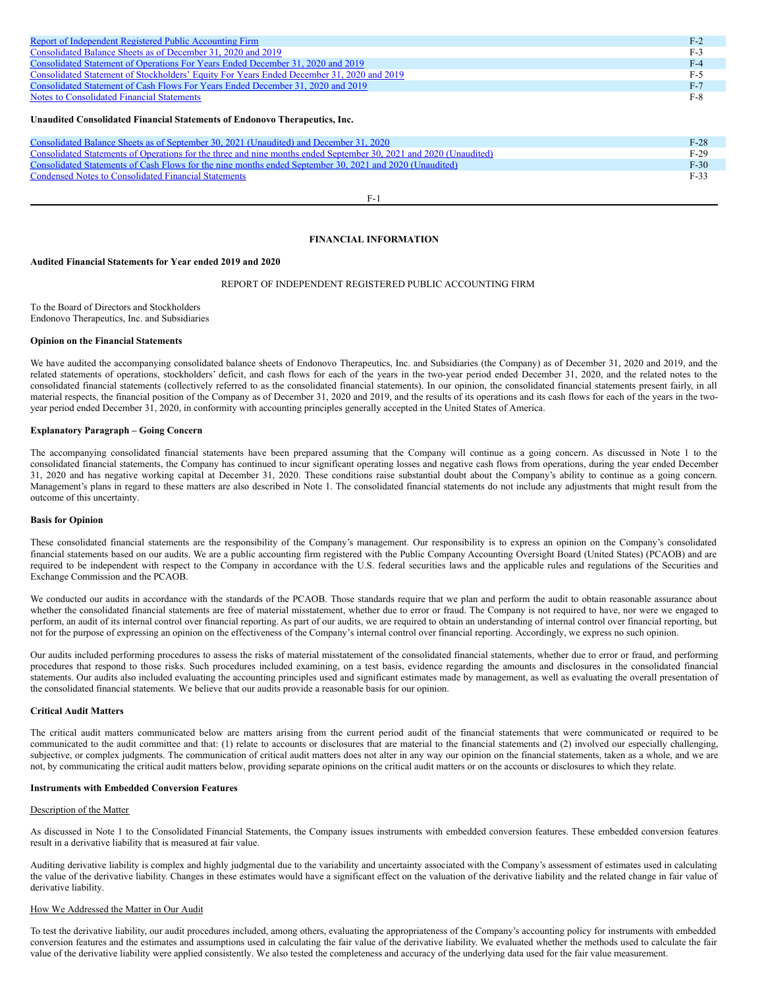| Report of Independent Registered Public Accounting Firm                                   | $F-2$ |
|-------------------------------------------------------------------------------------------|-------|
| Consolidated Balance Sheets as of December 31, 2020 and 2019                              | $F-3$ |
| Consolidated Statement of Operations For Years Ended December 31, 2020 and 2019           | $F-4$ |
| Consolidated Statement of Stockholders' Equity For Years Ended December 31, 2020 and 2019 | F-5   |
| Consolidated Statement of Cash Flows For Years Ended December 31, 2020 and 2019           | $F-7$ |
| Notes to Consolidated Financial Statements                                                |       |

#### **Unaudited Consolidated Financial Statements of Endonovo Therapeutics, Inc.**

| Consolidated Balance Sheets as of September 30, 2021 (Unaudited) and December 31, 2020                            | $F-28$ |
|-------------------------------------------------------------------------------------------------------------------|--------|
| Consolidated Statements of Operations for the three and nine months ended September 30, 2021 and 2020 (Unaudited) | $F-29$ |
| Consolidated Statements of Cash Flows for the nine months ended September 30, 2021 and 2020 (Unaudited)           | $F-30$ |
| Condensed Notes to Consolidated Financial Statements                                                              | F-33   |
|                                                                                                                   |        |

F-1

# **FINANCIAL INFORMATION**

#### **Audited Financial Statements for Year ended 2019 and 2020**

#### <span id="page-27-0"></span>REPORT OF INDEPENDENT REGISTERED PUBLIC ACCOUNTING FIRM

To the Board of Directors and Stockholders Endonovo Therapeutics, Inc. and Subsidiaries

#### **Opinion on the Financial Statements**

We have audited the accompanying consolidated balance sheets of Endonovo Therapeutics, Inc. and Subsidiaries (the Company) as of December 31, 2020 and 2019, and the related statements of operations, stockholders' deficit, and cash flows for each of the years in the two-year period ended December 31, 2020, and the related notes to the consolidated financial statements (collectively referred to as the consolidated financial statements). In our opinion, the consolidated financial statements present fairly, in all material respects, the financial position of the Company as of December 31, 2020 and 2019, and the results of its operations and its cash flows for each of the years in the twoyear period ended December 31, 2020, in conformity with accounting principles generally accepted in the United States of America.

#### **Explanatory Paragraph – Going Concern**

The accompanying consolidated financial statements have been prepared assuming that the Company will continue as a going concern. As discussed in Note 1 to the consolidated financial statements, the Company has continued to incur significant operating losses and negative cash flows from operations, during the year ended December 31, 2020 and has negative working capital at December 31, 2020. These conditions raise substantial doubt about the Company's ability to continue as a going concern. Management's plans in regard to these matters are also described in Note 1. The consolidated financial statements do not include any adjustments that might result from the outcome of this uncertainty.

# **Basis for Opinion**

These consolidated financial statements are the responsibility of the Company's management. Our responsibility is to express an opinion on the Company's consolidated financial statements based on our audits. We are a public accounting firm registered with the Public Company Accounting Oversight Board (United States) (PCAOB) and are required to be independent with respect to the Company in accordance with the U.S. federal securities laws and the applicable rules and regulations of the Securities and Exchange Commission and the PCAOB.

We conducted our audits in accordance with the standards of the PCAOB. Those standards require that we plan and perform the audit to obtain reasonable assurance about whether the consolidated financial statements are free of material misstatement, whether due to error or fraud. The Company is not required to have, nor were we engaged to perform, an audit of its internal control over financial reporting. As part of our audits, we are required to obtain an understanding of internal control over financial reporting, but not for the purpose of expressing an opinion on the effectiveness of the Company's internal control over financial reporting. Accordingly, we express no such opinion.

Our audits included performing procedures to assess the risks of material misstatement of the consolidated financial statements, whether due to error or fraud, and performing procedures that respond to those risks. Such procedures included examining, on a test basis, evidence regarding the amounts and disclosures in the consolidated financial statements. Our audits also included evaluating the accounting principles used and significant estimates made by management, as well as evaluating the overall presentation of the consolidated financial statements. We believe that our audits provide a reasonable basis for our opinion.

#### **Critical Audit Matters**

The critical audit matters communicated below are matters arising from the current period audit of the financial statements that were communicated or required to be communicated to the audit committee and that: (1) relate to accounts or disclosures that are material to the financial statements and (2) involved our especially challenging, subjective, or complex judgments. The communication of critical audit matters does not alter in any way our opinion on the financial statements, taken as a whole, and we are not, by communicating the critical audit matters below, providing separate opinions on the critical audit matters or on the accounts or disclosures to which they relate.

# **Instruments with Embedded Conversion Features**

#### Description of the Matter

As discussed in Note 1 to the Consolidated Financial Statements, the Company issues instruments with embedded conversion features. These embedded conversion features result in a derivative liability that is measured at fair value.

Auditing derivative liability is complex and highly judgmental due to the variability and uncertainty associated with the Company's assessment of estimates used in calculating the value of the derivative liability. Changes in these estimates would have a significant effect on the valuation of the derivative liability and the related change in fair value of derivative liability.

#### How We Addressed the Matter in Our Audit

To test the derivative liability, our audit procedures included, among others, evaluating the appropriateness of the Company's accounting policy for instruments with embedded conversion features and the estimates and assumptions used in calculating the fair value of the derivative liability. We evaluated whether the methods used to calculate the fair value of the derivative liability were applied consistently. We also tested the completeness and accuracy of the underlying data used for the fair value measurement.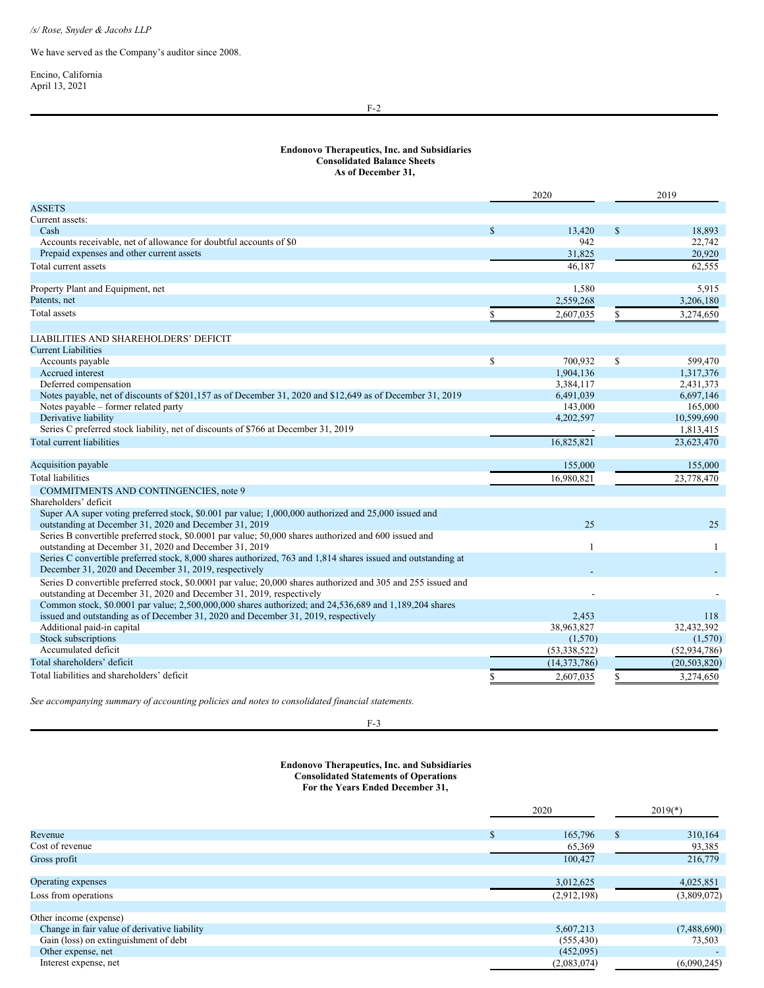*/s/ Rose, Snyder & Jacobs LLP*

We have served as the Company's auditor since 2008.

Encino, California April 13, 2021

F-2

#### <span id="page-28-0"></span>**Endonovo Therapeutics, Inc. and Subsidiaries Consolidated Balance Sheets As of December 31,**

|                                                                                                                                                                        |              | 2020           |              | 2019           |
|------------------------------------------------------------------------------------------------------------------------------------------------------------------------|--------------|----------------|--------------|----------------|
| <b>ASSETS</b>                                                                                                                                                          |              |                |              |                |
| Current assets:                                                                                                                                                        |              |                |              |                |
| Cash                                                                                                                                                                   | $\mathbb{S}$ | 13.420         | $\mathbb{S}$ | 18.893         |
| Accounts receivable, net of allowance for doubtful accounts of \$0                                                                                                     |              | 942            |              | 22.742         |
| Prepaid expenses and other current assets                                                                                                                              |              | 31.825         |              | 20,920         |
| Total current assets                                                                                                                                                   |              | 46.187         |              | 62,555         |
| Property Plant and Equipment, net                                                                                                                                      |              | 1,580          |              | 5,915          |
| Patents, net                                                                                                                                                           |              | 2,559,268      |              | 3,206,180      |
| Total assets                                                                                                                                                           | S            | 2,607,035      | $\mathbb{S}$ | 3,274,650      |
| LIABILITIES AND SHAREHOLDERS' DEFICIT                                                                                                                                  |              |                |              |                |
| <b>Current Liabilities</b>                                                                                                                                             |              |                |              |                |
| Accounts payable                                                                                                                                                       | \$           | 700,932        | \$           | 599,470        |
| Accrued interest                                                                                                                                                       |              | 1,904,136      |              | 1,317,376      |
| Deferred compensation                                                                                                                                                  |              | 3,384,117      |              | 2,431,373      |
| Notes payable, net of discounts of \$201,157 as of December 31, 2020 and \$12,649 as of December 31, 2019                                                              |              | 6,491,039      |              | 6,697,146      |
| Notes payable – former related party                                                                                                                                   |              | 143,000        |              | 165,000        |
| Derivative liability                                                                                                                                                   |              | 4,202,597      |              | 10,599,690     |
| Series C preferred stock liability, net of discounts of \$766 at December 31, 2019                                                                                     |              |                |              | 1,813,415      |
| <b>Total current liabilities</b>                                                                                                                                       |              | 16,825,821     |              | 23,623,470     |
| Acquisition payable                                                                                                                                                    |              | 155,000        |              | 155,000        |
| <b>Total liabilities</b>                                                                                                                                               |              | 16,980,821     |              | 23,778,470     |
| COMMITMENTS AND CONTINGENCIES, note 9                                                                                                                                  |              |                |              |                |
| Shareholders' deficit                                                                                                                                                  |              |                |              |                |
| Super AA super voting preferred stock, \$0.001 par value; 1,000,000 authorized and 25,000 issued and<br>outstanding at December 31, 2020 and December 31, 2019         |              | 25             |              | 25             |
| Series B convertible preferred stock, \$0.0001 par value; 50,000 shares authorized and 600 issued and                                                                  |              |                |              |                |
| outstanding at December 31, 2020 and December 31, 2019                                                                                                                 |              | $\overline{1}$ |              | $\mathbf{1}$   |
| Series C convertible preferred stock, 8,000 shares authorized, 763 and 1,814 shares issued and outstanding at<br>December 31, 2020 and December 31, 2019, respectively |              |                |              |                |
| Series D convertible preferred stock, \$0,0001 par value; 20,000 shares authorized and 305 and 255 issued and                                                          |              |                |              |                |
| outstanding at December 31, 2020 and December 31, 2019, respectively                                                                                                   |              |                |              |                |
| Common stock, \$0.0001 par value; 2,500,000,000 shares authorized; and 24,536,689 and 1,189,204 shares                                                                 |              |                |              |                |
| issued and outstanding as of December 31, 2020 and December 31, 2019, respectively                                                                                     |              | 2,453          |              | 118            |
| Additional paid-in capital                                                                                                                                             |              | 38,963,827     |              | 32,432,392     |
| Stock subscriptions<br>Accumulated deficit                                                                                                                             |              | (1,570)        |              | (1,570)        |
| Total shareholders' deficit                                                                                                                                            |              | (53,338,522)   |              | (52, 934, 786) |
|                                                                                                                                                                        |              | (14, 373, 786) |              | (20, 503, 820) |
| Total liabilities and shareholders' deficit                                                                                                                            |              | 2,607,035      |              | 3,274,650      |

*See accompanying summary of accounting policies and notes to consolidated financial statements.*

F-3

#### <span id="page-28-1"></span>**Endonovo Therapeutics, Inc. and Subsidiaries Consolidated Statements of Operations For the Years Ended December 31,**

|                                              |    | 2020        |               | $2019(*)$   |
|----------------------------------------------|----|-------------|---------------|-------------|
| Revenue                                      | Ъ. | 165,796     | <sup>\$</sup> | 310,164     |
| Cost of revenue                              |    | 65,369      |               | 93,385      |
| Gross profit                                 |    | 100,427     |               | 216,779     |
| Operating expenses                           |    | 3,012,625   |               | 4,025,851   |
| Loss from operations                         |    | (2,912,198) |               | (3,809,072) |
| Other income (expense)                       |    |             |               |             |
| Change in fair value of derivative liability |    | 5,607,213   |               | (7,488,690) |
| Gain (loss) on extinguishment of debt        |    | (555, 430)  |               | 73,503      |
| Other expense, net                           |    | (452,095)   |               |             |
| Interest expense, net                        |    | (2,083,074) |               | (6,090,245) |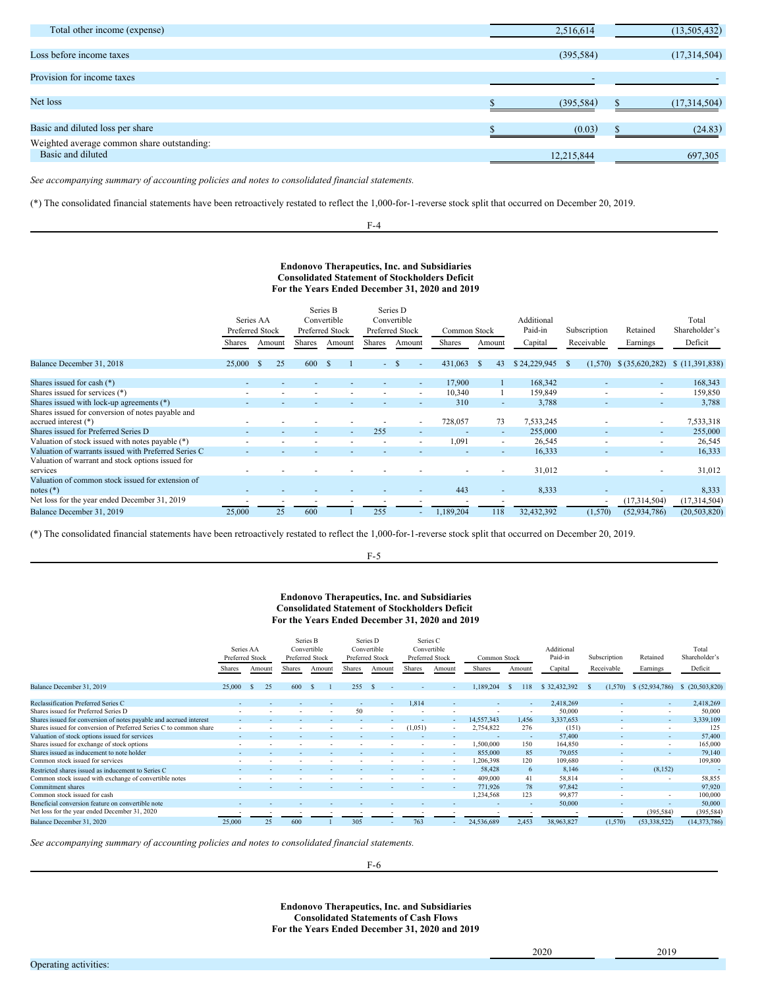| Total other income (expense)                                                   | 2,516,614  | (13, 505, 432) |
|--------------------------------------------------------------------------------|------------|----------------|
| Loss before income taxes                                                       | (395, 584) | (17,314,504)   |
| Provision for income taxes                                                     |            |                |
| Net loss                                                                       | (395, 584) | (17,314,504)   |
| Basic and diluted loss per share<br>Weighted average common share outstanding: | (0.03)     | (24.83)        |
| Basic and diluted                                                              | 12.215.844 | 697,305        |

*See accompanying summary of accounting policies and notes to consolidated financial statements.*

(\*) The consolidated financial statements have been retroactively restated to reflect the 1,000-for-1-reverse stock split that occurred on December 20, 2019.

F-4

#### <span id="page-29-0"></span>**Endonovo Therapeutics, Inc. and Subsidiaries Consolidated Statement of Stockholders Deficit For the Years Ended December 31, 2020 and 2019**

|                                                               | Preferred Stock | Series AA |        | Preferred Stock | Series B<br>Convertible |        | Preferred Stock          | Series D<br>Convertible |        | Common Stock |        |     | Additional<br>Paid-in | Subscription             | Retained                 | Total<br>Shareholder's |
|---------------------------------------------------------------|-----------------|-----------|--------|-----------------|-------------------------|--------|--------------------------|-------------------------|--------|--------------|--------|-----|-----------------------|--------------------------|--------------------------|------------------------|
|                                                               | Shares          |           | Amount | Shares          | Amount                  |        | Shares                   | Amount                  |        | Shares       | Amount |     | Capital               | Receivable               | Earnings                 | Deficit                |
| Balance December 31, 2018                                     | 25,000          | -8        | 25     | 600             | -8                      |        | $\overline{\phantom{a}}$ |                         |        | 431,063      |        | 43  | \$24,229,945          | (1,570)                  | \$ (35,620,282)          | \$(11,391,838)         |
| Shares issued for cash (*)                                    |                 |           |        |                 |                         |        |                          |                         |        | 17,900       |        |     | 168,342               |                          |                          | 168,343                |
| Shares issued for services (*)                                |                 |           |        |                 |                         |        |                          |                         |        | 10,340       |        |     | 159,849               |                          |                          | 159,850                |
| Shares issued with lock-up agreements $(*)$                   |                 |           |        |                 |                         |        |                          |                         |        | 310          |        |     | 3,788                 | $\overline{\phantom{a}}$ | $\overline{\phantom{a}}$ | 3,788                  |
| Shares issued for conversion of notes payable and             |                 |           |        |                 |                         |        |                          |                         |        |              |        |     |                       |                          |                          |                        |
| accrued interest (*)                                          |                 |           |        |                 |                         |        |                          |                         |        | 728,057      |        | 73  | 7,533,245             |                          |                          | 7,533,318              |
| Shares issued for Preferred Series D                          | ۰               |           |        |                 |                         | $\sim$ | 255                      |                         | н.     |              |        | ÷   | 255,000               |                          | ۰.                       | 255,000                |
| Valuation of stock issued with notes payable (*)              |                 |           |        |                 |                         |        |                          |                         | ٠      | 1,091        |        |     | 26,545                |                          | $\overline{\phantom{a}}$ | 26,545                 |
| Valuation of warrants issued with Preferred Series C          |                 |           |        |                 |                         |        |                          |                         |        |              |        |     | 16,333                |                          | ٠                        | 16,333                 |
| Valuation of warrant and stock options issued for<br>services |                 |           |        |                 |                         |        |                          |                         |        |              |        |     | 31,012                |                          |                          | 31,012                 |
| Valuation of common stock issued for extension of             |                 |           |        |                 |                         |        |                          |                         |        |              |        |     |                       |                          |                          |                        |
| notes $(*)$                                                   | $\sim$          |           |        |                 |                         |        |                          |                         | $\sim$ | 443          |        | ۰   | 8,333                 |                          |                          | 8,333                  |
| Net loss for the year ended December 31, 2019                 |                 |           |        |                 |                         |        |                          |                         |        |              |        |     |                       |                          | (17,314,504)             | (17,314,504)           |
| Balance December 31, 2019                                     | 25,000          |           | 25     | 600             |                         |        | 255                      |                         | $\sim$ | 1,189,204    |        | 118 | 32,432,392            | (1,570)                  | (52, 934, 786)           | (20, 503, 820)         |

(\*) The consolidated financial statements have been retroactively restated to reflect the 1,000-for-1-reverse stock split that occurred on December 20, 2019.

F-5

# **Endonovo Therapeutics, Inc. and Subsidiaries Consolidated Statement of Stockholders Deficit For the Years Ended December 31, 2020 and 2019**

|                                                                    | Preferred Stock | Series AA |        | Preferred Stock | Series B<br>Convertible |        | Series D<br>Convertible<br>Preferred Stock | Series C<br><b>Preferred Stock</b> | Convertible              | Common Stock |        | Additional<br>Paid-in | Subscription |                          | Retained                 | Total<br>Shareholder's |
|--------------------------------------------------------------------|-----------------|-----------|--------|-----------------|-------------------------|--------|--------------------------------------------|------------------------------------|--------------------------|--------------|--------|-----------------------|--------------|--------------------------|--------------------------|------------------------|
|                                                                    | Shares          |           | Amount | Shares          | Amount                  | Shares | Amount                                     | Shares                             | Amount                   | Shares       | Amount | Capital               | Receivable   |                          | Earnings                 | Deficit                |
| Balance December 31, 2019                                          | 25,000          |           | 25     | 600             |                         | 255    |                                            |                                    |                          | 1.189.204    | 118    | \$32,432,392          |              | (1,570)                  | \$ (52,934,786)          | (20,503,820)           |
| Reclassification Preferred Series C                                |                 |           |        |                 |                         |        |                                            | 1,814                              |                          |              |        | 2,418,269             |              |                          | ۰                        | 2,418,269              |
| Shares issued for Preferred Series D                               |                 |           |        |                 |                         | 50     |                                            |                                    |                          |              |        | 50,000                |              |                          |                          | 50,000                 |
| Shares issued for conversion of notes payable and accrued interest |                 |           |        |                 |                         |        |                                            |                                    | ۰.                       | 14,557,343   | 1,456  | 3,337,653             |              |                          | ۰                        | 3,339,109              |
| Shares issued for conversion of Preferred Series C to common share |                 |           |        |                 |                         |        | $\overline{a}$                             | (1,051)                            | $\overline{\phantom{a}}$ | 2,754,822    | 276    | (151)                 |              |                          | $\overline{\phantom{a}}$ | 125                    |
| Valuation of stock options issued for services                     |                 |           |        |                 |                         |        |                                            |                                    |                          |              |        | 57,400                |              |                          | $\sim$                   | 57,400                 |
| Shares issued for exchange of stock options                        |                 |           |        |                 |                         |        |                                            |                                    |                          | 1,500,000    | 150    | 164,850               |              |                          | ٠                        | 165,000                |
| Shares issued as inducement to note holder                         |                 |           |        |                 |                         |        |                                            |                                    |                          | 855,000      | 85     | 79,055                |              |                          | ٠                        | 79,140                 |
| Common stock issued for services                                   |                 |           |        |                 |                         |        |                                            |                                    |                          | 1,206,398    | 120    | 109,680               |              |                          |                          | 109,800                |
| Restricted shares issued as inducement to Series C                 |                 |           |        |                 |                         |        |                                            |                                    |                          | 58,428       | 6      | 8.146                 |              | $\sim$                   | (8, 152)                 |                        |
| Common stock issued with exchange of convertible notes             |                 |           |        |                 |                         |        |                                            | н.                                 | . .                      | 409,000      | 41     | 58,814                |              |                          | -                        | 58,855                 |
| Commitment shares                                                  |                 |           |        |                 |                         |        |                                            |                                    |                          | 771,926      | 78     | 97,842                |              | $\overline{\phantom{a}}$ |                          | 97,920                 |
| Common stock issued for cash                                       |                 |           |        |                 |                         |        |                                            |                                    |                          | 1,234,568    | 123    | 99,877                |              |                          |                          | 100,000                |
| Beneficial conversion feature on convertible note                  |                 |           |        |                 |                         |        |                                            |                                    |                          |              |        | 50,000                |              |                          |                          | 50,000                 |
| Net loss for the year ended December 31, 2020                      |                 |           |        |                 |                         |        |                                            |                                    |                          |              |        |                       |              |                          | (395, 584)               | (395, 584)             |
| Balance December 31, 2020                                          | 25,000          |           | 25     | 600             |                         | 305    |                                            | 763                                |                          | 24,536,689   | 2,453  | 38,963,827            |              | (1,570)                  | (53, 338, 522)           | (14,373,786)           |

*See accompanying summary of accounting policies and notes to consolidated financial statements.*

F-6

<span id="page-29-1"></span>**Endonovo Therapeutics, Inc. and Subsidiaries Consolidated Statements of Cash Flows For the Years Ended December 31, 2020 and 2019**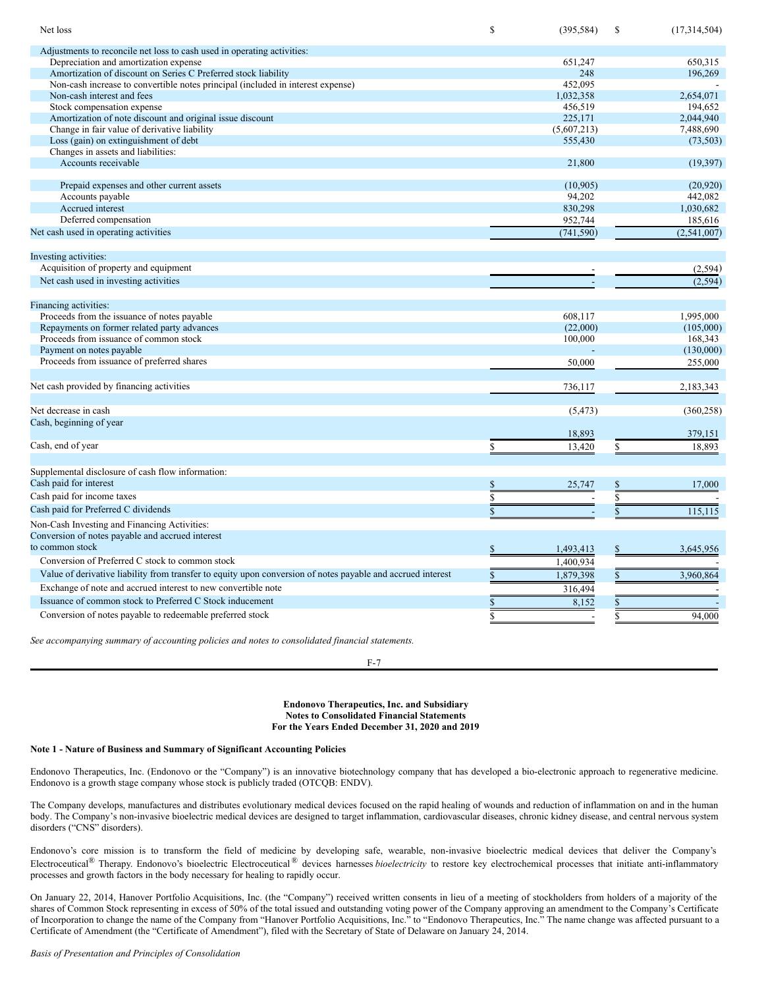| Net loss                                                                                                    | \$ | (395, 584)     | \$                 | (17,314,504)  |
|-------------------------------------------------------------------------------------------------------------|----|----------------|--------------------|---------------|
| Adjustments to reconcile net loss to cash used in operating activities:                                     |    |                |                    |               |
| Depreciation and amortization expense                                                                       |    | 651,247        |                    | 650,315       |
| Amortization of discount on Series C Preferred stock liability                                              |    | 248            |                    | 196,269       |
| Non-cash increase to convertible notes principal (included in interest expense)                             |    | 452,095        |                    |               |
| Non-cash interest and fees                                                                                  |    | 1,032,358      |                    | 2,654,071     |
| Stock compensation expense                                                                                  |    | 456,519        |                    | 194,652       |
| Amortization of note discount and original issue discount                                                   |    | 225,171        |                    | 2.044.940     |
| Change in fair value of derivative liability                                                                |    | (5,607,213)    |                    | 7,488,690     |
| Loss (gain) on extinguishment of debt                                                                       |    | 555,430        |                    | (73, 503)     |
| Changes in assets and liabilities:                                                                          |    |                |                    |               |
| Accounts receivable                                                                                         |    | 21,800         |                    | (19, 397)     |
|                                                                                                             |    |                |                    |               |
| Prepaid expenses and other current assets                                                                   |    | (10, 905)      |                    | (20,920)      |
| Accounts payable                                                                                            |    | 94,202         |                    | 442,082       |
| Accrued interest                                                                                            |    | 830,298        |                    | 1,030,682     |
| Deferred compensation                                                                                       |    | 952,744        |                    | 185,616       |
| Net cash used in operating activities                                                                       |    | (741, 590)     |                    | (2, 541, 007) |
|                                                                                                             |    |                |                    |               |
| Investing activities:                                                                                       |    |                |                    |               |
| Acquisition of property and equipment                                                                       |    | $\overline{a}$ |                    | (2, 594)      |
| Net cash used in investing activities                                                                       |    |                |                    | (2, 594)      |
| Financing activities:                                                                                       |    |                |                    |               |
| Proceeds from the issuance of notes payable                                                                 |    | 608,117        |                    | 1,995,000     |
| Repayments on former related party advances                                                                 |    | (22,000)       |                    | (105,000)     |
| Proceeds from issuance of common stock                                                                      |    | 100,000        |                    | 168,343       |
| Payment on notes payable                                                                                    |    |                |                    | (130,000)     |
| Proceeds from issuance of preferred shares                                                                  |    | 50,000         |                    | 255,000       |
|                                                                                                             |    |                |                    |               |
| Net cash provided by financing activities                                                                   |    | 736,117        |                    | 2,183,343     |
|                                                                                                             |    |                |                    |               |
| Net decrease in cash                                                                                        |    | (5, 473)       |                    | (360, 258)    |
| Cash, beginning of year                                                                                     |    |                |                    |               |
|                                                                                                             |    | 18,893         |                    | 379,151       |
| Cash, end of year                                                                                           | \$ | 13,420         | \$                 | 18,893        |
|                                                                                                             |    |                |                    |               |
| Supplemental disclosure of cash flow information:                                                           |    |                |                    |               |
| Cash paid for interest                                                                                      | \$ | 25,747         | \$                 | 17,000        |
| Cash paid for income taxes                                                                                  | \$ |                | $\overline{\$}$    |               |
| Cash paid for Preferred C dividends                                                                         | \$ |                | $\mathbf{\hat{S}}$ | 115,115       |
| Non-Cash Investing and Financing Activities:                                                                |    |                |                    |               |
| Conversion of notes payable and accrued interest                                                            |    |                |                    |               |
| to common stock                                                                                             | \$ | 1,493,413      | $\mathbb{S}$       | 3,645,956     |
| Conversion of Preferred C stock to common stock                                                             |    | 1,400,934      |                    |               |
| Value of derivative liability from transfer to equity upon conversion of notes payable and accrued interest |    | 1,879,398      |                    | 3,960,864     |
| Exchange of note and accrued interest to new convertible note                                               |    | 316,494        |                    |               |
| Issuance of common stock to Preferred C Stock inducement                                                    |    | 8,152          | \$                 |               |
| Conversion of notes payable to redeemable preferred stock                                                   |    |                |                    |               |
|                                                                                                             | S  | $\blacksquare$ | \$                 | 94,000        |

*See accompanying summary of accounting policies and notes to consolidated financial statements.*

F-7

<span id="page-30-0"></span>**Endonovo Therapeutics, Inc. and Subsidiary Notes to Consolidated Financial Statements For the Years Ended December 31, 2020 and 2019**

# **Note 1 - Nature of Business and Summary of Significant Accounting Policies**

Endonovo Therapeutics, Inc. (Endonovo or the "Company") is an innovative biotechnology company that has developed a bio-electronic approach to regenerative medicine. Endonovo is a growth stage company whose stock is publicly traded (OTCQB: ENDV).

The Company develops, manufactures and distributes evolutionary medical devices focused on the rapid healing of wounds and reduction of inflammation on and in the human body. The Company's non-invasive bioelectric medical devices are designed to target inflammation, cardiovascular diseases, chronic kidney disease, and central nervous system disorders ("CNS" disorders).

Endonovo's core mission is to transform the field of medicine by developing safe, wearable, non-invasive bioelectric medical devices that deliver the Company's Electroceutical<sup>®</sup> Therapy. Endonovo's bioelectric Electroceutical® devices harnesses *bioelectricity* to restore key electrochemical processes that initiate anti-inflammatory processes and growth factors in the body necessary for healing to rapidly occur.

On January 22, 2014, Hanover Portfolio Acquisitions, Inc. (the "Company") received written consents in lieu of a meeting of stockholders from holders of a majority of the shares of Common Stock representing in excess of 50% of the total issued and outstanding voting power of the Company approving an amendment to the Company's Certificate of Incorporation to change the name of the Company from "Hanover Portfolio Acquisitions, Inc." to "Endonovo Therapeutics, Inc." The name change was affected pursuant to a Certificate of Amendment (the "Certificate of Amendment"), filed with the Secretary of State of Delaware on January 24, 2014.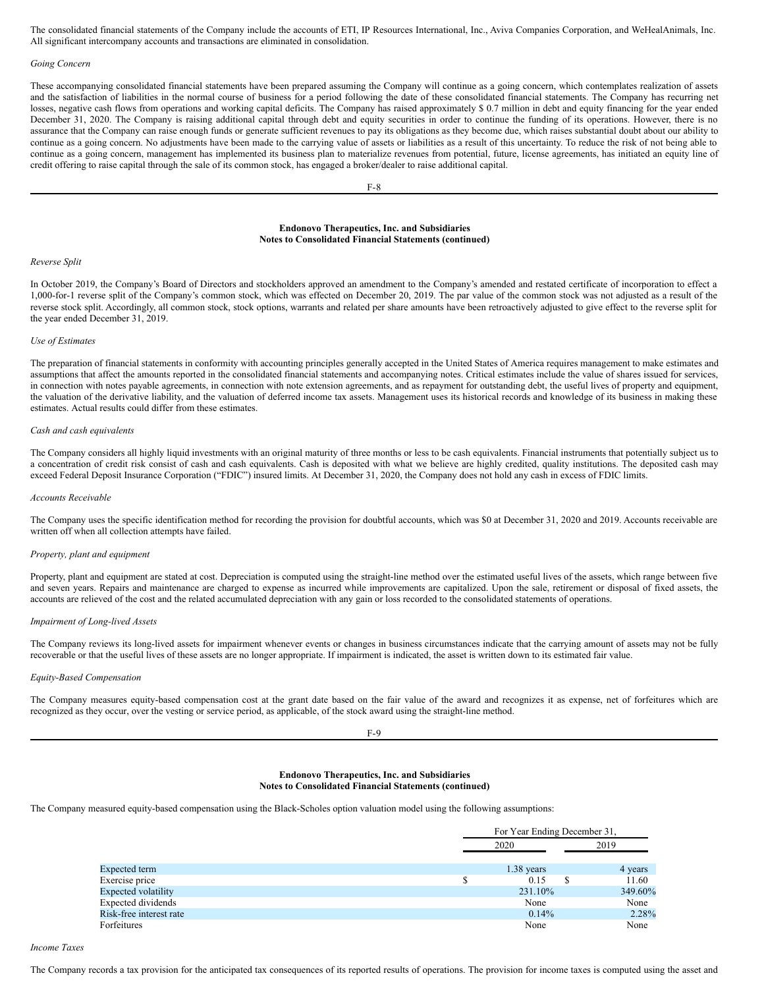The consolidated financial statements of the Company include the accounts of ETI, IP Resources International, Inc., Aviva Companies Corporation, and WeHealAnimals, Inc. All significant intercompany accounts and transactions are eliminated in consolidation.

#### *Going Concern*

These accompanying consolidated financial statements have been prepared assuming the Company will continue as a going concern, which contemplates realization of assets and the satisfaction of liabilities in the normal course of business for a period following the date of these consolidated financial statements. The Company has recurring net losses, negative cash flows from operations and working capital deficits. The Company has raised approximately \$ 0.7 million in debt and equity financing for the year ended December 31, 2020. The Company is raising additional capital through debt and equity securities in order to continue the funding of its operations. However, there is no assurance that the Company can raise enough funds or generate sufficient revenues to pay its obligations as they become due, which raises substantial doubt about our ability to continue as a going concern. No adjustments have been made to the carrying value of assets or liabilities as a result of this uncertainty. To reduce the risk of not being able to continue as a going concern, management has implemented its business plan to materialize revenues from potential, future, license agreements, has initiated an equity line of credit offering to raise capital through the sale of its common stock, has engaged a broker/dealer to raise additional capital.

F-8

#### **Endonovo Therapeutics, Inc. and Subsidiaries Notes to Consolidated Financial Statements (continued)**

#### *Reverse Split*

In October 2019, the Company's Board of Directors and stockholders approved an amendment to the Company's amended and restated certificate of incorporation to effect a 1,000-for-1 reverse split of the Company's common stock, which was effected on December 20, 2019. The par value of the common stock was not adjusted as a result of the reverse stock split. Accordingly, all common stock, stock options, warrants and related per share amounts have been retroactively adjusted to give effect to the reverse split for the year ended December 31, 2019.

#### *Use of Estimates*

The preparation of financial statements in conformity with accounting principles generally accepted in the United States of America requires management to make estimates and assumptions that affect the amounts reported in the consolidated financial statements and accompanying notes. Critical estimates include the value of shares issued for services, in connection with notes payable agreements, in connection with note extension agreements, and as repayment for outstanding debt, the useful lives of property and equipment, the valuation of the derivative liability, and the valuation of deferred income tax assets. Management uses its historical records and knowledge of its business in making these estimates. Actual results could differ from these estimates.

# *Cash and cash equivalents*

The Company considers all highly liquid investments with an original maturity of three months or less to be cash equivalents. Financial instruments that potentially subject us to a concentration of credit risk consist of cash and cash equivalents. Cash is deposited with what we believe are highly credited, quality institutions. The deposited cash may exceed Federal Deposit Insurance Corporation ("FDIC") insured limits. At December 31, 2020, the Company does not hold any cash in excess of FDIC limits.

#### *Accounts Receivable*

The Company uses the specific identification method for recording the provision for doubtful accounts, which was \$0 at December 31, 2020 and 2019. Accounts receivable are written off when all collection attempts have failed.

#### *Property, plant and equipment*

Property, plant and equipment are stated at cost. Depreciation is computed using the straight-line method over the estimated useful lives of the assets, which range between five and seven years. Repairs and maintenance are charged to expense as incurred while improvements are capitalized. Upon the sale, retirement or disposal of fixed assets, the accounts are relieved of the cost and the related accumulated depreciation with any gain or loss recorded to the consolidated statements of operations.

#### *Impairment of Long-lived Assets*

The Company reviews its long-lived assets for impairment whenever events or changes in business circumstances indicate that the carrying amount of assets may not be fully recoverable or that the useful lives of these assets are no longer appropriate. If impairment is indicated, the asset is written down to its estimated fair value.

#### *Equity-Based Compensation*

The Company measures equity-based compensation cost at the grant date based on the fair value of the award and recognizes it as expense, net of forfeitures which are recognized as they occur, over the vesting or service period, as applicable, of the stock award using the straight-line method.

F-9

#### **Endonovo Therapeutics, Inc. and Subsidiaries Notes to Consolidated Financial Statements (continued)**

The Company measured equity-based compensation using the Black-Scholes option valuation model using the following assumptions:

|                            |  | For Year Ending December 31, |         |
|----------------------------|--|------------------------------|---------|
|                            |  | 2020                         | 2019    |
| Expected term              |  | 1.38 years                   | 4 years |
| Exercise price             |  | 0.15                         | 11.60   |
| <b>Expected volatility</b> |  | 231.10%                      | 349.60% |
| Expected dividends         |  | None                         | None    |
| Risk-free interest rate    |  | 0.14%                        | 2.28%   |
| Forfeitures                |  | None                         | None    |

*Income Taxes*

The Company records a tax provision for the anticipated tax consequences of its reported results of operations. The provision for income taxes is computed using the asset and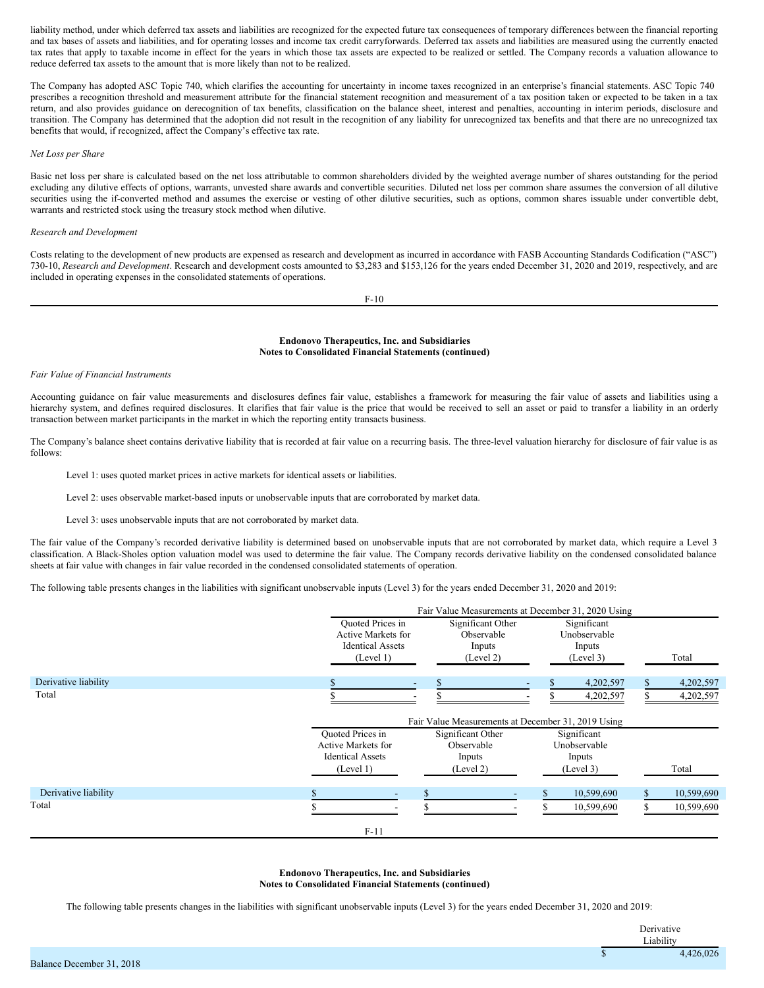liability method, under which deferred tax assets and liabilities are recognized for the expected future tax consequences of temporary differences between the financial reporting and tax bases of assets and liabilities, and for operating losses and income tax credit carryforwards. Deferred tax assets and liabilities are measured using the currently enacted tax rates that apply to taxable income in effect for the years in which those tax assets are expected to be realized or settled. The Company records a valuation allowance to reduce deferred tax assets to the amount that is more likely than not to be realized.

The Company has adopted ASC Topic 740, which clarifies the accounting for uncertainty in income taxes recognized in an enterprise's financial statements. ASC Topic 740 prescribes a recognition threshold and measurement attribute for the financial statement recognition and measurement of a tax position taken or expected to be taken in a tax return, and also provides guidance on derecognition of tax benefits, classification on the balance sheet, interest and penalties, accounting in interim periods, disclosure and transition. The Company has determined that the adoption did not result in the recognition of any liability for unrecognized tax benefits and that there are no unrecognized tax benefits that would, if recognized, affect the Company's effective tax rate.

#### *Net Loss per Share*

Basic net loss per share is calculated based on the net loss attributable to common shareholders divided by the weighted average number of shares outstanding for the period excluding any dilutive effects of options, warrants, unvested share awards and convertible securities. Diluted net loss per common share assumes the conversion of all dilutive securities using the if-converted method and assumes the exercise or vesting of other dilutive securities, such as options, common shares issuable under convertible debt, warrants and restricted stock using the treasury stock method when dilutive.

#### *Research and Development*

Costs relating to the development of new products are expensed as research and development as incurred in accordance with FASB Accounting Standards Codification ("ASC") 730-10, *Research and Development*. Research and development costs amounted to \$3,283 and \$153,126 for the years ended December 31, 2020 and 2019, respectively, and are included in operating expenses in the consolidated statements of operations.

F-10

#### **Endonovo Therapeutics, Inc. and Subsidiaries Notes to Consolidated Financial Statements (continued)**

*Fair Value of Financial Instruments*

Accounting guidance on fair value measurements and disclosures defines fair value, establishes a framework for measuring the fair value of assets and liabilities using a hierarchy system, and defines required disclosures. It clarifies that fair value is the price that would be received to sell an asset or paid to transfer a liability in an orderly transaction between market participants in the market in which the reporting entity transacts business.

The Company's balance sheet contains derivative liability that is recorded at fair value on a recurring basis. The three-level valuation hierarchy for disclosure of fair value is as follows:

Level 1: uses quoted market prices in active markets for identical assets or liabilities.

Level 2: uses observable market-based inputs or unobservable inputs that are corroborated by market data.

Level 3: uses unobservable inputs that are not corroborated by market data.

The fair value of the Company's recorded derivative liability is determined based on unobservable inputs that are not corroborated by market data, which require a Level 3 classification. A Black-Sholes option valuation model was used to determine the fair value. The Company records derivative liability on the condensed consolidated balance sheets at fair value with changes in fair value recorded in the condensed consolidated statements of operation.

The following table presents changes in the liabilities with significant unobservable inputs (Level 3) for the years ended December 31, 2020 and 2019:

|                      |                                                                                       | Fair Value Measurements at December 31, 2020 Using     |                                                    |   |            |
|----------------------|---------------------------------------------------------------------------------------|--------------------------------------------------------|----------------------------------------------------|---|------------|
|                      | <b>Ouoted Prices in</b><br>Active Markets for<br><b>Identical Assets</b><br>(Level 1) | Significant Other<br>Observable<br>Inputs<br>(Level 2) | Significant<br>Unobservable<br>Inputs<br>(Level 3) |   | Total      |
| Derivative liability |                                                                                       |                                                        | 4,202,597                                          | S | 4,202,597  |
| Total                |                                                                                       |                                                        | 4,202,597                                          |   | 4,202,597  |
|                      |                                                                                       | Fair Value Measurements at December 31, 2019 Using     |                                                    |   |            |
|                      | Quoted Prices in                                                                      | Significant Other                                      | Significant                                        |   |            |
|                      | Active Markets for                                                                    | Observable                                             | Unobservable                                       |   |            |
|                      | <b>Identical Assets</b><br>(Level 1)                                                  | Inputs<br>(Level 2)                                    | Inputs<br>(Level 3)                                |   | Total      |
|                      |                                                                                       |                                                        |                                                    |   |            |
| Derivative liability |                                                                                       |                                                        | 10,599,690                                         |   | 10,599,690 |
| Total                |                                                                                       |                                                        | 10,599,690                                         |   | 10,599,690 |
|                      | $F-11$                                                                                |                                                        |                                                    |   |            |

#### **Endonovo Therapeutics, Inc. and Subsidiaries Notes to Consolidated Financial Statements (continued)**

The following table presents changes in the liabilities with significant unobservable inputs (Level 3) for the years ended December 31, 2020 and 2019:

|                           | Derivative<br>Liability |
|---------------------------|-------------------------|
| Balance December 31, 2018 | 4,426,026               |
|                           |                         |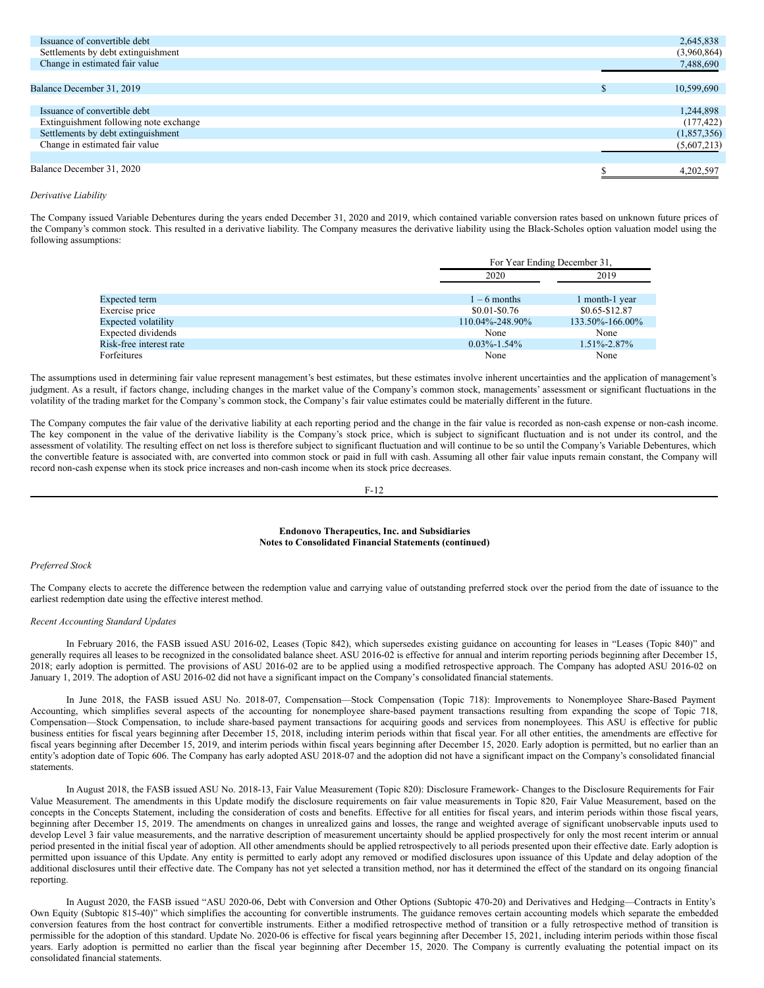| Issuance of convertible debt           | 2,645,838   |
|----------------------------------------|-------------|
| Settlements by debt extinguishment     | (3,960,864) |
| Change in estimated fair value         | 7,488,690   |
|                                        |             |
| Balance December 31, 2019              | 10,599,690  |
|                                        |             |
| Issuance of convertible debt           | 1,244,898   |
| Extinguishment following note exchange | (177, 422)  |
| Settlements by debt extinguishment     | (1,857,356) |
| Change in estimated fair value         | (5,607,213) |
|                                        |             |
| Balance December 31, 2020              | 4,202,597   |
|                                        |             |

#### *Derivative Liability*

The Company issued Variable Debentures during the years ended December 31, 2020 and 2019, which contained variable conversion rates based on unknown future prices of the Company's common stock. This resulted in a derivative liability. The Company measures the derivative liability using the Black-Scholes option valuation model using the following assumptions:

|                            | For Year Ending December 31, |                   |
|----------------------------|------------------------------|-------------------|
|                            | 2020                         | 2019              |
|                            |                              |                   |
| Expected term              | $1 - 6$ months               | 1 month-1 year    |
| Exercise price             | $$0.01-S0.76$                | \$0.65-\$12.87    |
| <b>Expected volatility</b> | 110.04%-248.90%              | 133.50%-166.00%   |
| Expected dividends         | None                         | None              |
| Risk-free interest rate    | $0.03\% - 1.54\%$            | $1.51\% - 2.87\%$ |
| Forfeitures                | None                         | None              |

The assumptions used in determining fair value represent management's best estimates, but these estimates involve inherent uncertainties and the application of management's judgment. As a result, if factors change, including changes in the market value of the Company's common stock, managements' assessment or significant fluctuations in the volatility of the trading market for the Company's common stock, the Company's fair value estimates could be materially different in the future.

The Company computes the fair value of the derivative liability at each reporting period and the change in the fair value is recorded as non-cash expense or non-cash income. The key component in the value of the derivative liability is the Company's stock price, which is subject to significant fluctuation and is not under its control, and the assessment of volatility. The resulting effect on net loss is therefore subject to significant fluctuation and will continue to be so until the Company's Variable Debentures, which the convertible feature is associated with, are converted into common stock or paid in full with cash. Assuming all other fair value inputs remain constant, the Company will record non-cash expense when its stock price increases and non-cash income when its stock price decreases.

#### F-12

#### **Endonovo Therapeutics, Inc. and Subsidiaries Notes to Consolidated Financial Statements (continued)**

#### *Preferred Stock*

The Company elects to accrete the difference between the redemption value and carrying value of outstanding preferred stock over the period from the date of issuance to the earliest redemption date using the effective interest method.

#### *Recent Accounting Standard Updates*

In February 2016, the FASB issued ASU 2016-02, Leases (Topic 842), which supersedes existing guidance on accounting for leases in "Leases (Topic 840)" and generally requires all leases to be recognized in the consolidated balance sheet. ASU 2016-02 is effective for annual and interim reporting periods beginning after December 15, 2018; early adoption is permitted. The provisions of ASU 2016-02 are to be applied using a modified retrospective approach. The Company has adopted ASU 2016-02 on January 1, 2019. The adoption of ASU 2016-02 did not have a significant impact on the Company's consolidated financial statements.

In June 2018, the FASB issued ASU No. 2018-07, Compensation—Stock Compensation (Topic 718): Improvements to Nonemployee Share-Based Payment Accounting, which simplifies several aspects of the accounting for nonemployee share-based payment transactions resulting from expanding the scope of Topic 718, Compensation—Stock Compensation, to include share-based payment transactions for acquiring goods and services from nonemployees. This ASU is effective for public business entities for fiscal years beginning after December 15, 2018, including interim periods within that fiscal year. For all other entities, the amendments are effective for fiscal years beginning after December 15, 2019, and interim periods within fiscal years beginning after December 15, 2020. Early adoption is permitted, but no earlier than an entity's adoption date of Topic 606. The Company has early adopted ASU 2018-07 and the adoption did not have a significant impact on the Company's consolidated financial statements.

In August 2018, the FASB issued ASU No. 2018-13, Fair Value Measurement (Topic 820): Disclosure Framework- Changes to the Disclosure Requirements for Fair Value Measurement. The amendments in this Update modify the disclosure requirements on fair value measurements in Topic 820, Fair Value Measurement, based on the concepts in the Concepts Statement, including the consideration of costs and benefits. Effective for all entities for fiscal years, and interim periods within those fiscal years, beginning after December 15, 2019. The amendments on changes in unrealized gains and losses, the range and weighted average of significant unobservable inputs used to develop Level 3 fair value measurements, and the narrative description of measurement uncertainty should be applied prospectively for only the most recent interim or annual period presented in the initial fiscal year of adoption. All other amendments should be applied retrospectively to all periods presented upon their effective date. Early adoption is permitted upon issuance of this Update. Any entity is permitted to early adopt any removed or modified disclosures upon issuance of this Update and delay adoption of the additional disclosures until their effective date. The Company has not yet selected a transition method, nor has it determined the effect of the standard on its ongoing financial reporting.

In August 2020, the FASB issued "ASU 2020-06, Debt with Conversion and Other Options (Subtopic 470-20) and Derivatives and Hedging—Contracts in Entity's Own Equity (Subtopic 815-40)" which simplifies the accounting for convertible instruments. The guidance removes certain accounting models which separate the embedded conversion features from the host contract for convertible instruments. Either a modified retrospective method of transition or a fully retrospective method of transition is permissible for the adoption of this standard. Update No. 2020-06 is effective for fiscal years beginning after December 15, 2021, including interim periods within those fiscal years. Early adoption is permitted no earlier than the fiscal year beginning after December 15, 2020. The Company is currently evaluating the potential impact on its consolidated financial statements.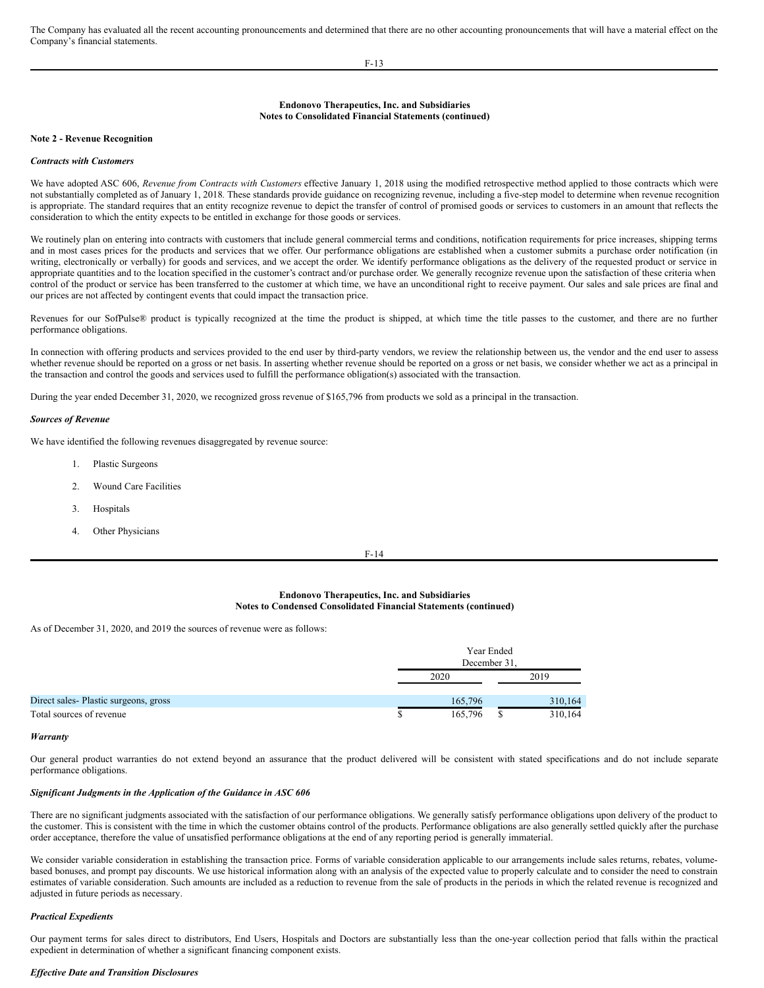The Company has evaluated all the recent accounting pronouncements and determined that there are no other accounting pronouncements that will have a material effect on the Company's financial statements.

F-13

**Endonovo Therapeutics, Inc. and Subsidiaries Notes to Consolidated Financial Statements (continued)**

#### **Note 2 - Revenue Recognition**

#### *Contracts with Customers*

We have adopted ASC 606, *Revenue from Contracts with Customers* effective January 1, 2018 using the modified retrospective method applied to those contracts which were not substantially completed as of January 1, 2018. These standards provide guidance on recognizing revenue, including a five-step model to determine when revenue recognition is appropriate. The standard requires that an entity recognize revenue to depict the transfer of control of promised goods or services to customers in an amount that reflects the consideration to which the entity expects to be entitled in exchange for those goods or services.

We routinely plan on entering into contracts with customers that include general commercial terms and conditions, notification requirements for price increases, shipping terms and in most cases prices for the products and services that we offer. Our performance obligations are established when a customer submits a purchase order notification (in writing, electronically or verbally) for goods and services, and we accept the order. We identify performance obligations as the delivery of the requested product or service in appropriate quantities and to the location specified in the customer's contract and/or purchase order. We generally recognize revenue upon the satisfaction of these criteria when control of the product or service has been transferred to the customer at which time, we have an unconditional right to receive payment. Our sales and sale prices are final and our prices are not affected by contingent events that could impact the transaction price.

Revenues for our SofPulse® product is typically recognized at the time the product is shipped, at which time the title passes to the customer, and there are no further performance obligations.

In connection with offering products and services provided to the end user by third-party vendors, we review the relationship between us, the vendor and the end user to assess whether revenue should be reported on a gross or net basis. In asserting whether revenue should be reported on a gross or net basis, we consider whether we act as a principal in the transaction and control the goods and services used to fulfill the performance obligation(s) associated with the transaction.

During the year ended December 31, 2020, we recognized gross revenue of \$165,796 from products we sold as a principal in the transaction.

#### *Sources of Revenue*

We have identified the following revenues disaggregated by revenue source:

- 1. Plastic Surgeons
- 2. Wound Care Facilities
- 3. Hospitals
- 4. Other Physicians

F-14

#### **Endonovo Therapeutics, Inc. and Subsidiaries Notes to Condensed Consolidated Financial Statements (continued)**

As of December 31, 2020, and 2019 the sources of revenue were as follows:

|                                       |         | Year Ended<br>December 31, |         |
|---------------------------------------|---------|----------------------------|---------|
|                                       | 2020    |                            | 2019    |
| Direct sales- Plastic surgeons, gross | 165,796 |                            | 310,164 |
| Total sources of revenue              | 165,796 |                            | 310,164 |

#### *Warranty*

Our general product warranties do not extend beyond an assurance that the product delivered will be consistent with stated specifications and do not include separate performance obligations.

#### *Significant Judgments in the Application of the Guidance in ASC 606*

There are no significant judgments associated with the satisfaction of our performance obligations. We generally satisfy performance obligations upon delivery of the product to the customer. This is consistent with the time in which the customer obtains control of the products. Performance obligations are also generally settled quickly after the purchase order acceptance, therefore the value of unsatisfied performance obligations at the end of any reporting period is generally immaterial.

We consider variable consideration in establishing the transaction price. Forms of variable consideration applicable to our arrangements include sales returns, rebates, volumebased bonuses, and prompt pay discounts. We use historical information along with an analysis of the expected value to properly calculate and to consider the need to constrain estimates of variable consideration. Such amounts are included as a reduction to revenue from the sale of products in the periods in which the related revenue is recognized and adjusted in future periods as necessary.

#### *Practical Expedients*

Our payment terms for sales direct to distributors, End Users, Hospitals and Doctors are substantially less than the one-year collection period that falls within the practical expedient in determination of whether a significant financing component exists.

#### *Ef ective Date and Transition Disclosures*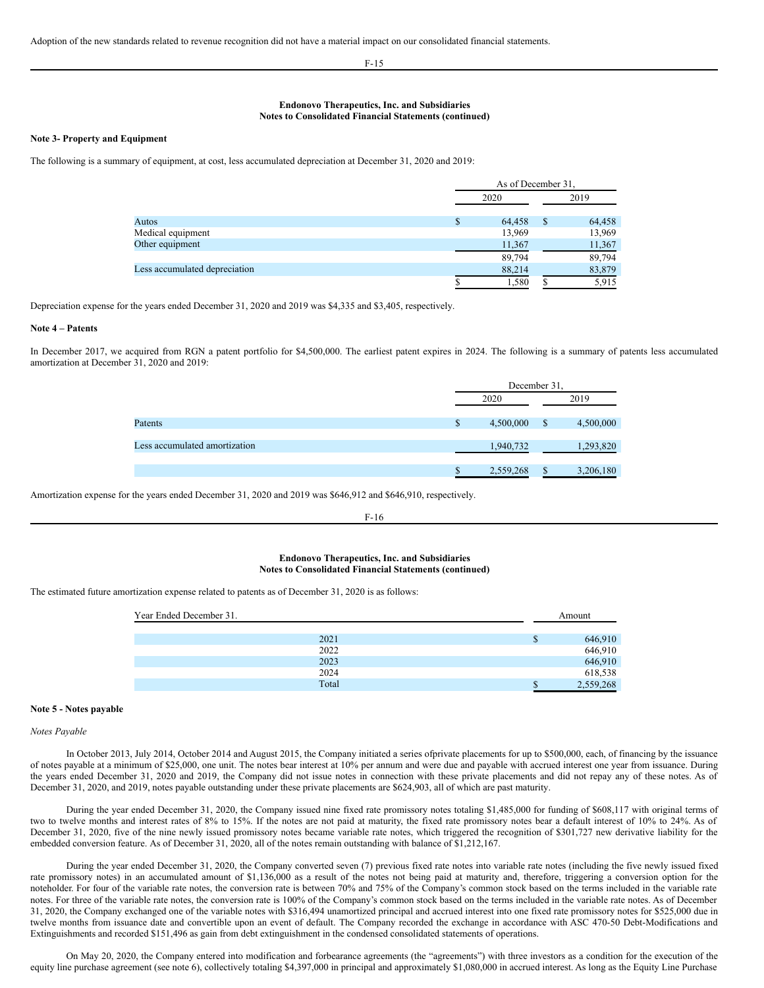F-15

#### **Endonovo Therapeutics, Inc. and Subsidiaries Notes to Consolidated Financial Statements (continued)**

#### **Note 3- Property and Equipment**

The following is a summary of equipment, at cost, less accumulated depreciation at December 31, 2020 and 2019:

|                               | As of December 31, |   |        |
|-------------------------------|--------------------|---|--------|
|                               | 2020               |   | 2019   |
| Autos                         | \$<br>64,458       | S | 64,458 |
| Medical equipment             | 13,969             |   | 13,969 |
| Other equipment               | 11,367             |   | 11,367 |
|                               | 89,794             |   | 89,794 |
| Less accumulated depreciation | 88,214             |   | 83,879 |
|                               | 1.580              |   | 5,915  |

Depreciation expense for the years ended December 31, 2020 and 2019 was \$4,335 and \$3,405, respectively.

#### **Note 4 – Patents**

In December 2017, we acquired from RGN a patent portfolio for \$4,500,000. The earliest patent expires in 2024. The following is a summary of patents less accumulated amortization at December 31, 2020 and 2019:

|                               | December 31,<br>2020<br>2019 |    |           |  |  |  |
|-------------------------------|------------------------------|----|-----------|--|--|--|
|                               |                              |    |           |  |  |  |
| Patents                       | \$<br>4,500,000              | \$ | 4,500,000 |  |  |  |
| Less accumulated amortization | 1,940,732                    |    | 1,293,820 |  |  |  |
|                               | 2,559,268                    | \$ | 3,206,180 |  |  |  |

Amortization expense for the years ended December 31, 2020 and 2019 was \$646,912 and \$646,910, respectively.

F-16

# **Endonovo Therapeutics, Inc. and Subsidiaries**

**Notes to Consolidated Financial Statements (continued)**

The estimated future amortization expense related to patents as of December 31, 2020 is as follows:

| Year Ended December 31. |    | Amount    |
|-------------------------|----|-----------|
|                         |    |           |
| 2021                    | S  | 646,910   |
| 2022                    |    | 646,910   |
| 2023                    |    | 646,910   |
| 2024                    |    | 618,538   |
| Total                   | \$ | 2,559,268 |

#### **Note 5 - Notes payable**

*Notes Payable*

In October 2013, July 2014, October 2014 and August 2015, the Company initiated a series ofprivate placements for up to \$500,000, each, of financing by the issuance of notes payable at a minimum of \$25,000, one unit. The notes bear interest at 10% per annum and were due and payable with accrued interest one year from issuance. During the years ended December 31, 2020 and 2019, the Company did not issue notes in connection with these private placements and did not repay any of these notes. As of December 31, 2020, and 2019, notes payable outstanding under these private placements are \$624,903, all of which are past maturity.

During the year ended December 31, 2020, the Company issued nine fixed rate promissory notes totaling \$1,485,000 for funding of \$608,117 with original terms of two to twelve months and interest rates of 8% to 15%. If the notes are not paid at maturity, the fixed rate promissory notes bear a default interest of 10% to 24%. As of December 31, 2020, five of the nine newly issued promissory notes became variable rate notes, which triggered the recognition of \$301,727 new derivative liability for the embedded conversion feature. As of December 31, 2020, all of the notes remain outstanding with balance of \$1,212,167.

During the year ended December 31, 2020, the Company converted seven (7) previous fixed rate notes into variable rate notes (including the five newly issued fixed rate promissory notes) in an accumulated amount of \$1,136,000 as a result of the notes not being paid at maturity and, therefore, triggering a conversion option for the noteholder. For four of the variable rate notes, the conversion rate is between 70% and 75% of the Company's common stock based on the terms included in the variable rate notes. For three of the variable rate notes, the conversion rate is 100% of the Company's common stock based on the terms included in the variable rate notes. As of December 31, 2020, the Company exchanged one of the variable notes with \$316,494 unamortized principal and accrued interest into one fixed rate promissory notes for \$525,000 due in twelve months from issuance date and convertible upon an event of default. The Company recorded the exchange in accordance with ASC 470-50 Debt-Modifications and Extinguishments and recorded \$151,496 as gain from debt extinguishment in the condensed consolidated statements of operations.

On May 20, 2020, the Company entered into modification and forbearance agreements (the "agreements") with three investors as a condition for the execution of the equity line purchase agreement (see note 6), collectively totaling \$4,397,000 in principal and approximately \$1,080,000 in accrued interest. As long as the Equity Line Purchase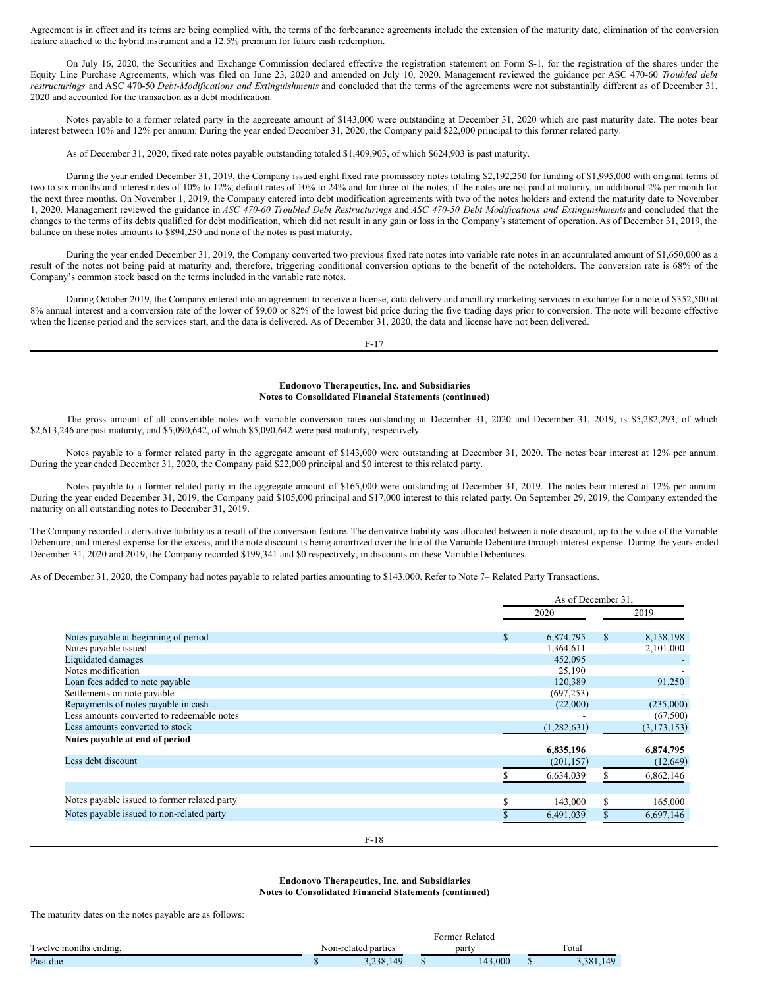Agreement is in effect and its terms are being complied with, the terms of the forbearance agreements include the extension of the maturity date, elimination of the conversion feature attached to the hybrid instrument and a 12.5% premium for future cash redemption.

On July 16, 2020, the Securities and Exchange Commission declared effective the registration statement on Form S-1, for the registration of the shares under the Equity Line Purchase Agreements, which was filed on June 23, 2020 and amended on July 10, 2020. Management reviewed the guidance per ASC 470-60 *Troubled debt restructurings* and ASC 470-50 *Debt-Modifications and Extinguishments* and concluded that the terms of the agreements were not substantially different as of December 31, 2020 and accounted for the transaction as a debt modification.

Notes payable to a former related party in the aggregate amount of \$143,000 were outstanding at December 31, 2020 which are past maturity date. The notes bear interest between 10% and 12% per annum. During the year ended December 31, 2020, the Company paid \$22,000 principal to this former related party.

As of December 31, 2020, fixed rate notes payable outstanding totaled \$1,409,903, of which \$624,903 is past maturity.

During the year ended December 31, 2019, the Company issued eight fixed rate promissory notes totaling \$2,192,250 for funding of \$1,995,000 with original terms of two to six months and interest rates of 10% to 12%, default rates of 10% to 24% and for three of the notes, if the notes are not paid at maturity, an additional 2% per month for the next three months. On November 1, 2019, the Company entered into debt modification agreements with two of the notes holders and extend the maturity date to November 1, 2020. Management reviewed the guidance in ASC 470-60 Troubled Debt Restructurings and ASC 470-50 Debt Modifications and Extinguishments and concluded that the changes to the terms of its debts qualified for debt modification, which did not result in any gain or loss in the Company's statement of operation. As of December 31, 2019, the balance on these notes amounts to \$894,250 and none of the notes is past maturity.

During the year ended December 31, 2019, the Company converted two previous fixed rate notes into variable rate notes in an accumulated amount of \$1,650,000 as a result of the notes not being paid at maturity and, therefore, triggering conditional conversion options to the benefit of the noteholders. The conversion rate is 68% of the Company's common stock based on the terms included in the variable rate notes.

During October 2019, the Company entered into an agreement to receive a license, data delivery and ancillary marketing services in exchange for a note of \$352,500 at 8% annual interest and a conversion rate of the lower of \$9.00 or 82% of the lowest bid price during the five trading days prior to conversion. The note will become effective when the license period and the services start, and the data is delivered. As of December 31, 2020, the data and license have not been delivered.

#### F-17

#### **Endonovo Therapeutics, Inc. and Subsidiaries Notes to Consolidated Financial Statements (continued)**

The gross amount of all convertible notes with variable conversion rates outstanding at December 31, 2020 and December 31, 2019, is \$5,282,293, of which \$2,613,246 are past maturity, and \$5,090,642, of which \$5,090,642 were past maturity, respectively.

Notes payable to a former related party in the aggregate amount of \$143,000 were outstanding at December 31, 2020. The notes bear interest at 12% per annum. During the year ended December 31, 2020, the Company paid \$22,000 principal and \$0 interest to this related party.

Notes payable to a former related party in the aggregate amount of \$165,000 were outstanding at December 31, 2019. The notes bear interest at 12% per annum. During the year ended December 31, 2019, the Company paid \$105,000 principal and \$17,000 interest to this related party. On September 29, 2019, the Company extended the maturity on all outstanding notes to December 31, 2019.

The Company recorded a derivative liability as a result of the conversion feature. The derivative liability was allocated between a note discount, up to the value of the Variable Debenture, and interest expense for the excess, and the note discount is being amortized over the life of the Variable Debenture through interest expense. During the years ended December 31, 2020 and 2019, the Company recorded \$199,341 and \$0 respectively, in discounts on these Variable Debentures.

As of December 31, 2020, the Company had notes payable to related parties amounting to \$143,000. Refer to Note 7– Related Party Transactions.

|                                              |     |             | As of December 31.<br>2019<br>6,874,795<br><sup>\$</sup><br>1,364,611<br>452,095<br>25,190<br>120,389<br>(697, 253)<br>(22,000) |             |  |  |
|----------------------------------------------|-----|-------------|---------------------------------------------------------------------------------------------------------------------------------|-------------|--|--|
|                                              |     | 2020        |                                                                                                                                 |             |  |  |
| Notes payable at beginning of period         | \$. |             |                                                                                                                                 | 8,158,198   |  |  |
| Notes payable issued                         |     |             |                                                                                                                                 | 2,101,000   |  |  |
| Liquidated damages                           |     |             |                                                                                                                                 |             |  |  |
| Notes modification                           |     |             |                                                                                                                                 |             |  |  |
| Loan fees added to note payable              |     |             |                                                                                                                                 | 91,250      |  |  |
| Settlements on note payable                  |     |             |                                                                                                                                 |             |  |  |
| Repayments of notes payable in cash          |     |             |                                                                                                                                 | (235,000)   |  |  |
| Less amounts converted to redeemable notes   |     |             |                                                                                                                                 | (67, 500)   |  |  |
| Less amounts converted to stock              |     | (1,282,631) |                                                                                                                                 | (3,173,153) |  |  |
| Notes payable at end of period               |     |             |                                                                                                                                 |             |  |  |
|                                              |     | 6,835,196   |                                                                                                                                 | 6,874,795   |  |  |
| Less debt discount                           |     | (201, 157)  |                                                                                                                                 | (12, 649)   |  |  |
|                                              |     | 6,634,039   |                                                                                                                                 | 6,862,146   |  |  |
|                                              |     |             |                                                                                                                                 |             |  |  |
| Notes payable issued to former related party |     | 143,000     |                                                                                                                                 | 165,000     |  |  |
| Notes payable issued to non-related party    |     | 6,491,039   |                                                                                                                                 | 6,697,146   |  |  |
| $F-18$                                       |     |             |                                                                                                                                 |             |  |  |

**Endonovo Therapeutics, Inc. and Subsidiaries Notes to Consolidated Financial Statements (continued)**

The maturity dates on the notes payable are as follows:

|                       |                              |           |  | Former Related |           |
|-----------------------|------------------------------|-----------|--|----------------|-----------|
| Twelve months ending. | party<br>Non-related parties |           |  |                | Total     |
| Past due              |                              | 3.238.149 |  | 143,000        | 3.381.149 |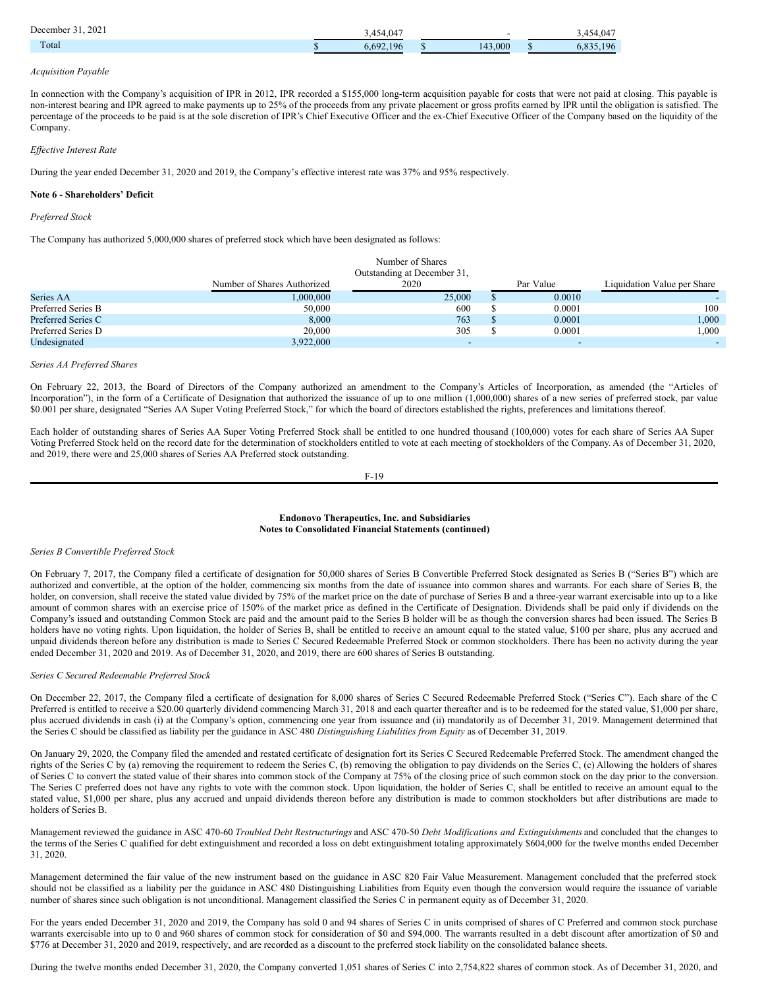| December 31, 2021 | .454.047<br>--- |        | 4.047<br>---            |
|-------------------|-----------------|--------|-------------------------|
| Total             | 6.692.196       | .3,000 | 106<br>$\Omega$<br>J.U. |

#### *Acquisition Payable*

In connection with the Company's acquisition of IPR in 2012, IPR recorded a \$155,000 long-term acquisition payable for costs that were not paid at closing. This payable is non-interest bearing and IPR agreed to make payments up to 25% of the proceeds from any private placement or gross profits earned by IPR until the obligation is satisfied. The percentage of the proceeds to be paid is at the sole discretion of IPR's Chief Executive Officer and the ex-Chief Executive Officer of the Company based on the liquidity of the Company.

#### *Ef ective Interest Rate*

During the year ended December 31, 2020 and 2019, the Company's effective interest rate was 37% and 95% respectively.

#### **Note 6 - Shareholders' Deficit**

# *Preferred Stock*

The Company has authorized 5,000,000 shares of preferred stock which have been designated as follows:

|                    |                             | Number of Shares            |           |                             |
|--------------------|-----------------------------|-----------------------------|-----------|-----------------------------|
|                    |                             | Outstanding at December 31, |           |                             |
|                    | Number of Shares Authorized | 2020                        | Par Value | Liquidation Value per Share |
| Series AA          | .000.000                    | 25,000                      | 0.0010    |                             |
| Preferred Series B | 50,000                      | 600                         | 0.0001    | 100                         |
| Preferred Series C | 8,000                       | 763                         | 0.0001    | 000,1                       |
| Preferred Series D | 20,000                      | 305                         | 0.0001    | 000.                        |
| Undesignated       | 3.922,000                   | ۰                           | -         | $\sim$                      |

#### *Series AA Preferred Shares*

On February 22, 2013, the Board of Directors of the Company authorized an amendment to the Company's Articles of Incorporation, as amended (the "Articles of Incorporation"), in the form of a Certificate of Designation that authorized the issuance of up to one million (1,000,000) shares of a new series of preferred stock, par value \$0.001 per share, designated "Series AA Super Voting Preferred Stock," for which the board of directors established the rights, preferences and limitations thereof.

Each holder of outstanding shares of Series AA Super Voting Preferred Stock shall be entitled to one hundred thousand (100,000) votes for each share of Series AA Super Voting Preferred Stock held on the record date for the determination of stockholders entitled to vote at each meeting of stockholders of the Company. As of December 31, 2020, and 2019, there were and 25,000 shares of Series AA Preferred stock outstanding.

#### F-19

#### **Endonovo Therapeutics, Inc. and Subsidiaries Notes to Consolidated Financial Statements (continued)**

#### *Series B Convertible Preferred Stock*

On February 7, 2017, the Company filed a certificate of designation for 50,000 shares of Series B Convertible Preferred Stock designated as Series B ("Series B") which are authorized and convertible, at the option of the holder, commencing six months from the date of issuance into common shares and warrants. For each share of Series B, the holder, on conversion, shall receive the stated value divided by 75% of the market price on the date of purchase of Series B and a three-year warrant exercisable into up to a like amount of common shares with an exercise price of 150% of the market price as defined in the Certificate of Designation. Dividends shall be paid only if dividends on the Company's issued and outstanding Common Stock are paid and the amount paid to the Series B holder will be as though the conversion shares had been issued. The Series B holders have no voting rights. Upon liquidation, the holder of Series B, shall be entitled to receive an amount equal to the stated value, \$100 per share, plus any accrued and unpaid dividends thereon before any distribution is made to Series C Secured Redeemable Preferred Stock or common stockholders. There has been no activity during the year ended December 31, 2020 and 2019. As of December 31, 2020, and 2019, there are 600 shares of Series B outstanding.

#### *Series C Secured Redeemable Preferred Stock*

On December 22, 2017, the Company filed a certificate of designation for 8,000 shares of Series C Secured Redeemable Preferred Stock ("Series C"). Each share of the C Preferred is entitled to receive a \$20.00 quarterly dividend commencing March 31, 2018 and each quarter thereafter and is to be redeemed for the stated value, \$1,000 per share, plus accrued dividends in cash (i) at the Company's option, commencing one year from issuance and (ii) mandatorily as of December 31, 2019. Management determined that the Series C should be classified as liability per the guidance in ASC 480 *Distinguishing Liabilities from Equity* as of December 31, 2019.

On January 29, 2020, the Company filed the amended and restated certificate of designation fort its Series C Secured Redeemable Preferred Stock. The amendment changed the rights of the Series C by (a) removing the requirement to redeem the Series C, (b) removing the obligation to pay dividends on the Series C, (c) Allowing the holders of shares of Series C to convert the stated value of their shares into common stock of the Company at 75% of the closing price of such common stock on the day prior to the conversion. The Series C preferred does not have any rights to vote with the common stock. Upon liquidation, the holder of Series C, shall be entitled to receive an amount equal to the stated value, \$1,000 per share, plus any accrued and unpaid dividends thereon before any distribution is made to common stockholders but after distributions are made to holders of Series B.

Management reviewed the guidance in ASC 470-60 *Troubled Debt Restructurings* and ASC 470-50 *Debt Modifications and Extinguishments* and concluded that the changes to the terms of the Series C qualified for debt extinguishment and recorded a loss on debt extinguishment totaling approximately \$604,000 for the twelve months ended December 31, 2020.

Management determined the fair value of the new instrument based on the guidance in ASC 820 Fair Value Measurement. Management concluded that the preferred stock should not be classified as a liability per the guidance in ASC 480 Distinguishing Liabilities from Equity even though the conversion would require the issuance of variable number of shares since such obligation is not unconditional. Management classified the Series C in permanent equity as of December 31, 2020.

For the years ended December 31, 2020 and 2019, the Company has sold 0 and 94 shares of Series C in units comprised of shares of C Preferred and common stock purchase warrants exercisable into up to 0 and 960 shares of common stock for consideration of \$0 and \$94,000. The warrants resulted in a debt discount after amortization of \$0 and \$776 at December 31, 2020 and 2019, respectively, and are recorded as a discount to the preferred stock liability on the consolidated balance sheets.

During the twelve months ended December 31, 2020, the Company converted 1,051 shares of Series C into 2,754,822 shares of common stock. As of December 31, 2020, and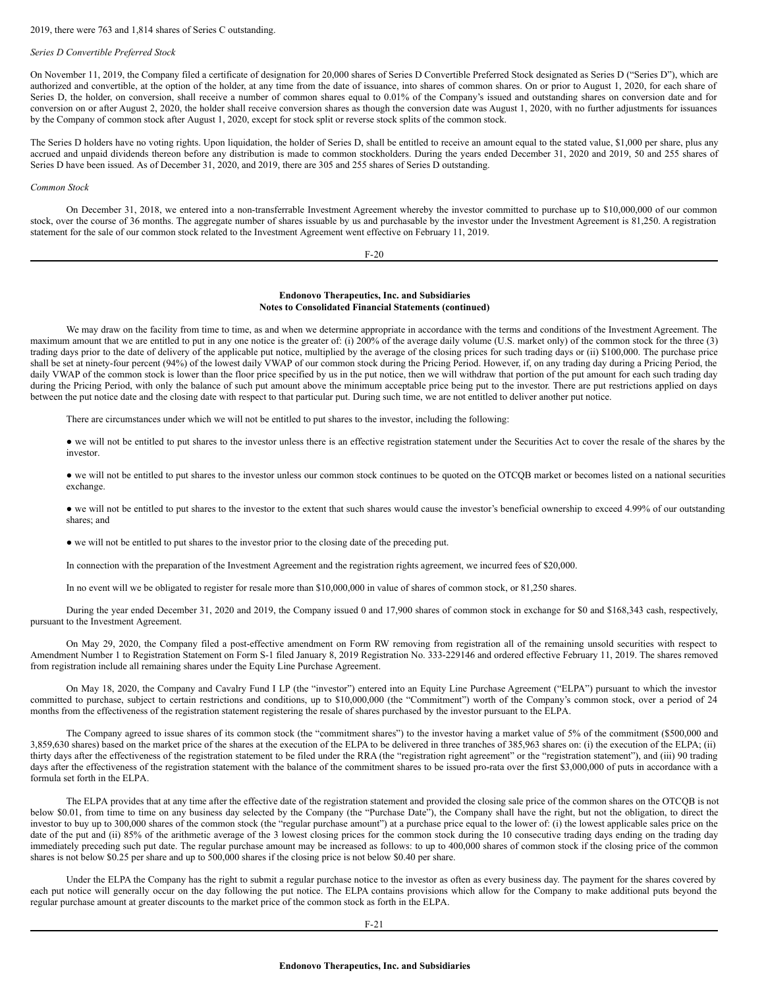2019, there were 763 and 1,814 shares of Series C outstanding.

#### *Series D Convertible Preferred Stock*

On November 11, 2019, the Company filed a certificate of designation for 20,000 shares of Series D Convertible Preferred Stock designated as Series D ("Series D"), which are authorized and convertible, at the option of the holder, at any time from the date of issuance, into shares of common shares. On or prior to August 1, 2020, for each share of Series D, the holder, on conversion, shall receive a number of common shares equal to 0.01% of the Company's issued and outstanding shares on conversion date and for conversion on or after August 2, 2020, the holder shall receive conversion shares as though the conversion date was August 1, 2020, with no further adjustments for issuances by the Company of common stock after August 1, 2020, except for stock split or reverse stock splits of the common stock.

The Series D holders have no voting rights. Upon liquidation, the holder of Series D, shall be entitled to receive an amount equal to the stated value, \$1,000 per share, plus any accrued and unpaid dividends thereon before any distribution is made to common stockholders. During the years ended December 31, 2020 and 2019, 50 and 255 shares of Series D have been issued. As of December 31, 2020, and 2019, there are 305 and 255 shares of Series D outstanding.

#### *Common Stock*

On December 31, 2018, we entered into a non-transferrable Investment Agreement whereby the investor committed to purchase up to \$10,000,000 of our common stock, over the course of 36 months. The aggregate number of shares issuable by us and purchasable by the investor under the Investment Agreement is 81,250. A registration statement for the sale of our common stock related to the Investment Agreement went effective on February 11, 2019.

F-20

#### **Endonovo Therapeutics, Inc. and Subsidiaries Notes to Consolidated Financial Statements (continued)**

We may draw on the facility from time to time, as and when we determine appropriate in accordance with the terms and conditions of the Investment Agreement. The maximum amount that we are entitled to put in any one notice is the greater of: (i) 200% of the average daily volume (U.S. market only) of the common stock for the three (3) trading days prior to the date of delivery of the applicable put notice, multiplied by the average of the closing prices for such trading days or (ii) \$100,000. The purchase price shall be set at ninety-four percent (94%) of the lowest daily VWAP of our common stock during the Pricing Period. However, if, on any trading day during a Pricing Period, the daily VWAP of the common stock is lower than the floor price specified by us in the put notice, then we will withdraw that portion of the put amount for each such trading day during the Pricing Period, with only the balance of such put amount above the minimum acceptable price being put to the investor. There are put restrictions applied on days between the put notice date and the closing date with respect to that particular put. During such time, we are not entitled to deliver another put notice.

There are circumstances under which we will not be entitled to put shares to the investor, including the following:

● we will not be entitled to put shares to the investor unless there is an effective registration statement under the Securities Act to cover the resale of the shares by the investor.

● we will not be entitled to put shares to the investor unless our common stock continues to be quoted on the OTCQB market or becomes listed on a national securities exchange.

● we will not be entitled to put shares to the investor to the extent that such shares would cause the investor's beneficial ownership to exceed 4.99% of our outstanding shares; and

● we will not be entitled to put shares to the investor prior to the closing date of the preceding put.

In connection with the preparation of the Investment Agreement and the registration rights agreement, we incurred fees of \$20,000.

In no event will we be obligated to register for resale more than \$10,000,000 in value of shares of common stock, or 81,250 shares.

During the year ended December 31, 2020 and 2019, the Company issued 0 and 17,900 shares of common stock in exchange for \$0 and \$168,343 cash, respectively, pursuant to the Investment Agreement.

On May 29, 2020, the Company filed a post-effective amendment on Form RW removing from registration all of the remaining unsold securities with respect to Amendment Number 1 to Registration Statement on Form S-1 filed January 8, 2019 Registration No. 333-229146 and ordered effective February 11, 2019. The shares removed from registration include all remaining shares under the Equity Line Purchase Agreement.

On May 18, 2020, the Company and Cavalry Fund I LP (the "investor") entered into an Equity Line Purchase Agreement ("ELPA") pursuant to which the investor committed to purchase, subject to certain restrictions and conditions, up to \$10,000,000 (the "Commitment") worth of the Company's common stock, over a period of 24 months from the effectiveness of the registration statement registering the resale of shares purchased by the investor pursuant to the ELPA.

The Company agreed to issue shares of its common stock (the "commitment shares") to the investor having a market value of 5% of the commitment (\$500,000 and 3,859,630 shares) based on the market price of the shares at the execution of the ELPA to be delivered in three tranches of 385,963 shares on: (i) the execution of the ELPA; (ii) thirty days after the effectiveness of the registration statement to be filed under the RRA (the "registration right agreement" or the "registration statement"), and (iii) 90 trading days after the effectiveness of the registration statement with the balance of the commitment shares to be issued pro-rata over the first \$3,000,000 of puts in accordance with a formula set forth in the ELPA.

The ELPA provides that at any time after the effective date of the registration statement and provided the closing sale price of the common shares on the OTCQB is not below \$0.01, from time to time on any business day selected by the Company (the "Purchase Date"), the Company shall have the right, but not the obligation, to direct the investor to buy up to 300,000 shares of the common stock (the "regular purchase amount") at a purchase price equal to the lower of: (i) the lowest applicable sales price on the date of the put and (ii) 85% of the arithmetic average of the 3 lowest closing prices for the common stock during the 10 consecutive trading days ending on the trading day immediately preceding such put date. The regular purchase amount may be increased as follows: to up to 400,000 shares of common stock if the closing price of the common shares is not below \$0.25 per share and up to 500,000 shares if the closing price is not below \$0.40 per share.

Under the ELPA the Company has the right to submit a regular purchase notice to the investor as often as every business day. The payment for the shares covered by each put notice will generally occur on the day following the put notice. The ELPA contains provisions which allow for the Company to make additional puts beyond the regular purchase amount at greater discounts to the market price of the common stock as forth in the ELPA.

F-21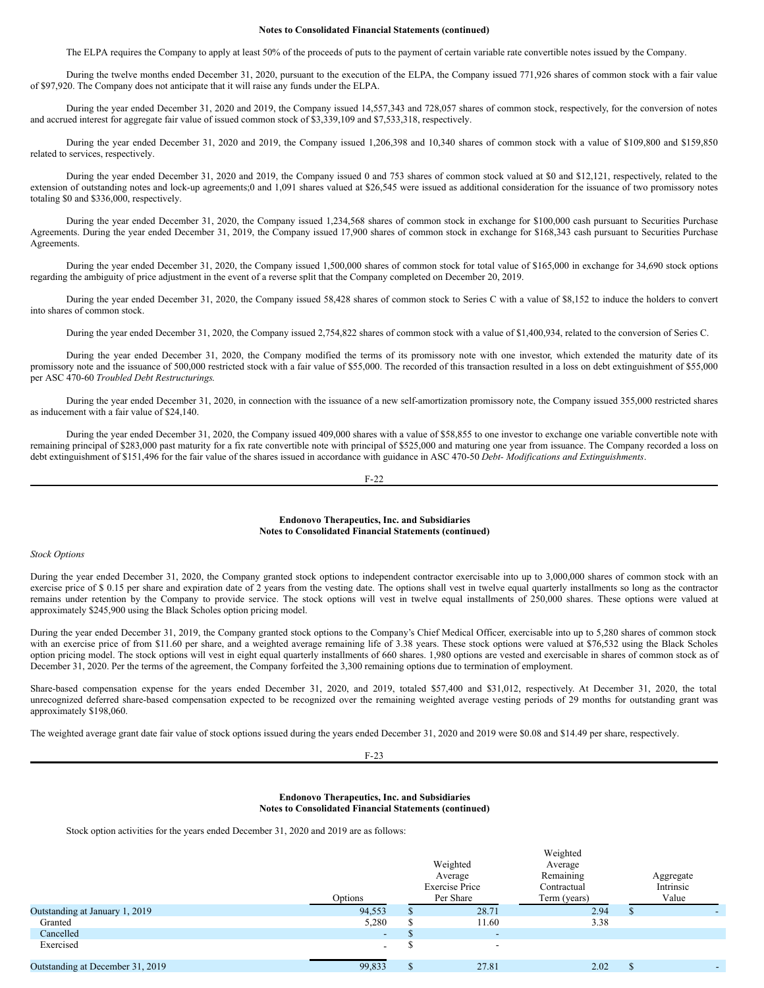#### **Notes to Consolidated Financial Statements (continued)**

The ELPA requires the Company to apply at least 50% of the proceeds of puts to the payment of certain variable rate convertible notes issued by the Company.

During the twelve months ended December 31, 2020, pursuant to the execution of the ELPA, the Company issued 771,926 shares of common stock with a fair value of \$97,920. The Company does not anticipate that it will raise any funds under the ELPA.

During the year ended December 31, 2020 and 2019, the Company issued 14,557,343 and 728,057 shares of common stock, respectively, for the conversion of notes and accrued interest for aggregate fair value of issued common stock of \$3,339,109 and \$7,533,318, respectively.

During the year ended December 31, 2020 and 2019, the Company issued 1,206,398 and 10,340 shares of common stock with a value of \$109,800 and \$159,850 related to services, respectively.

During the year ended December 31, 2020 and 2019, the Company issued 0 and 753 shares of common stock valued at \$0 and \$12,121, respectively, related to the extension of outstanding notes and lock-up agreements;0 and 1,091 shares valued at \$26,545 were issued as additional consideration for the issuance of two promissory notes totaling \$0 and \$336,000, respectively.

During the year ended December 31, 2020, the Company issued 1,234,568 shares of common stock in exchange for \$100,000 cash pursuant to Securities Purchase Agreements. During the year ended December 31, 2019, the Company issued 17,900 shares of common stock in exchange for \$168,343 cash pursuant to Securities Purchase Agreements.

During the year ended December 31, 2020, the Company issued 1,500,000 shares of common stock for total value of \$165,000 in exchange for 34,690 stock options regarding the ambiguity of price adjustment in the event of a reverse split that the Company completed on December 20, 2019.

During the year ended December 31, 2020, the Company issued 58,428 shares of common stock to Series C with a value of \$8,152 to induce the holders to convert into shares of common stock.

During the year ended December 31, 2020, the Company issued 2,754,822 shares of common stock with a value of \$1,400,934, related to the conversion of Series C.

During the year ended December 31, 2020, the Company modified the terms of its promissory note with one investor, which extended the maturity date of its promissory note and the issuance of 500,000 restricted stock with a fair value of \$55,000. The recorded of this transaction resulted in a loss on debt extinguishment of \$55,000 per ASC 470-60 *Troubled Debt Restructurings*.

During the year ended December 31, 2020, in connection with the issuance of a new self-amortization promissory note, the Company issued 355,000 restricted shares as inducement with a fair value of \$24,140.

During the year ended December 31, 2020, the Company issued 409,000 shares with a value of \$58,855 to one investor to exchange one variable convertible note with remaining principal of \$283,000 past maturity for a fix rate convertible note with principal of \$525,000 and maturing one year from issuance. The Company recorded a loss on debt extinguishment of \$151,496 for the fair value of the shares issued in accordance with guidance in ASC 470-50 *Debt- Modifications and Extinguishments*.

F-22

#### **Endonovo Therapeutics, Inc. and Subsidiaries Notes to Consolidated Financial Statements (continued)**

#### *Stock Options*

During the year ended December 31, 2020, the Company granted stock options to independent contractor exercisable into up to 3,000,000 shares of common stock with an exercise price of \$ 0.15 per share and expiration date of 2 years from the vesting date. The options shall vest in twelve equal quarterly installments so long as the contractor remains under retention by the Company to provide service. The stock options will vest in twelve equal installments of 250,000 shares. These options were valued at approximately \$245,900 using the Black Scholes option pricing model.

During the year ended December 31, 2019, the Company granted stock options to the Company's Chief Medical Officer, exercisable into up to 5,280 shares of common stock with an exercise price of from \$11.60 per share, and a weighted average remaining life of 3.38 years. These stock options were valued at \$76,532 using the Black Scholes option pricing model. The stock options will vest in eight equal quarterly installments of 660 shares. 1,980 options are vested and exercisable in shares of common stock as of December 31, 2020. Per the terms of the agreement, the Company forfeited the 3,300 remaining options due to termination of employment.

Share-based compensation expense for the years ended December 31, 2020, and 2019, totaled \$57,400 and \$31,012, respectively. At December 31, 2020, the total unrecognized deferred share-based compensation expected to be recognized over the remaining weighted average vesting periods of 29 months for outstanding grant was approximately \$198,060.

The weighted average grant date fair value of stock options issued during the years ended December 31, 2020 and 2019 were \$0.08 and \$14.49 per share, respectively.

#### F-23

#### **Endonovo Therapeutics, Inc. and Subsidiaries Notes to Consolidated Financial Statements (continued)**

Stock option activities for the years ended December 31, 2020 and 2019 are as follows:

|                                  |                          |     |                          | Weighted     |           |  |
|----------------------------------|--------------------------|-----|--------------------------|--------------|-----------|--|
|                                  |                          |     | Weighted                 | Average      |           |  |
|                                  |                          |     | Average                  | Remaining    | Aggregate |  |
|                                  |                          |     | <b>Exercise Price</b>    | Contractual  | Intrinsic |  |
|                                  | Options                  |     | Per Share                | Term (years) | Value     |  |
| Outstanding at January 1, 2019   | 94,553                   |     | 28.71                    | 2.94         |           |  |
| Granted                          | 5,280                    |     | 11.60                    | 3.38         |           |  |
| Cancelled                        | $\overline{\phantom{a}}$ |     | $\overline{\phantom{a}}$ |              |           |  |
| Exercised                        | $\overline{\phantom{a}}$ |     | $\overline{\phantom{0}}$ |              |           |  |
| Outstanding at December 31, 2019 | 99,833                   | \$. | 27.81                    | 2.02         |           |  |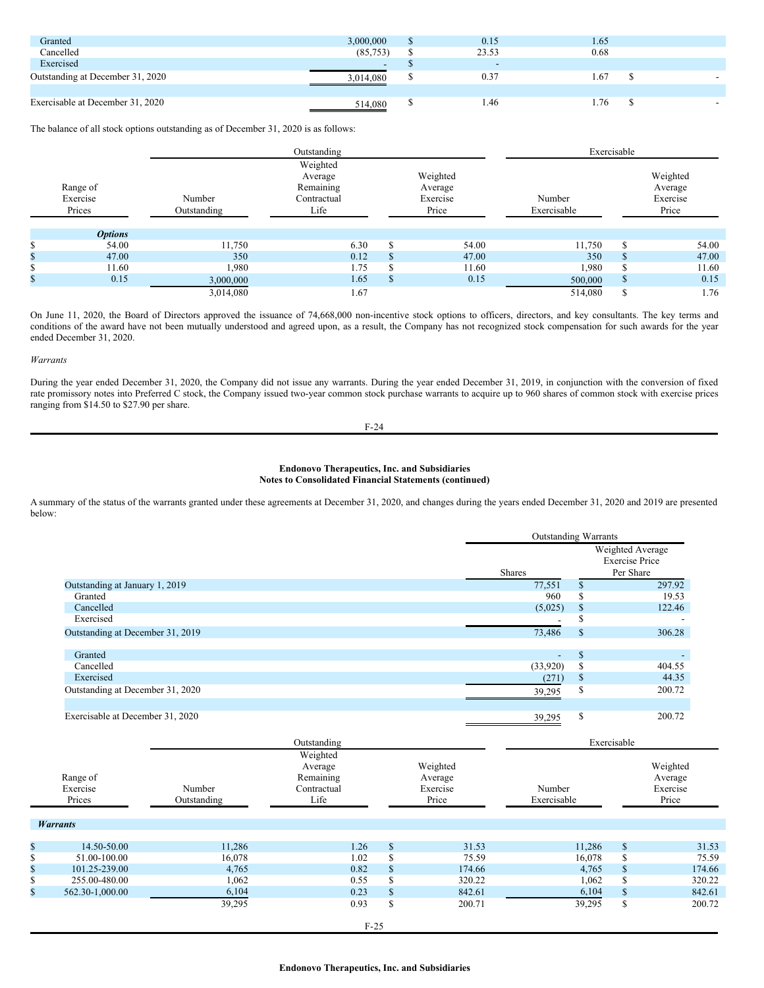| Granted                          | 3,000,000                | 0.15                     | 1.65 |  |  |
|----------------------------------|--------------------------|--------------------------|------|--|--|
| Cancelled                        | (85,753)                 | 23.53                    | 0.68 |  |  |
| Exercised                        | $\overline{\phantom{0}}$ | $\overline{\phantom{0}}$ |      |  |  |
| Outstanding at December 31, 2020 | 3.014.080                | 0.37                     | . 67 |  |  |
|                                  |                          |                          |      |  |  |
| Exercisable at December 31, 2020 | 514,080                  | 1.46                     | . 76 |  |  |

The balance of all stock options outstanding as of December 31, 2020 is as follows:

|    |                                |                       | Outstanding                                             |    |                                          |                       | Exercisable |                                          |
|----|--------------------------------|-----------------------|---------------------------------------------------------|----|------------------------------------------|-----------------------|-------------|------------------------------------------|
|    | Range of<br>Exercise<br>Prices | Number<br>Outstanding | Weighted<br>Average<br>Remaining<br>Contractual<br>Life |    | Weighted<br>Average<br>Exercise<br>Price | Number<br>Exercisable |             | Weighted<br>Average<br>Exercise<br>Price |
|    | <b>Options</b>                 |                       |                                                         |    |                                          |                       |             |                                          |
| S  | 54.00                          | 11,750                | 6.30                                                    | S  | 54.00                                    | 11,750                | \$          | 54.00                                    |
| \$ | 47.00                          | 350                   | 0.12                                                    | \$ | 47.00                                    | 350                   | ъ           | 47.00                                    |
| S  | 11.60                          | 1,980                 | 1.75                                                    |    | 11.60                                    | 1,980                 |             | 11.60                                    |
| \$ | 0.15                           | 3,000,000             | 1.65                                                    | S  | 0.15                                     | 500,000               | ъ           | 0.15                                     |
|    |                                | 3,014,080             | 1.67                                                    |    |                                          | 514,080               |             | 1.76                                     |

On June 11, 2020, the Board of Directors approved the issuance of 74,668,000 non-incentive stock options to officers, directors, and key consultants. The key terms and conditions of the award have not been mutually understood and agreed upon, as a result, the Company has not recognized stock compensation for such awards for the year ended December 31, 2020.

#### *Warrants*

During the year ended December 31, 2020, the Company did not issue any warrants. During the year ended December 31, 2019, in conjunction with the conversion of fixed rate promissory notes into Preferred C stock, the Company issued two-year common stock purchase warrants to acquire up to 960 shares of common stock with exercise prices ranging from \$14.50 to \$27.90 per share.

F-24

#### **Endonovo Therapeutics, Inc. and Subsidiaries Notes to Consolidated Financial Statements (continued)**

A summary of the status of the warrants granted under these agreements at December 31, 2020, and changes during the years ended December 31, 2020 and 2019 are presented below:

|                                  |             |                     |              |          | <b>Outstanding Warrants</b> |               |                                                        |                |
|----------------------------------|-------------|---------------------|--------------|----------|-----------------------------|---------------|--------------------------------------------------------|----------------|
|                                  |             |                     |              |          | <b>Shares</b>               |               | Weighted Average<br><b>Exercise Price</b><br>Per Share |                |
| Outstanding at January 1, 2019   |             |                     |              |          | 77,551                      | \$            |                                                        | 297.92         |
| Granted                          |             |                     |              |          | 960                         | \$            |                                                        | 19.53          |
| Cancelled                        |             |                     |              |          | (5,025)                     | $\mathbb S$   |                                                        | 122.46         |
| Exercised                        |             |                     |              |          |                             | \$            |                                                        |                |
| Outstanding at December 31, 2019 |             |                     |              |          | 73,486                      | $\mathsf{\$}$ |                                                        | 306.28         |
| Granted                          |             |                     |              |          | $\sim$                      | $\mathbb{S}$  |                                                        | $\blacksquare$ |
| Cancelled                        |             |                     |              |          | (33,920)                    | \$            |                                                        | 404.55         |
| Exercised                        |             |                     |              |          | (271)                       | $\mathcal{S}$ |                                                        | 44.35          |
| Outstanding at December 31, 2020 |             |                     |              |          | 39,295                      | \$            |                                                        | 200.72         |
|                                  |             |                     |              |          |                             |               |                                                        |                |
| Exercisable at December 31, 2020 |             |                     |              |          | 39,295                      | \$            |                                                        | 200.72         |
|                                  |             | Outstanding         |              |          |                             |               | Exercisable                                            |                |
|                                  |             | Weighted<br>Average |              | Weighted |                             |               |                                                        | Weighted       |
| Range of                         |             | Remaining           |              | Average  |                             |               |                                                        | Average        |
| Exercise                         | Number      | Contractual         |              | Exercise | Number                      |               |                                                        | Exercise       |
| Prices                           | Outstanding | Life                |              | Price    | Exercisable                 |               |                                                        | Price          |
| <b>Warrants</b>                  |             |                     |              |          |                             |               |                                                        |                |
| 14.50-50.00                      | 11,286      | 1.26                | $\mathbb S$  | 31.53    |                             | 11,286        | $\mathbb{S}$                                           | 31.53          |
| 51.00-100.00                     | 16,078      | 1.02                | $\mathbb{S}$ | 75.59    |                             | 16,078        | \$                                                     | 75.59          |
| 101.25-239.00                    | 4,765       | 0.82                | $\mathbb{S}$ | 174.66   |                             | 4,765         | $\mathbb{S}$                                           | 174.66         |
| 255.00-480.00                    | 1,062       | 0.55                | $\mathbb{S}$ | 320.22   |                             | 1,062         | \$                                                     | 320.22         |
| 562.30-1,000.00                  | 6,104       | 0.23                | $\mathbb{S}$ | 842.61   |                             | 6,104         | $\mathbb{S}$                                           | 842.61         |
|                                  | 39,295      | 0.93                | \$           | 200.71   |                             | 39,295        | $\mathbb{S}$                                           | 200.72         |
|                                  |             | $F-25$              |              |          |                             |               |                                                        |                |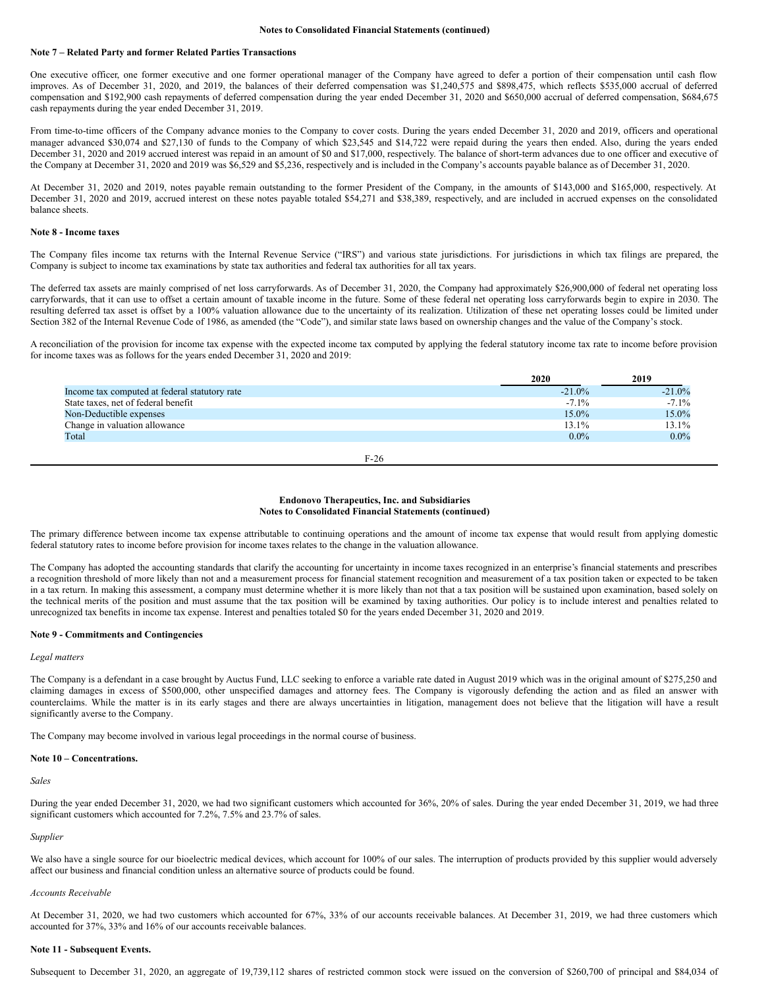# **Note 7 – Related Party and former Related Parties Transactions**

One executive officer, one former executive and one former operational manager of the Company have agreed to defer a portion of their compensation until cash flow improves. As of December 31, 2020, and 2019, the balances of their deferred compensation was \$1,240,575 and \$898,475, which reflects \$535,000 accrual of deferred compensation and \$192,900 cash repayments of deferred compensation during the year ended December 31, 2020 and \$650,000 accrual of deferred compensation, \$684,675 cash repayments during the year ended December 31, 2019.

From time-to-time officers of the Company advance monies to the Company to cover costs. During the years ended December 31, 2020 and 2019, officers and operational manager advanced \$30,074 and \$27,130 of funds to the Company of which \$23,545 and \$14,722 were repaid during the years then ended. Also, during the years ended December 31, 2020 and 2019 accrued interest was repaid in an amount of \$0 and \$17,000, respectively. The balance of short-term advances due to one officer and executive of the Company at December 31, 2020 and 2019 was \$6,529 and \$5,236, respectively and is included in the Company's accounts payable balance as of December 31, 2020.

At December 31, 2020 and 2019, notes payable remain outstanding to the former President of the Company, in the amounts of \$143,000 and \$165,000, respectively. At December 31, 2020 and 2019, accrued interest on these notes payable totaled \$54,271 and \$38,389, respectively, and are included in accrued expenses on the consolidated balance sheets.

# **Note 8 - Income taxes**

The Company files income tax returns with the Internal Revenue Service ("IRS") and various state jurisdictions. For jurisdictions in which tax filings are prepared, the Company is subject to income tax examinations by state tax authorities and federal tax authorities for all tax years.

The deferred tax assets are mainly comprised of net loss carryforwards. As of December 31, 2020, the Company had approximately \$26,900,000 of federal net operating loss carryforwards, that it can use to offset a certain amount of taxable income in the future. Some of these federal net operating loss carryforwards begin to expire in 2030. The resulting deferred tax asset is offset by a 100% valuation allowance due to the uncertainty of its realization. Utilization of these net operating losses could be limited under Section 382 of the Internal Revenue Code of 1986, as amended (the "Code"), and similar state laws based on ownership changes and the value of the Company's stock.

A reconciliation of the provision for income tax expense with the expected income tax computed by applying the federal statutory income tax rate to income before provision for income taxes was as follows for the years ended December 31, 2020 and 2019:

|                                               | 2020      | 2019      |
|-----------------------------------------------|-----------|-----------|
| Income tax computed at federal statutory rate | $-21.0\%$ | $-21.0\%$ |
| State taxes, net of federal benefit           | $-7.1\%$  | $-7.1\%$  |
| Non-Deductible expenses                       | 15.0%     | 15.0%     |
| Change in valuation allowance                 | 13.1%     | $13.1\%$  |
| Total                                         | $0.0\%$   | $0.0\%$   |
| _ _ _                                         |           |           |

F-26

#### **Endonovo Therapeutics, Inc. and Subsidiaries Notes to Consolidated Financial Statements (continued)**

The primary difference between income tax expense attributable to continuing operations and the amount of income tax expense that would result from applying domestic federal statutory rates to income before provision for income taxes relates to the change in the valuation allowance.

The Company has adopted the accounting standards that clarify the accounting for uncertainty in income taxes recognized in an enterprise's financial statements and prescribes a recognition threshold of more likely than not and a measurement process for financial statement recognition and measurement of a tax position taken or expected to be taken in a tax return. In making this assessment, a company must determine whether it is more likely than not that a tax position will be sustained upon examination, based solely on the technical merits of the position and must assume that the tax position will be examined by taxing authorities. Our policy is to include interest and penalties related to unrecognized tax benefits in income tax expense. Interest and penalties totaled \$0 for the years ended December 31, 2020 and 2019.

#### **Note 9 - Commitments and Contingencies**

#### *Legal matters*

The Company is a defendant in a case brought by Auctus Fund, LLC seeking to enforce a variable rate dated in August 2019 which was in the original amount of \$275,250 and claiming damages in excess of \$500,000, other unspecified damages and attorney fees. The Company is vigorously defending the action and as filed an answer with counterclaims. While the matter is in its early stages and there are always uncertainties in litigation, management does not believe that the litigation will have a result significantly averse to the Company.

The Company may become involved in various legal proceedings in the normal course of business.

#### **Note 10 – Concentrations.**

*Sales*

During the year ended December 31, 2020, we had two significant customers which accounted for 36%, 20% of sales. During the year ended December 31, 2019, we had three significant customers which accounted for 7.2%, 7.5% and 23.7% of sales.

#### *Supplier*

We also have a single source for our bioelectric medical devices, which account for 100% of our sales. The interruption of products provided by this supplier would adversely affect our business and financial condition unless an alternative source of products could be found.

#### *Accounts Receivable*

At December 31, 2020, we had two customers which accounted for 67%, 33% of our accounts receivable balances. At December 31, 2019, we had three customers which accounted for 37%, 33% and 16% of our accounts receivable balances.

#### **Note 11 - Subsequent Events.**

Subsequent to December 31, 2020, an aggregate of 19,739,112 shares of restricted common stock were issued on the conversion of \$260,700 of principal and \$84,034 of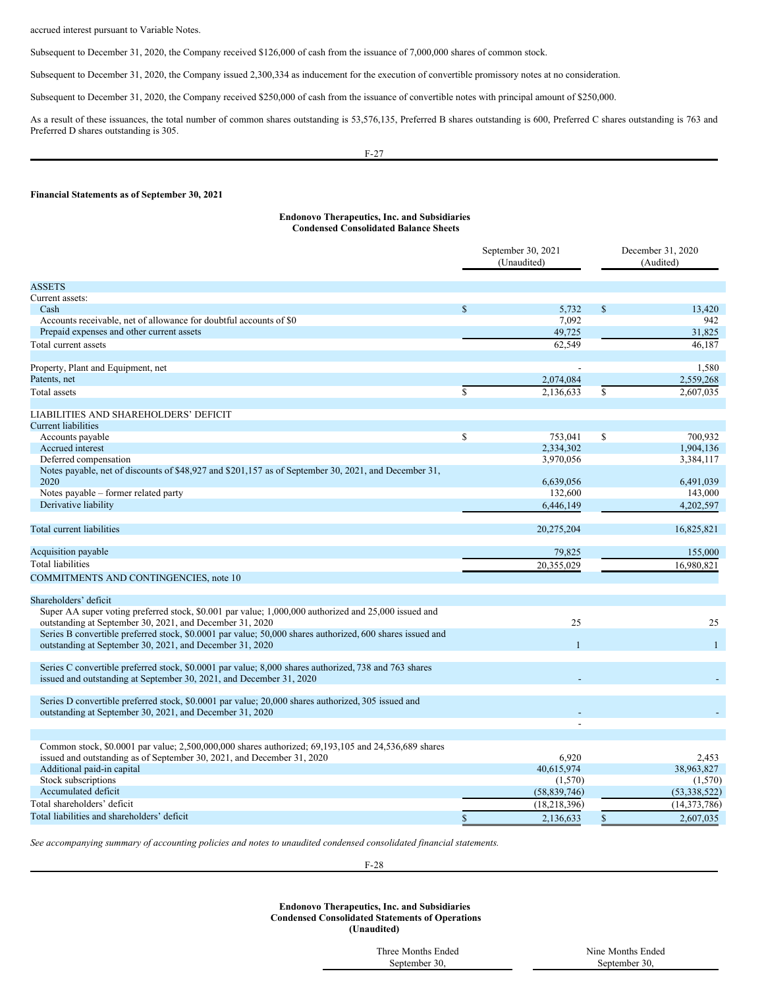#### accrued interest pursuant to Variable Notes.

Subsequent to December 31, 2020, the Company received \$126,000 of cash from the issuance of 7,000,000 shares of common stock.

Subsequent to December 31, 2020, the Company issued 2,300,334 as inducement for the execution of convertible promissory notes at no consideration.

Subsequent to December 31, 2020, the Company received \$250,000 of cash from the issuance of convertible notes with principal amount of \$250,000.

As a result of these issuances, the total number of common shares outstanding is 53,576,135, Preferred B shares outstanding is 600, Preferred C shares outstanding is 763 and Preferred D shares outstanding is 305.

#### **Financial Statements as of September 30, 2021**

#### <span id="page-42-0"></span>**Endonovo Therapeutics, Inc. and Subsidiaries Condensed Consolidated Balance Sheets**

|                                                                                                                                                                              |             | September 30, 2021<br>(Unaudited) | December 31, 2020<br>(Audited) |                |  |
|------------------------------------------------------------------------------------------------------------------------------------------------------------------------------|-------------|-----------------------------------|--------------------------------|----------------|--|
| <b>ASSETS</b>                                                                                                                                                                |             |                                   |                                |                |  |
| Current assets:                                                                                                                                                              |             |                                   |                                |                |  |
| Cash                                                                                                                                                                         | $\mathbf S$ | 5,732                             | $\mathbb{S}$                   | 13,420         |  |
| Accounts receivable, net of allowance for doubtful accounts of \$0                                                                                                           |             | 7,092                             |                                | 942            |  |
| Prepaid expenses and other current assets                                                                                                                                    |             | 49,725                            |                                | 31,825         |  |
| Total current assets                                                                                                                                                         |             | 62.549                            |                                | 46.187         |  |
| Property, Plant and Equipment, net                                                                                                                                           |             |                                   |                                | 1,580          |  |
| Patents, net                                                                                                                                                                 |             | 2,074,084                         |                                | 2,559,268      |  |
| Total assets                                                                                                                                                                 | S           | 2,136,633                         | S.                             | 2,607,035      |  |
| LIABILITIES AND SHAREHOLDERS' DEFICIT                                                                                                                                        |             |                                   |                                |                |  |
| <b>Current liabilities</b>                                                                                                                                                   |             |                                   |                                |                |  |
| Accounts payable                                                                                                                                                             | \$          | 753,041                           | \$                             | 700,932        |  |
| Accrued interest                                                                                                                                                             |             | 2,334,302                         |                                | 1,904,136      |  |
| Deferred compensation                                                                                                                                                        |             | 3,970,056                         |                                | 3,384,117      |  |
| Notes payable, net of discounts of \$48,927 and \$201,157 as of September 30, 2021, and December 31,<br>2020                                                                 |             | 6,639,056                         |                                | 6,491,039      |  |
| Notes payable – former related party                                                                                                                                         |             | 132,600                           |                                | 143,000        |  |
| Derivative liability                                                                                                                                                         |             | 6,446,149                         |                                | 4,202,597      |  |
| Total current liabilities                                                                                                                                                    |             | 20,275,204                        |                                | 16,825,821     |  |
| Acquisition payable                                                                                                                                                          |             | 79,825                            |                                | 155,000        |  |
| Total liabilities                                                                                                                                                            |             | 20,355,029                        |                                | 16,980,821     |  |
| <b>COMMITMENTS AND CONTINGENCIES, note 10</b>                                                                                                                                |             |                                   |                                |                |  |
| Shareholders' deficit                                                                                                                                                        |             |                                   |                                |                |  |
| Super AA super voting preferred stock, \$0.001 par value; 1,000,000 authorized and 25,000 issued and<br>outstanding at September 30, 2021, and December 31, 2020             |             | 25                                |                                | 25             |  |
| Series B convertible preferred stock, \$0.0001 par value; 50,000 shares authorized, 600 shares issued and<br>outstanding at September 30, 2021, and December 31, 2020        |             | $\mathbf{1}$                      |                                | $\mathbf{1}$   |  |
| Series C convertible preferred stock, \$0.0001 par value; 8,000 shares authorized, 738 and 763 shares<br>issued and outstanding at September 30, 2021, and December 31, 2020 |             |                                   |                                |                |  |
| Series D convertible preferred stock, \$0,0001 par value; 20,000 shares authorized, 305 issued and<br>outstanding at September 30, 2021, and December 31, 2020               |             |                                   |                                |                |  |
|                                                                                                                                                                              |             |                                   |                                |                |  |
| Common stock, \$0.0001 par value; 2,500,000,000 shares authorized; 69,193,105 and 24,536,689 shares                                                                          |             |                                   |                                |                |  |
| issued and outstanding as of September 30, 2021, and December 31, 2020                                                                                                       |             | 6,920                             |                                | 2,453          |  |
| Additional paid-in capital                                                                                                                                                   |             | 40,615,974                        |                                | 38,963,827     |  |
| Stock subscriptions                                                                                                                                                          |             | (1,570)                           |                                | (1,570)        |  |
| Accumulated deficit                                                                                                                                                          |             | (58, 839, 746)                    |                                | (53, 338, 522) |  |
| Total shareholders' deficit                                                                                                                                                  |             | (18, 218, 396)                    |                                | (14, 373, 786) |  |
| Total liabilities and shareholders' deficit                                                                                                                                  | S           | 2,136,633                         | \$                             | 2,607,035      |  |

*See accompanying summary of accounting policies and notes to unaudited condensed consolidated financial statements.*

F-28

<span id="page-42-1"></span>**Endonovo Therapeutics, Inc. and Subsidiaries Condensed Consolidated Statements of Operations (Unaudited)**

Three Months Ended Nine Months Ended September 30, September 30,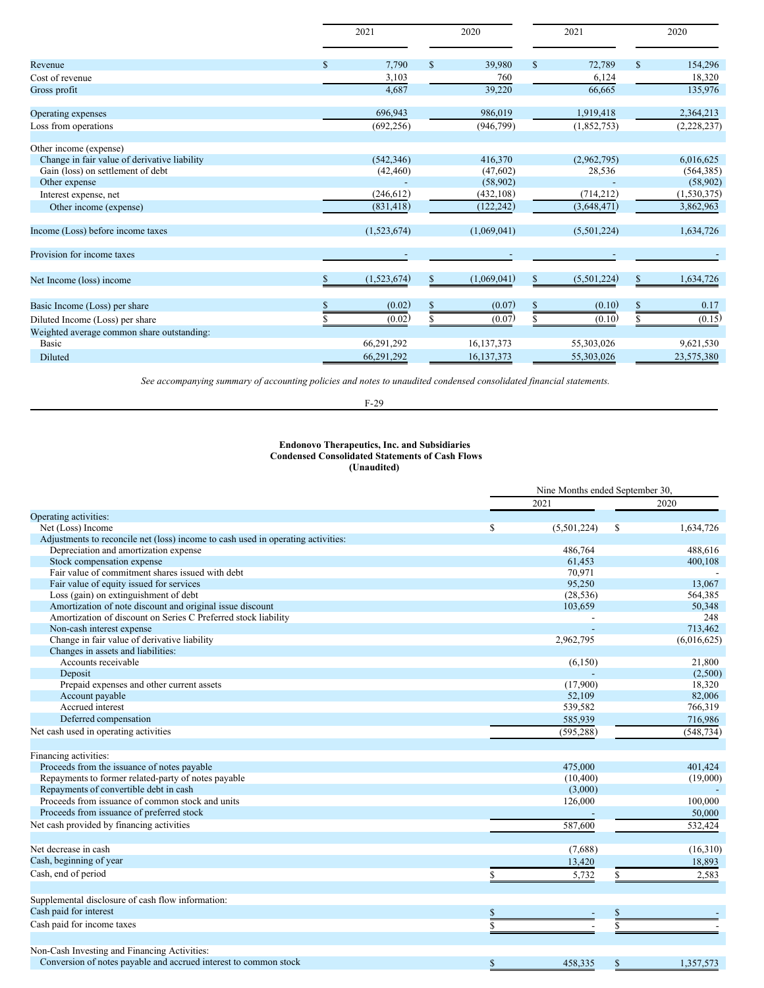|                                              | 2021        | 2020         |              | 2021        | 2020         |               |
|----------------------------------------------|-------------|--------------|--------------|-------------|--------------|---------------|
| Revenue                                      | \$<br>7,790 | \$<br>39.980 | $\mathbb{S}$ | 72,789      | $\mathbb{S}$ | 154,296       |
| Cost of revenue                              | 3,103       | 760          |              | 6,124       |              | 18,320        |
| Gross profit                                 | 4,687       | 39,220       |              | 66,665      |              | 135,976       |
| Operating expenses                           | 696,943     | 986,019      |              | 1,919,418   |              | 2,364,213     |
| Loss from operations                         | (692, 256)  | (946, 799)   |              | (1,852,753) |              | (2,228,237)   |
| Other income (expense)                       |             |              |              |             |              |               |
| Change in fair value of derivative liability | (542, 346)  | 416,370      |              | (2,962,795) |              | 6,016,625     |
| Gain (loss) on settlement of debt            | (42, 460)   | (47,602)     |              | 28,536      |              | (564, 385)    |
| Other expense                                |             | (58,902)     |              |             |              | (58,902)      |
| Interest expense, net                        | (246, 612)  | (432, 108)   |              | (714, 212)  |              | (1, 530, 375) |
| Other income (expense)                       | (831, 418)  | (122, 242)   |              | (3,648,471) |              | 3,862,963     |
| Income (Loss) before income taxes            | (1,523,674) | (1,069,041)  |              | (5,501,224) |              | 1,634,726     |
| Provision for income taxes                   |             |              |              |             |              |               |
| Net Income (loss) income                     | (1,523,674) | (1,069,041)  | \$           | (5,501,224) | \$           | 1,634,726     |
| Basic Income (Loss) per share                | (0.02)      | \$<br>(0.07) | $\mathbb{S}$ | (0.10)      | \$           | 0.17          |
| Diluted Income (Loss) per share              | (0.02)      | (0.07)       | \$           | (0.10)      | S            | (0.15)        |
| Weighted average common share outstanding:   |             |              |              |             |              |               |
| <b>Basic</b>                                 | 66,291,292  | 16, 137, 373 |              | 55,303,026  |              | 9,621,530     |
| Diluted                                      | 66,291,292  | 16, 137, 373 |              | 55,303,026  |              | 23,575,380    |

*See accompanying summary of accounting policies and notes to unaudited condensed consolidated financial statements.*

F-29

#### <span id="page-43-0"></span>**Endonovo Therapeutics, Inc. and Subsidiaries Condensed Consolidated Statements of Cash Flows (Unaudited)**

| 2021<br>2020<br>Operating activities:<br>Net (Loss) Income<br>(5,501,224)<br>\$<br>1,634,726<br>S<br>Adjustments to reconcile net (loss) income to cash used in operating activities:<br>488,616<br>Depreciation and amortization expense<br>486,764<br>Stock compensation expense<br>61,453<br>400,108<br>Fair value of commitment shares issued with debt<br>70,971<br>Fair value of equity issued for services<br>95,250<br>13.067<br>Loss (gain) on extinguishment of debt<br>(28, 536)<br>564,385<br>Amortization of note discount and original issue discount<br>103,659<br>50,348<br>Amortization of discount on Series C Preferred stock liability<br>248<br>Non-cash interest expense<br>713,462<br>Change in fair value of derivative liability<br>2,962,795<br>(6,016,625)<br>Changes in assets and liabilities:<br>Accounts receivable<br>(6,150)<br>21,800<br>Deposit<br>(2,500)<br>Prepaid expenses and other current assets<br>(17,900)<br>18,320<br>Account payable<br>52,109<br>82,006<br>Accrued interest<br>539,582<br>766,319<br>Deferred compensation<br>716,986<br>585,939<br>Net cash used in operating activities<br>(548, 734)<br>(595, 288)<br>Financing activities:<br>Proceeds from the issuance of notes payable<br>475,000<br>401,424<br>Repayments to former related-party of notes payable<br>(10, 400)<br>(19,000)<br>Repayments of convertible debt in cash<br>(3,000)<br>Proceeds from issuance of common stock and units<br>100,000<br>126,000<br>Proceeds from issuance of preferred stock<br>50,000<br>Net cash provided by financing activities<br>587,600<br>532,424<br>Net decrease in cash<br>(7,688)<br>(16,310)<br>Cash, beginning of year<br>18,893<br>13,420<br>Cash, end of period<br>\$<br>5,732<br>\$<br>2,583<br>Supplemental disclosure of cash flow information:<br>Cash paid for interest<br>\$<br>\$<br>Cash paid for income taxes<br>\$<br>$\mathbf S$<br>$\overline{\phantom{a}}$<br>Non-Cash Investing and Financing Activities:<br>Conversion of notes payable and accrued interest to common stock<br>\$<br>458,335<br>1,357,573<br>\$ |  | Nine Months ended September 30, |  |
|---------------------------------------------------------------------------------------------------------------------------------------------------------------------------------------------------------------------------------------------------------------------------------------------------------------------------------------------------------------------------------------------------------------------------------------------------------------------------------------------------------------------------------------------------------------------------------------------------------------------------------------------------------------------------------------------------------------------------------------------------------------------------------------------------------------------------------------------------------------------------------------------------------------------------------------------------------------------------------------------------------------------------------------------------------------------------------------------------------------------------------------------------------------------------------------------------------------------------------------------------------------------------------------------------------------------------------------------------------------------------------------------------------------------------------------------------------------------------------------------------------------------------------------------------------------------------------------------------------------------------------------------------------------------------------------------------------------------------------------------------------------------------------------------------------------------------------------------------------------------------------------------------------------------------------------------------------------------------------------------------------------------------------------------------------------------------------------------------|--|---------------------------------|--|
|                                                                                                                                                                                                                                                                                                                                                                                                                                                                                                                                                                                                                                                                                                                                                                                                                                                                                                                                                                                                                                                                                                                                                                                                                                                                                                                                                                                                                                                                                                                                                                                                                                                                                                                                                                                                                                                                                                                                                                                                                                                                                                   |  |                                 |  |
|                                                                                                                                                                                                                                                                                                                                                                                                                                                                                                                                                                                                                                                                                                                                                                                                                                                                                                                                                                                                                                                                                                                                                                                                                                                                                                                                                                                                                                                                                                                                                                                                                                                                                                                                                                                                                                                                                                                                                                                                                                                                                                   |  |                                 |  |
|                                                                                                                                                                                                                                                                                                                                                                                                                                                                                                                                                                                                                                                                                                                                                                                                                                                                                                                                                                                                                                                                                                                                                                                                                                                                                                                                                                                                                                                                                                                                                                                                                                                                                                                                                                                                                                                                                                                                                                                                                                                                                                   |  |                                 |  |
|                                                                                                                                                                                                                                                                                                                                                                                                                                                                                                                                                                                                                                                                                                                                                                                                                                                                                                                                                                                                                                                                                                                                                                                                                                                                                                                                                                                                                                                                                                                                                                                                                                                                                                                                                                                                                                                                                                                                                                                                                                                                                                   |  |                                 |  |
|                                                                                                                                                                                                                                                                                                                                                                                                                                                                                                                                                                                                                                                                                                                                                                                                                                                                                                                                                                                                                                                                                                                                                                                                                                                                                                                                                                                                                                                                                                                                                                                                                                                                                                                                                                                                                                                                                                                                                                                                                                                                                                   |  |                                 |  |
|                                                                                                                                                                                                                                                                                                                                                                                                                                                                                                                                                                                                                                                                                                                                                                                                                                                                                                                                                                                                                                                                                                                                                                                                                                                                                                                                                                                                                                                                                                                                                                                                                                                                                                                                                                                                                                                                                                                                                                                                                                                                                                   |  |                                 |  |
|                                                                                                                                                                                                                                                                                                                                                                                                                                                                                                                                                                                                                                                                                                                                                                                                                                                                                                                                                                                                                                                                                                                                                                                                                                                                                                                                                                                                                                                                                                                                                                                                                                                                                                                                                                                                                                                                                                                                                                                                                                                                                                   |  |                                 |  |
|                                                                                                                                                                                                                                                                                                                                                                                                                                                                                                                                                                                                                                                                                                                                                                                                                                                                                                                                                                                                                                                                                                                                                                                                                                                                                                                                                                                                                                                                                                                                                                                                                                                                                                                                                                                                                                                                                                                                                                                                                                                                                                   |  |                                 |  |
|                                                                                                                                                                                                                                                                                                                                                                                                                                                                                                                                                                                                                                                                                                                                                                                                                                                                                                                                                                                                                                                                                                                                                                                                                                                                                                                                                                                                                                                                                                                                                                                                                                                                                                                                                                                                                                                                                                                                                                                                                                                                                                   |  |                                 |  |
|                                                                                                                                                                                                                                                                                                                                                                                                                                                                                                                                                                                                                                                                                                                                                                                                                                                                                                                                                                                                                                                                                                                                                                                                                                                                                                                                                                                                                                                                                                                                                                                                                                                                                                                                                                                                                                                                                                                                                                                                                                                                                                   |  |                                 |  |
|                                                                                                                                                                                                                                                                                                                                                                                                                                                                                                                                                                                                                                                                                                                                                                                                                                                                                                                                                                                                                                                                                                                                                                                                                                                                                                                                                                                                                                                                                                                                                                                                                                                                                                                                                                                                                                                                                                                                                                                                                                                                                                   |  |                                 |  |
|                                                                                                                                                                                                                                                                                                                                                                                                                                                                                                                                                                                                                                                                                                                                                                                                                                                                                                                                                                                                                                                                                                                                                                                                                                                                                                                                                                                                                                                                                                                                                                                                                                                                                                                                                                                                                                                                                                                                                                                                                                                                                                   |  |                                 |  |
|                                                                                                                                                                                                                                                                                                                                                                                                                                                                                                                                                                                                                                                                                                                                                                                                                                                                                                                                                                                                                                                                                                                                                                                                                                                                                                                                                                                                                                                                                                                                                                                                                                                                                                                                                                                                                                                                                                                                                                                                                                                                                                   |  |                                 |  |
|                                                                                                                                                                                                                                                                                                                                                                                                                                                                                                                                                                                                                                                                                                                                                                                                                                                                                                                                                                                                                                                                                                                                                                                                                                                                                                                                                                                                                                                                                                                                                                                                                                                                                                                                                                                                                                                                                                                                                                                                                                                                                                   |  |                                 |  |
|                                                                                                                                                                                                                                                                                                                                                                                                                                                                                                                                                                                                                                                                                                                                                                                                                                                                                                                                                                                                                                                                                                                                                                                                                                                                                                                                                                                                                                                                                                                                                                                                                                                                                                                                                                                                                                                                                                                                                                                                                                                                                                   |  |                                 |  |
|                                                                                                                                                                                                                                                                                                                                                                                                                                                                                                                                                                                                                                                                                                                                                                                                                                                                                                                                                                                                                                                                                                                                                                                                                                                                                                                                                                                                                                                                                                                                                                                                                                                                                                                                                                                                                                                                                                                                                                                                                                                                                                   |  |                                 |  |
|                                                                                                                                                                                                                                                                                                                                                                                                                                                                                                                                                                                                                                                                                                                                                                                                                                                                                                                                                                                                                                                                                                                                                                                                                                                                                                                                                                                                                                                                                                                                                                                                                                                                                                                                                                                                                                                                                                                                                                                                                                                                                                   |  |                                 |  |
|                                                                                                                                                                                                                                                                                                                                                                                                                                                                                                                                                                                                                                                                                                                                                                                                                                                                                                                                                                                                                                                                                                                                                                                                                                                                                                                                                                                                                                                                                                                                                                                                                                                                                                                                                                                                                                                                                                                                                                                                                                                                                                   |  |                                 |  |
|                                                                                                                                                                                                                                                                                                                                                                                                                                                                                                                                                                                                                                                                                                                                                                                                                                                                                                                                                                                                                                                                                                                                                                                                                                                                                                                                                                                                                                                                                                                                                                                                                                                                                                                                                                                                                                                                                                                                                                                                                                                                                                   |  |                                 |  |
|                                                                                                                                                                                                                                                                                                                                                                                                                                                                                                                                                                                                                                                                                                                                                                                                                                                                                                                                                                                                                                                                                                                                                                                                                                                                                                                                                                                                                                                                                                                                                                                                                                                                                                                                                                                                                                                                                                                                                                                                                                                                                                   |  |                                 |  |
|                                                                                                                                                                                                                                                                                                                                                                                                                                                                                                                                                                                                                                                                                                                                                                                                                                                                                                                                                                                                                                                                                                                                                                                                                                                                                                                                                                                                                                                                                                                                                                                                                                                                                                                                                                                                                                                                                                                                                                                                                                                                                                   |  |                                 |  |
|                                                                                                                                                                                                                                                                                                                                                                                                                                                                                                                                                                                                                                                                                                                                                                                                                                                                                                                                                                                                                                                                                                                                                                                                                                                                                                                                                                                                                                                                                                                                                                                                                                                                                                                                                                                                                                                                                                                                                                                                                                                                                                   |  |                                 |  |
|                                                                                                                                                                                                                                                                                                                                                                                                                                                                                                                                                                                                                                                                                                                                                                                                                                                                                                                                                                                                                                                                                                                                                                                                                                                                                                                                                                                                                                                                                                                                                                                                                                                                                                                                                                                                                                                                                                                                                                                                                                                                                                   |  |                                 |  |
|                                                                                                                                                                                                                                                                                                                                                                                                                                                                                                                                                                                                                                                                                                                                                                                                                                                                                                                                                                                                                                                                                                                                                                                                                                                                                                                                                                                                                                                                                                                                                                                                                                                                                                                                                                                                                                                                                                                                                                                                                                                                                                   |  |                                 |  |
|                                                                                                                                                                                                                                                                                                                                                                                                                                                                                                                                                                                                                                                                                                                                                                                                                                                                                                                                                                                                                                                                                                                                                                                                                                                                                                                                                                                                                                                                                                                                                                                                                                                                                                                                                                                                                                                                                                                                                                                                                                                                                                   |  |                                 |  |
|                                                                                                                                                                                                                                                                                                                                                                                                                                                                                                                                                                                                                                                                                                                                                                                                                                                                                                                                                                                                                                                                                                                                                                                                                                                                                                                                                                                                                                                                                                                                                                                                                                                                                                                                                                                                                                                                                                                                                                                                                                                                                                   |  |                                 |  |
|                                                                                                                                                                                                                                                                                                                                                                                                                                                                                                                                                                                                                                                                                                                                                                                                                                                                                                                                                                                                                                                                                                                                                                                                                                                                                                                                                                                                                                                                                                                                                                                                                                                                                                                                                                                                                                                                                                                                                                                                                                                                                                   |  |                                 |  |
|                                                                                                                                                                                                                                                                                                                                                                                                                                                                                                                                                                                                                                                                                                                                                                                                                                                                                                                                                                                                                                                                                                                                                                                                                                                                                                                                                                                                                                                                                                                                                                                                                                                                                                                                                                                                                                                                                                                                                                                                                                                                                                   |  |                                 |  |
|                                                                                                                                                                                                                                                                                                                                                                                                                                                                                                                                                                                                                                                                                                                                                                                                                                                                                                                                                                                                                                                                                                                                                                                                                                                                                                                                                                                                                                                                                                                                                                                                                                                                                                                                                                                                                                                                                                                                                                                                                                                                                                   |  |                                 |  |
|                                                                                                                                                                                                                                                                                                                                                                                                                                                                                                                                                                                                                                                                                                                                                                                                                                                                                                                                                                                                                                                                                                                                                                                                                                                                                                                                                                                                                                                                                                                                                                                                                                                                                                                                                                                                                                                                                                                                                                                                                                                                                                   |  |                                 |  |
|                                                                                                                                                                                                                                                                                                                                                                                                                                                                                                                                                                                                                                                                                                                                                                                                                                                                                                                                                                                                                                                                                                                                                                                                                                                                                                                                                                                                                                                                                                                                                                                                                                                                                                                                                                                                                                                                                                                                                                                                                                                                                                   |  |                                 |  |
|                                                                                                                                                                                                                                                                                                                                                                                                                                                                                                                                                                                                                                                                                                                                                                                                                                                                                                                                                                                                                                                                                                                                                                                                                                                                                                                                                                                                                                                                                                                                                                                                                                                                                                                                                                                                                                                                                                                                                                                                                                                                                                   |  |                                 |  |
|                                                                                                                                                                                                                                                                                                                                                                                                                                                                                                                                                                                                                                                                                                                                                                                                                                                                                                                                                                                                                                                                                                                                                                                                                                                                                                                                                                                                                                                                                                                                                                                                                                                                                                                                                                                                                                                                                                                                                                                                                                                                                                   |  |                                 |  |
|                                                                                                                                                                                                                                                                                                                                                                                                                                                                                                                                                                                                                                                                                                                                                                                                                                                                                                                                                                                                                                                                                                                                                                                                                                                                                                                                                                                                                                                                                                                                                                                                                                                                                                                                                                                                                                                                                                                                                                                                                                                                                                   |  |                                 |  |
|                                                                                                                                                                                                                                                                                                                                                                                                                                                                                                                                                                                                                                                                                                                                                                                                                                                                                                                                                                                                                                                                                                                                                                                                                                                                                                                                                                                                                                                                                                                                                                                                                                                                                                                                                                                                                                                                                                                                                                                                                                                                                                   |  |                                 |  |
|                                                                                                                                                                                                                                                                                                                                                                                                                                                                                                                                                                                                                                                                                                                                                                                                                                                                                                                                                                                                                                                                                                                                                                                                                                                                                                                                                                                                                                                                                                                                                                                                                                                                                                                                                                                                                                                                                                                                                                                                                                                                                                   |  |                                 |  |
|                                                                                                                                                                                                                                                                                                                                                                                                                                                                                                                                                                                                                                                                                                                                                                                                                                                                                                                                                                                                                                                                                                                                                                                                                                                                                                                                                                                                                                                                                                                                                                                                                                                                                                                                                                                                                                                                                                                                                                                                                                                                                                   |  |                                 |  |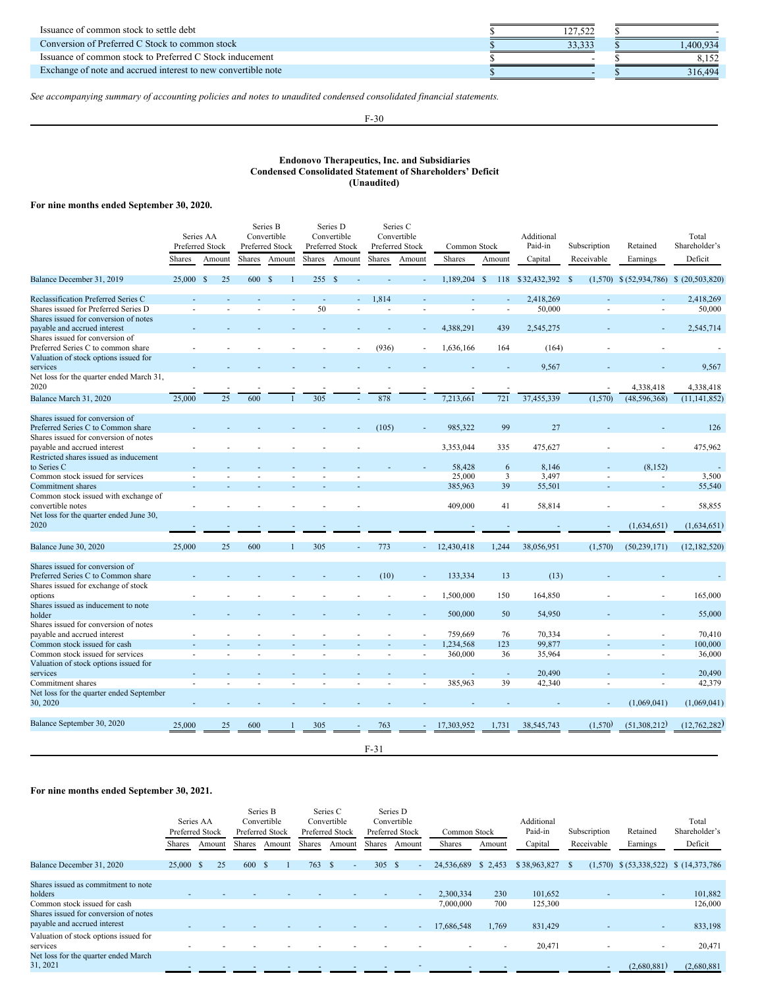| Issuance of common stock to settle debt                       | 121.922 |          |
|---------------------------------------------------------------|---------|----------|
| Conversion of Preferred C Stock to common stock               |         | .400.934 |
| Issuance of common stock to Preferred C Stock inducement      |         |          |
| Exchange of note and accrued interest to new convertible note |         | 316.494  |

*See accompanying summary of accounting policies and notes to unaudited condensed consolidated financial statements.*

F-30

#### **Endonovo Therapeutics, Inc. and Subsidiaries Condensed Consolidated Statement of Shareholders' Deficit (Unaudited)**

**For nine months ended September 30, 2020.**

|                                                                                         |           | Series AA<br>Preferred Stock |        | Series B<br>Convertible<br>Preferred Stock |        | Series D<br>Convertible<br>Preferred Stock |        | Series C<br>Convertible<br>Preferred Stock | Common Stock  |           | Additional<br>Paid-in | Subscription | Retained                         | Total<br>Shareholder's |
|-----------------------------------------------------------------------------------------|-----------|------------------------------|--------|--------------------------------------------|--------|--------------------------------------------|--------|--------------------------------------------|---------------|-----------|-----------------------|--------------|----------------------------------|------------------------|
|                                                                                         | Shares    | Amount                       | Shares | Amount                                     | Shares | Amount                                     | Shares | Amount                                     | <b>Shares</b> | Amount    | Capital               | Receivable   | Earnings                         | Deficit                |
| Balance December 31, 2019                                                               | 25,000 \$ | 25                           | 600 \$ |                                            | 255S   |                                            |        |                                            | 1.189.204     | 118<br>-S | \$32,432,392 \$       | (1,570)      | $$ (52,934,786) \$ (20,503,820)$ |                        |
| Reclassification Preferred Series C                                                     |           |                              |        |                                            |        |                                            | 1.814  |                                            |               |           | 2,418,269             |              |                                  | 2,418,269              |
| Shares issued for Preferred Series D                                                    |           |                              |        |                                            | 50     |                                            |        |                                            |               | ×         | 50,000                |              |                                  | 50,000                 |
| Shares issued for conversion of notes<br>payable and accrued interest                   |           |                              |        |                                            |        |                                            |        |                                            | 4,388,291     | 439       | 2,545,275             |              |                                  | 2,545,714              |
| Shares issued for conversion of                                                         |           |                              |        |                                            |        |                                            |        |                                            |               |           |                       |              |                                  |                        |
| Preferred Series C to common share<br>Valuation of stock options issued for<br>services |           |                              |        |                                            |        |                                            | (936)  | $\sim$                                     | 1,636,166     | 164       | (164)<br>9,567        |              |                                  | 9,567                  |
| Net loss for the quarter ended March 31,<br>2020                                        |           |                              |        |                                            |        |                                            |        |                                            |               |           |                       |              | 4,338,418                        | 4,338,418              |
| Balance March 31, 2020                                                                  | 25,000    | 25                           | 600    |                                            | 305    |                                            | 878    |                                            | 7,213,661     | 721       | 37,455,339            | (1,570)      | (48,596,368)                     | (11, 141, 852)         |
|                                                                                         |           |                              |        |                                            |        |                                            |        |                                            |               |           |                       |              |                                  |                        |
| Shares issued for conversion of                                                         |           |                              |        |                                            |        |                                            |        |                                            |               |           |                       |              |                                  |                        |
| Preferred Series C to Common share                                                      |           |                              |        |                                            |        |                                            | (105)  |                                            | 985.322       | 99        | 27                    |              |                                  | 126                    |
| Shares issued for conversion of notes                                                   |           |                              |        |                                            |        |                                            |        |                                            | 3,353,044     |           | 475,627               |              |                                  |                        |
| payable and accrued interest<br>Restricted shares issued as inducement                  |           |                              |        |                                            |        |                                            |        |                                            |               | 335       |                       |              |                                  | 475,962                |
| to Series C                                                                             |           |                              |        |                                            |        |                                            |        |                                            | 58.428        | 6         | 8.146                 |              |                                  |                        |
| Common stock issued for services                                                        |           |                              |        |                                            |        |                                            |        |                                            | 25,000        |           | 3,497                 |              | (8, 152)<br>$\sim$               | 3,500                  |
| Commitment shares                                                                       |           |                              |        |                                            |        |                                            |        |                                            | 385,963       | 3<br>39   | 55,501                |              | $\overline{\phantom{a}}$         | 55,540                 |
| Common stock issued with exchange of                                                    |           |                              |        |                                            |        |                                            |        |                                            |               |           |                       |              |                                  |                        |
| convertible notes                                                                       |           |                              |        |                                            |        |                                            |        |                                            | 409,000       | 41        | 58,814                |              |                                  | 58,855                 |
| Net loss for the quarter ended June 30,                                                 |           |                              |        |                                            |        |                                            |        |                                            |               |           |                       |              |                                  |                        |
| 2020                                                                                    |           |                              |        |                                            |        |                                            |        |                                            |               |           |                       |              | (1,634,651)                      | (1,634,651)            |
| Balance June 30, 2020                                                                   | 25,000    | 25                           | 600    | $\mathbf{1}$                               | 305    |                                            | 773    |                                            | 12,430,418    | 1,244     | 38,056,951            | (1,570)      | (50, 239, 171)                   | (12, 182, 520)         |
| Shares issued for conversion of                                                         |           |                              |        |                                            |        |                                            |        |                                            |               |           |                       |              |                                  |                        |
| Preferred Series C to Common share                                                      |           |                              |        |                                            |        |                                            | (10)   |                                            | 133,334       | 13        | (13)                  |              |                                  |                        |
| Shares issued for exchange of stock                                                     |           |                              |        |                                            |        |                                            |        |                                            |               |           |                       |              |                                  |                        |
| options                                                                                 |           |                              |        |                                            |        |                                            |        | $\sim$                                     | 1,500,000     | 150       | 164,850               |              |                                  | 165,000                |
| Shares issued as inducement to note                                                     |           |                              |        |                                            |        |                                            |        |                                            |               |           |                       |              |                                  |                        |
| holder                                                                                  |           |                              |        |                                            |        |                                            |        |                                            | 500,000       | 50        | 54,950                |              |                                  | 55,000                 |
| Shares issued for conversion of notes                                                   |           |                              |        |                                            |        |                                            |        |                                            |               |           |                       |              |                                  |                        |
| payable and accrued interest                                                            |           |                              |        |                                            |        |                                            |        |                                            | 759,669       | 76        | 70.334                |              |                                  | 70.410                 |
| Common stock issued for cash                                                            |           |                              |        |                                            |        |                                            |        |                                            | 1,234,568     | 123       | 99.877                |              |                                  | 100,000                |
| Common stock issued for services                                                        |           |                              |        |                                            |        |                                            |        | ÷.                                         | 360,000       | 36        | 35,964                |              |                                  | 36,000                 |
| Valuation of stock options issued for                                                   |           |                              |        |                                            |        |                                            |        |                                            |               |           |                       |              |                                  |                        |
| services                                                                                |           |                              |        |                                            |        |                                            |        |                                            |               |           | 20,490                |              |                                  | 20,490                 |
| Commitment shares                                                                       |           |                              |        |                                            |        |                                            |        | ÷.                                         | 385,963       | 39        | 42,340                |              |                                  | 42,379                 |
| Net loss for the quarter ended September                                                |           |                              |        |                                            |        |                                            |        |                                            |               |           |                       |              |                                  |                        |
| 30, 2020                                                                                |           |                              |        |                                            |        |                                            |        |                                            |               |           |                       |              | (1,069,041)                      | (1,069,041)            |
| Balance September 30, 2020                                                              | 25,000    | 25                           | 600    |                                            | 305    |                                            | 763    |                                            | 17.303.952    | 1,731     | 38, 545, 743          | (1,570)      | (51,308,212)                     | (12,762,282)           |
|                                                                                         |           |                              |        |                                            |        |                                            | $F-31$ |                                            |               |           |                       |              |                                  |                        |

# **For nine months ended September 30, 2021.**

|                                                                                                                                                         |           | Series AA<br>Preferred Stock |        | Series B<br>Convertible<br>Preferred Stock |        | Series C<br>Convertible<br>Preferred Stock |        | Series D<br>Convertible<br>Preferred Stock | Common Stock                         |                     | Additional<br>Paid-in         | Subscription | Retained              | Total<br>Shareholder's        |
|---------------------------------------------------------------------------------------------------------------------------------------------------------|-----------|------------------------------|--------|--------------------------------------------|--------|--------------------------------------------|--------|--------------------------------------------|--------------------------------------|---------------------|-------------------------------|--------------|-----------------------|-------------------------------|
|                                                                                                                                                         | Shares    | Amount                       | Shares | Amount                                     | Shares | Amount                                     | Shares | Amount                                     | <b>Shares</b>                        | Amount              | Capital                       | Receivable   | Earnings              | Deficit                       |
| Balance December 31, 2020                                                                                                                               | 25,000 \$ | 25                           | 600    | -S                                         | 763    | -S<br>$\overline{\phantom{a}}$             | 305    | - \$                                       | 24,536,689                           | \$2,453             | $$38,963,827$ \$              | (1,570)      | \$ (53,338,522)       | \$(14,373,786)                |
| Shares issued as commitment to note<br>holders<br>Common stock issued for cash<br>Shares issued for conversion of notes<br>payable and accrued interest |           |                              |        |                                            |        |                                            |        |                                            | 2,300,334<br>7,000,000<br>17,686,548 | 230<br>700<br>1,769 | 101,652<br>125,300<br>831,429 |              | $\sim$<br>$\sim$      | 101,882<br>126,000<br>833,198 |
| Valuation of stock options issued for<br>services<br>Net loss for the quarter ended March<br>31, 2021                                                   |           |                              |        |                                            |        |                                            |        |                                            |                                      |                     | 20,471                        | $\sim$       | $\sim$<br>(2,680,881) | 20,471<br>(2,680,881)         |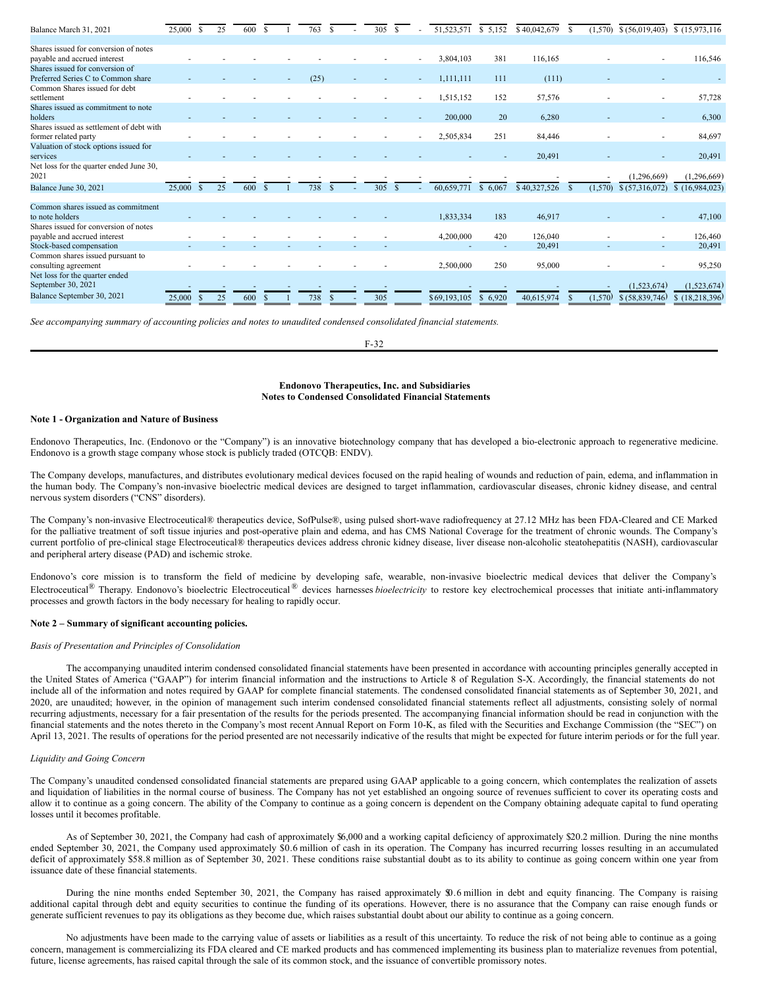| Balance March 31, 2021                   | 25,000 \$ |     | 25 | 600 | $\mathcal{S}$ | 763  | -S | 305 | -S            | 51,523,571 \$ 5,152 |         | \$40,042,679 | -S |          | $(1,570)$ \$ $(56,019,403)$ \$ $(15,973,116)$ |                |
|------------------------------------------|-----------|-----|----|-----|---------------|------|----|-----|---------------|---------------------|---------|--------------|----|----------|-----------------------------------------------|----------------|
|                                          |           |     |    |     |               |      |    |     |               |                     |         |              |    |          |                                               |                |
| Shares issued for conversion of notes    |           |     |    |     |               |      |    |     |               |                     |         |              |    |          |                                               |                |
| payable and accrued interest             |           |     |    |     |               |      |    |     |               | 3,804,103           | 381     | 116,165      |    |          |                                               | 116,546        |
| Shares issued for conversion of          |           |     |    |     |               |      |    |     |               |                     |         |              |    |          |                                               |                |
| Preferred Series C to Common share       |           |     |    |     |               | (25) |    |     |               | 1,111,111           | 111     | (111)        |    |          |                                               |                |
| Common Shares issued for debt            |           |     |    |     |               |      |    |     |               |                     |         |              |    |          |                                               |                |
| settlement                               |           |     |    |     |               |      |    |     |               | 1,515,152           | 152     | 57,576       |    |          |                                               | 57,728         |
| Shares issued as commitment to note      |           |     |    |     |               |      |    |     |               |                     |         |              |    |          |                                               |                |
| holders                                  |           |     |    |     |               |      |    |     |               | 200,000             | 20      | 6,280        |    |          |                                               | 6,300          |
| Shares issued as settlement of debt with |           |     |    |     |               |      |    |     |               |                     |         |              |    |          |                                               |                |
| former related party                     |           |     |    |     |               |      |    |     |               | 2,505,834           | 251     | 84,446       |    |          |                                               | 84,697         |
| Valuation of stock options issued for    |           |     |    |     |               |      |    |     |               |                     |         |              |    |          |                                               |                |
| services                                 |           |     |    |     |               |      |    |     |               |                     |         | 20,491       |    |          |                                               | 20,491         |
| Net loss for the quarter ended June 30,  |           |     |    |     |               |      |    |     |               |                     |         |              |    |          |                                               |                |
| 2021                                     |           |     |    |     |               |      |    |     |               |                     |         |              |    |          | (1,296,669)                                   | (1,296,669)    |
| Balance June 30, 2021                    | 25,000    | - S | 25 | 600 |               | 738  | S. | 305 | $\mathcal{S}$ | 60,659,771          | \$6,067 | \$40,327,526 |    | (1, 570) | \$ (57,316,072)                               | \$(16,984,023) |
|                                          |           |     |    |     |               |      |    |     |               |                     |         |              |    |          |                                               |                |
| Common shares issued as commitment       |           |     |    |     |               |      |    |     |               |                     |         |              |    |          |                                               |                |
| to note holders                          |           |     |    |     |               |      |    |     |               | 1,833,334           | 183     | 46,917       |    |          |                                               | 47,100         |
| Shares issued for conversion of notes    |           |     |    |     |               |      |    |     |               |                     |         |              |    |          |                                               |                |
| payable and accrued interest             |           |     |    |     |               |      |    |     |               | 4,200,000           | 420     | 126,040      |    |          |                                               | 126,460        |
| Stock-based compensation                 |           |     |    |     |               |      |    |     |               |                     |         | 20,491       |    |          |                                               | 20,491         |
| Common shares issued pursuant to         |           |     |    |     |               |      |    |     |               |                     |         |              |    |          |                                               |                |
| consulting agreement                     |           |     |    |     |               |      |    |     |               | 2,500,000           | 250     | 95,000       |    |          |                                               | 95,250         |
| Net loss for the quarter ended           |           |     |    |     |               |      |    |     |               |                     |         |              |    |          |                                               |                |
| September 30, 2021                       |           |     |    |     |               |      |    |     |               |                     |         |              |    |          | (1,523,674)                                   | (1,523,674)    |
| Balance September 30, 2021               | 25,000    |     | 25 | 600 |               | 738  |    | 305 |               | \$69,193,105        | \$6,920 | 40,615,974   |    | (1, 570) | \$ (58,839,746)                               | \$(18,218,396) |
|                                          |           |     |    |     |               |      |    |     |               |                     |         |              |    |          |                                               |                |

*See accompanying summary of accounting policies and notes to unaudited condensed consolidated financial statements.*

F-32

#### <span id="page-45-0"></span>**Endonovo Therapeutics, Inc. and Subsidiaries Notes to Condensed Consolidated Financial Statements**

#### **Note 1 - Organization and Nature of Business**

Endonovo Therapeutics, Inc. (Endonovo or the "Company") is an innovative biotechnology company that has developed a bio-electronic approach to regenerative medicine. Endonovo is a growth stage company whose stock is publicly traded (OTCQB: ENDV).

The Company develops, manufactures, and distributes evolutionary medical devices focused on the rapid healing of wounds and reduction of pain, edema, and inflammation in the human body. The Company's non-invasive bioelectric medical devices are designed to target inflammation, cardiovascular diseases, chronic kidney disease, and central nervous system disorders ("CNS" disorders).

The Company's non-invasive Electroceutical® therapeutics device, SofPulse®, using pulsed short-wave radiofrequency at 27.12 MHz has been FDA-Cleared and CE Marked for the palliative treatment of soft tissue injuries and post-operative plain and edema, and has CMS National Coverage for the treatment of chronic wounds. The Company's current portfolio of pre-clinical stage Electroceutical® therapeutics devices address chronic kidney disease, liver disease non-alcoholic steatohepatitis (NASH), cardiovascular and peripheral artery disease (PAD) and ischemic stroke.

Endonovo's core mission is to transform the field of medicine by developing safe, wearable, non-invasive bioelectric medical devices that deliver the Company's Electroceutical<sup>®</sup> Therapy. Endonovo's bioelectric Electroceutical® devices harnesses *bioelectricity* to restore key electrochemical processes that initiate anti-inflammatory processes and growth factors in the body necessary for healing to rapidly occur.

# **Note 2 – Summary of significant accounting policies.**

#### *Basis of Presentation and Principles of Consolidation*

The accompanying unaudited interim condensed consolidated financial statements have been presented in accordance with accounting principles generally accepted in the United States of America ("GAAP") for interim financial information and the instructions to Article 8 of Regulation S-X. Accordingly, the financial statements do not include all of the information and notes required by GAAP for complete financial statements. The condensed consolidated financial statements as of September 30, 2021, and 2020, are unaudited; however, in the opinion of management such interim condensed consolidated financial statements reflect all adjustments, consisting solely of normal recurring adjustments, necessary for a fair presentation of the results for the periods presented. The accompanying financial information should be read in conjunction with the financial statements and the notes thereto in the Company's most recent Annual Report on Form 10-K, as filed with the Securities and Exchange Commission (the "SEC") on April 13, 2021. The results of operations for the period presented are not necessarily indicative of the results that might be expected for future interim periods or for the full year.

#### *Liquidity and Going Concern*

The Company's unaudited condensed consolidated financial statements are prepared using GAAP applicable to a going concern, which contemplates the realization of assets and liquidation of liabilities in the normal course of business. The Company has not yet established an ongoing source of revenues sufficient to cover its operating costs and allow it to continue as a going concern. The ability of the Company to continue as a going concern is dependent on the Company obtaining adequate capital to fund operating losses until it becomes profitable.

As of September 30, 2021, the Company had cash of approximately \$6,000 and a working capital deficiency of approximately \$20.2 million. During the nine months ended September 30, 2021, the Company used approximately \$0.6 million of cash in its operation. The Company has incurred recurring losses resulting in an accumulated deficit of approximately \$58.8 million as of September 30, 2021. These conditions raise substantial doubt as to its ability to continue as going concern within one year from issuance date of these financial statements.

During the nine months ended September 30, 2021, the Company has raised approximately \$0.6 million in debt and equity financing. The Company is raising additional capital through debt and equity securities to continue the funding of its operations. However, there is no assurance that the Company can raise enough funds or generate sufficient revenues to pay its obligations as they become due, which raises substantial doubt about our ability to continue as a going concern.

No adjustments have been made to the carrying value of assets or liabilities as a result of this uncertainty. To reduce the risk of not being able to continue as a going concern, management is commercializing its FDA cleared and CE marked products and has commenced implementing its business plan to materialize revenues from potential, future, license agreements, has raised capital through the sale of its common stock, and the issuance of convertible promissory notes.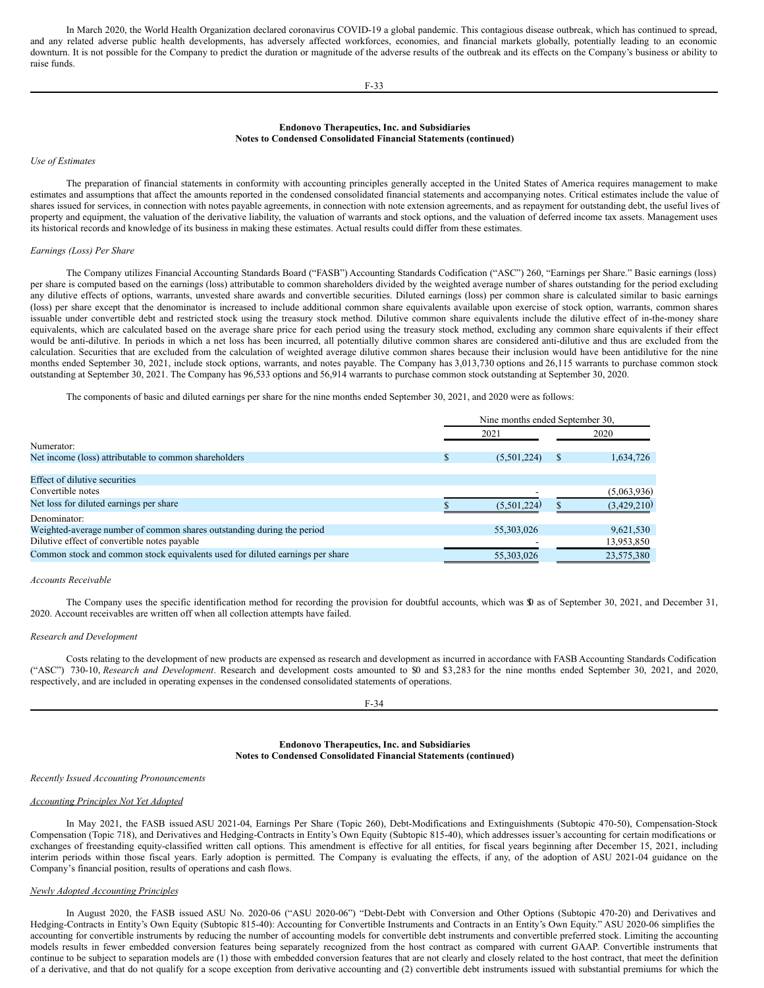In March 2020, the World Health Organization declared coronavirus COVID-19 a global pandemic. This contagious disease outbreak, which has continued to spread, and any related adverse public health developments, has adversely affected workforces, economies, and financial markets globally, potentially leading to an economic downturn. It is not possible for the Company to predict the duration or magnitude of the adverse results of the outbreak and its effects on the Company's business or ability to raise funds.

#### F-33

#### **Endonovo Therapeutics, Inc. and Subsidiaries Notes to Condensed Consolidated Financial Statements (continued)**

#### *Use of Estimates*

The preparation of financial statements in conformity with accounting principles generally accepted in the United States of America requires management to make estimates and assumptions that affect the amounts reported in the condensed consolidated financial statements and accompanying notes. Critical estimates include the value of shares issued for services, in connection with notes payable agreements, in connection with note extension agreements, and as repayment for outstanding debt, the useful lives of property and equipment, the valuation of the derivative liability, the valuation of warrants and stock options, and the valuation of deferred income tax assets. Management uses its historical records and knowledge of its business in making these estimates. Actual results could differ from these estimates.

#### *Earnings (Loss) Per Share*

The Company utilizes Financial Accounting Standards Board ("FASB") Accounting Standards Codification ("ASC") 260, "Earnings per Share." Basic earnings (loss) per share is computed based on the earnings (loss) attributable to common shareholders divided by the weighted average number of shares outstanding for the period excluding any dilutive effects of options, warrants, unvested share awards and convertible securities. Diluted earnings (loss) per common share is calculated similar to basic earnings (loss) per share except that the denominator is increased to include additional common share equivalents available upon exercise of stock option, warrants, common shares issuable under convertible debt and restricted stock using the treasury stock method. Dilutive common share equivalents include the dilutive effect of in-the-money share equivalents, which are calculated based on the average share price for each period using the treasury stock method, excluding any common share equivalents if their effect would be anti-dilutive. In periods in which a net loss has been incurred, all potentially dilutive common shares are considered anti-dilutive and thus are excluded from the calculation. Securities that are excluded from the calculation of weighted average dilutive common shares because their inclusion would have been antidilutive for the nine months ended September 30, 2021, include stock options, warrants, and notes payable. The Company has 3,013,730 options and 26,115 warrants to purchase common stock outstanding at September 30, 2021. The Company has 96,533 options and 56,914 warrants to purchase common stock outstanding at September 30, 2020.

The components of basic and diluted earnings per share for the nine months ended September 30, 2021, and 2020 were as follows:

|                                                                               |     | Nine months ended September 30, |  |             |  |  |  |  |  |  |
|-------------------------------------------------------------------------------|-----|---------------------------------|--|-------------|--|--|--|--|--|--|
|                                                                               |     | 2021                            |  | 2020        |  |  |  |  |  |  |
| Numerator:                                                                    |     |                                 |  |             |  |  |  |  |  |  |
| Net income (loss) attributable to common shareholders                         | \$. | (5,501,224)                     |  | 1,634,726   |  |  |  |  |  |  |
|                                                                               |     |                                 |  |             |  |  |  |  |  |  |
| Effect of dilutive securities                                                 |     |                                 |  |             |  |  |  |  |  |  |
| Convertible notes                                                             |     |                                 |  | (5,063,936) |  |  |  |  |  |  |
| Net loss for diluted earnings per share                                       |     | (5,501,224)                     |  | (3,429,210) |  |  |  |  |  |  |
| Denominator:                                                                  |     |                                 |  |             |  |  |  |  |  |  |
| Weighted-average number of common shares outstanding during the period        |     | 55,303,026                      |  | 9,621,530   |  |  |  |  |  |  |
| Dilutive effect of convertible notes payable                                  |     |                                 |  | 13,953,850  |  |  |  |  |  |  |
| Common stock and common stock equivalents used for diluted earnings per share |     | 55,303,026                      |  | 23,575,380  |  |  |  |  |  |  |

# *Accounts Receivable*

The Company uses the specific identification method for recording the provision for doubtful accounts, which was \$0 as of September 30, 2021, and December 31, 2020. Account receivables are written off when all collection attempts have failed.

#### *Research and Development*

Costs relating to the development of new products are expensed as research and development as incurred in accordance with FASB Accounting Standards Codification ("ASC") 730-10, *Research and Development*. Research and development costs amounted to \$0 and \$3,283 for the nine months ended September 30, 2021, and 2020, respectively, and are included in operating expenses in the condensed consolidated statements of operations.

F-34

# **Endonovo Therapeutics, Inc. and Subsidiaries Notes to Condensed Consolidated Financial Statements (continued)**

#### *Recently Issued Accounting Pronouncements*

# *Accounting Principles Not Yet Adopted*

In May 2021, the FASB issued ASU 2021-04, Earnings Per Share (Topic 260), Debt-Modifications and Extinguishments (Subtopic 470-50), Compensation-Stock Compensation (Topic 718), and Derivatives and Hedging-Contracts in Entity's Own Equity (Subtopic 815-40), which addresses issuer's accounting for certain modifications or exchanges of freestanding equity-classified written call options. This amendment is effective for all entities, for fiscal years beginning after December 15, 2021, including interim periods within those fiscal years. Early adoption is permitted. The Company is evaluating the effects, if any, of the adoption of ASU 2021-04 guidance on the Company's financial position, results of operations and cash flows.

#### *Newly Adopted Accounting Principles*

In August 2020, the FASB issued ASU No. 2020-06 ("ASU 2020-06") "Debt-Debt with Conversion and Other Options (Subtopic 470-20) and Derivatives and Hedging-Contracts in Entity's Own Equity (Subtopic 815-40): Accounting for Convertible Instruments and Contracts in an Entity's Own Equity." ASU 2020-06 simplifies the accounting for convertible instruments by reducing the number of accounting models for convertible debt instruments and convertible preferred stock. Limiting the accounting models results in fewer embedded conversion features being separately recognized from the host contract as compared with current GAAP. Convertible instruments that continue to be subject to separation models are (1) those with embedded conversion features that are not clearly and closely related to the host contract, that meet the definition of a derivative, and that do not qualify for a scope exception from derivative accounting and (2) convertible debt instruments issued with substantial premiums for which the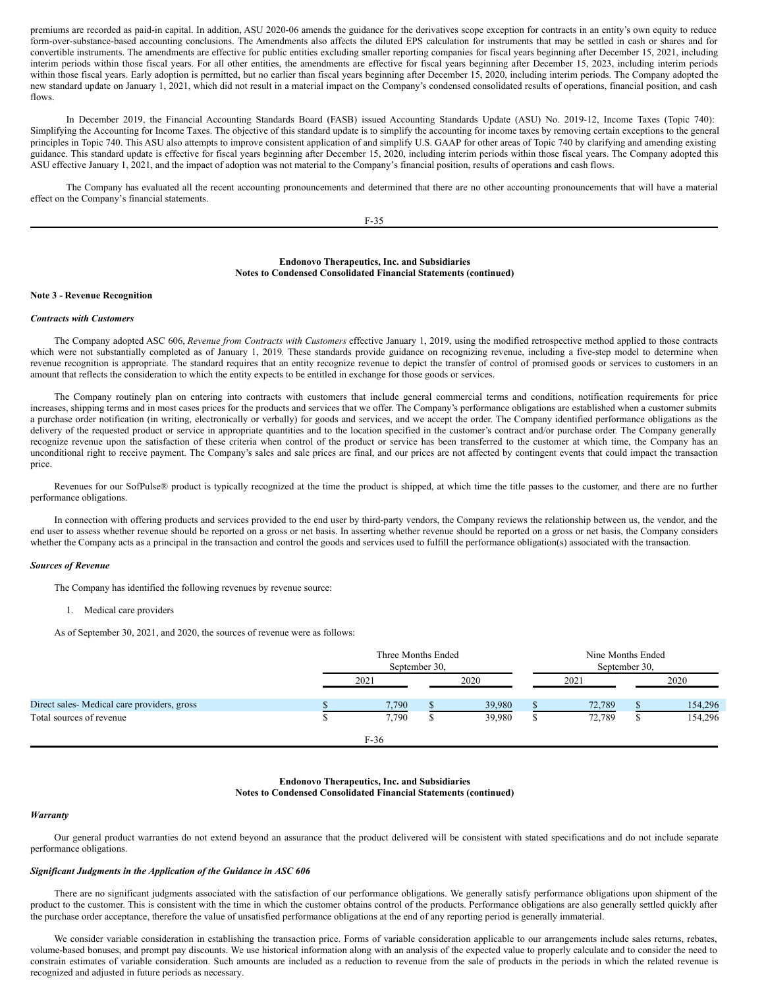premiums are recorded as paid-in capital. In addition, ASU 2020-06 amends the guidance for the derivatives scope exception for contracts in an entity's own equity to reduce form-over-substance-based accounting conclusions. The Amendments also affects the diluted EPS calculation for instruments that may be settled in cash or shares and for convertible instruments. The amendments are effective for public entities excluding smaller reporting companies for fiscal years beginning after December 15, 2021, including interim periods within those fiscal years. For all other entities, the amendments are effective for fiscal years beginning after December 15, 2023, including interim periods within those fiscal years. Early adoption is permitted, but no earlier than fiscal years beginning after December 15, 2020, including interim periods. The Company adopted the new standard update on January 1, 2021, which did not result in a material impact on the Company's condensed consolidated results of operations, financial position, and cash flows.

In December 2019, the Financial Accounting Standards Board (FASB) issued Accounting Standards Update (ASU) No. 2019-12, Income Taxes (Topic 740): Simplifying the Accounting for Income Taxes. The objective of this standard update is to simplify the accounting for income taxes by removing certain exceptions to the general principles in Topic 740. This ASU also attempts to improve consistent application of and simplify U.S. GAAP for other areas of Topic 740 by clarifying and amending existing guidance. This standard update is effective for fiscal years beginning after December 15, 2020, including interim periods within those fiscal years. The Company adopted this ASU effective January 1, 2021, and the impact of adoption was not material to the Company's financial position, results of operations and cash flows.

The Company has evaluated all the recent accounting pronouncements and determined that there are no other accounting pronouncements that will have a material effect on the Company's financial statements.

F-35

#### **Endonovo Therapeutics, Inc. and Subsidiaries Notes to Condensed Consolidated Financial Statements (continued)**

#### **Note 3 - Revenue Recognition**

#### *Contracts with Customers*

The Company adopted ASC 606, *Revenue from Contracts with Customers* effective January 1, 2019, using the modified retrospective method applied to those contracts which were not substantially completed as of January 1, 2019. These standards provide guidance on recognizing revenue, including a five-step model to determine when revenue recognition is appropriate. The standard requires that an entity recognize revenue to depict the transfer of control of promised goods or services to customers in an amount that reflects the consideration to which the entity expects to be entitled in exchange for those goods or services.

The Company routinely plan on entering into contracts with customers that include general commercial terms and conditions, notification requirements for price increases, shipping terms and in most cases prices for the products and services that we offer. The Company's performance obligations are established when a customer submits a purchase order notification (in writing, electronically or verbally) for goods and services, and we accept the order. The Company identified performance obligations as the delivery of the requested product or service in appropriate quantities and to the location specified in the customer's contract and/or purchase order. The Company generally recognize revenue upon the satisfaction of these criteria when control of the product or service has been transferred to the customer at which time, the Company has an unconditional right to receive payment. The Company's sales and sale prices are final, and our prices are not affected by contingent events that could impact the transaction price.

Revenues for our SofPulse® product is typically recognized at the time the product is shipped, at which time the title passes to the customer, and there are no further performance obligations.

In connection with offering products and services provided to the end user by third-party vendors, the Company reviews the relationship between us, the vendor, and the end user to assess whether revenue should be reported on a gross or net basis. In asserting whether revenue should be reported on a gross or net basis, the Company considers whether the Company acts as a principal in the transaction and control the goods and services used to fulfill the performance obligation(s) associated with the transaction.

#### *Sources of Revenue*

The Company has identified the following revenues by revenue source:

1. Medical care providers

As of September 30, 2021, and 2020, the sources of revenue were as follows:

|                                            | Three Months Ended<br>September 30, |      |        | Nine Months Ended<br>September 30, |        |   |         |  |  |
|--------------------------------------------|-------------------------------------|------|--------|------------------------------------|--------|---|---------|--|--|
|                                            | 2021                                | 2020 |        |                                    | 2021   |   | 2020    |  |  |
| Direct sales-Medical care providers, gross | 7,790                               |      | 39,980 |                                    | 72,789 |   | 154,296 |  |  |
| Total sources of revenue                   | 7,790                               |      | 39,980 |                                    | 72.789 | Ф | 154,296 |  |  |
|                                            | $F-36$                              |      |        |                                    |        |   |         |  |  |

#### **Endonovo Therapeutics, Inc. and Subsidiaries Notes to Condensed Consolidated Financial Statements (continued)**

#### *Warranty*

Our general product warranties do not extend beyond an assurance that the product delivered will be consistent with stated specifications and do not include separate performance obligations.

#### *Significant Judgments in the Application of the Guidance in ASC 606*

There are no significant judgments associated with the satisfaction of our performance obligations. We generally satisfy performance obligations upon shipment of the product to the customer. This is consistent with the time in which the customer obtains control of the products. Performance obligations are also generally settled quickly after the purchase order acceptance, therefore the value of unsatisfied performance obligations at the end of any reporting period is generally immaterial.

We consider variable consideration in establishing the transaction price. Forms of variable consideration applicable to our arrangements include sales returns, rebates, volume-based bonuses, and prompt pay discounts. We use historical information along with an analysis of the expected value to properly calculate and to consider the need to constrain estimates of variable consideration. Such amounts are included as a reduction to revenue from the sale of products in the periods in which the related revenue is recognized and adjusted in future periods as necessary.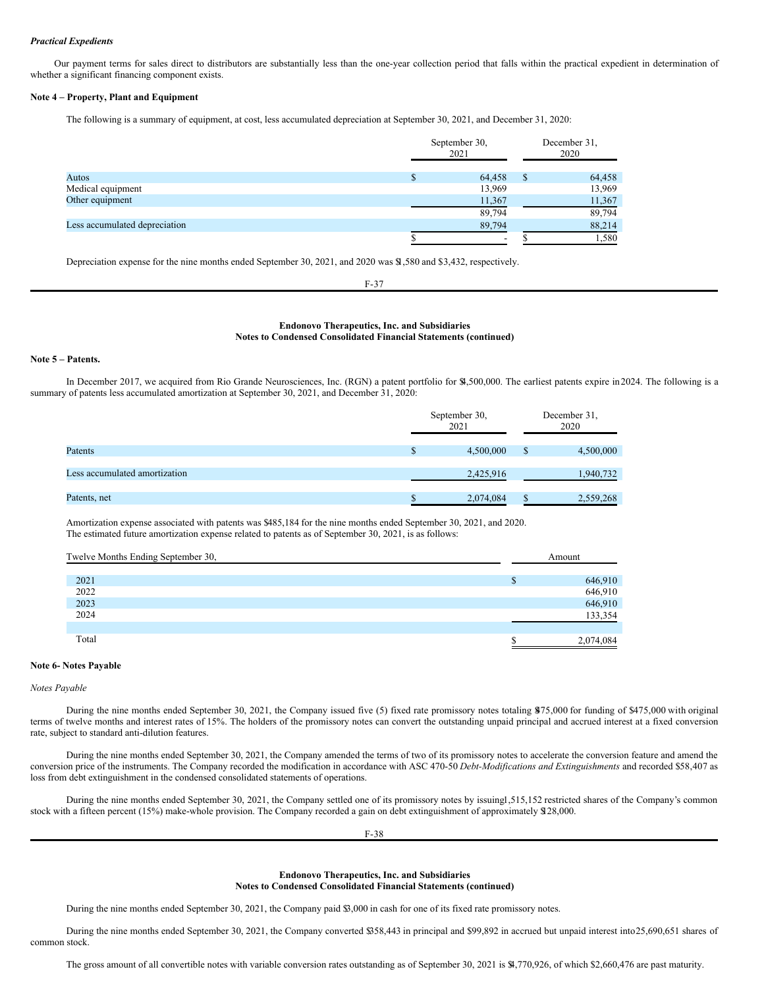#### *Practical Expedients*

Our payment terms for sales direct to distributors are substantially less than the one-year collection period that falls within the practical expedient in determination of whether a significant financing component exists.

#### **Note 4 – Property, Plant and Equipment**

The following is a summary of equipment, at cost, less accumulated depreciation at September 30, 2021, and December 31, 2020:

|                               | September 30,<br>2021 |               | December 31,<br>2020 |
|-------------------------------|-----------------------|---------------|----------------------|
| Autos                         | 64,458                | <sup>\$</sup> | 64,458               |
| Medical equipment             | 13,969                |               | 13,969               |
| Other equipment               | 11,367                |               | 11,367               |
|                               | 89,794                |               | 89,794               |
| Less accumulated depreciation | 89,794                |               | 88,214               |
|                               |                       |               | 1,580                |

Depreciation expense for the nine months ended September 30, 2021, and 2020 was \$1,580 and \$3,432, respectively.

#### **Endonovo Therapeutics, Inc. and Subsidiaries Notes to Condensed Consolidated Financial Statements (continued)**

# **Note 5 – Patents.**

In December 2017, we acquired from Rio Grande Neurosciences, Inc. (RGN) a patent portfolio for \$4,500,000. The earliest patents expire in2024. The following is a summary of patents less accumulated amortization at September 30, 2021, and December 31, 2020:

|                               | September 30,<br>2021 |           |    | December 31,<br>2020 |  |  |
|-------------------------------|-----------------------|-----------|----|----------------------|--|--|
| Patents                       |                       | 4,500,000 | \$ | 4,500,000            |  |  |
| Less accumulated amortization |                       | 2,425,916 |    | 1,940,732            |  |  |
| Patents, net                  |                       | 2,074,084 |    | 2,559,268            |  |  |

Amortization expense associated with patents was \$485,184 for the nine months ended September 30, 2021, and 2020. The estimated future amortization expense related to patents as of September 30, 2021, is as follows:

| Twelve Months Ending September 30, |   | Amount    |
|------------------------------------|---|-----------|
| 2021                               | Ф | 646,910   |
| 2022                               |   | 646,910   |
| 2023                               |   | 646,910   |
| 2024                               |   | 133,354   |
| Total                              |   | 2.074.084 |

#### **Note 6- Notes Payable**

#### *Notes Payable*

During the nine months ended September 30, 2021, the Company issued five (5) fixed rate promissory notes totaling \$75,000 for funding of \$475,000 with original terms of twelve months and interest rates of 15%. The holders of the promissory notes can convert the outstanding unpaid principal and accrued interest at a fixed conversion rate, subject to standard anti-dilution features.

During the nine months ended September 30, 2021, the Company amended the terms of two of its promissory notes to accelerate the conversion feature and amend the conversion price of the instruments. The Company recorded the modification in accordance with ASC 470-50 *Debt-Modifications and Extinguishments* and recorded \$58,407 as loss from debt extinguishment in the condensed consolidated statements of operations.

During the nine months ended September 30, 2021, the Company settled one of its promissory notes by issuing1,515,152 restricted shares of the Company's common stock with a fifteen percent (15%) make-whole provision. The Company recorded a gain on debt extinguishment of approximately \$128,000.

F-38

#### **Endonovo Therapeutics, Inc. and Subsidiaries Notes to Condensed Consolidated Financial Statements (continued)**

During the nine months ended September 30, 2021, the Company paid \$3,000 in cash for one of its fixed rate promissory notes.

During the nine months ended September 30, 2021, the Company converted \$358,443 in principal and \$99,892 in accrued but unpaid interest into25,690,651 shares of common stock.

The gross amount of all convertible notes with variable conversion rates outstanding as of September 30, 2021 is \$4,770,926, of which \$2,660,476 are past maturity.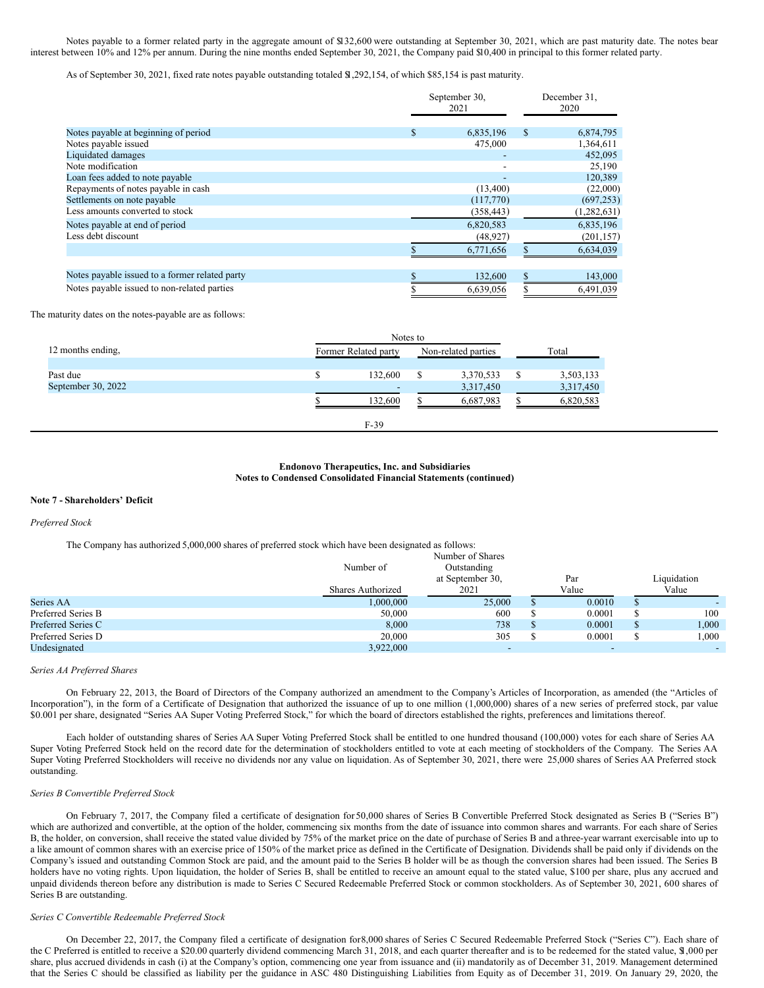Notes payable to a former related party in the aggregate amount of \$132,600 were outstanding at September 30, 2021, which are past maturity date. The notes bear interest between 10% and 12% per annum. During the nine months ended September 30, 2021, the Company paid \$10,400 in principal to this former related party.

As of September 30, 2021, fixed rate notes payable outstanding totaled \$1,292,154, of which \$85,154 is past maturity.

|                                                |   | September 30,<br>2021 |    | December 31,<br>2020 |
|------------------------------------------------|---|-----------------------|----|----------------------|
| Notes payable at beginning of period           | S | 6,835,196             | \$ | 6,874,795            |
| Notes payable issued                           |   | 475,000               |    | 1,364,611            |
| Liquidated damages                             |   |                       |    | 452,095              |
| Note modification                              |   |                       |    | 25,190               |
| Loan fees added to note payable                |   |                       |    | 120,389              |
| Repayments of notes payable in cash            |   | (13,400)              |    | (22,000)             |
| Settlements on note payable                    |   | (117,770)             |    | (697, 253)           |
| Less amounts converted to stock                |   | (358, 443)            |    | (1,282,631)          |
| Notes payable at end of period                 |   | 6,820,583             |    | 6,835,196            |
| Less debt discount                             |   | (48, 927)             |    | (201, 157)           |
|                                                |   | 6,771,656             |    | 6,634,039            |
| Notes payable issued to a former related party |   | 132,600               | \$ | 143,000              |
| Notes payable issued to non-related parties    |   | 6,639,056             | S  | 6,491,039            |

The maturity dates on the notes-payable are as follows:

| Former Related party |   | Non-related parties |      | Total     |
|----------------------|---|---------------------|------|-----------|
|                      |   |                     |      |           |
| 132,600              | S | 3,370,533           | S    | 3,503,133 |
|                      |   | 3,317,450           |      | 3,317,450 |
| 132,600              |   | 6,687,983           |      | 6,820,583 |
|                      |   |                     |      |           |
|                      |   | Notes to            | F-39 |           |

#### **Endonovo Therapeutics, Inc. and Subsidiaries Notes to Condensed Consolidated Financial Statements (continued)**

#### **Note 7 - Shareholders' Deficit**

#### *Preferred Stock*

The Company has authorized 5,000,000 shares of preferred stock which have been designated as follows:

|                    |                   | Number of Shares |   |        |                          |
|--------------------|-------------------|------------------|---|--------|--------------------------|
|                    | Number of         | Outstanding      |   |        |                          |
|                    |                   | at September 30, |   | Par    | Liquidation              |
|                    | Shares Authorized | 2021             |   | Value  | Value                    |
| Series AA          | 1,000,000         | 25,000           | ъ | 0.0010 |                          |
| Preferred Series B | 50,000            | 600              |   | 0.0001 | 100                      |
| Preferred Series C | 8,000             | 738              | S | 0.0001 | 1,000                    |
| Preferred Series D | 20,000            | 305              |   | 0.0001 | 1,000                    |
| Undesignated       | 3,922,000         |                  |   |        | $\overline{\phantom{a}}$ |

#### *Series AA Preferred Shares*

On February 22, 2013, the Board of Directors of the Company authorized an amendment to the Company's Articles of Incorporation, as amended (the "Articles of Incorporation"), in the form of a Certificate of Designation that authorized the issuance of up to one million (1,000,000) shares of a new series of preferred stock, par value \$0.001 per share, designated "Series AA Super Voting Preferred Stock," for which the board of directors established the rights, preferences and limitations thereof.

Each holder of outstanding shares of Series AA Super Voting Preferred Stock shall be entitled to one hundred thousand (100,000) votes for each share of Series AA Super Voting Preferred Stock held on the record date for the determination of stockholders entitled to vote at each meeting of stockholders of the Company. The Series AA Super Voting Preferred Stockholders will receive no dividends nor any value on liquidation. As of September 30, 2021, there were 25,000 shares of Series AA Preferred stock outstanding.

### *Series B Convertible Preferred Stock*

On February 7, 2017, the Company filed a certificate of designation for 50,000 shares of Series B Convertible Preferred Stock designated as Series B ("Series B") which are authorized and convertible, at the option of the holder, commencing six months from the date of issuance into common shares and warrants. For each share of Series B, the holder, on conversion, shall receive the stated value divided by 75% of the market price on the date of purchase of Series B and a three-year warrant exercisable into up to a like amount of common shares with an exercise price of 150% of the market price as defined in the Certificate of Designation. Dividends shall be paid only if dividends on the Company's issued and outstanding Common Stock are paid, and the amount paid to the Series B holder will be as though the conversion shares had been issued. The Series B holders have no voting rights. Upon liquidation, the holder of Series B, shall be entitled to receive an amount equal to the stated value, \$100 per share, plus any accrued and unpaid dividends thereon before any distribution is made to Series C Secured Redeemable Preferred Stock or common stockholders. As of September 30, 2021, 600 shares of Series B are outstanding.

#### *Series C Convertible Redeemable Preferred Stock*

On December 22, 2017, the Company filed a certificate of designation for 8,000 shares of Series C Secured Redeemable Preferred Stock ("Series C"). Each share of the C Preferred is entitled to receive a \$20.00 quarterly dividend commencing March 31, 2018, and each quarter thereafter and is to be redeemed for the stated value, \$,000 per share, plus accrued dividends in cash (i) at the Company's option, commencing one year from issuance and (ii) mandatorily as of December 31, 2019. Management determined that the Series C should be classified as liability per the guidance in ASC 480 Distinguishing Liabilities from Equity as of December 31, 2019. On January 29, 2020, the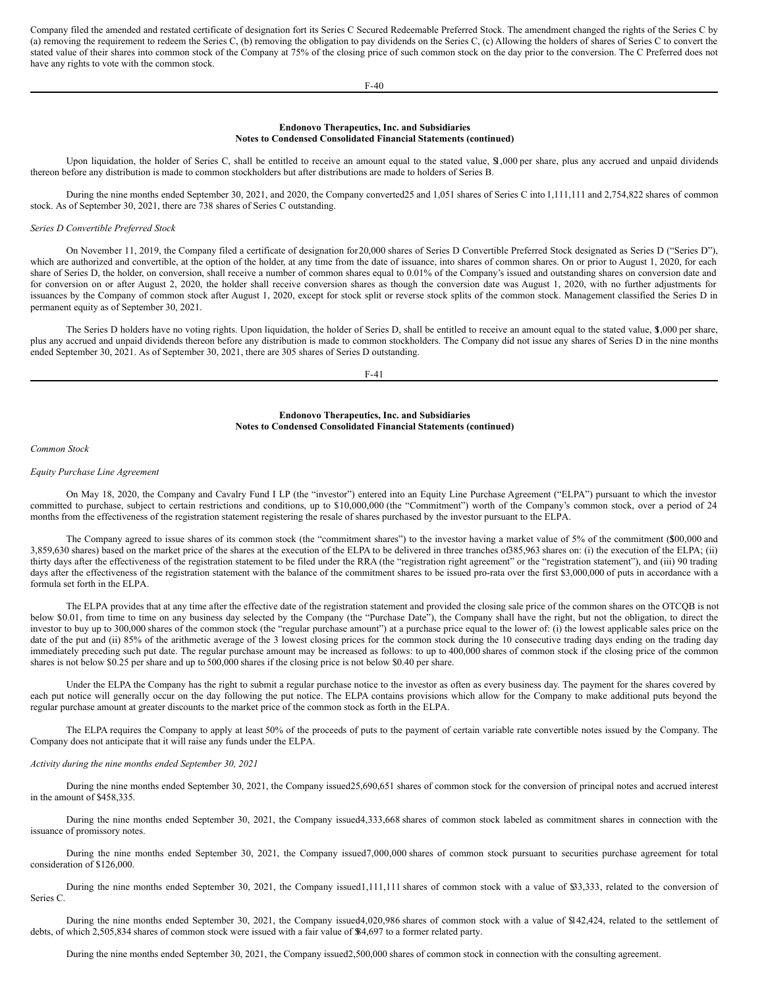Company filed the amended and restated certificate of designation fort its Series C Secured Redeemable Preferred Stock. The amendment changed the rights of the Series C by (a) removing the requirement to redeem the Series C, (b) removing the obligation to pay dividends on the Series C, (c) Allowing the holders of shares of Series C to convert the stated value of their shares into common stock of the Company at 75% of the closing price of such common stock on the day prior to the conversion. The C Preferred does not have any rights to vote with the common stock.

F-40

#### **Endonovo Therapeutics, Inc. and Subsidiaries Notes to Condensed Consolidated Financial Statements (continued)**

Upon liquidation, the holder of Series C, shall be entitled to receive an amount equal to the stated value, \$1,000 per share, plus any accrued and unpaid dividends thereon before any distribution is made to common stockholders but after distributions are made to holders of Series B.

During the nine months ended September 30, 2021, and 2020, the Company converted25 and 1,051 shares of Series C into 1,111,111 and 2,754,822 shares of common stock. As of September 30, 2021, there are 738 shares of Series C outstanding.

#### *Series D Convertible Preferred Stock*

On November 11, 2019, the Company filed a certificate of designation for20,000 shares of Series D Convertible Preferred Stock designated as Series D ("Series D"), which are authorized and convertible, at the option of the holder, at any time from the date of issuance, into shares of common shares. On or prior to August 1, 2020, for each share of Series D, the holder, on conversion, shall receive a number of common shares equal to 0.01% of the Company's issued and outstanding shares on conversion date and for conversion on or after August 2, 2020, the holder shall receive conversion shares as though the conversion date was August 1, 2020, with no further adjustments for issuances by the Company of common stock after August 1, 2020, except for stock split or reverse stock splits of the common stock. Management classified the Series D in permanent equity as of September 30, 2021.

The Series D holders have no voting rights. Upon liquidation, the holder of Series D, shall be entitled to receive an amount equal to the stated value, \$,000 per share, plus any accrued and unpaid dividends thereon before any distribution is made to common stockholders. The Company did not issue any shares of Series D in the nine months ended September 30, 2021. As of September 30, 2021, there are 305 shares of Series D outstanding.

F-41

# **Endonovo Therapeutics, Inc. and Subsidiaries Notes to Condensed Consolidated Financial Statements (continued)**

#### *Common Stock*

#### *Equity Purchase Line Agreement*

On May 18, 2020, the Company and Cavalry Fund I LP (the "investor") entered into an Equity Line Purchase Agreement ("ELPA") pursuant to which the investor committed to purchase, subject to certain restrictions and conditions, up to \$10,000,000 (the "Commitment") worth of the Company's common stock, over a period of 24 months from the effectiveness of the registration statement registering the resale of shares purchased by the investor pursuant to the ELPA.

The Company agreed to issue shares of its common stock (the "commitment shares") to the investor having a market value of 5% of the commitment (\$00,000 and 3,859,630 shares) based on the market price of the shares at the execution of the ELPA to be delivered in three tranches of385,963 shares on: (i) the execution of the ELPA; (ii) thirty days after the effectiveness of the registration statement to be filed under the RRA (the "registration right agreement" or the "registration statement"), and (iii) 90 trading days after the effectiveness of the registration statement with the balance of the commitment shares to be issued pro-rata over the first \$3,000,000 of puts in accordance with a formula set forth in the ELPA.

The ELPA provides that at any time after the effective date of the registration statement and provided the closing sale price of the common shares on the OTCQB is not below \$0.01, from time to time on any business day selected by the Company (the "Purchase Date"), the Company shall have the right, but not the obligation, to direct the investor to buy up to 300,000 shares of the common stock (the "regular purchase amount") at a purchase price equal to the lower of: (i) the lowest applicable sales price on the date of the put and (ii) 85% of the arithmetic average of the 3 lowest closing prices for the common stock during the 10 consecutive trading days ending on the trading day immediately preceding such put date. The regular purchase amount may be increased as follows: to up to 400,000 shares of common stock if the closing price of the common shares is not below \$0.25 per share and up to 500,000 shares if the closing price is not below \$0.40 per share.

Under the ELPA the Company has the right to submit a regular purchase notice to the investor as often as every business day. The payment for the shares covered by each put notice will generally occur on the day following the put notice. The ELPA contains provisions which allow for the Company to make additional puts beyond the regular purchase amount at greater discounts to the market price of the common stock as forth in the ELPA.

The ELPA requires the Company to apply at least 50% of the proceeds of puts to the payment of certain variable rate convertible notes issued by the Company. The Company does not anticipate that it will raise any funds under the ELPA.

#### *Activity during the nine months ended September 30, 2021*

During the nine months ended September 30, 2021, the Company issued25,690,651 shares of common stock for the conversion of principal notes and accrued interest in the amount of \$458,335.

During the nine months ended September 30, 2021, the Company issued4,333,668 shares of common stock labeled as commitment shares in connection with the issuance of promissory notes.

During the nine months ended September 30, 2021, the Company issued7,000,000 shares of common stock pursuant to securities purchase agreement for total consideration of \$126,000.

During the nine months ended September 30, 2021, the Company issued1,111,111 shares of common stock with a value of \$33,333, related to the conversion of Series C.

During the nine months ended September 30, 2021, the Company issued4,020,986 shares of common stock with a value of \$142,424, related to the settlement of debts, of which 2,505,834 shares of common stock were issued with a fair value of \$84,697 to a former related party.

During the nine months ended September 30, 2021, the Company issued2,500,000 shares of common stock in connection with the consulting agreement.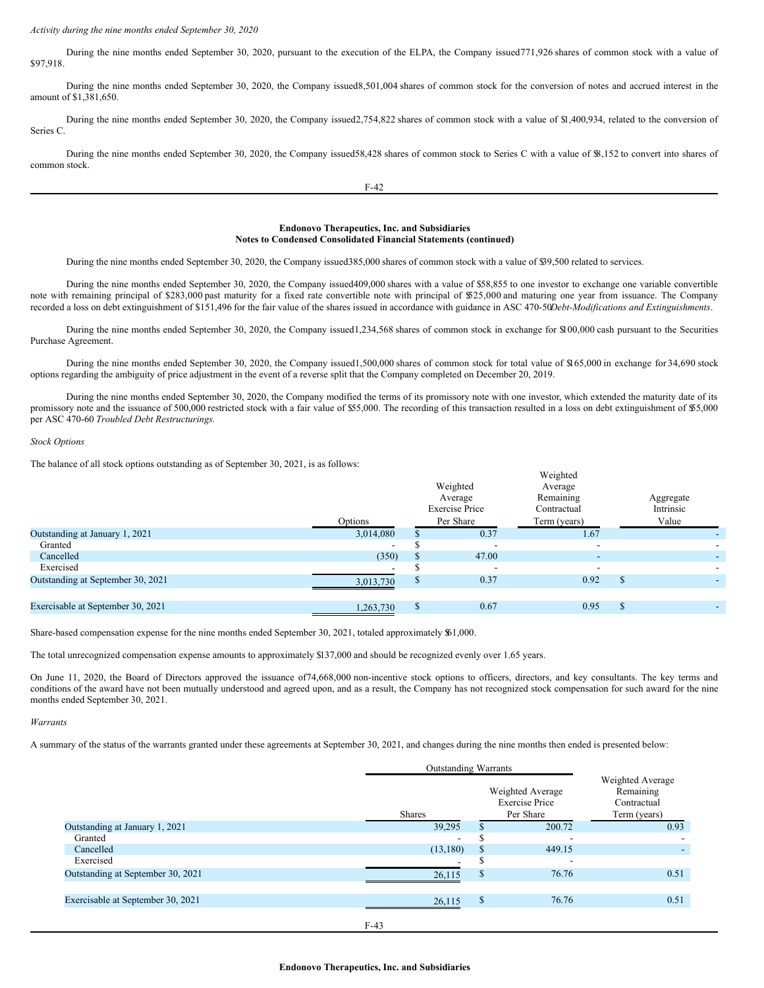During the nine months ended September 30, 2020, pursuant to the execution of the ELPA, the Company issued771,926 shares of common stock with a value of \$97,918.

During the nine months ended September 30, 2020, the Company issued8,501,004 shares of common stock for the conversion of notes and accrued interest in the amount of \$1,381,650.

During the nine months ended September 30, 2020, the Company issued2,754,822 shares of common stock with a value of \$1,400,934, related to the conversion of Series C.

During the nine months ended September 30, 2020, the Company issued58,428 shares of common stock to Series C with a value of \$8,152 to convert into shares of common stock.

F-42

#### **Endonovo Therapeutics, Inc. and Subsidiaries Notes to Condensed Consolidated Financial Statements (continued)**

During the nine months ended September 30, 2020, the Company issued385,000 shares of common stock with a value of \$39,500 related to services.

During the nine months ended September 30, 2020, the Company issued409,000 shares with a value of \$58,855 to one investor to exchange one variable convertible note with remaining principal of \$283,000 past maturity for a fixed rate convertible note with principal of \$525,000 and maturing one year from issuance. The Company recorded a loss on debt extinguishment of \$151,496 for the fair value of the shares issued in accordance with guidance in ASC 470-50*Debt-Modifications and Extinguishments*.

During the nine months ended September 30, 2020, the Company issued1,234,568 shares of common stock in exchange for \$100,000 cash pursuant to the Securities Purchase Agreement.

During the nine months ended September 30, 2020, the Company issued1,500,000 shares of common stock for total value of \$165,000 in exchange for 34,690 stock options regarding the ambiguity of price adjustment in the event of a reverse split that the Company completed on December 20, 2019.

During the nine months ended September 30, 2020, the Company modified the terms of its promissory note with one investor, which extended the maturity date of its promissory note and the issuance of 500,000 restricted stock with a fair value of \$55,000. The recording of this transaction resulted in a loss on debt extinguishment of \$55,000 per ASC 470-60 *Troubled Debt Restructurings.*

#### *Stock Options*

The balance of all stock options outstanding as of September 30, 2021, is as follows:

|                                   | Options                  |          | Weighted<br>Average<br><b>Exercise Price</b><br>Per Share | Weighted<br>Average<br>Remaining<br>Contractual<br>Term (years) | Aggregate<br>Intrinsic<br>Value |                          |
|-----------------------------------|--------------------------|----------|-----------------------------------------------------------|-----------------------------------------------------------------|---------------------------------|--------------------------|
| Outstanding at January 1, 2021    | 3,014,080                |          | 0.37                                                      | 1.67                                                            |                                 |                          |
| Granted                           | $\overline{\phantom{0}}$ |          | $\overline{\phantom{0}}$                                  | $\overline{\phantom{a}}$                                        |                                 | $\overline{\phantom{a}}$ |
| Cancelled                         | (350)                    | <b>S</b> | 47.00                                                     |                                                                 |                                 |                          |
| Exercised                         |                          |          | $\overline{\phantom{a}}$                                  | $\overline{\phantom{a}}$                                        |                                 |                          |
| Outstanding at September 30, 2021 | 3,013,730                | S        | 0.37                                                      | 0.92                                                            | \$                              | $\overline{\phantom{0}}$ |
|                                   |                          |          |                                                           |                                                                 |                                 |                          |
| Exercisable at September 30, 2021 | 1,263,730                | S        | 0.67                                                      | 0.95                                                            | \$                              |                          |

Share-based compensation expense for the nine months ended September 30, 2021, totaled approximately \$61,000.

The total unrecognized compensation expense amounts to approximately \$137,000 and should be recognized evenly over 1.65 years.

On June 11, 2020, the Board of Directors approved the issuance of74,668,000 non-incentive stock options to officers, directors, and key consultants. The key terms and conditions of the award have not been mutually understood and agreed upon, and as a result, the Company has not recognized stock compensation for such award for the nine months ended September 30, 2021.

#### *Warrants*

A summary of the status of the warrants granted under these agreements at September 30, 2021, and changes during the nine months then ended is presented below:

|                                   |                          | <b>Outstanding Warrants</b> |                                                                                                                        |      |  |  |
|-----------------------------------|--------------------------|-----------------------------|------------------------------------------------------------------------------------------------------------------------|------|--|--|
|                                   | <b>Shares</b>            |                             | Weighted Average<br>Remaining<br>Weighted Average<br><b>Exercise Price</b><br>Contractual<br>Per Share<br>Term (years) |      |  |  |
| Outstanding at January 1, 2021    | 39,295                   | \$                          | 200.72                                                                                                                 | 0.93 |  |  |
| Granted                           | $\overline{\phantom{a}}$ | ¢<br>ъ                      | $\overline{\phantom{a}}$                                                                                               |      |  |  |
| Cancelled                         | (13, 180)                | \$                          | 449.15                                                                                                                 | ٠    |  |  |
| Exercised                         |                          | Jэ.                         | $\overline{\phantom{a}}$                                                                                               |      |  |  |
| Outstanding at September 30, 2021 | 26,115                   | \$                          | 76.76                                                                                                                  | 0.51 |  |  |
| Exercisable at September 30, 2021 | 26,115                   | \$                          | 76.76                                                                                                                  | 0.51 |  |  |
|                                   | $F-43$                   |                             |                                                                                                                        |      |  |  |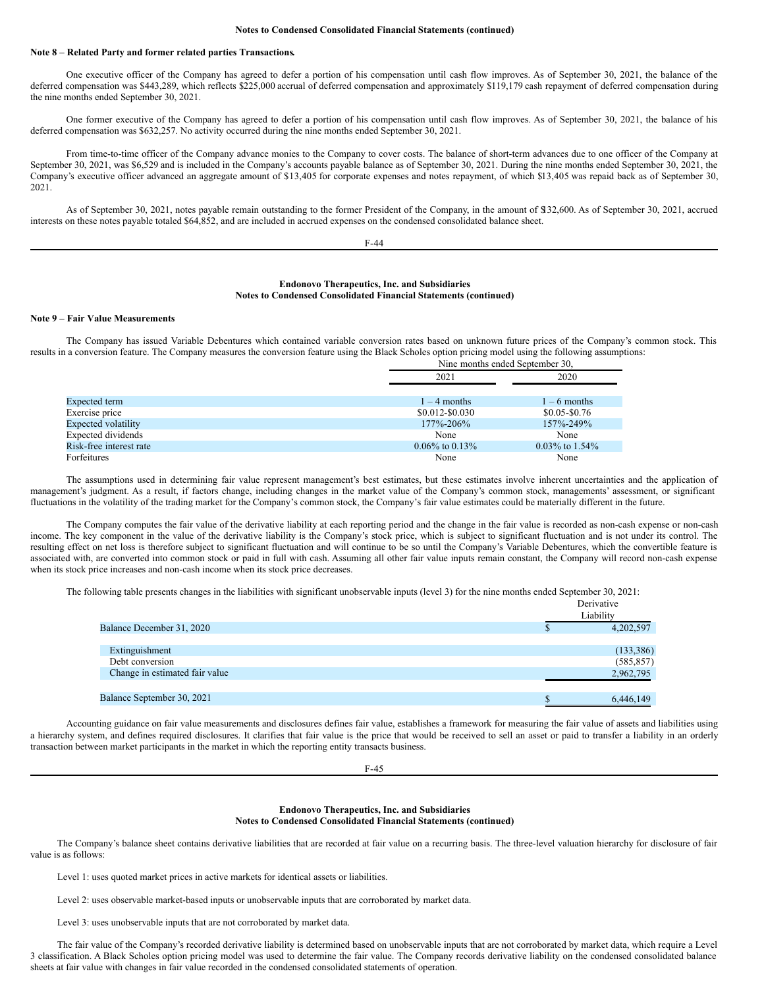#### **Notes to Condensed Consolidated Financial Statements (continued)**

#### **Note 8 – Related Party and former related parties Transactions.**

One executive officer of the Company has agreed to defer a portion of his compensation until cash flow improves. As of September 30, 2021, the balance of the deferred compensation was \$443,289, which reflects \$225,000 accrual of deferred compensation and approximately \$119,179 cash repayment of deferred compensation during the nine months ended September 30, 2021.

One former executive of the Company has agreed to defer a portion of his compensation until cash flow improves. As of September 30, 2021, the balance of his deferred compensation was \$632,257. No activity occurred during the nine months ended September 30, 2021.

From time-to-time officer of the Company advance monies to the Company to cover costs. The balance of short-term advances due to one officer of the Company at September 30, 2021, was \$6,529 and is included in the Company's accounts payable balance as of September 30, 2021. During the nine months ended September 30, 2021, the Company's executive officer advanced an aggregate amount of \$13,405 for corporate expenses and notes repayment, of which \$13,405 was repaid back as of September 30, 2021.

As of September 30, 2021, notes payable remain outstanding to the former President of the Company, in the amount of \$132,600. As of September 30, 2021, accrued interests on these notes payable totaled \$64,852, and are included in accrued expenses on the condensed consolidated balance sheet.

#### **Endonovo Therapeutics, Inc. and Subsidiaries Notes to Condensed Consolidated Financial Statements (continued)**

#### **Note 9 – Fair Value Measurements**

The Company has issued Variable Debentures which contained variable conversion rates based on unknown future prices of the Company's common stock. This results in a conversion feature. The Company measures the conversion feature using the Black Scholes option pricing model using the following assumptions:

|                            | Nine months ended September 30, |                   |  |  |
|----------------------------|---------------------------------|-------------------|--|--|
|                            | 2021                            | 2020              |  |  |
|                            |                                 |                   |  |  |
| Expected term              | $1 - 4$ months                  | $1 - 6$ months    |  |  |
| Exercise price             | \$0.012-\$0.030                 | $$0.05 - $0.76$   |  |  |
| <b>Expected volatility</b> | $177\% - 206\%$                 | $157\% - 249\%$   |  |  |
| Expected dividends         | None                            | None              |  |  |
| Risk-free interest rate    | $0.06\%$ to $0.13\%$            | $0.03\%$ to 1.54% |  |  |
| Forfeitures                | None                            | None              |  |  |

The assumptions used in determining fair value represent management's best estimates, but these estimates involve inherent uncertainties and the application of management's judgment. As a result, if factors change, including changes in the market value of the Company's common stock, managements' assessment, or significant fluctuations in the volatility of the trading market for the Company's common stock, the Company's fair value estimates could be materially different in the future.

The Company computes the fair value of the derivative liability at each reporting period and the change in the fair value is recorded as non-cash expense or non-cash income. The key component in the value of the derivative liability is the Company's stock price, which is subject to significant fluctuation and is not under its control. The resulting effect on net loss is therefore subject to significant fluctuation and will continue to be so until the Company's Variable Debentures, which the convertible feature is associated with, are converted into common stock or paid in full with cash. Assuming all other fair value inputs remain constant, the Company will record non-cash expense when its stock price increases and non-cash income when its stock price decreases.

The following table presents changes in the liabilities with significant unobservable inputs (level 3) for the nine months ended September 30, 2021:

|                                | Derivative<br>Liability |
|--------------------------------|-------------------------|
| Balance December 31, 2020      | 4,202,597               |
|                                |                         |
| Extinguishment                 | (133, 386)              |
| Debt conversion                | (585, 857)              |
| Change in estimated fair value | 2,962,795               |
|                                |                         |
| Balance September 30, 2021     | 6,446,149               |

Accounting guidance on fair value measurements and disclosures defines fair value, establishes a framework for measuring the fair value of assets and liabilities using a hierarchy system, and defines required disclosures. It clarifies that fair value is the price that would be received to sell an asset or paid to transfer a liability in an orderly transaction between market participants in the market in which the reporting entity transacts business.

F-45

#### **Endonovo Therapeutics, Inc. and Subsidiaries Notes to Condensed Consolidated Financial Statements (continued)**

The Company's balance sheet contains derivative liabilities that are recorded at fair value on a recurring basis. The three-level valuation hierarchy for disclosure of fair value is as follows:

Level 1: uses quoted market prices in active markets for identical assets or liabilities.

Level 2: uses observable market-based inputs or unobservable inputs that are corroborated by market data.

Level 3: uses unobservable inputs that are not corroborated by market data.

The fair value of the Company's recorded derivative liability is determined based on unobservable inputs that are not corroborated by market data, which require a Level 3 classification. A Black Scholes option pricing model was used to determine the fair value. The Company records derivative liability on the condensed consolidated balance sheets at fair value with changes in fair value recorded in the condensed consolidated statements of operation.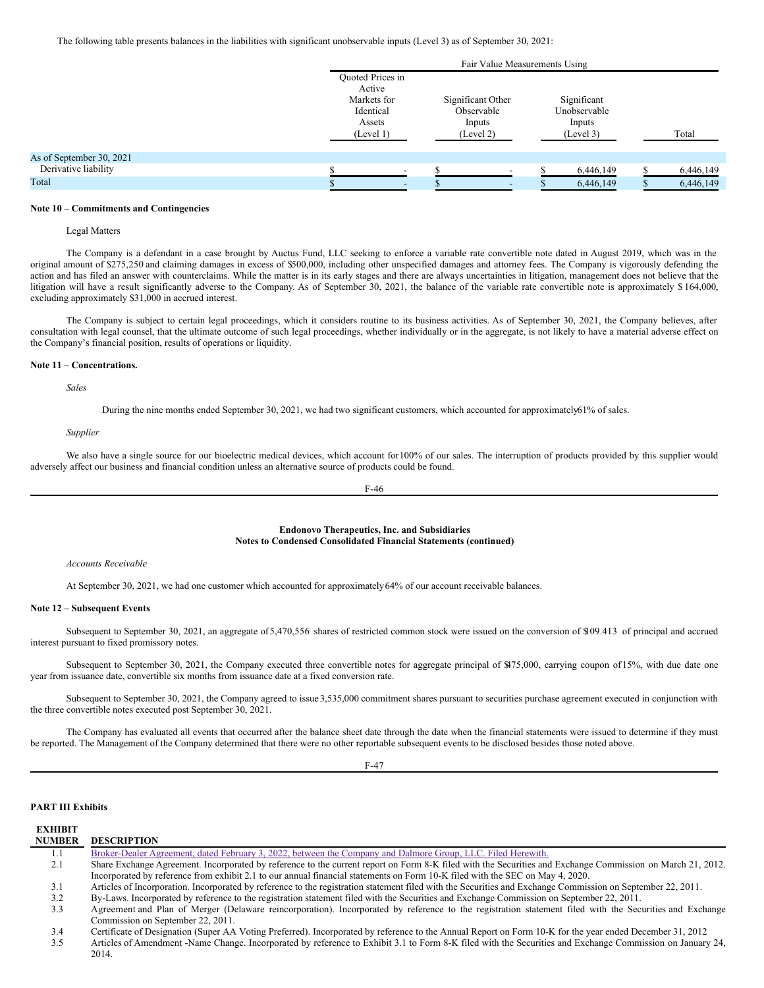The following table presents balances in the liabilities with significant unobservable inputs (Level 3) as of September 30, 2021:

|                          |                                                                                      | Fair Value Measurements Using |                                                        |                                                    |  |           |
|--------------------------|--------------------------------------------------------------------------------------|-------------------------------|--------------------------------------------------------|----------------------------------------------------|--|-----------|
|                          | <b>Ouoted Prices in</b><br>Active<br>Markets for<br>Identical<br>Assets<br>(Level 1) |                               | Significant Other<br>Observable<br>Inputs<br>(Level 2) | Significant<br>Unobservable<br>Inputs<br>(Level 3) |  | Total     |
| As of September 30, 2021 |                                                                                      |                               |                                                        |                                                    |  |           |
| Derivative liability     |                                                                                      | $\overline{\phantom{a}}$      |                                                        | 6,446,149                                          |  | 6,446,149 |
| Total                    |                                                                                      | $\overline{\phantom{0}}$      |                                                        | 6,446,149                                          |  | 6,446,149 |

## **Note 10 – Commitments and Contingencies**

Legal Matters

The Company is a defendant in a case brought by Auctus Fund, LLC seeking to enforce a variable rate convertible note dated in August 2019, which was in the original amount of \$275,250 and claiming damages in excess of \$500,000, including other unspecified damages and attorney fees. The Company is vigorously defending the action and has filed an answer with counterclaims. While the matter is in its early stages and there are always uncertainties in litigation, management does not believe that the litigation will have a result significantly adverse to the Company. As of September 30, 2021, the balance of the variable rate convertible note is approximately \$ 164,000, excluding approximately \$31,000 in accrued interest.

The Company is subject to certain legal proceedings, which it considers routine to its business activities. As of September 30, 2021, the Company believes, after consultation with legal counsel, that the ultimate outcome of such legal proceedings, whether individually or in the aggregate, is not likely to have a material adverse effect on the Company's financial position, results of operations or liquidity.

#### **Note 11 – Concentrations.**

*Sales*

During the nine months ended September 30, 2021, we had two significant customers, which accounted for approximately61% of sales.

# *Supplier*

We also have a single source for our bioelectric medical devices, which account for 100% of our sales. The interruption of products provided by this supplier would adversely affect our business and financial condition unless an alternative source of products could be found.

F-46

#### **Endonovo Therapeutics, Inc. and Subsidiaries Notes to Condensed Consolidated Financial Statements (continued)**

#### *Accounts Receivable*

At September 30, 2021, we had one customer which accounted for approximately64% of our account receivable balances.

# **Note 12 – Subsequent Events**

Subsequent to September 30, 2021, an aggregate of 5,470,556 shares of restricted common stock were issued on the conversion of \$109.413 of principal and accrued interest pursuant to fixed promissory notes.

Subsequent to September 30, 2021, the Company executed three convertible notes for aggregate principal of \$475,000, carrying coupon of 15%, with due date one year from issuance date, convertible six months from issuance date at a fixed conversion rate.

Subsequent to September 30, 2021, the Company agreed to issue 3,535,000 commitment shares pursuant to securities purchase agreement executed in conjunction with the three convertible notes executed post September 30, 2021.

The Company has evaluated all events that occurred after the balance sheet date through the date when the financial statements were issued to determine if they must be reported. The Management of the Company determined that there were no other reportable subsequent events to be disclosed besides those noted above.

F-47

#### **PART III Exhibits**

#### **EXHIBIT**

| <b>NUMBER</b> | <b>DESCRIPTION</b>                                                                                                                                          |
|---------------|-------------------------------------------------------------------------------------------------------------------------------------------------------------|
| 1.1           | Broker-Dealer Agreement, dated February 3, 2022, between the Company and Dalmore Group, LLC. Filed Herewith.                                                |
| 2.1           | Share Exchange Agreement. Incorporated by reference to the current report on Form 8-K filed with the Securities and Exchange Commission on March 21, 2012.  |
|               | Incorporated by reference from exhibit 2.1 to our annual financial statements on Form 10-K filed with the SEC on May 4, 2020.                               |
| 3.1           | Articles of Incorporation. Incorporated by reference to the registration statement filed with the Securities and Exchange Commission on September 22, 2011. |
| 3.2           | By-Laws. Incorporated by reference to the registration statement filed with the Securities and Exchange Commission on September 22, 2011.                   |
| 3.3           | Agreement and Plan of Merger (Delaware reincorporation). Incorporated by reference to the registration statement filed with the Securities and Exchange     |
|               | Commission on September 22, 2011.                                                                                                                           |
| 3.4           | Certificate of Designation (Super AA Voting Preferred). Incorporated by reference to the Annual Report on Form 10-K for the year ended December 31, 2012    |
| 3.5           | Articles of Amendment -Name Change. Incorporated by reference to Exhibit 3.1 to Form 8-K filed with the Securities and Exchange Commission on January 24,   |

2014.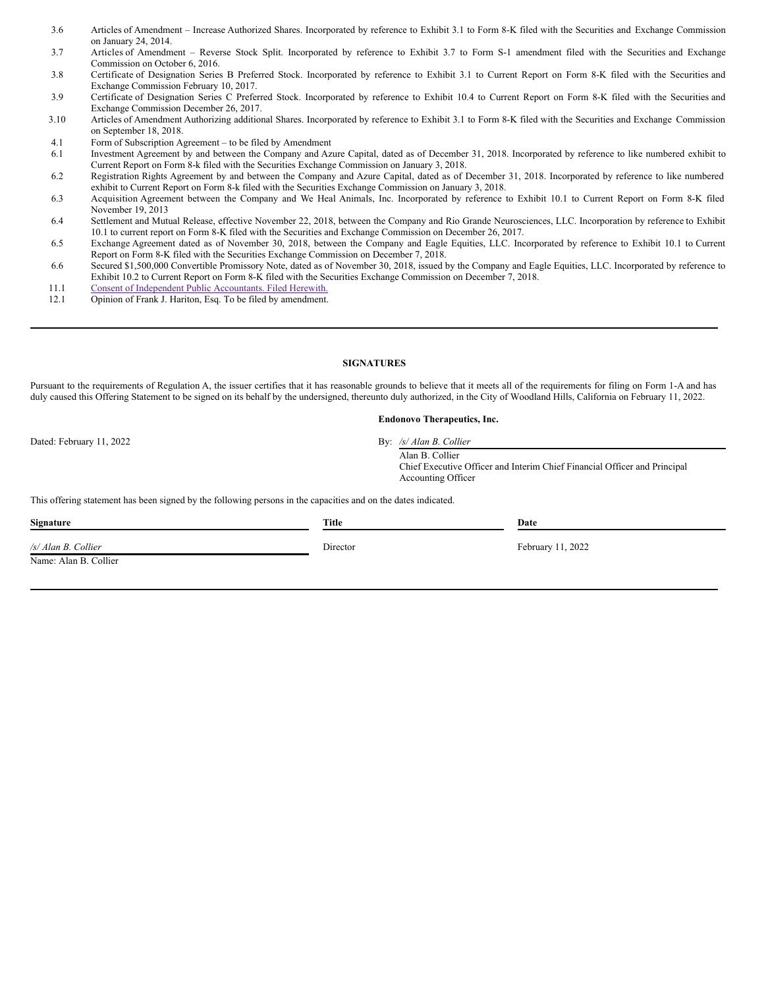- 3.6 Articles of Amendment Increase Authorized Shares. Incorporated by reference to Exhibit 3.1 to Form 8-K filed with the Securities and Exchange Commission on January 24, 2014.
- 3.7 Articles of Amendment Reverse Stock Split. Incorporated by reference to Exhibit 3.7 to Form S-1 amendment filed with the Securities and Exchange Commission on October 6, 2016.
- 3.8 Certificate of Designation Series B Preferred Stock. Incorporated by reference to Exhibit 3.1 to Current Report on Form 8-K filed with the Securities and Exchange Commission February 10, 2017.
- 3.9 Certificate of Designation Series C Preferred Stock. Incorporated by reference to Exhibit 10.4 to Current Report on Form 8-K filed with the Securities and Exchange Commission December 26, 2017.
- 3.10 Articles of Amendment Authorizing additional Shares. Incorporated by reference to Exhibit 3.1 to Form 8-K filed with the Securities and Exchange Commission on September 18, 2018.
- 4.1 Form of Subscription Agreement to be filed by Amendment
- 6.1 Investment Agreement by and between the Company and Azure Capital, dated as of December 31, 2018. Incorporated by reference to like numbered exhibit to Current Report on Form 8-k filed with the Securities Exchange Commission on January 3, 2018.
- 6.2 Registration Rights Agreement by and between the Company and Azure Capital, dated as of December 31, 2018. Incorporated by reference to like numbered exhibit to Current Report on Form 8-k filed with the Securities Exchange Commission on January 3, 2018.
- 6.3 Acquisition Agreement between the Company and We Heal Animals, Inc. Incorporated by reference to Exhibit 10.1 to Current Report on Form 8-K filed November 19, 2013
- 6.4 Settlement and Mutual Release, effective November 22, 2018, between the Company and Rio Grande Neurosciences, LLC. Incorporation by reference to Exhibit 10.1 to current report on Form 8-K filed with the Securities and Exchange Commission on December 26, 2017.
- 6.5 Exchange Agreement dated as of November 30, 2018, between the Company and Eagle Equities, LLC. Incorporated by reference to Exhibit 10.1 to Current Report on Form 8-K filed with the Securities Exchange Commission on December 7, 2018.
- 6.6 Secured \$1,500,000 Convertible Promissory Note, dated as of November 30, 2018, issued by the Company and Eagle Equities, LLC. Incorporated by reference to Exhibit 10.2 to Current Report on Form 8-K filed with the Securities Exchange Commission on December 7, 2018.
- 11.1 Consent of Independent Public [Accountants.](#page-58-0) Filed Herewith.
- 12.1 Opinion of Frank J. Hariton, Esq. To be filed by amendment.

# **SIGNATURES**

Pursuant to the requirements of Regulation A, the issuer certifies that it has reasonable grounds to believe that it meets all of the requirements for filing on Form 1-A and has duly caused this Offering Statement to be signed on its behalf by the undersigned, thereunto duly authorized, in the City of Woodland Hills, California on February 11, 2022.

#### **Endonovo Therapeutics, Inc.**

| Dated: February 11, 2022                                                                                       | By: /s/ Alan B. Collier                                                                                            |
|----------------------------------------------------------------------------------------------------------------|--------------------------------------------------------------------------------------------------------------------|
|                                                                                                                | Alan B. Collier<br>Chief Executive Officer and Interim Chief Financial Officer and Principal<br>Accounting Officer |
| This offering statement has been signed by the following persons in the capacities and on the dates indicated. |                                                                                                                    |

| <b>Signature</b>      | Title    | Date              |
|-----------------------|----------|-------------------|
| /s/ Alan B. Collier   | Director | February 11, 2022 |
| Name: Alan B. Collier |          |                   |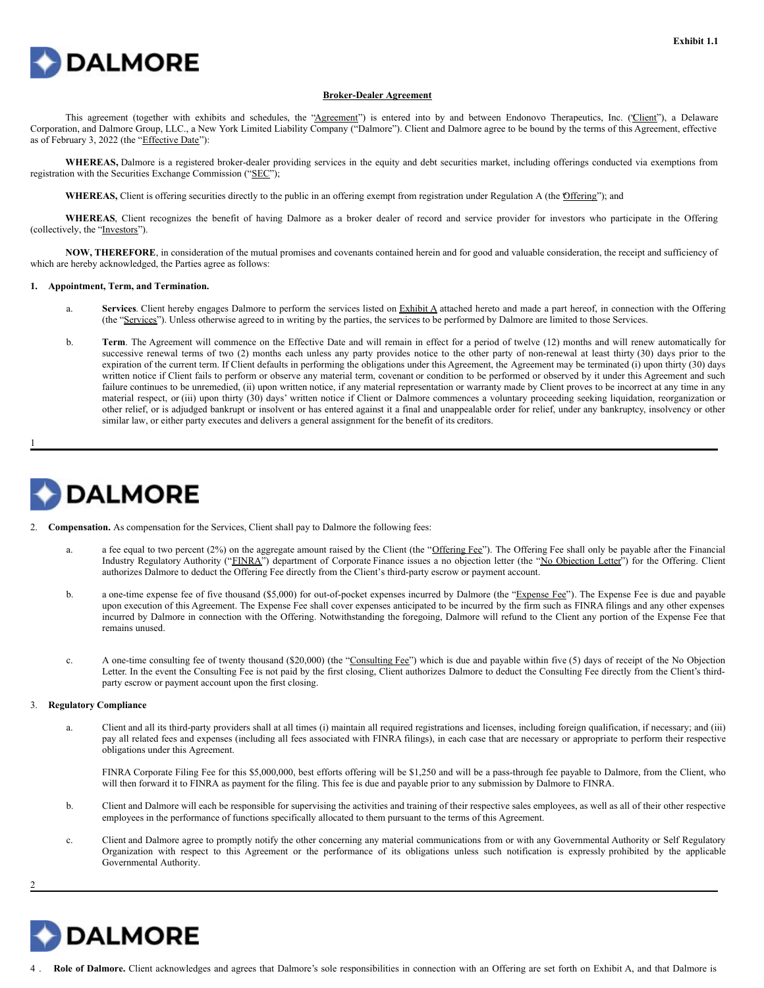

#### **Broker-Dealer Agreement**

This agreement (together with exhibits and schedules, the "Agreement") is entered into by and between Endonovo Therapeutics, Inc. ("Client"), a Delaware Corporation, and Dalmore Group, LLC., a New York Limited Liability Company ("Dalmore"). Client and Dalmore agree to be bound by the terms of this Agreement, effective as of February 3, 2022 (the "Effective Date"):

**WHEREAS,** Dalmore is a registered broker-dealer providing services in the equity and debt securities market, including offerings conducted via exemptions from registration with the Securities Exchange Commission ("SEC");

WHEREAS, Client is offering securities directly to the public in an offering exempt from registration under Regulation A (the Offering"); and

**WHEREAS**, Client recognizes the benefit of having Dalmore as a broker dealer of record and service provider for investors who participate in the Offering (collectively, the "Investors").

**NOW, THEREFORE**, in consideration of the mutual promises and covenants contained herein and for good and valuable consideration, the receipt and sufficiency of which are hereby acknowledged, the Parties agree as follows:

#### **1. Appointment, Term, and Termination.**

- a. Services. Client hereby engages Dalmore to perform the services listed on Exhibit A attached hereto and made a part hereof, in connection with the Offering (the "Services"). Unless otherwise agreed to in writing by the parties, the services to be performed by Dalmore are limited to those Services.
- b. **Term**. The Agreement will commence on the Effective Date and will remain in effect for a period of twelve (12) months and will renew automatically for successive renewal terms of two (2) months each unless any party provides notice to the other party of non-renewal at least thirty (30) days prior to the expiration of the current term. If Client defaults in performing the obligations under this Agreement, the Agreement may be terminated (i) upon thirty (30) days written notice if Client fails to perform or observe any material term, covenant or condition to be performed or observed by it under this Agreement and such failure continues to be unremedied, (ii) upon written notice, if any material representation or warranty made by Client proves to be incorrect at any time in any material respect, or (iii) upon thirty (30) days' written notice if Client or Dalmore commences a voluntary proceeding seeking liquidation, reorganization or other relief, or is adjudged bankrupt or insolvent or has entered against it a final and unappealable order for relief, under any bankruptcy, insolvency or other similar law, or either party executes and delivers a general assignment for the benefit of its creditors.

**DALMORE** 

2. **Compensation.** As compensation for the Services, Client shall pay to Dalmore the following fees:

- a. a fee equal to two percent (2%) on the aggregate amount raised by the Client (the "Offering Fee"). The Offering Fee shall only be payable after the Financial Industry Regulatory Authority ("FINRA") department of Corporate Finance issues a no objection letter (the "No Objection Letter") for the Offering. Client authorizes Dalmore to deduct the Offering Fee directly from the Client's third-party escrow or payment account.
- b. a one-time expense fee of five thousand (\$5,000) for out-of-pocket expenses incurred by Dalmore (the "Expense Fee"). The Expense Fee is due and payable upon execution of this Agreement. The Expense Fee shall cover expenses anticipated to be incurred by the firm such as FINRA filings and any other expenses incurred by Dalmore in connection with the Offering. Notwithstanding the foregoing, Dalmore will refund to the Client any portion of the Expense Fee that remains unused.
- c. A one-time consulting fee of twenty thousand (\$20,000) (the "Consulting Fee") which is due and payable within five (5) days of receipt of the No Objection Letter. In the event the Consulting Fee is not paid by the first closing, Client authorizes Dalmore to deduct the Consulting Fee directly from the Client's thirdparty escrow or payment account upon the first closing.

#### 3. **Regulatory Compliance**

a. Client and all its third-party providers shall at all times (i) maintain all required registrations and licenses, including foreign qualification, if necessary; and (iii) pay all related fees and expenses (including all fees associated with FINRA filings), in each case that are necessary or appropriate to perform their respective obligations under this Agreement.

FINRA Corporate Filing Fee for this \$5,000,000, best efforts offering will be \$1,250 and will be a pass-through fee payable to Dalmore, from the Client, who will then forward it to FINRA as payment for the filing. This fee is due and payable prior to any submission by Dalmore to FINRA.

- b. Client and Dalmore will each be responsible for supervising the activities and training of their respective sales employees, as well as all of their other respective employees in the performance of functions specifically allocated to them pursuant to the terms of this Agreement.
- c. Client and Dalmore agree to promptly notify the other concerning any material communications from or with any Governmental Authority or Self Regulatory Organization with respect to this Agreement or the performance of its obligations unless such notification is expressly prohibited by the applicable Governmental Authority.

2

1

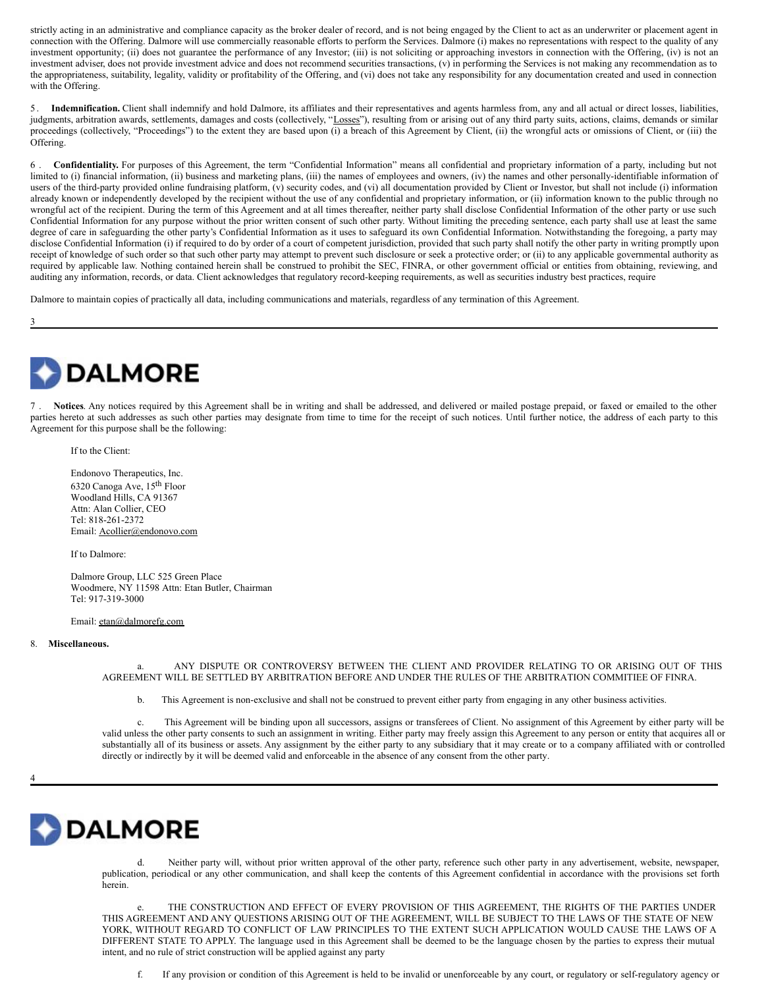<span id="page-56-0"></span>strictly acting in an administrative and compliance capacity as the broker dealer of record, and is not being engaged by the Client to act as an underwriter or placement agent in connection with the Offering. Dalmore will use commercially reasonable efforts to perform the Services. Dalmore (i) makes no representations with respect to the quality of any investment opportunity; (ii) does not guarantee the performance of any Investor; (iii) is not soliciting or approaching investors in connection with the Offering, (iv) is not an investment adviser, does not provide investment advice and does not recommend securities transactions, (v) in performing the Services is not making any recommendation as to the appropriateness, suitability, legality, validity or profitability of the Offering, and (vi) does not take any responsibility for any documentation created and used in connection with the Offering.

5 . **Indemnification.** Client shall indemnify and hold Dalmore, its affiliates and their representatives and agents harmless from, any and all actual or direct losses, liabilities, judgments, arbitration awards, settlements, damages and costs (collectively, "Losses"), resulting from or arising out of any third party suits, actions, claims, demands or similar proceedings (collectively, "Proceedings") to the extent they are based upon (i) a breach of this Agreement by Client, (ii) the wrongful acts or omissions of Client, or (iii) the Offering.

6 . **Confidentiality.** For purposes of this Agreement, the term "Confidential Information" means all confidential and proprietary information of a party, including but not limited to (i) financial information, (ii) business and marketing plans, (iii) the names of employees and owners, (iv) the names and other personally-identifiable information of users of the third-party provided online fundraising platform, (v) security codes, and (vi) all documentation provided by Client or Investor, but shall not include (i) information already known or independently developed by the recipient without the use of any confidential and proprietary information, or (ii) information known to the public through no wrongful act of the recipient. During the term of this Agreement and at all times thereafter, neither party shall disclose Confidential Information of the other party or use such Confidential Information for any purpose without the prior written consent of such other party. Without limiting the preceding sentence, each party shall use at least the same degree of care in safeguarding the other party's Confidential Information as it uses to safeguard its own Confidential Information. Notwithstanding the foregoing, a party may disclose Confidential Information (i) if required to do by order of a court of competent jurisdiction, provided that such party shall notify the other party in writing promptly upon receipt of knowledge of such order so that such other party may attempt to prevent such disclosure or seek a protective order; or (ii) to any applicable governmental authority as required by applicable law. Nothing contained herein shall be construed to prohibit the SEC, FINRA, or other government official or entities from obtaining, reviewing, and auditing any information, records, or data. Client acknowledges that regulatory record-keeping requirements, as well as securities industry best practices, require

Dalmore to maintain copies of practically all data, including communications and materials, regardless of any termination of this Agreement.

3

# **DALMORE**

7 . **Notices**. Any notices required by this Agreement shall be in writing and shall be addressed, and delivered or mailed postage prepaid, or faxed or emailed to the other parties hereto at such addresses as such other parties may designate from time to time for the receipt of such notices. Until further notice, the address of each party to this Agreement for this purpose shall be the following:

If to the Client:

Endonovo Therapeutics, Inc. 6320 Canoga Ave, 15<sup>th</sup> Floor Woodland Hills, CA 91367 Attn: Alan Collier, CEO Tel: 818-261-2372 Email: Acollier@endonovo.com

If to Dalmore:

Dalmore Group, LLC 525 Green Place Woodmere, NY 11598 Attn: Etan Butler, Chairman Tel: 917-319-3000

Email: etan@dalmorefg.com

#### 8. **Miscellaneous.**

a. ANY DISPUTE OR CONTROVERSY BETWEEN THE CLIENT AND PROVIDER RELATING TO OR ARISING OUT OF THIS AGREEMENT WILL BE SETTLED BY ARBITRATION BEFORE AND UNDER THE RULES OF THE ARBITRATION COMMITIEE OF FINRA.

b. This Agreement is non-exclusive and shall not be construed to prevent either party from engaging in any other business activities.

c. This Agreement will be binding upon all successors, assigns or transferees of Client. No assignment of this Agreement by either party will be valid unless the other party consents to such an assignment in writing. Either party may freely assign this Agreement to any person or entity that acquires all or substantially all of its business or assets. Any assignment by the either party to any subsidiary that it may create or to a company affiliated with or controlled directly or indirectly by it will be deemed valid and enforceable in the absence of any consent from the other party.

4

# **DALMORE**

Neither party will, without prior written approval of the other party, reference such other party in any advertisement, website, newspaper, publication, periodical or any other communication, and shall keep the contents of this Agreement confidential in accordance with the provisions set forth herein.

e. THE CONSTRUCTION AND EFFECT OF EVERY PROVISION OF THIS AGREEMENT, THE RIGHTS OF THE PARTIES UNDER THIS AGREEMENT AND ANY QUESTIONS ARISING OUT OF THE AGREEMENT, WILL BE SUBJECT TO THE LAWS OF THE STATE OF NEW YORK, WITHOUT REGARD TO CONFLICT OF LAW PRINCIPLES TO THE EXTENT SUCH APPLICATION WOULD CAUSE THE LAWS OF A DIFFERENT STATE TO APPLY. The language used in this Agreement shall be deemed to be the language chosen by the parties to express their mutual intent, and no rule of strict construction will be applied against any party

f. If any provision or condition of this Agreement is held to be invalid or unenforceable by any court, or regulatory or self-regulatory agency or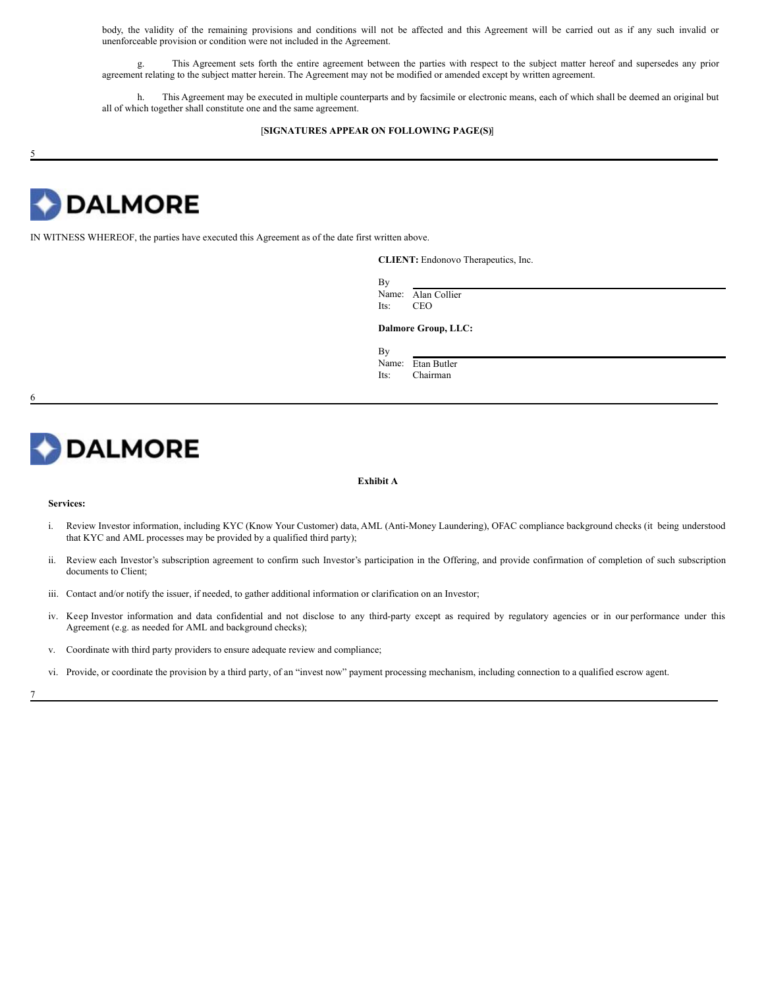body, the validity of the remaining provisions and conditions will not be affected and this Agreement will be carried out as if any such invalid or unenforceable provision or condition were not included in the Agreement.

g. This Agreement sets forth the entire agreement between the parties with respect to the subject matter hereof and supersedes any prior agreement relating to the subject matter herein. The Agreement may not be modified or amended except by written agreement.

h. This Agreement may be executed in multiple counterparts and by facsimile or electronic means, each of which shall be deemed an original but all of which together shall constitute one and the same agreement.

[**SIGNATURES APPEAR ON FOLLOWING PAGE(S)**]

# **DALMORE**

IN WITNESS WHEREOF, the parties have executed this Agreement as of the date first written above.

**CLIENT:** Endonovo Therapeutics, Inc.

By Name: Alan Collier Its: CEO

**Dalmore Group, LLC:**

By Name: Etan Butler Its: Chairman

6

5



#### **Exhibit A**

#### **Services:**

- i. Review Investor information, including KYC (Know Your Customer) data, AML (Anti-Money Laundering), OFAC compliance background checks (it being understood that KYC and AML processes may be provided by a qualified third party);
- ii. Review each Investor's subscription agreement to confirm such Investor's participation in the Offering, and provide confirmation of completion of such subscription documents to Client;
- iii. Contact and/or notify the issuer, if needed, to gather additional information or clarification on an Investor;
- iv. Keep Investor information and data confidential and not disclose to any third-party except as required by regulatory agencies or in our performance under this Agreement (e.g. as needed for AML and background checks);
- v. Coordinate with third party providers to ensure adequate review and compliance;
- vi. Provide, or coordinate the provision by a third party, of an "invest now" payment processing mechanism, including connection to a qualified escrow agent.